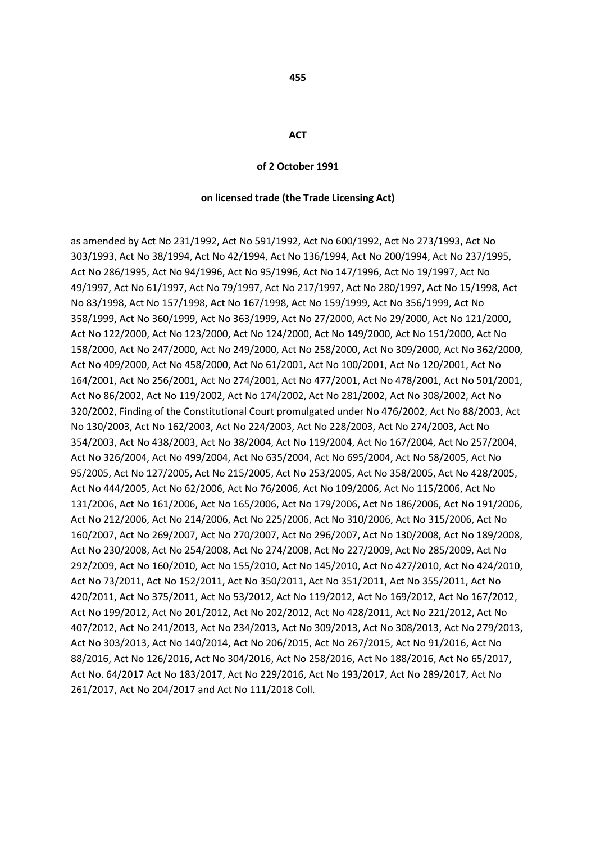#### **ACT**

#### **of 2 October 1991**

#### **on licensed trade (the Trade Licensing Act)**

as amended by Act No 231/1992, Act No 591/1992, Act No 600/1992, Act No 273/1993, Act No 303/1993, Act No 38/1994, Act No 42/1994, Act No 136/1994, Act No 200/1994, Act No 237/1995, Act No 286/1995, Act No 94/1996, Act No 95/1996, Act No 147/1996, Act No 19/1997, Act No 49/1997, Act No 61/1997, Act No 79/1997, Act No 217/1997, Act No 280/1997, Act No 15/1998, Act No 83/1998, Act No 157/1998, Act No 167/1998, Act No 159/1999, Act No 356/1999, Act No 358/1999, Act No 360/1999, Act No 363/1999, Act No 27/2000, Act No 29/2000, Act No 121/2000, Act No 122/2000, Act No 123/2000, Act No 124/2000, Act No 149/2000, Act No 151/2000, Act No 158/2000, Act No 247/2000, Act No 249/2000, Act No 258/2000, Act No 309/2000, Act No 362/2000, Act No 409/2000, Act No 458/2000, Act No 61/2001, Act No 100/2001, Act No 120/2001, Act No 164/2001, Act No 256/2001, Act No 274/2001, Act No 477/2001, Act No 478/2001, Act No 501/2001, Act No 86/2002, Act No 119/2002, Act No 174/2002, Act No 281/2002, Act No 308/2002, Act No 320/2002, Finding of the Constitutional Court promulgated under No 476/2002, Act No 88/2003, Act No 130/2003, Act No 162/2003, Act No 224/2003, Act No 228/2003, Act No 274/2003, Act No 354/2003, Act No 438/2003, Act No 38/2004, Act No 119/2004, Act No 167/2004, Act No 257/2004, Act No 326/2004, Act No 499/2004, Act No 635/2004, Act No 695/2004, Act No 58/2005, Act No 95/2005, Act No 127/2005, Act No 215/2005, Act No 253/2005, Act No 358/2005, Act No 428/2005, Act No 444/2005, Act No 62/2006, Act No 76/2006, Act No 109/2006, Act No 115/2006, Act No 131/2006, Act No 161/2006, Act No 165/2006, Act No 179/2006, Act No 186/2006, Act No 191/2006, Act No 212/2006, Act No 214/2006, Act No 225/2006, Act No 310/2006, Act No 315/2006, Act No 160/2007, Act No 269/2007, Act No 270/2007, Act No 296/2007, Act No 130/2008, Act No 189/2008, Act No 230/2008, Act No 254/2008, Act No 274/2008, Act No 227/2009, Act No 285/2009, Act No 292/2009, Act No 160/2010, Act No 155/2010, Act No 145/2010, Act No 427/2010, Act No 424/2010, Act No 73/2011, Act No 152/2011, Act No 350/2011, Act No 351/2011, Act No 355/2011, Act No 420/2011, Act No 375/2011, Act No 53/2012, Act No 119/2012, Act No 169/2012, Act No 167/2012, Act No 199/2012, Act No 201/2012, Act No 202/2012, Act No 428/2011, Act No 221/2012, Act No 407/2012, Act No 241/2013, Act No 234/2013, Act No 309/2013, Act No 308/2013, Act No 279/2013, Act No 303/2013, Act No 140/2014, Act No 206/2015, Act No 267/2015, Act No 91/2016, Act No 88/2016, Act No 126/2016, Act No 304/2016, Act No 258/2016, Act No 188/2016, Act No 65/2017, Act No. 64/2017 Act No 183/2017, Act No 229/2016, Act No 193/2017, Act No 289/2017, Act No 261/2017, Act No 204/2017 and Act No 111/2018 Coll.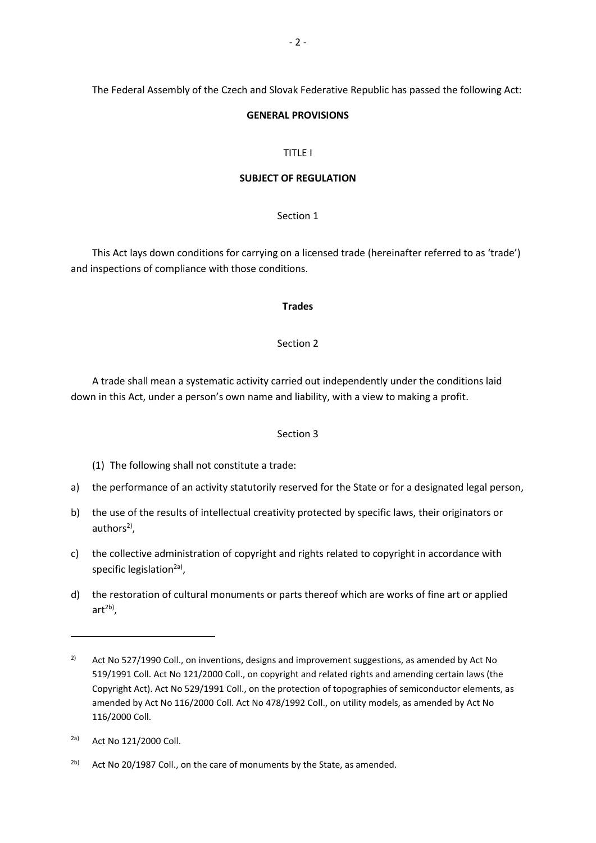The Federal Assembly of the Czech and Slovak Federative Republic has passed the following Act:

#### **GENERAL PROVISIONS**

#### TITLE I

#### **SUBJECT OF REGULATION**

### Section 1

This Act lays down conditions for carrying on a licensed trade (hereinafter referred to as 'trade') and inspections of compliance with those conditions.

#### **Trades**

#### Section 2

A trade shall mean a systematic activity carried out independently under the conditions laid down in this Act, under a person's own name and liability, with a view to making a profit.

### Section 3

(1) The following shall not constitute a trade:

- a) the performance of an activity statutorily reserved for the State or for a designated legal person,
- b) the use of the results of intellectual creativity protected by specific laws, their originators or authors<sup>2)</sup>,
- c) the collective administration of copyright and rights related to copyright in accordance with specific legislation<sup>2a)</sup>,
- d) the restoration of cultural monuments or parts thereof which are works of fine art or applied art<sup>2b)</sup>,

1

<sup>&</sup>lt;sup>2)</sup> Act No 527/1990 Coll., on inventions, designs and improvement suggestions, as amended by Act No 519/1991 Coll. Act No 121/2000 Coll., on copyright and related rights and amending certain laws (the Copyright Act). Act No 529/1991 Coll., on the protection of topographies of semiconductor elements, as amended by Act No 116/2000 Coll. Act No 478/1992 Coll., on utility models, as amended by Act No 116/2000 Coll.

<sup>2</sup>a) Act No 121/2000 Coll.

 $2<sup>b)</sup>$  Act No 20/1987 Coll., on the care of monuments by the State, as amended.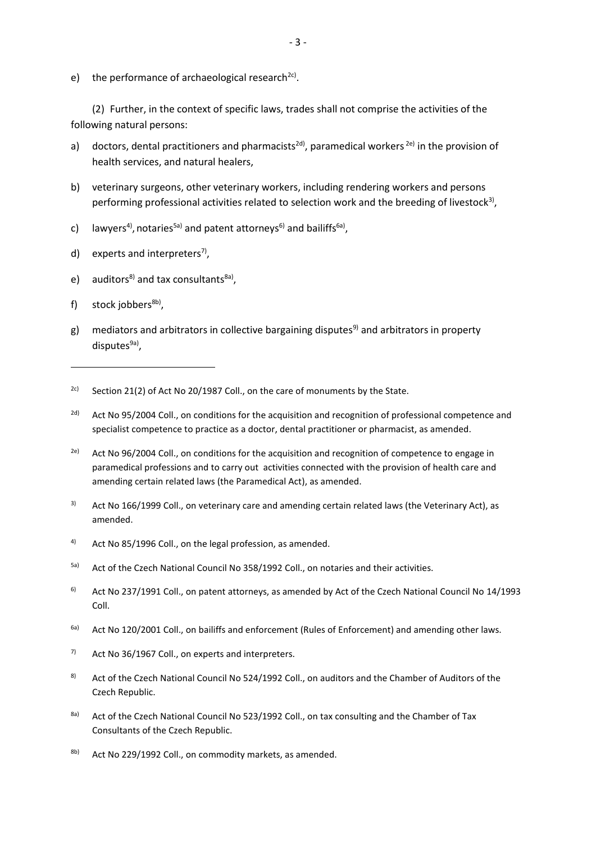e) the performance of archaeological research<sup>2c)</sup>.

(2) Further, in the context of specific laws, trades shall not comprise the activities of the following natural persons:

- a) doctors, dental practitioners and pharmacists<sup>2d)</sup>, paramedical workers<sup>2e)</sup> in the provision of health services, and natural healers,
- b) veterinary surgeons, other veterinary workers, including rendering workers and persons performing professional activities related to selection work and the breeding of livestock<sup>3)</sup>,
- c) lawyers<sup>4)</sup>, notaries<sup>5a)</sup> and patent attorneys<sup>6)</sup> and bailiffs<sup>6a)</sup>,
- d) experts and interpreters<sup>7</sup>,
- e) auditors<sup>8)</sup> and tax consultants<sup>8a)</sup>,
- f) stock jobbers<sup>8b)</sup>,

**.** 

- g) mediators and arbitrators in collective bargaining disputes<sup>9)</sup> and arbitrators in property disputes<sup>9a)</sup>,
- <sup>2c)</sup> Section 21(2) of Act No 20/1987 Coll., on the care of monuments by the State.
- <sup>2d)</sup> Act No 95/2004 Coll., on conditions for the acquisition and recognition of professional competence and specialist competence to practice as a doctor, dental practitioner or pharmacist, as amended.
- <sup>2e)</sup> Act No 96/2004 Coll., on conditions for the acquisition and recognition of competence to engage in paramedical professions and to carry out activities connected with the provision of health care and amending certain related laws (the Paramedical Act), as amended.
- <sup>3)</sup> Act No 166/1999 Coll., on veterinary care and amending certain related laws (the Veterinary Act), as amended.
- 4) Act No 85/1996 Coll., on the legal profession, as amended.
- 5a) Act of the Czech National Council No 358/1992 Coll., on notaries and their activities.
- <sup>6)</sup> Act No 237/1991 Coll., on patent attorneys, as amended by Act of the Czech National Council No 14/1993 Coll.
- <sup>6a)</sup> Act No 120/2001 Coll., on bailiffs and enforcement (Rules of Enforcement) and amending other laws.
- $7$  Act No 36/1967 Coll., on experts and interpreters.
- 8) Act of the Czech National Council No 524/1992 Coll., on auditors and the Chamber of Auditors of the Czech Republic.
- 8a) Act of the Czech National Council No 523/1992 Coll., on tax consulting and the Chamber of Tax Consultants of the Czech Republic.
- $8b$  Act No 229/1992 Coll., on commodity markets, as amended.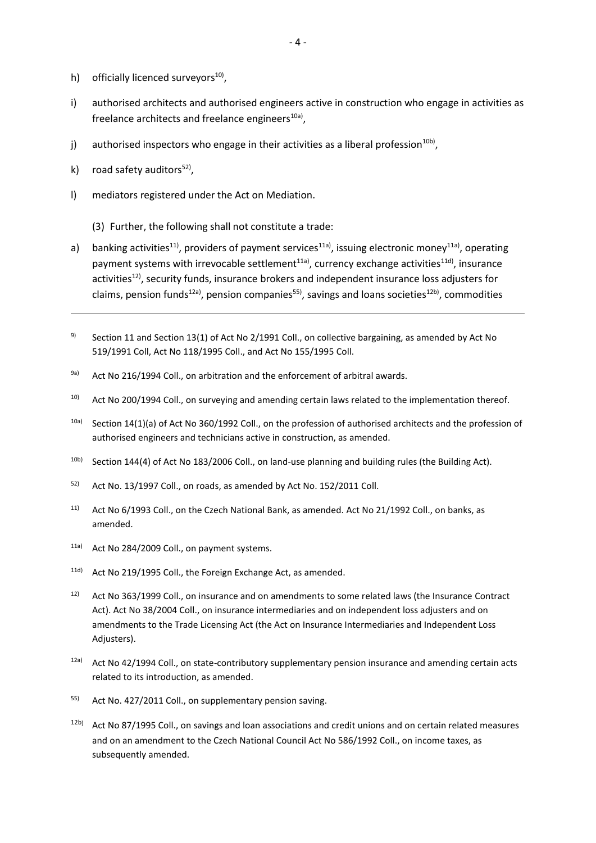- h) officially licenced surveyors<sup>10</sup>,
- i) authorised architects and authorised engineers active in construction who engage in activities as freelance architects and freelance engineers $^{10a)}$ ,
- j) authorised inspectors who engage in their activities as a liberal profession $^{10b)}$ ,
- k) road safety auditors<sup>52)</sup>,

- l) mediators registered under the Act on Mediation.
	- (3) Further, the following shall not constitute a trade:
- a) banking activities<sup>11</sup>, providers of payment services<sup>11a)</sup>, issuing electronic money<sup>11a)</sup>, operating payment systems with irrevocable settlement<sup>11a)</sup>, currency exchange activities<sup>11d)</sup>, insurance activities<sup>12)</sup>, security funds, insurance brokers and independent insurance loss adjusters for claims, pension funds<sup>12a)</sup>, pension companies<sup>55)</sup>, savings and loans societies<sup>12b)</sup>, commodities
- <sup>9)</sup> Section 11 and Section 13(1) of Act No 2/1991 Coll., on collective bargaining, as amended by Act No 519/1991 Coll, Act No 118/1995 Coll., and Act No 155/1995 Coll.
- 9a) Act No 216/1994 Coll., on arbitration and the enforcement of arbitral awards.
- <sup>10)</sup> Act No 200/1994 Coll., on surveying and amending certain laws related to the implementation thereof.
- $10a)$  Section 14(1)(a) of Act No 360/1992 Coll., on the profession of authorised architects and the profession of authorised engineers and technicians active in construction, as amended.
- 10b) Section 144(4) of Act No 183/2006 Coll., on land-use planning and building rules (the Building Act).
- <sup>52)</sup> Act No. 13/1997 Coll., on roads, as amended by Act No. 152/2011 Coll.
- 11) Act No 6/1993 Coll., on the Czech National Bank, as amended. Act No 21/1992 Coll., on banks, as amended.
- 11a) Act No 284/2009 Coll., on payment systems.
- 11d) Act No 219/1995 Coll., the Foreign Exchange Act, as amended.
- <sup>12)</sup> Act No 363/1999 Coll., on insurance and on amendments to some related laws (the Insurance Contract Act). Act No 38/2004 Coll., on insurance intermediaries and on independent loss adjusters and on amendments to the Trade Licensing Act (the Act on Insurance Intermediaries and Independent Loss Adjusters).
- 12a) Act No 42/1994 Coll., on state-contributory supplementary pension insurance and amending certain acts related to its introduction, as amended.
- 55) Act No. 427/2011 Coll., on supplementary pension saving.
- $12b$ ) Act No 87/1995 Coll., on savings and loan associations and credit unions and on certain related measures and on an amendment to the Czech National Council Act No 586/1992 Coll., on income taxes, as subsequently amended.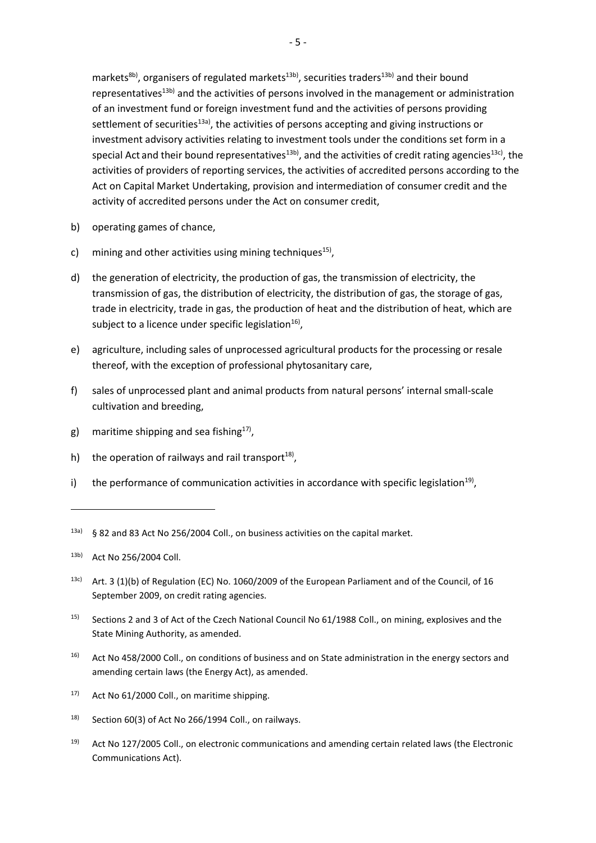markets<sup>8b)</sup>, organisers of regulated markets<sup>13b)</sup>, securities traders<sup>13b)</sup> and their bound representatives<sup>13b)</sup> and the activities of persons involved in the management or administration of an investment fund or foreign investment fund and the activities of persons providing settlement of securities<sup>13a)</sup>, the activities of persons accepting and giving instructions or investment advisory activities relating to investment tools under the conditions set form in a special Act and their bound representatives<sup>13b)</sup>, and the activities of credit rating agencies<sup>13c)</sup>, the activities of providers of reporting services, the activities of accredited persons according to the Act on Capital Market Undertaking, provision and intermediation of consumer credit and the activity of accredited persons under the Act on consumer credit,

- b) operating games of chance,
- c) mining and other activities using mining techniques<sup>15)</sup>,
- d) the generation of electricity, the production of gas, the transmission of electricity, the transmission of gas, the distribution of electricity, the distribution of gas, the storage of gas, trade in electricity, trade in gas, the production of heat and the distribution of heat, which are subject to a licence under specific legislation $^{16}$ ,
- e) agriculture, including sales of unprocessed agricultural products for the processing or resale thereof, with the exception of professional phytosanitary care,
- f) sales of unprocessed plant and animal products from natural persons' internal small-scale cultivation and breeding,
- g) maritime shipping and sea fishing<sup>17)</sup>,
- h) the operation of railways and rail transport $^{18}$ ,
- i) the performance of communication activities in accordance with specific legislation<sup>19)</sup>,

1

- 13c) Art. 3 (1)(b) of Regulation (EC) No. 1060/2009 of the European Parliament and of the Council, of 16 September 2009, on credit rating agencies.
- 15) Sections 2 and 3 of Act of the Czech National Council No 61/1988 Coll., on mining, explosives and the State Mining Authority, as amended.
- 16) Act No 458/2000 Coll., on conditions of business and on State administration in the energy sectors and amending certain laws (the Energy Act), as amended.
- $17$  Act No 61/2000 Coll., on maritime shipping.
- $18$  Section 60(3) of Act No 266/1994 Coll., on railways.
- 19) Act No 127/2005 Coll., on electronic communications and amending certain related laws (the Electronic Communications Act).

<sup>13</sup>a) § 82 and 83 Act No 256/2004 Coll., on business activities on the capital market.

<sup>13</sup>b) Act No 256/2004 Coll.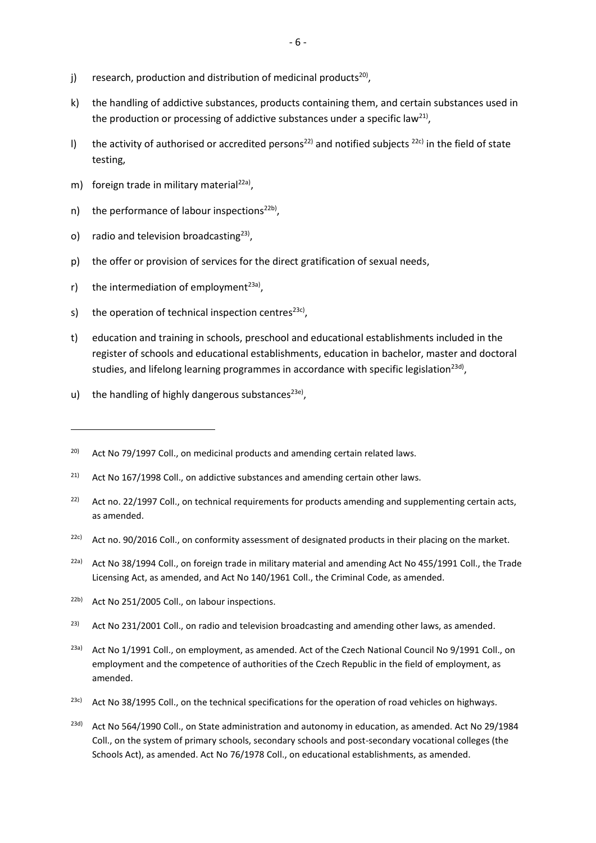- j) research, production and distribution of medicinal products<sup>20)</sup>,
- k) the handling of addictive substances, products containing them, and certain substances used in the production or processing of addictive substances under a specific law<sup>21)</sup>,
- I) the activity of authorised or accredited persons<sup>22)</sup> and notified subjects <sup>22c)</sup> in the field of state testing,
- m) foreign trade in military material<sup>22a)</sup>,
- n) the performance of labour inspections<sup>22b)</sup>,
- o) radio and television broadcasting $^{23)}$ ,
- p) the offer or provision of services for the direct gratification of sexual needs,
- r) the intermediation of employment<sup>23a)</sup>,

**.** 

- s) the operation of technical inspection centres<sup>23c)</sup>,
- t) education and training in schools, preschool and educational establishments included in the register of schools and educational establishments, education in bachelor, master and doctoral studies, and lifelong learning programmes in accordance with specific legislation<sup>23d)</sup>,
- u) the handling of highly dangerous substances<sup>23e)</sup>,

- <sup>21)</sup> Act No 167/1998 Coll., on addictive substances and amending certain other laws.
- <sup>22)</sup> Act no. 22/1997 Coll., on technical requirements for products amending and supplementing certain acts, as amended.
- $22c$ ) Act no. 90/2016 Coll., on conformity assessment of designated products in their placing on the market.
- <sup>22a)</sup> Act No 38/1994 Coll., on foreign trade in military material and amending Act No 455/1991 Coll., the Trade Licensing Act, as amended, and Act No 140/1961 Coll., the Criminal Code, as amended.
- <sup>22b)</sup> Act No 251/2005 Coll., on labour inspections.
- $23$  Act No 231/2001 Coll., on radio and television broadcasting and amending other laws, as amended.
- <sup>23a)</sup> Act No 1/1991 Coll., on employment, as amended. Act of the Czech National Council No 9/1991 Coll., on employment and the competence of authorities of the Czech Republic in the field of employment, as amended.
- <sup>23c)</sup> Act No 38/1995 Coll., on the technical specifications for the operation of road vehicles on highways.
- $23d$  Act No 564/1990 Coll., on State administration and autonomy in education, as amended. Act No 29/1984 Coll., on the system of primary schools, secondary schools and post-secondary vocational colleges (the Schools Act), as amended. Act No 76/1978 Coll., on educational establishments, as amended.

 $20$  Act No 79/1997 Coll., on medicinal products and amending certain related laws.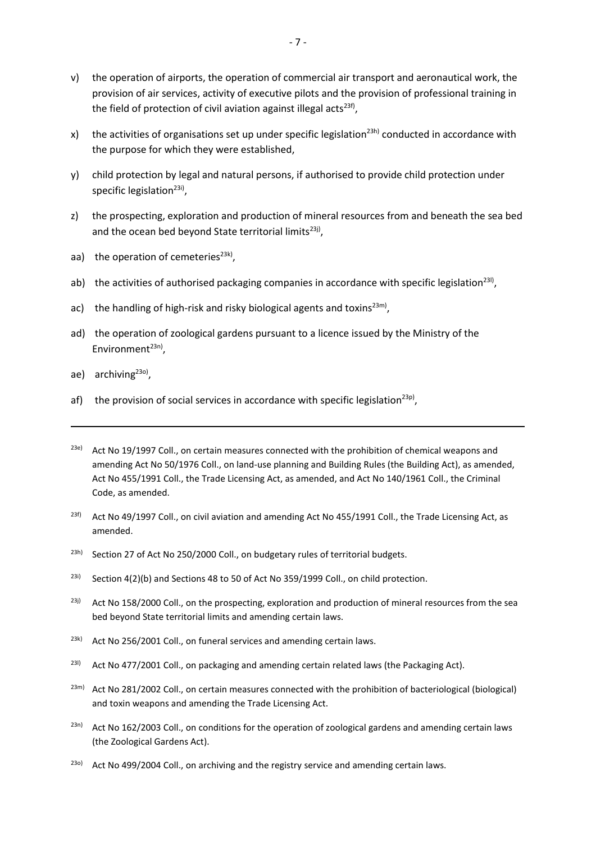- v) the operation of airports, the operation of commercial air transport and aeronautical work, the provision of air services, activity of executive pilots and the provision of professional training in the field of protection of civil aviation against illegal acts<sup>23f)</sup>,
- x) the activities of organisations set up under specific legislation<sup>23h)</sup> conducted in accordance with the purpose for which they were established,
- y) child protection by legal and natural persons, if authorised to provide child protection under specific legislation<sup>23i)</sup>,
- z) the prospecting, exploration and production of mineral resources from and beneath the sea bed and the ocean bed beyond State territorial limits<sup>23j)</sup>,
- aa) the operation of cemeteries<sup>23k)</sup>,
- ab) the activities of authorised packaging companies in accordance with specific legislation<sup>231)</sup>,
- ac) the handling of high-risk and risky biological agents and toxins<sup>23m)</sup>,
- ad) the operation of zoological gardens pursuant to a licence issued by the Ministry of the Environment<sup>23n)</sup>,
- ae) archiving<sup>230)</sup>,

- af) the provision of social services in accordance with specific legislation<sup>23p)</sup>,
- $23e$ ) Act No 19/1997 Coll., on certain measures connected with the prohibition of chemical weapons and amending Act No 50/1976 Coll., on land-use planning and Building Rules (the Building Act), as amended, Act No 455/1991 Coll., the Trade Licensing Act, as amended, and Act No 140/1961 Coll., the Criminal Code, as amended.
- <sup>23f)</sup> Act No 49/1997 Coll., on civil aviation and amending Act No 455/1991 Coll., the Trade Licensing Act, as amended.
- <sup>23h)</sup> Section 27 of Act No 250/2000 Coll., on budgetary rules of territorial budgets.
- <sup>23i)</sup> Section 4(2)(b) and Sections 48 to 50 of Act No 359/1999 Coll., on child protection.
- <sup>23j)</sup> Act No 158/2000 Coll., on the prospecting, exploration and production of mineral resources from the sea bed beyond State territorial limits and amending certain laws.
- $23k$  Act No 256/2001 Coll., on funeral services and amending certain laws.
- <sup>231)</sup> Act No 477/2001 Coll., on packaging and amending certain related laws (the Packaging Act).
- <sup>23m)</sup> Act No 281/2002 Coll., on certain measures connected with the prohibition of bacteriological (biological) and toxin weapons and amending the Trade Licensing Act.
- $2^{3n}$  Act No 162/2003 Coll., on conditions for the operation of zoological gardens and amending certain laws (the Zoological Gardens Act).
- <sup>23o)</sup> Act No 499/2004 Coll., on archiving and the registry service and amending certain laws.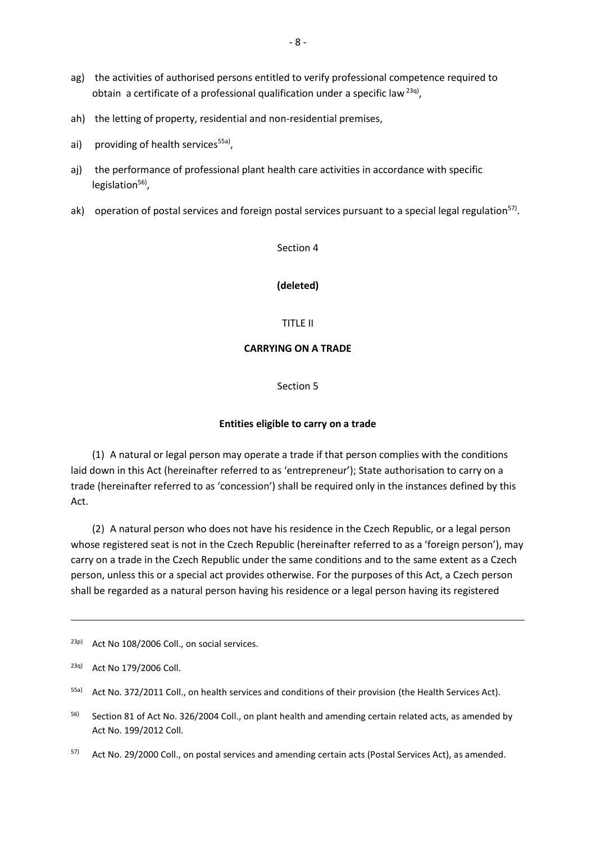- ag) the activities of authorised persons entitled to verify professional competence required to obtain a certificate of a professional qualification under a specific law  $^{23q)}$ ,
- ah) the letting of property, residential and non-residential premises,
- ai) providing of health services<sup>55a)</sup>,
- aj) the performance of professional plant health care activities in accordance with specific legislation<sup>56)</sup>,
- ak) operation of postal services and foreign postal services pursuant to a special legal regulation<sup>57)</sup>.

### Section 4

#### **(deleted)**

#### TITLE II

#### **CARRYING ON A TRADE**

Section 5

#### **Entities eligible to carry on a trade**

(1) A natural or legal person may operate a trade if that person complies with the conditions laid down in this Act (hereinafter referred to as 'entrepreneur'); State authorisation to carry on a trade (hereinafter referred to as 'concession') shall be required only in the instances defined by this Act.

(2) A natural person who does not have his residence in the Czech Republic, or a legal person whose registered seat is not in the Czech Republic (hereinafter referred to as a 'foreign person'), may carry on a trade in the Czech Republic under the same conditions and to the same extent as a Czech person, unless this or a special act provides otherwise. For the purposes of this Act, a Czech person shall be regarded as a natural person having his residence or a legal person having its registered

 $23p$ ) Act No 108/2006 Coll., on social services.

<sup>23</sup>q) Act No 179/2006 Coll.

<sup>55</sup>a) Act No. 372/2011 Coll., on health services and conditions of their provision (the Health Services Act).

<sup>&</sup>lt;sup>56)</sup> Section 81 of Act No. 326/2004 Coll., on plant health and amending certain related acts, as amended by Act No. 199/2012 Coll.

 $57$ ) Act No. 29/2000 Coll., on postal services and amending certain acts (Postal Services Act), as amended.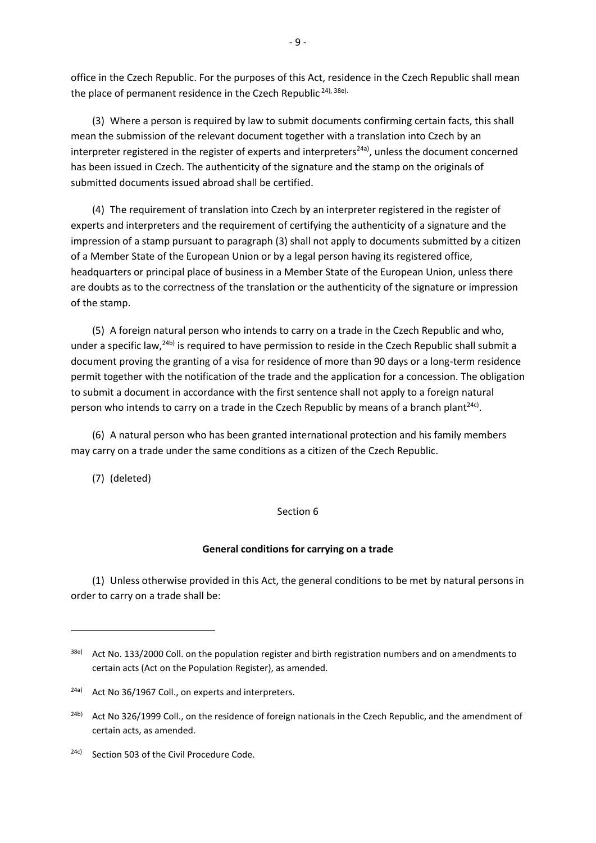office in the Czech Republic. For the purposes of this Act, residence in the Czech Republic shall mean the place of permanent residence in the Czech Republic<sup>24), 38e).</sup>

(3) Where a person is required by law to submit documents confirming certain facts, this shall mean the submission of the relevant document together with a translation into Czech by an interpreter registered in the register of experts and interpreters<sup>24a)</sup>, unless the document concerned has been issued in Czech. The authenticity of the signature and the stamp on the originals of submitted documents issued abroad shall be certified.

(4) The requirement of translation into Czech by an interpreter registered in the register of experts and interpreters and the requirement of certifying the authenticity of a signature and the impression of a stamp pursuant to paragraph (3) shall not apply to documents submitted by a citizen of a Member State of the European Union or by a legal person having its registered office, headquarters or principal place of business in a Member State of the European Union, unless there are doubts as to the correctness of the translation or the authenticity of the signature or impression of the stamp.

(5) A foreign natural person who intends to carry on a trade in the Czech Republic and who, under a specific law,<sup>24b)</sup> is required to have permission to reside in the Czech Republic shall submit a document proving the granting of a visa for residence of more than 90 days or a long-term residence permit together with the notification of the trade and the application for a concession. The obligation to submit a document in accordance with the first sentence shall not apply to a foreign natural person who intends to carry on a trade in the Czech Republic by means of a branch plant<sup>24c)</sup>.

(6) A natural person who has been granted international protection and his family members may carry on a trade under the same conditions as a citizen of the Czech Republic.

(7) (deleted)

1

### Section 6

#### **General conditions for carrying on a trade**

(1) Unless otherwise provided in this Act, the general conditions to be met by natural persons in order to carry on a trade shall be:

<sup>38</sup>e) Act No. 133/2000 Coll. on the population register and birth registration numbers and on amendments to certain acts (Act on the Population Register), as amended.

<sup>24</sup>a) Act No 36/1967 Coll., on experts and interpreters.

<sup>&</sup>lt;sup>24b)</sup> Act No 326/1999 Coll., on the residence of foreign nationals in the Czech Republic, and the amendment of certain acts, as amended.

<sup>24</sup>c) Section 503 of the Civil Procedure Code.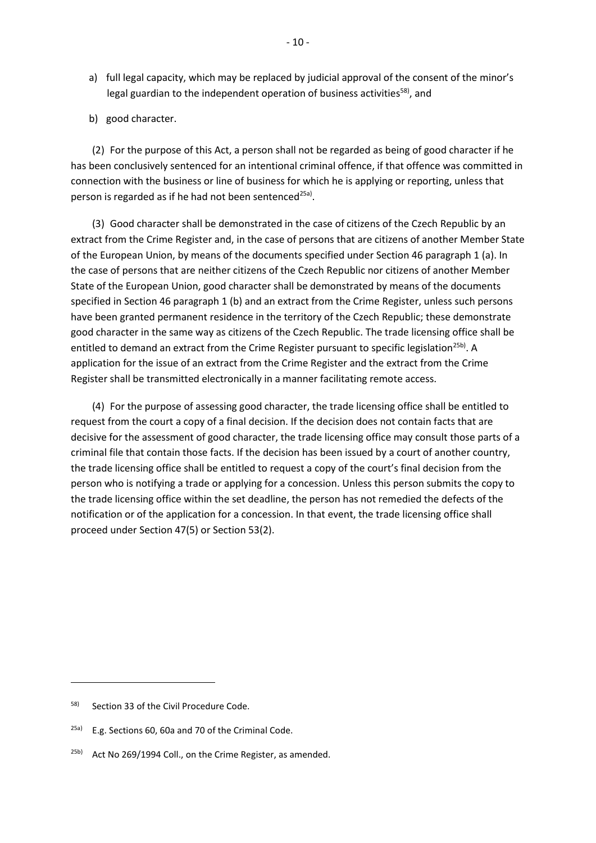- a) full legal capacity, which may be replaced by judicial approval of the consent of the minor's legal guardian to the independent operation of business activities<sup>58)</sup>, and
- b) good character.

(2) For the purpose of this Act, a person shall not be regarded as being of good character if he has been conclusively sentenced for an intentional criminal offence, if that offence was committed in connection with the business or line of business for which he is applying or reporting, unless that person is regarded as if he had not been sentenced<sup>25a)</sup>.

(3) Good character shall be demonstrated in the case of citizens of the Czech Republic by an extract from the Crime Register and, in the case of persons that are citizens of another Member State of the European Union, by means of the documents specified under Section 46 paragraph 1 (a). In the case of persons that are neither citizens of the Czech Republic nor citizens of another Member State of the European Union, good character shall be demonstrated by means of the documents specified in Section 46 paragraph 1 (b) and an extract from the Crime Register, unless such persons have been granted permanent residence in the territory of the Czech Republic; these demonstrate good character in the same way as citizens of the Czech Republic. The trade licensing office shall be entitled to demand an extract from the Crime Register pursuant to specific legislation<sup>25b)</sup>. A application for the issue of an extract from the Crime Register and the extract from the Crime Register shall be transmitted electronically in a manner facilitating remote access.

(4) For the purpose of assessing good character, the trade licensing office shall be entitled to request from the court a copy of a final decision. If the decision does not contain facts that are decisive for the assessment of good character, the trade licensing office may consult those parts of a criminal file that contain those facts. If the decision has been issued by a court of another country, the trade licensing office shall be entitled to request a copy of the court's final decision from the person who is notifying a trade or applying for a concession. Unless this person submits the copy to the trade licensing office within the set deadline, the person has not remedied the defects of the notification or of the application for a concession. In that event, the trade licensing office shall proceed under Section 47(5) or Section 53(2).

1

<sup>58)</sup> Section 33 of the Civil Procedure Code.

 $25a$ ) E.g. Sections 60, 60a and 70 of the Criminal Code.

<sup>&</sup>lt;sup>25b)</sup> Act No 269/1994 Coll., on the Crime Register, as amended.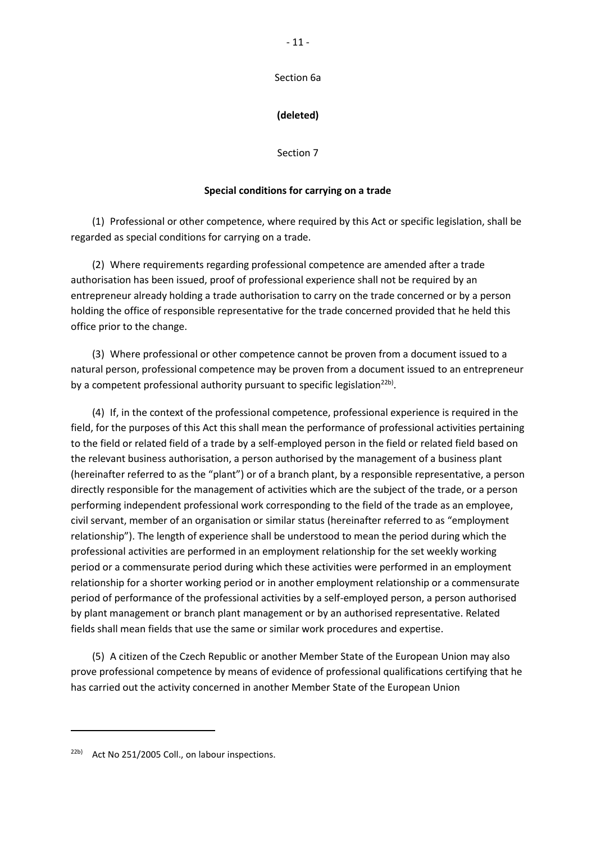Section 6a

## **(deleted)**

Section 7

### **Special conditions for carrying on a trade**

(1) Professional or other competence, where required by this Act or specific legislation, shall be regarded as special conditions for carrying on a trade.

(2) Where requirements regarding professional competence are amended after a trade authorisation has been issued, proof of professional experience shall not be required by an entrepreneur already holding a trade authorisation to carry on the trade concerned or by a person holding the office of responsible representative for the trade concerned provided that he held this office prior to the change.

(3) Where professional or other competence cannot be proven from a document issued to a natural person, professional competence may be proven from a document issued to an entrepreneur by a competent professional authority pursuant to specific legislation<sup>22b)</sup>.

(4) If, in the context of the professional competence, professional experience is required in the field, for the purposes of this Act this shall mean the performance of professional activities pertaining to the field or related field of a trade by a self-employed person in the field or related field based on the relevant business authorisation, a person authorised by the management of a business plant (hereinafter referred to as the "plant") or of a branch plant, by a responsible representative, a person directly responsible for the management of activities which are the subject of the trade, or a person performing independent professional work corresponding to the field of the trade as an employee, civil servant, member of an organisation or similar status (hereinafter referred to as "employment relationship"). The length of experience shall be understood to mean the period during which the professional activities are performed in an employment relationship for the set weekly working period or a commensurate period during which these activities were performed in an employment relationship for a shorter working period or in another employment relationship or a commensurate period of performance of the professional activities by a self-employed person, a person authorised by plant management or branch plant management or by an authorised representative. Related fields shall mean fields that use the same or similar work procedures and expertise.

(5) A citizen of the Czech Republic or another Member State of the European Union may also prove professional competence by means of evidence of professional qualifications certifying that he has carried out the activity concerned in another Member State of the European Union

<sup>22</sup>b) Act No 251/2005 Coll., on labour inspections.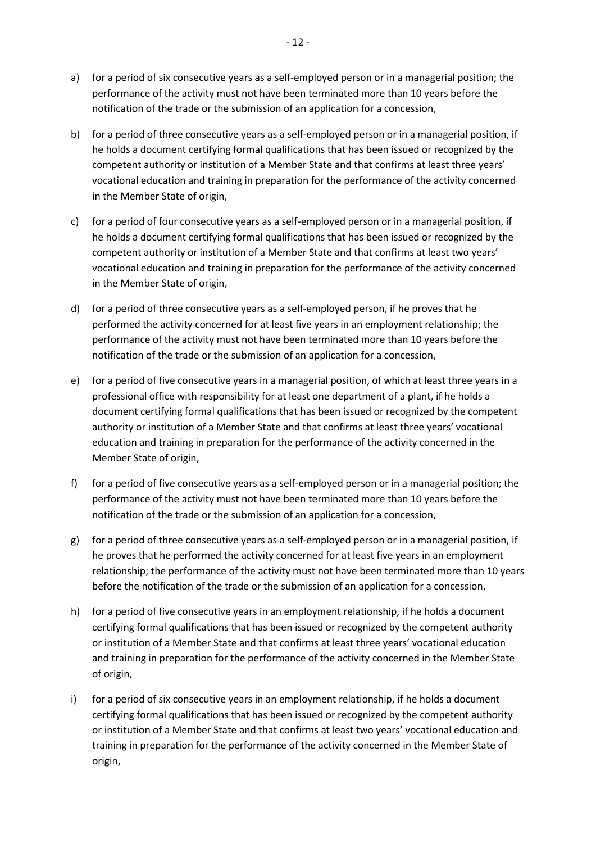- a) for a period of six consecutive years as a self-employed person or in a managerial position; the performance of the activity must not have been terminated more than 10 years before the notification of the trade or the submission of an application for a concession,
- b) for a period of three consecutive years as a self-employed person or in a managerial position, if he holds a document certifying formal qualifications that has been issued or recognized by the competent authority or institution of a Member State and that confirms at least three years' vocational education and training in preparation for the performance of the activity concerned in the Member State of origin,
- c) for a period of four consecutive years as a self-employed person or in a managerial position, if he holds a document certifying formal qualifications that has been issued or recognized by the competent authority or institution of a Member State and that confirms at least two years' vocational education and training in preparation for the performance of the activity concerned in the Member State of origin,
- d) for a period of three consecutive years as a self-employed person, if he proves that he performed the activity concerned for at least five years in an employment relationship; the performance of the activity must not have been terminated more than 10 years before the notification of the trade or the submission of an application for a concession,
- e) for a period of five consecutive years in a managerial position, of which at least three years in a professional office with responsibility for at least one department of a plant, if he holds a document certifying formal qualifications that has been issued or recognized by the competent authority or institution of a Member State and that confirms at least three years' vocational education and training in preparation for the performance of the activity concerned in the Member State of origin,
- f) for a period of five consecutive years as a self-employed person or in a managerial position; the performance of the activity must not have been terminated more than 10 years before the notification of the trade or the submission of an application for a concession,
- g) for a period of three consecutive years as a self-employed person or in a managerial position, if he proves that he performed the activity concerned for at least five years in an employment relationship; the performance of the activity must not have been terminated more than 10 years before the notification of the trade or the submission of an application for a concession,
- h) for a period of five consecutive years in an employment relationship, if he holds a document certifying formal qualifications that has been issued or recognized by the competent authority or institution of a Member State and that confirms at least three years' vocational education and training in preparation for the performance of the activity concerned in the Member State of origin,
- i) for a period of six consecutive years in an employment relationship, if he holds a document certifying formal qualifications that has been issued or recognized by the competent authority or institution of a Member State and that confirms at least two years' vocational education and training in preparation for the performance of the activity concerned in the Member State of origin,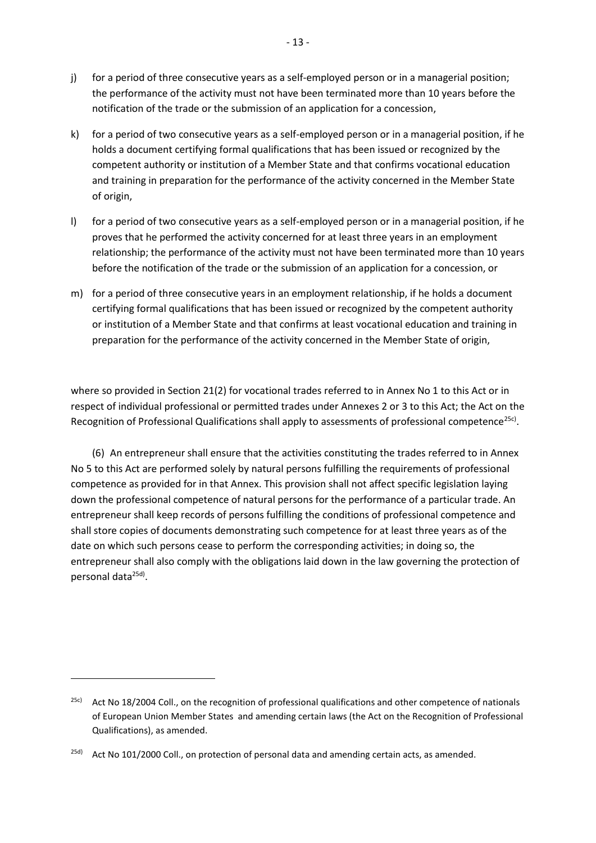- j) for a period of three consecutive years as a self-employed person or in a managerial position; the performance of the activity must not have been terminated more than 10 years before the notification of the trade or the submission of an application for a concession,
- k) for a period of two consecutive years as a self-employed person or in a managerial position, if he holds a document certifying formal qualifications that has been issued or recognized by the competent authority or institution of a Member State and that confirms vocational education and training in preparation for the performance of the activity concerned in the Member State of origin,
- l) for a period of two consecutive years as a self-employed person or in a managerial position, if he proves that he performed the activity concerned for at least three years in an employment relationship; the performance of the activity must not have been terminated more than 10 years before the notification of the trade or the submission of an application for a concession, or
- m) for a period of three consecutive years in an employment relationship, if he holds a document certifying formal qualifications that has been issued or recognized by the competent authority or institution of a Member State and that confirms at least vocational education and training in preparation for the performance of the activity concerned in the Member State of origin,

where so provided in Section 21(2) for vocational trades referred to in Annex No 1 to this Act or in respect of individual professional or permitted trades under Annexes 2 or 3 to this Act; the Act on the Recognition of Professional Qualifications shall apply to assessments of professional competence<sup>25c)</sup>.

(6) An entrepreneur shall ensure that the activities constituting the trades referred to in Annex No 5 to this Act are performed solely by natural persons fulfilling the requirements of professional competence as provided for in that Annex. This provision shall not affect specific legislation laying down the professional competence of natural persons for the performance of a particular trade. An entrepreneur shall keep records of persons fulfilling the conditions of professional competence and shall store copies of documents demonstrating such competence for at least three years as of the date on which such persons cease to perform the corresponding activities; in doing so, the entrepreneur shall also comply with the obligations laid down in the law governing the protection of personal data<sup>25d)</sup>.

**.** 

<sup>&</sup>lt;sup>25c)</sup> Act No 18/2004 Coll., on the recognition of professional qualifications and other competence of nationals of European Union Member States and amending certain laws (the Act on the Recognition of Professional Qualifications), as amended.

<sup>&</sup>lt;sup>25d)</sup> Act No 101/2000 Coll., on protection of personal data and amending certain acts, as amended.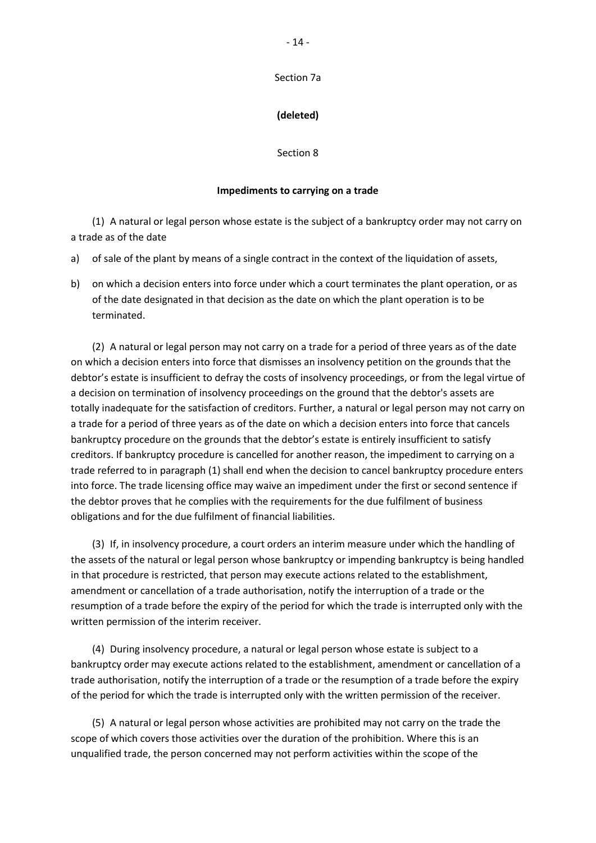### **(deleted)**

Section 8

#### **Impediments to carrying on a trade**

(1) A natural or legal person whose estate is the subject of a bankruptcy order may not carry on a trade as of the date

a) of sale of the plant by means of a single contract in the context of the liquidation of assets,

b) on which a decision enters into force under which a court terminates the plant operation, or as of the date designated in that decision as the date on which the plant operation is to be terminated.

(2) A natural or legal person may not carry on a trade for a period of three years as of the date on which a decision enters into force that dismisses an insolvency petition on the grounds that the debtor's estate is insufficient to defray the costs of insolvency proceedings, or from the legal virtue of a decision on termination of insolvency proceedings on the ground that the debtor's assets are totally inadequate for the satisfaction of creditors. Further, a natural or legal person may not carry on a trade for a period of three years as of the date on which a decision enters into force that cancels bankruptcy procedure on the grounds that the debtor's estate is entirely insufficient to satisfy creditors. If bankruptcy procedure is cancelled for another reason, the impediment to carrying on a trade referred to in paragraph (1) shall end when the decision to cancel bankruptcy procedure enters into force. The trade licensing office may waive an impediment under the first or second sentence if the debtor proves that he complies with the requirements for the due fulfilment of business obligations and for the due fulfilment of financial liabilities.

(3) If, in insolvency procedure, a court orders an interim measure under which the handling of the assets of the natural or legal person whose bankruptcy or impending bankruptcy is being handled in that procedure is restricted, that person may execute actions related to the establishment, amendment or cancellation of a trade authorisation, notify the interruption of a trade or the resumption of a trade before the expiry of the period for which the trade is interrupted only with the written permission of the interim receiver.

(4) During insolvency procedure, a natural or legal person whose estate is subject to a bankruptcy order may execute actions related to the establishment, amendment or cancellation of a trade authorisation, notify the interruption of a trade or the resumption of a trade before the expiry of the period for which the trade is interrupted only with the written permission of the receiver.

(5) A natural or legal person whose activities are prohibited may not carry on the trade the scope of which covers those activities over the duration of the prohibition. Where this is an unqualified trade, the person concerned may not perform activities within the scope of the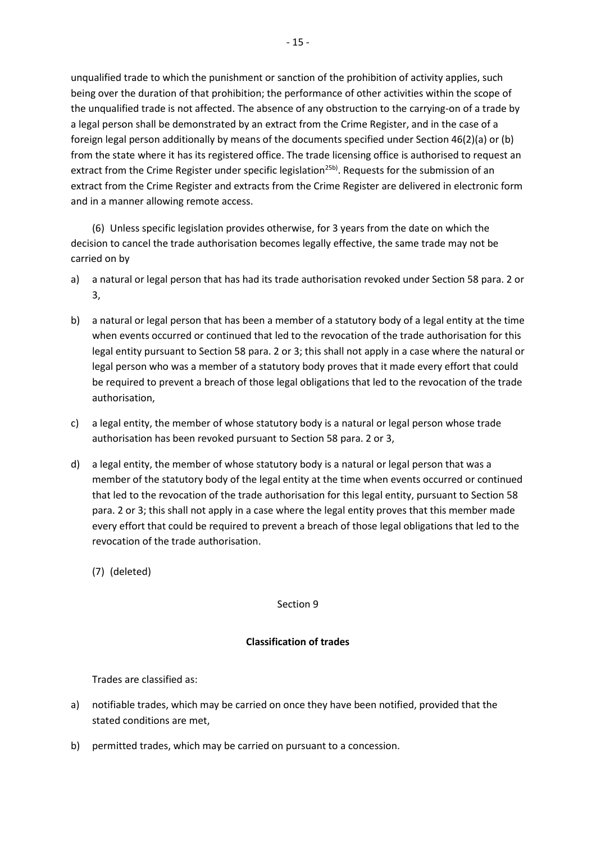unqualified trade to which the punishment or sanction of the prohibition of activity applies, such being over the duration of that prohibition; the performance of other activities within the scope of the unqualified trade is not affected. The absence of any obstruction to the carrying-on of a trade by a legal person shall be demonstrated by an extract from the Crime Register, and in the case of a foreign legal person additionally by means of the documents specified under Section 46(2)(a) or (b) from the state where it has its registered office. The trade licensing office is authorised to request an extract from the Crime Register under specific legislation<sup>25b)</sup>. Requests for the submission of an extract from the Crime Register and extracts from the Crime Register are delivered in electronic form and in a manner allowing remote access.

(6) Unless specific legislation provides otherwise, for 3 years from the date on which the decision to cancel the trade authorisation becomes legally effective, the same trade may not be carried on by

- a) a natural or legal person that has had its trade authorisation revoked under Section 58 para. 2 or 3,
- b) a natural or legal person that has been a member of a statutory body of a legal entity at the time when events occurred or continued that led to the revocation of the trade authorisation for this legal entity pursuant to Section 58 para. 2 or 3; this shall not apply in a case where the natural or legal person who was a member of a statutory body proves that it made every effort that could be required to prevent a breach of those legal obligations that led to the revocation of the trade authorisation,
- c) a legal entity, the member of whose statutory body is a natural or legal person whose trade authorisation has been revoked pursuant to Section 58 para. 2 or 3,
- d) a legal entity, the member of whose statutory body is a natural or legal person that was a member of the statutory body of the legal entity at the time when events occurred or continued that led to the revocation of the trade authorisation for this legal entity, pursuant to Section 58 para. 2 or 3; this shall not apply in a case where the legal entity proves that this member made every effort that could be required to prevent a breach of those legal obligations that led to the revocation of the trade authorisation.
	- (7) (deleted)

Section 9

### **Classification of trades**

Trades are classified as:

- a) notifiable trades, which may be carried on once they have been notified, provided that the stated conditions are met,
- b) permitted trades, which may be carried on pursuant to a concession.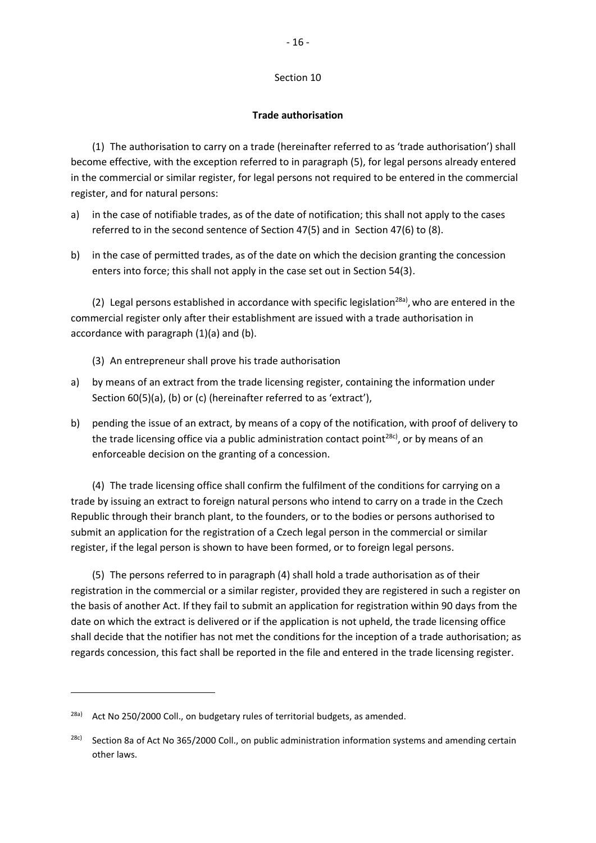### Section 10

### **Trade authorisation**

(1) The authorisation to carry on a trade (hereinafter referred to as 'trade authorisation') shall become effective, with the exception referred to in paragraph (5), for legal persons already entered in the commercial or similar register, for legal persons not required to be entered in the commercial register, and for natural persons:

- a) in the case of notifiable trades, as of the date of notification; this shall not apply to the cases referred to in the second sentence of Section 47(5) and in Section 47(6) to (8).
- b) in the case of permitted trades, as of the date on which the decision granting the concession enters into force; this shall not apply in the case set out in Section 54(3).

(2) Legal persons established in accordance with specific legislation<sup>28a)</sup>, who are entered in the commercial register only after their establishment are issued with a trade authorisation in accordance with paragraph (1)(a) and (b).

- (3) An entrepreneur shall prove his trade authorisation
- a) by means of an extract from the trade licensing register, containing the information under Section 60(5)(a), (b) or (c) (hereinafter referred to as 'extract'),
- b) pending the issue of an extract, by means of a copy of the notification, with proof of delivery to the trade licensing office via a public administration contact point<sup>28c)</sup>, or by means of an enforceable decision on the granting of a concession.

(4) The trade licensing office shall confirm the fulfilment of the conditions for carrying on a trade by issuing an extract to foreign natural persons who intend to carry on a trade in the Czech Republic through their branch plant, to the founders, or to the bodies or persons authorised to submit an application for the registration of a Czech legal person in the commercial or similar register, if the legal person is shown to have been formed, or to foreign legal persons.

(5) The persons referred to in paragraph (4) shall hold a trade authorisation as of their registration in the commercial or a similar register, provided they are registered in such a register on the basis of another Act. If they fail to submit an application for registration within 90 days from the date on which the extract is delivered or if the application is not upheld, the trade licensing office shall decide that the notifier has not met the conditions for the inception of a trade authorisation; as regards concession, this fact shall be reported in the file and entered in the trade licensing register.

**.** 

<sup>&</sup>lt;sup>28a)</sup> Act No 250/2000 Coll., on budgetary rules of territorial budgets, as amended.

<sup>&</sup>lt;sup>28c)</sup> Section 8a of Act No 365/2000 Coll., on public administration information systems and amending certain other laws.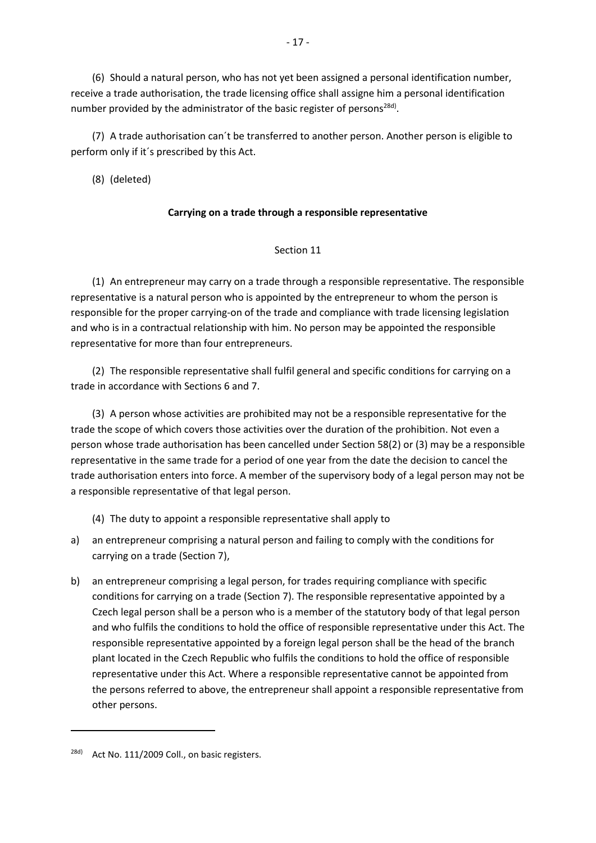(6) Should a natural person, who has not yet been assigned a personal identification number, receive a trade authorisation, the trade licensing office shall assigne him a personal identification number provided by the administrator of the basic register of persons<sup>28d)</sup>.

(7) A trade authorisation can´t be transferred to another person. Another person is eligible to perform only if it´s prescribed by this Act.

(8) (deleted)

## **Carrying on a trade through a responsible representative**

## Section 11

(1) An entrepreneur may carry on a trade through a responsible representative. The responsible representative is a natural person who is appointed by the entrepreneur to whom the person is responsible for the proper carrying-on of the trade and compliance with trade licensing legislation and who is in a contractual relationship with him. No person may be appointed the responsible representative for more than four entrepreneurs.

(2) The responsible representative shall fulfil general and specific conditions for carrying on a trade in accordance with Sections 6 and 7.

(3) A person whose activities are prohibited may not be a responsible representative for the trade the scope of which covers those activities over the duration of the prohibition. Not even a person whose trade authorisation has been cancelled under Section 58(2) or (3) may be a responsible representative in the same trade for a period of one year from the date the decision to cancel the trade authorisation enters into force. A member of the supervisory body of a legal person may not be a responsible representative of that legal person.

- (4) The duty to appoint a responsible representative shall apply to
- a) an entrepreneur comprising a natural person and failing to comply with the conditions for carrying on a trade (Section 7),
- b) an entrepreneur comprising a legal person, for trades requiring compliance with specific conditions for carrying on a trade (Section 7). The responsible representative appointed by a Czech legal person shall be a person who is a member of the statutory body of that legal person and who fulfils the conditions to hold the office of responsible representative under this Act. The responsible representative appointed by a foreign legal person shall be the head of the branch plant located in the Czech Republic who fulfils the conditions to hold the office of responsible representative under this Act. Where a responsible representative cannot be appointed from the persons referred to above, the entrepreneur shall appoint a responsible representative from other persons.

<sup>-</sup> 17 -

<sup>&</sup>lt;sup>28d)</sup> Act No. 111/2009 Coll., on basic registers.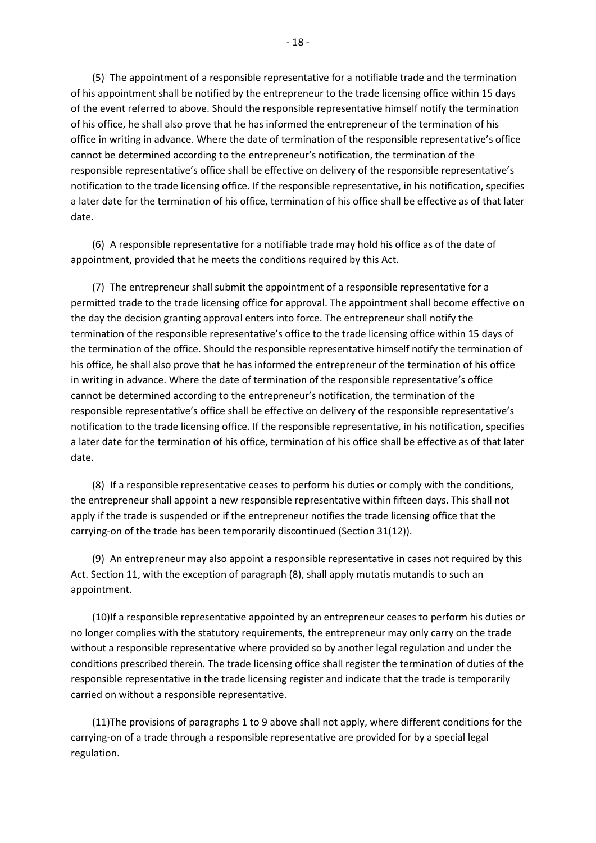(5) The appointment of a responsible representative for a notifiable trade and the termination of his appointment shall be notified by the entrepreneur to the trade licensing office within 15 days of the event referred to above. Should the responsible representative himself notify the termination of his office, he shall also prove that he has informed the entrepreneur of the termination of his office in writing in advance. Where the date of termination of the responsible representative's office cannot be determined according to the entrepreneur's notification, the termination of the responsible representative's office shall be effective on delivery of the responsible representative's notification to the trade licensing office. If the responsible representative, in his notification, specifies a later date for the termination of his office, termination of his office shall be effective as of that later date.

(6) A responsible representative for a notifiable trade may hold his office as of the date of appointment, provided that he meets the conditions required by this Act.

(7) The entrepreneur shall submit the appointment of a responsible representative for a permitted trade to the trade licensing office for approval. The appointment shall become effective on the day the decision granting approval enters into force. The entrepreneur shall notify the termination of the responsible representative's office to the trade licensing office within 15 days of the termination of the office. Should the responsible representative himself notify the termination of his office, he shall also prove that he has informed the entrepreneur of the termination of his office in writing in advance. Where the date of termination of the responsible representative's office cannot be determined according to the entrepreneur's notification, the termination of the responsible representative's office shall be effective on delivery of the responsible representative's notification to the trade licensing office. If the responsible representative, in his notification, specifies a later date for the termination of his office, termination of his office shall be effective as of that later date.

(8) If a responsible representative ceases to perform his duties or comply with the conditions, the entrepreneur shall appoint a new responsible representative within fifteen days. This shall not apply if the trade is suspended or if the entrepreneur notifies the trade licensing office that the carrying-on of the trade has been temporarily discontinued (Section 31(12)).

(9) An entrepreneur may also appoint a responsible representative in cases not required by this Act. Section 11, with the exception of paragraph (8), shall apply mutatis mutandis to such an appointment.

(10)If a responsible representative appointed by an entrepreneur ceases to perform his duties or no longer complies with the statutory requirements, the entrepreneur may only carry on the trade without a responsible representative where provided so by another legal regulation and under the conditions prescribed therein. The trade licensing office shall register the termination of duties of the responsible representative in the trade licensing register and indicate that the trade is temporarily carried on without a responsible representative.

(11)The provisions of paragraphs 1 to 9 above shall not apply, where different conditions for the carrying-on of a trade through a responsible representative are provided for by a special legal regulation.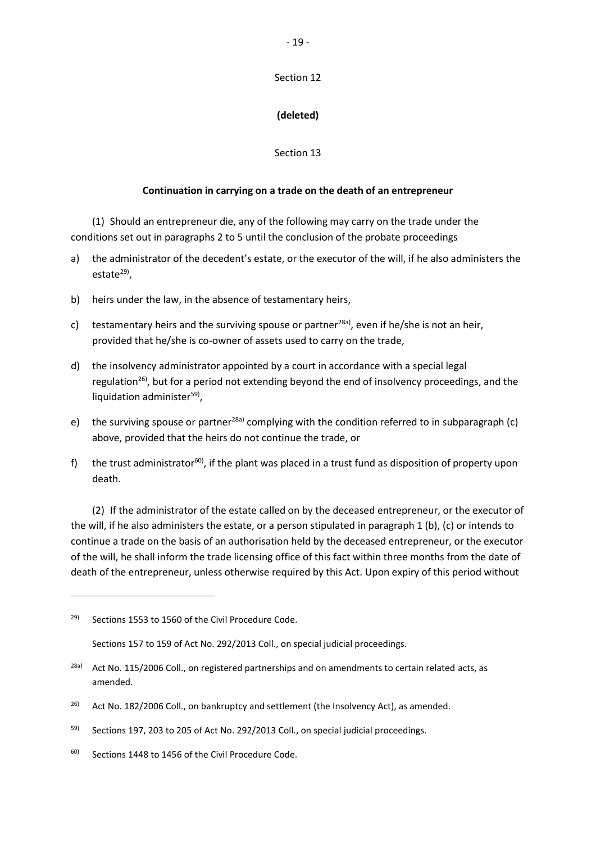## Section 12

# **(deleted)**

## Section 13

## **Continuation in carrying on a trade on the death of an entrepreneur**

(1) Should an entrepreneur die, any of the following may carry on the trade under the conditions set out in paragraphs 2 to 5 until the conclusion of the probate proceedings

- a) the administrator of the decedent's estate, or the executor of the will, if he also administers the estate<sup>29)</sup>,
- b) heirs under the law, in the absence of testamentary heirs,
- c) testamentary heirs and the surviving spouse or partner<sup>28a)</sup>, even if he/she is not an heir, provided that he/she is co-owner of assets used to carry on the trade,
- d) the insolvency administrator appointed by a court in accordance with a special legal regulation<sup>26)</sup>, but for a period not extending beyond the end of insolvency proceedings, and the liquidation administer<sup>59)</sup>,
- e) the surviving spouse or partner<sup>28a)</sup> complying with the condition referred to in subparagraph (c) above, provided that the heirs do not continue the trade, or
- f) the trust administrator<sup>60</sup>, if the plant was placed in a trust fund as disposition of property upon death.

(2) If the administrator of the estate called on by the deceased entrepreneur, or the executor of the will, if he also administers the estate, or a person stipulated in paragraph 1 (b), (c) or intends to continue a trade on the basis of an authorisation held by the deceased entrepreneur, or the executor of the will, he shall inform the trade licensing office of this fact within three months from the date of death of the entrepreneur, unless otherwise required by this Act. Upon expiry of this period without

1

<sup>&</sup>lt;sup>29)</sup> Sections 1553 to 1560 of the Civil Procedure Code.

Sections 157 to 159 of Act No. 292/2013 Coll., on special judicial proceedings.

<sup>&</sup>lt;sup>28a)</sup> Act No. 115/2006 Coll., on registered partnerships and on amendments to certain related acts, as amended.

 $26$  Act No. 182/2006 Coll., on bankruptcy and settlement (the Insolvency Act), as amended.

 $59$  Sections 197, 203 to 205 of Act No. 292/2013 Coll., on special judicial proceedings.

 $60$  Sections 1448 to 1456 of the Civil Procedure Code.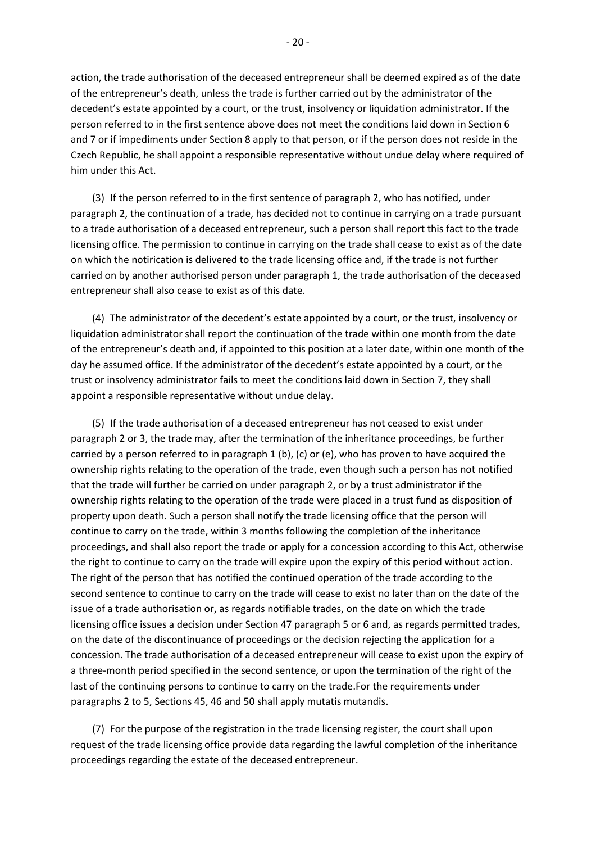action, the trade authorisation of the deceased entrepreneur shall be deemed expired as of the date of the entrepreneur's death, unless the trade is further carried out by the administrator of the decedent's estate appointed by a court, or the trust, insolvency or liquidation administrator. If the person referred to in the first sentence above does not meet the conditions laid down in Section 6 and 7 or if impediments under Section 8 apply to that person, or if the person does not reside in the Czech Republic, he shall appoint a responsible representative without undue delay where required of him under this Act.

(3) If the person referred to in the first sentence of paragraph 2, who has notified, under paragraph 2, the continuation of a trade, has decided not to continue in carrying on a trade pursuant to a trade authorisation of a deceased entrepreneur, such a person shall report this fact to the trade licensing office. The permission to continue in carrying on the trade shall cease to exist as of the date on which the notirication is delivered to the trade licensing office and, if the trade is not further carried on by another authorised person under paragraph 1, the trade authorisation of the deceased entrepreneur shall also cease to exist as of this date.

(4) The administrator of the decedent's estate appointed by a court, or the trust, insolvency or liquidation administrator shall report the continuation of the trade within one month from the date of the entrepreneur's death and, if appointed to this position at a later date, within one month of the day he assumed office. If the administrator of the decedent's estate appointed by a court, or the trust or insolvency administrator fails to meet the conditions laid down in Section 7, they shall appoint a responsible representative without undue delay.

(5) If the trade authorisation of a deceased entrepreneur has not ceased to exist under paragraph 2 or 3, the trade may, after the termination of the inheritance proceedings, be further carried by a person referred to in paragraph 1 (b), (c) or (e), who has proven to have acquired the ownership rights relating to the operation of the trade, even though such a person has not notified that the trade will further be carried on under paragraph 2, or by a trust administrator if the ownership rights relating to the operation of the trade were placed in a trust fund as disposition of property upon death. Such a person shall notify the trade licensing office that the person will continue to carry on the trade, within 3 months following the completion of the inheritance proceedings, and shall also report the trade or apply for a concession according to this Act, otherwise the right to continue to carry on the trade will expire upon the expiry of this period without action. The right of the person that has notified the continued operation of the trade according to the second sentence to continue to carry on the trade will cease to exist no later than on the date of the issue of a trade authorisation or, as regards notifiable trades, on the date on which the trade licensing office issues a decision under Section 47 paragraph 5 or 6 and, as regards permitted trades, on the date of the discontinuance of proceedings or the decision rejecting the application for a concession. The trade authorisation of a deceased entrepreneur will cease to exist upon the expiry of a three-month period specified in the second sentence, or upon the termination of the right of the last of the continuing persons to continue to carry on the trade.For the requirements under paragraphs 2 to 5, Sections 45, 46 and 50 shall apply mutatis mutandis.

(7) For the purpose of the registration in the trade licensing register, the court shall upon request of the trade licensing office provide data regarding the lawful completion of the inheritance proceedings regarding the estate of the deceased entrepreneur.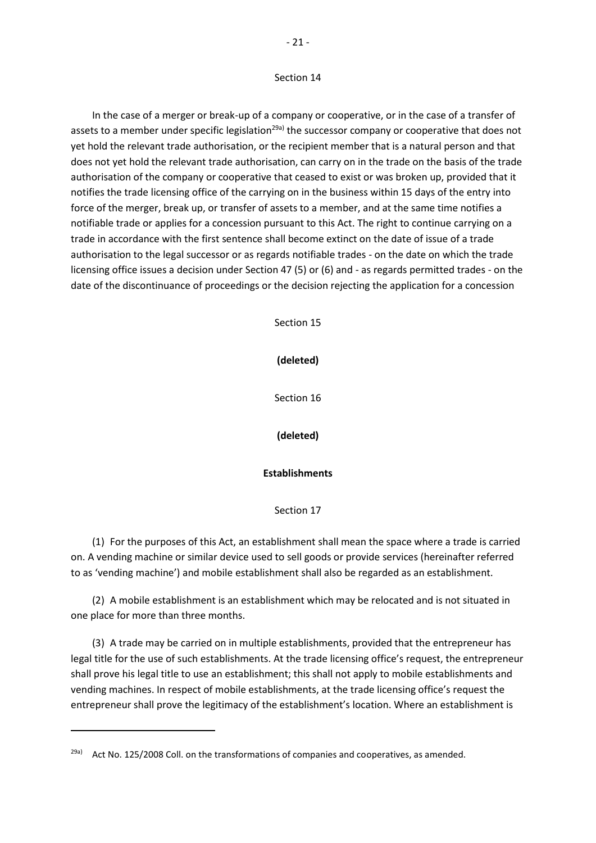#### Section 14

In the case of a merger or break-up of a company or cooperative, or in the case of a transfer of assets to a member under specific legislation<sup>29a)</sup> the successor company or cooperative that does not yet hold the relevant trade authorisation, or the recipient member that is a natural person and that does not yet hold the relevant trade authorisation, can carry on in the trade on the basis of the trade authorisation of the company or cooperative that ceased to exist or was broken up, provided that it notifies the trade licensing office of the carrying on in the business within 15 days of the entry into force of the merger, break up, or transfer of assets to a member, and at the same time notifies a notifiable trade or applies for a concession pursuant to this Act. The right to continue carrying on a trade in accordance with the first sentence shall become extinct on the date of issue of a trade authorisation to the legal successor or as regards notifiable trades - on the date on which the trade licensing office issues a decision under Section 47 (5) or (6) and - as regards permitted trades - on the date of the discontinuance of proceedings or the decision rejecting the application for a concession

Section 15

**(deleted)**

Section 16

**(deleted)**

#### **Establishments**

#### Section 17

(1) For the purposes of this Act, an establishment shall mean the space where a trade is carried on. A vending machine or similar device used to sell goods or provide services (hereinafter referred to as 'vending machine') and mobile establishment shall also be regarded as an establishment.

(2) A mobile establishment is an establishment which may be relocated and is not situated in one place for more than three months.

(3) A trade may be carried on in multiple establishments, provided that the entrepreneur has legal title for the use of such establishments. At the trade licensing office's request, the entrepreneur shall prove his legal title to use an establishment; this shall not apply to mobile establishments and vending machines. In respect of mobile establishments, at the trade licensing office's request the entrepreneur shall prove the legitimacy of the establishment's location. Where an establishment is

<sup>&</sup>lt;sup>29a)</sup> Act No. 125/2008 Coll. on the transformations of companies and cooperatives, as amended.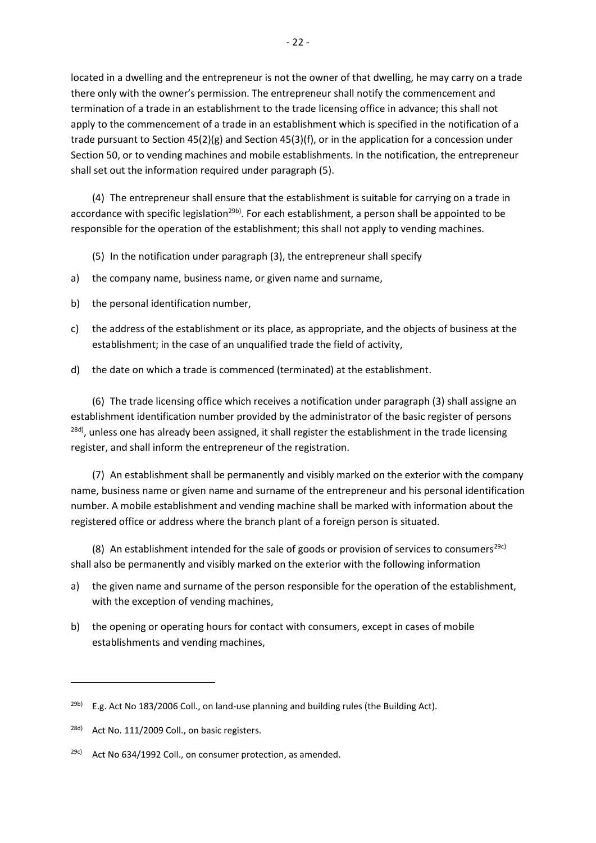located in a dwelling and the entrepreneur is not the owner of that dwelling, he may carry on a trade there only with the owner's permission. The entrepreneur shall notify the commencement and termination of a trade in an establishment to the trade licensing office in advance; this shall not apply to the commencement of a trade in an establishment which is specified in the notification of a trade pursuant to Section 45(2)(g) and Section 45(3)(f), or in the application for a concession under Section 50, or to vending machines and mobile establishments. In the notification, the entrepreneur shall set out the information required under paragraph (5).

(4) The entrepreneur shall ensure that the establishment is suitable for carrying on a trade in accordance with specific legislation<sup>29b)</sup>. For each establishment, a person shall be appointed to be responsible for the operation of the establishment; this shall not apply to vending machines.

- (5) In the notification under paragraph (3), the entrepreneur shall specify
- a) the company name, business name, or given name and surname,
- b) the personal identification number,
- c) the address of the establishment or its place, as appropriate, and the objects of business at the establishment; in the case of an unqualified trade the field of activity,
- d) the date on which a trade is commenced (terminated) at the establishment.

(6) The trade licensing office which receives a notification under paragraph (3) shall assigne an establishment identification number provided by the administrator of the basic register of persons <sup>28d)</sup>, unless one has already been assigned, it shall register the establishment in the trade licensing register, and shall inform the entrepreneur of the registration.

(7) An establishment shall be permanently and visibly marked on the exterior with the company name, business name or given name and surname of the entrepreneur and his personal identification number. A mobile establishment and vending machine shall be marked with information about the registered office or address where the branch plant of a foreign person is situated.

(8) An establishment intended for the sale of goods or provision of services to consumers<sup>29c)</sup> shall also be permanently and visibly marked on the exterior with the following information

- a) the given name and surname of the person responsible for the operation of the establishment, with the exception of vending machines,
- b) the opening or operating hours for contact with consumers, except in cases of mobile establishments and vending machines,

1

 $29b)$  E.g. Act No 183/2006 Coll., on land-use planning and building rules (the Building Act).

<sup>&</sup>lt;sup>28d)</sup> Act No. 111/2009 Coll., on basic registers.

 $29c)$  Act No 634/1992 Coll., on consumer protection, as amended.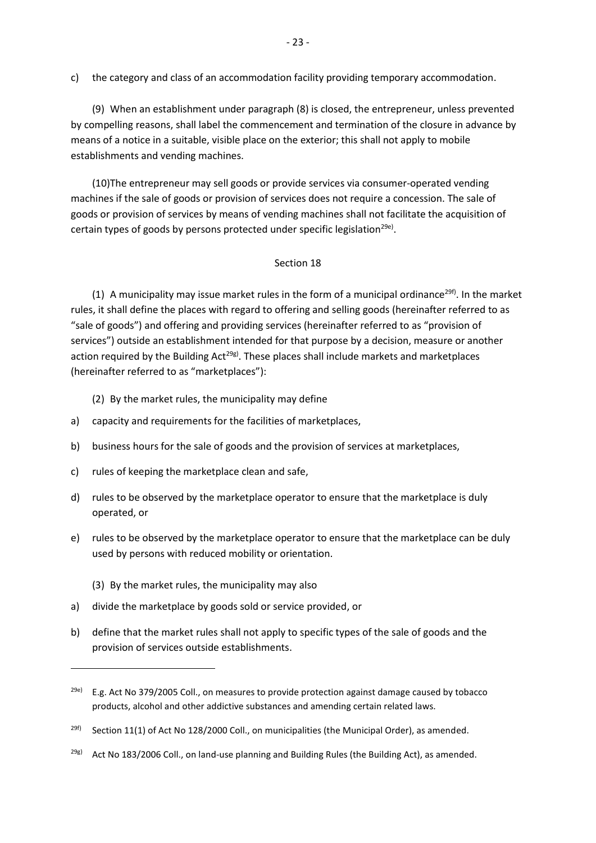c) the category and class of an accommodation facility providing temporary accommodation.

(9) When an establishment under paragraph (8) is closed, the entrepreneur, unless prevented by compelling reasons, shall label the commencement and termination of the closure in advance by means of a notice in a suitable, visible place on the exterior; this shall not apply to mobile establishments and vending machines.

(10)The entrepreneur may sell goods or provide services via consumer-operated vending machines if the sale of goods or provision of services does not require a concession. The sale of goods or provision of services by means of vending machines shall not facilitate the acquisition of certain types of goods by persons protected under specific legislation<sup>29e)</sup>.

### Section 18

(1) A municipality may issue market rules in the form of a municipal ordinance<sup>29f)</sup>. In the market rules, it shall define the places with regard to offering and selling goods (hereinafter referred to as "sale of goods") and offering and providing services (hereinafter referred to as "provision of services") outside an establishment intended for that purpose by a decision, measure or another action required by the Building  $Act^{29g}$ . These places shall include markets and marketplaces (hereinafter referred to as "marketplaces"):

(2) By the market rules, the municipality may define

- a) capacity and requirements for the facilities of marketplaces,
- b) business hours for the sale of goods and the provision of services at marketplaces,
- c) rules of keeping the marketplace clean and safe,
- d) rules to be observed by the marketplace operator to ensure that the marketplace is duly operated, or
- e) rules to be observed by the marketplace operator to ensure that the marketplace can be duly used by persons with reduced mobility or orientation.
	- (3) By the market rules, the municipality may also

**.** 

- a) divide the marketplace by goods sold or service provided, or
- b) define that the market rules shall not apply to specific types of the sale of goods and the provision of services outside establishments.

 $^{29e)}$  E.g. Act No 379/2005 Coll., on measures to provide protection against damage caused by tobacco products, alcohol and other addictive substances and amending certain related laws.

<sup>&</sup>lt;sup>29f)</sup> Section 11(1) of Act No 128/2000 Coll., on municipalities (the Municipal Order), as amended.

 $29g$ ) Act No 183/2006 Coll., on land-use planning and Building Rules (the Building Act), as amended.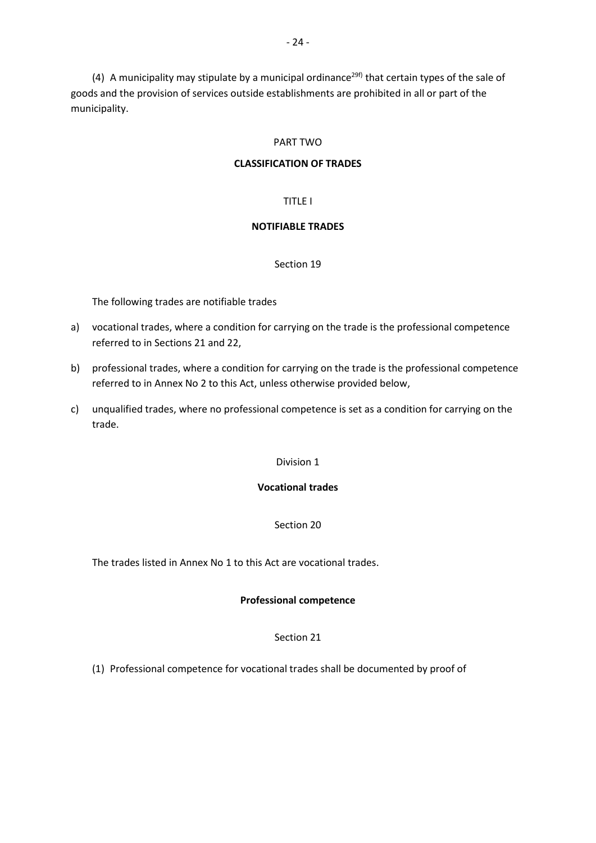(4) A municipality may stipulate by a municipal ordinance<sup>29f)</sup> that certain types of the sale of goods and the provision of services outside establishments are prohibited in all or part of the municipality.

### PART TWO

### **CLASSIFICATION OF TRADES**

### TITLE I

### **NOTIFIABLE TRADES**

### Section 19

The following trades are notifiable trades

- a) vocational trades, where a condition for carrying on the trade is the professional competence referred to in Sections 21 and 22,
- b) professional trades, where a condition for carrying on the trade is the professional competence referred to in Annex No 2 to this Act, unless otherwise provided below,
- c) unqualified trades, where no professional competence is set as a condition for carrying on the trade.

#### Division 1

### **Vocational trades**

### Section 20

The trades listed in Annex No 1 to this Act are vocational trades.

#### **Professional competence**

#### Section 21

(1) Professional competence for vocational trades shall be documented by proof of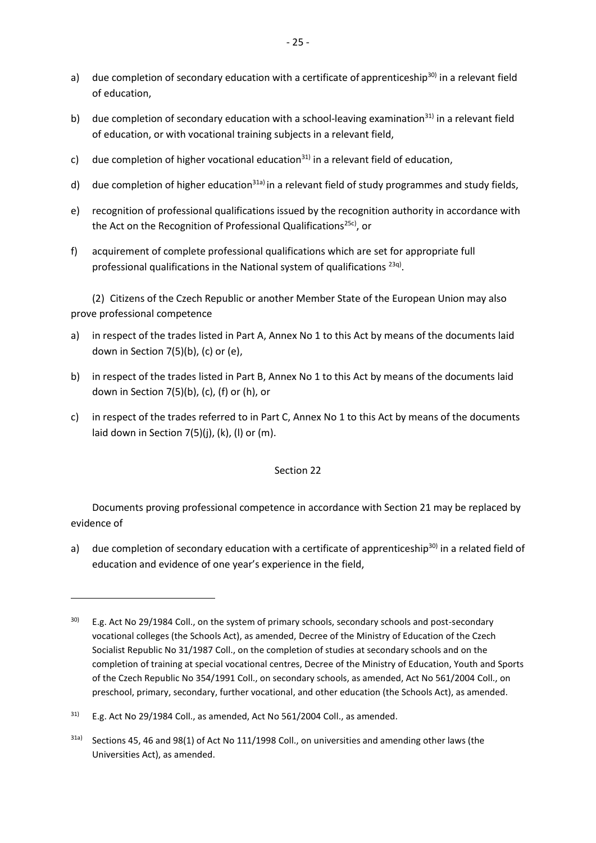- a) due completion of secondary education with a certificate of apprenticeship<sup>30)</sup> in a relevant field of education,
- b) due completion of secondary education with a school-leaving examination<sup>31)</sup> in a relevant field of education, or with vocational training subjects in a relevant field,
- c) due completion of higher vocational education $31$  in a relevant field of education,
- d) due completion of higher education<sup>31a)</sup> in a relevant field of study programmes and study fields,
- e) recognition of professional qualifications issued by the recognition authority in accordance with the Act on the Recognition of Professional Qualifications<sup>25c)</sup>, or
- f) acquirement of complete professional qualifications which are set for appropriate full professional qualifications in the National system of qualifications <sup>23q)</sup>.

(2) Citizens of the Czech Republic or another Member State of the European Union may also prove professional competence

- a) in respect of the trades listed in Part A, Annex No 1 to this Act by means of the documents laid down in Section 7(5)(b), (c) or (e),
- b) in respect of the trades listed in Part B, Annex No 1 to this Act by means of the documents laid down in Section 7(5)(b), (c), (f) or (h), or
- c) in respect of the trades referred to in Part C, Annex No 1 to this Act by means of the documents laid down in Section 7(5)(j), (k), (l) or (m).

### Section 22

Documents proving professional competence in accordance with Section 21 may be replaced by evidence of

a) due completion of secondary education with a certificate of apprenticeship<sup>30)</sup> in a related field of education and evidence of one year's experience in the field,

1

<sup>&</sup>lt;sup>30)</sup> E.g. Act No 29/1984 Coll., on the system of primary schools, secondary schools and post-secondary vocational colleges (the Schools Act), as amended, Decree of the Ministry of Education of the Czech Socialist Republic No 31/1987 Coll., on the completion of studies at secondary schools and on the completion of training at special vocational centres, Decree of the Ministry of Education, Youth and Sports of the Czech Republic No 354/1991 Coll., on secondary schools, as amended, Act No 561/2004 Coll., on preschool, primary, secondary, further vocational, and other education (the Schools Act), as amended.

 $31$  E.g. Act No 29/1984 Coll., as amended, Act No 561/2004 Coll., as amended.

<sup>31</sup>a) Sections 45, 46 and 98(1) of Act No 111/1998 Coll., on universities and amending other laws (the Universities Act), as amended.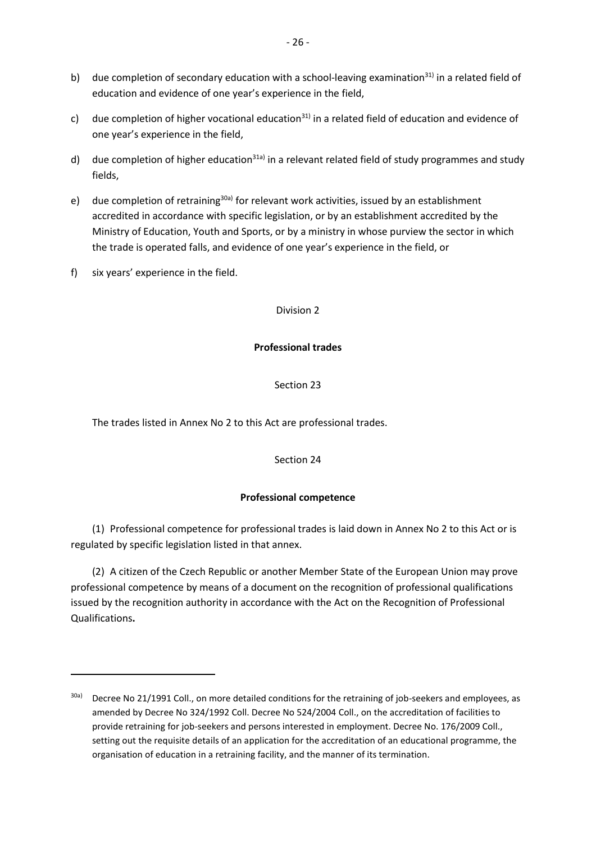- b) due completion of secondary education with a school-leaving examination<sup>31)</sup> in a related field of education and evidence of one year's experience in the field,
- c) due completion of higher vocational education<sup>31)</sup> in a related field of education and evidence of one year's experience in the field,
- d) due completion of higher education<sup>31a)</sup> in a relevant related field of study programmes and study fields,
- e) due completion of retraining<sup>30a)</sup> for relevant work activities, issued by an establishment accredited in accordance with specific legislation, or by an establishment accredited by the Ministry of Education, Youth and Sports, or by a ministry in whose purview the sector in which the trade is operated falls, and evidence of one year's experience in the field, or
- f) six years' experience in the field.

**.** 

### Division 2

## **Professional trades**

## Section 23

The trades listed in Annex No 2 to this Act are professional trades.

### Section 24

## **Professional competence**

(1) Professional competence for professional trades is laid down in Annex No 2 to this Act or is regulated by specific legislation listed in that annex.

(2) A citizen of the Czech Republic or another Member State of the European Union may prove professional competence by means of a document on the recognition of professional qualifications issued by the recognition authority in accordance with the Act on the Recognition of Professional Qualifications**.**

<sup>&</sup>lt;sup>30a)</sup> Decree No 21/1991 Coll., on more detailed conditions for the retraining of job-seekers and employees, as amended by Decree No 324/1992 Coll. Decree No 524/2004 Coll., on the accreditation of facilities to provide retraining for job-seekers and persons interested in employment. Decree No. 176/2009 Coll., setting out the requisite details of an application for the accreditation of an educational programme, the organisation of education in a retraining facility, and the manner of its termination.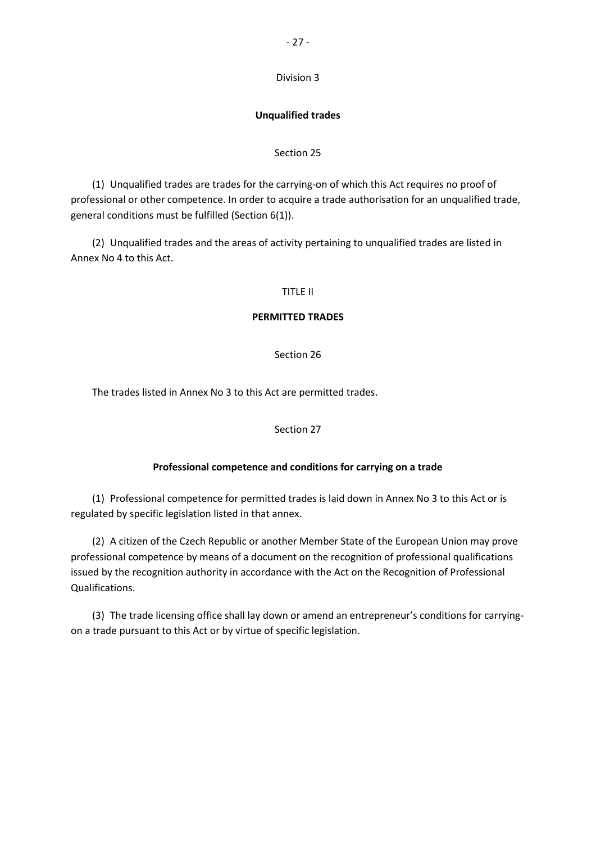### Division 3

### **Unqualified trades**

#### Section 25

(1) Unqualified trades are trades for the carrying-on of which this Act requires no proof of professional or other competence. In order to acquire a trade authorisation for an unqualified trade, general conditions must be fulfilled (Section 6(1)).

(2) Unqualified trades and the areas of activity pertaining to unqualified trades are listed in Annex No 4 to this Act.

#### TITLE II

### **PERMITTED TRADES**

### Section 26

The trades listed in Annex No 3 to this Act are permitted trades.

### Section 27

### **Professional competence and conditions for carrying on a trade**

(1) Professional competence for permitted trades is laid down in Annex No 3 to this Act or is regulated by specific legislation listed in that annex.

(2) A citizen of the Czech Republic or another Member State of the European Union may prove professional competence by means of a document on the recognition of professional qualifications issued by the recognition authority in accordance with the Act on the Recognition of Professional Qualifications.

(3) The trade licensing office shall lay down or amend an entrepreneur's conditions for carryingon a trade pursuant to this Act or by virtue of specific legislation.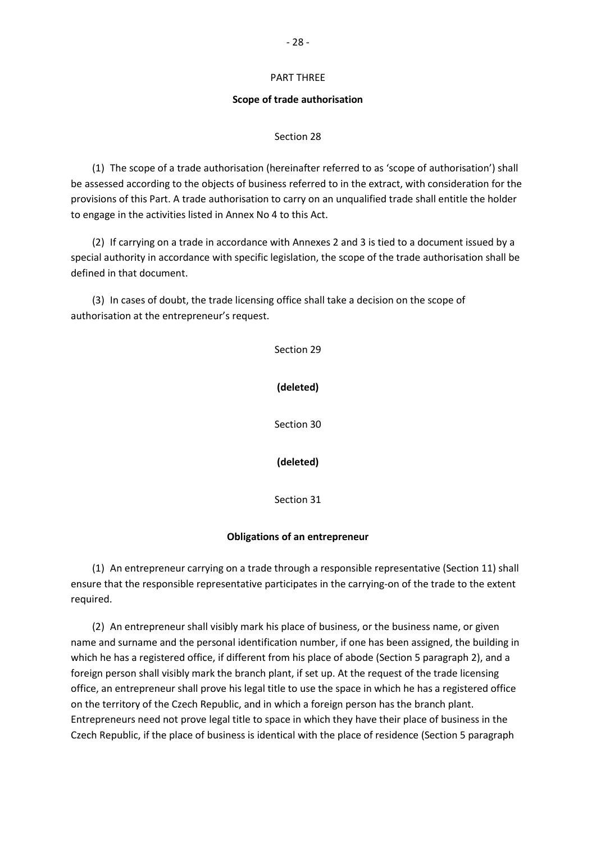#### PART THREE

#### **Scope of trade authorisation**

#### Section 28

(1) The scope of a trade authorisation (hereinafter referred to as 'scope of authorisation') shall be assessed according to the objects of business referred to in the extract, with consideration for the provisions of this Part. A trade authorisation to carry on an unqualified trade shall entitle the holder to engage in the activities listed in Annex No 4 to this Act.

(2) If carrying on a trade in accordance with Annexes 2 and 3 is tied to a document issued by a special authority in accordance with specific legislation, the scope of the trade authorisation shall be defined in that document.

(3) In cases of doubt, the trade licensing office shall take a decision on the scope of authorisation at the entrepreneur's request.

> Section 29 **(deleted)** Section 30 **(deleted)** Section 31

#### **Obligations of an entrepreneur**

(1) An entrepreneur carrying on a trade through a responsible representative (Section 11) shall ensure that the responsible representative participates in the carrying-on of the trade to the extent required.

(2) An entrepreneur shall visibly mark his place of business, or the business name, or given name and surname and the personal identification number, if one has been assigned, the building in which he has a registered office, if different from his place of abode (Section 5 paragraph 2), and a foreign person shall visibly mark the branch plant, if set up. At the request of the trade licensing office, an entrepreneur shall prove his legal title to use the space in which he has a registered office on the territory of the Czech Republic, and in which a foreign person has the branch plant. Entrepreneurs need not prove legal title to space in which they have their place of business in the Czech Republic, if the place of business is identical with the place of residence (Section 5 paragraph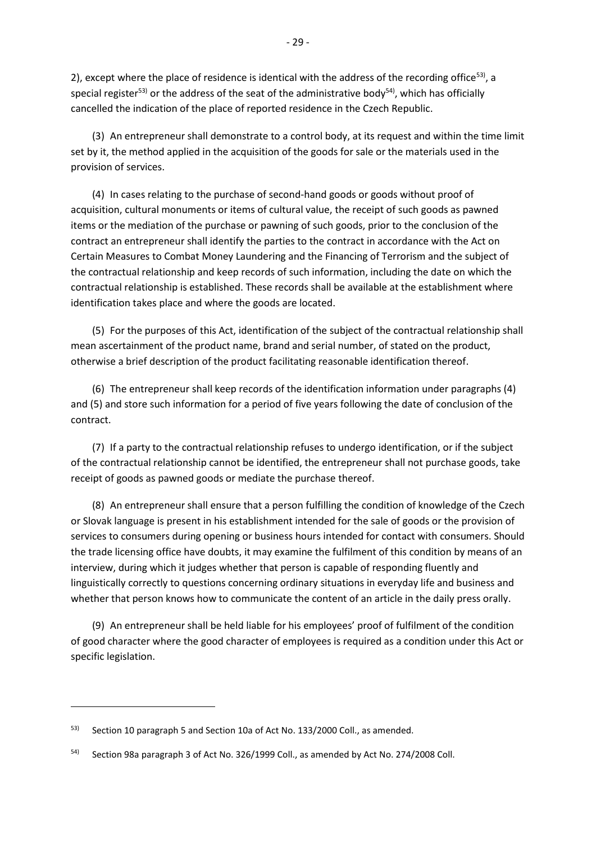2), except where the place of residence is identical with the address of the recording office<sup>53)</sup>, a special register<sup>53)</sup> or the address of the seat of the administrative body<sup>54</sup>, which has officially cancelled the indication of the place of reported residence in the Czech Republic.

(3) An entrepreneur shall demonstrate to a control body, at its request and within the time limit set by it, the method applied in the acquisition of the goods for sale or the materials used in the provision of services.

(4) In cases relating to the purchase of second-hand goods or goods without proof of acquisition, cultural monuments or items of cultural value, the receipt of such goods as pawned items or the mediation of the purchase or pawning of such goods, prior to the conclusion of the contract an entrepreneur shall identify the parties to the contract in accordance with the Act on Certain Measures to Combat Money Laundering and the Financing of Terrorism and the subject of the contractual relationship and keep records of such information, including the date on which the contractual relationship is established. These records shall be available at the establishment where identification takes place and where the goods are located.

(5) For the purposes of this Act, identification of the subject of the contractual relationship shall mean ascertainment of the product name, brand and serial number, of stated on the product, otherwise a brief description of the product facilitating reasonable identification thereof.

(6) The entrepreneur shall keep records of the identification information under paragraphs (4) and (5) and store such information for a period of five years following the date of conclusion of the contract.

(7) If a party to the contractual relationship refuses to undergo identification, or if the subject of the contractual relationship cannot be identified, the entrepreneur shall not purchase goods, take receipt of goods as pawned goods or mediate the purchase thereof.

(8) An entrepreneur shall ensure that a person fulfilling the condition of knowledge of the Czech or Slovak language is present in his establishment intended for the sale of goods or the provision of services to consumers during opening or business hours intended for contact with consumers. Should the trade licensing office have doubts, it may examine the fulfilment of this condition by means of an interview, during which it judges whether that person is capable of responding fluently and linguistically correctly to questions concerning ordinary situations in everyday life and business and whether that person knows how to communicate the content of an article in the daily press orally.

(9) An entrepreneur shall be held liable for his employees' proof of fulfilment of the condition of good character where the good character of employees is required as a condition under this Act or specific legislation.

<sup>53)</sup> Section 10 paragraph 5 and Section 10a of Act No. 133/2000 Coll., as amended.

<sup>54)</sup> Section 98a paragraph 3 of Act No. 326/1999 Coll., as amended by Act No. 274/2008 Coll.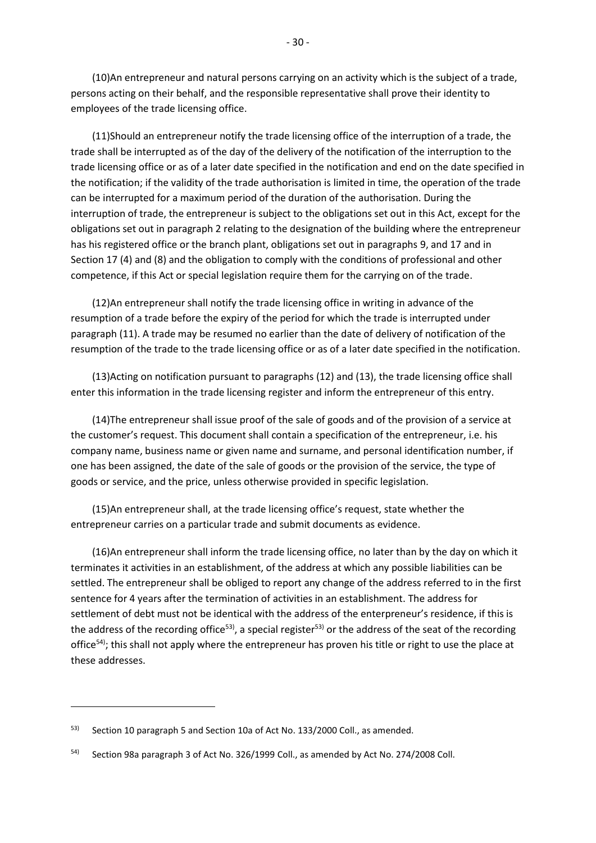(10)An entrepreneur and natural persons carrying on an activity which is the subject of a trade, persons acting on their behalf, and the responsible representative shall prove their identity to employees of the trade licensing office.

(11)Should an entrepreneur notify the trade licensing office of the interruption of a trade, the trade shall be interrupted as of the day of the delivery of the notification of the interruption to the trade licensing office or as of a later date specified in the notification and end on the date specified in the notification; if the validity of the trade authorisation is limited in time, the operation of the trade can be interrupted for a maximum period of the duration of the authorisation. During the interruption of trade, the entrepreneur is subject to the obligations set out in this Act, except for the obligations set out in paragraph 2 relating to the designation of the building where the entrepreneur has his registered office or the branch plant, obligations set out in paragraphs 9, and 17 and in Section 17 (4) and (8) and the obligation to comply with the conditions of professional and other competence, if this Act or special legislation require them for the carrying on of the trade.

(12)An entrepreneur shall notify the trade licensing office in writing in advance of the resumption of a trade before the expiry of the period for which the trade is interrupted under paragraph (11). A trade may be resumed no earlier than the date of delivery of notification of the resumption of the trade to the trade licensing office or as of a later date specified in the notification.

(13)Acting on notification pursuant to paragraphs (12) and (13), the trade licensing office shall enter this information in the trade licensing register and inform the entrepreneur of this entry.

(14)The entrepreneur shall issue proof of the sale of goods and of the provision of a service at the customer's request. This document shall contain a specification of the entrepreneur, i.e. his company name, business name or given name and surname, and personal identification number, if one has been assigned, the date of the sale of goods or the provision of the service, the type of goods or service, and the price, unless otherwise provided in specific legislation.

(15)An entrepreneur shall, at the trade licensing office's request, state whether the entrepreneur carries on a particular trade and submit documents as evidence.

(16)An entrepreneur shall inform the trade licensing office, no later than by the day on which it terminates it activities in an establishment, of the address at which any possible liabilities can be settled. The entrepreneur shall be obliged to report any change of the address referred to in the first sentence for 4 years after the termination of activities in an establishment. The address for settlement of debt must not be identical with the address of the enterpreneur's residence, if this is the address of the recording office<sup>53)</sup>, a special register<sup>53)</sup> or the address of the seat of the recording office<sup>54)</sup>; this shall not apply where the entrepreneur has proven his title or right to use the place at these addresses.

 $53)$  Section 10 paragraph 5 and Section 10a of Act No. 133/2000 Coll., as amended.

<sup>54)</sup> Section 98a paragraph 3 of Act No. 326/1999 Coll., as amended by Act No. 274/2008 Coll.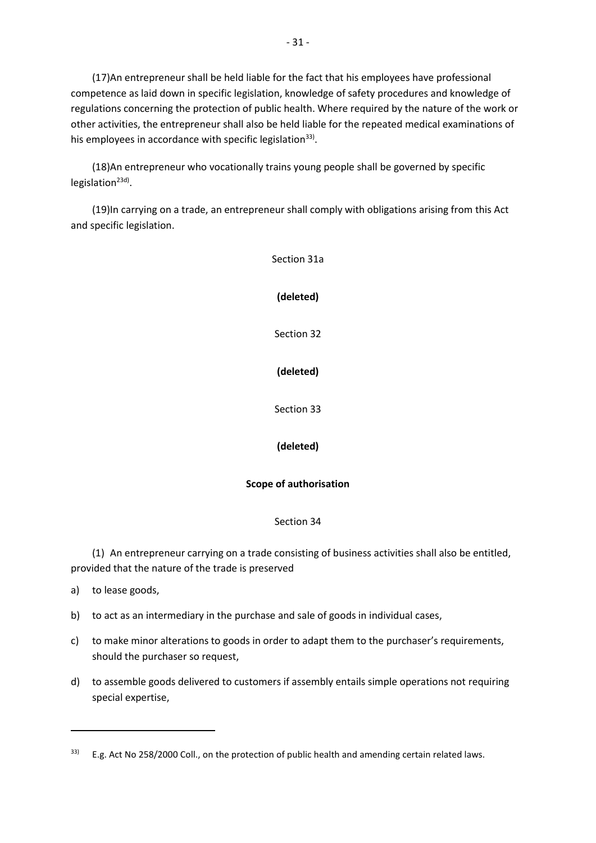(17)An entrepreneur shall be held liable for the fact that his employees have professional competence as laid down in specific legislation, knowledge of safety procedures and knowledge of regulations concerning the protection of public health. Where required by the nature of the work or other activities, the entrepreneur shall also be held liable for the repeated medical examinations of his employees in accordance with specific legislation<sup>33)</sup>.

(18)An entrepreneur who vocationally trains young people shall be governed by specific legislation<sup>23d)</sup>.

(19)In carrying on a trade, an entrepreneur shall comply with obligations arising from this Act and specific legislation.

> Section 31a **(deleted)** Section 32 **(deleted)** Section 33 **(deleted) Scope of authorisation** Section 34

(1) An entrepreneur carrying on a trade consisting of business activities shall also be entitled, provided that the nature of the trade is preserved

a) to lease goods,

- b) to act as an intermediary in the purchase and sale of goods in individual cases,
- c) to make minor alterations to goods in order to adapt them to the purchaser's requirements, should the purchaser so request,
- d) to assemble goods delivered to customers if assembly entails simple operations not requiring special expertise,

 $33$  E.g. Act No 258/2000 Coll., on the protection of public health and amending certain related laws.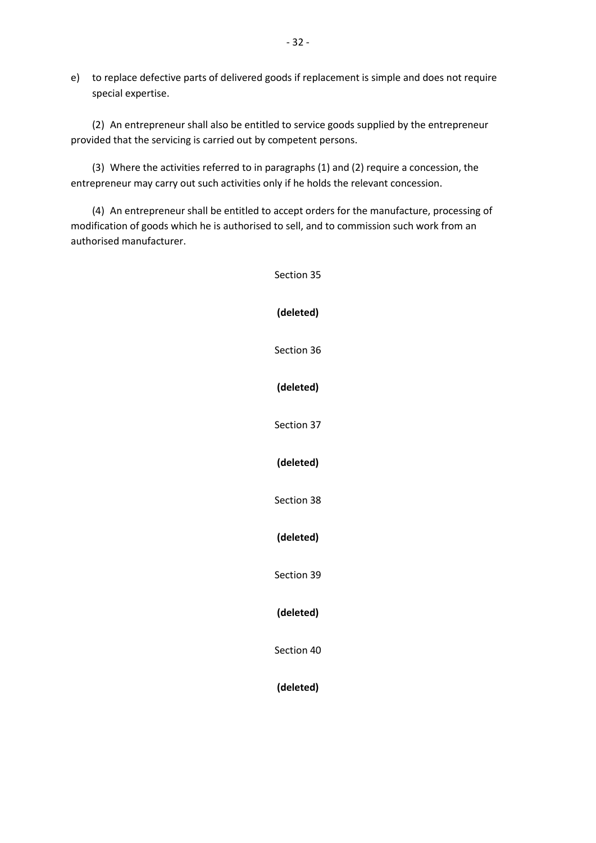e) to replace defective parts of delivered goods if replacement is simple and does not require special expertise.

(2) An entrepreneur shall also be entitled to service goods supplied by the entrepreneur provided that the servicing is carried out by competent persons.

(3) Where the activities referred to in paragraphs (1) and (2) require a concession, the entrepreneur may carry out such activities only if he holds the relevant concession.

(4) An entrepreneur shall be entitled to accept orders for the manufacture, processing of modification of goods which he is authorised to sell, and to commission such work from an authorised manufacturer.

Section 35

**(deleted)** Section 36 **(deleted)** Section 37 **(deleted)** Section 38 **(deleted)** Section 39 **(deleted)** Section 40 **(deleted)**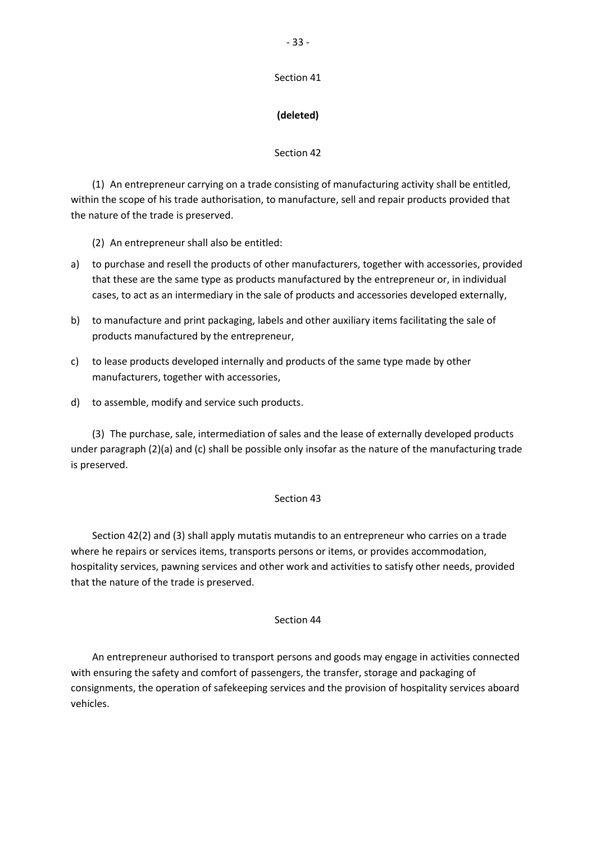#### Section 41

## **(deleted)**

## Section 42

(1) An entrepreneur carrying on a trade consisting of manufacturing activity shall be entitled, within the scope of his trade authorisation, to manufacture, sell and repair products provided that the nature of the trade is preserved.

(2) An entrepreneur shall also be entitled:

- a) to purchase and resell the products of other manufacturers, together with accessories, provided that these are the same type as products manufactured by the entrepreneur or, in individual cases, to act as an intermediary in the sale of products and accessories developed externally,
- b) to manufacture and print packaging, labels and other auxiliary items facilitating the sale of products manufactured by the entrepreneur,
- c) to lease products developed internally and products of the same type made by other manufacturers, together with accessories,
- d) to assemble, modify and service such products.

(3) The purchase, sale, intermediation of sales and the lease of externally developed products under paragraph (2)(a) and (c) shall be possible only insofar as the nature of the manufacturing trade is preserved.

## Section 43

Section 42(2) and (3) shall apply mutatis mutandis to an entrepreneur who carries on a trade where he repairs or services items, transports persons or items, or provides accommodation, hospitality services, pawning services and other work and activities to satisfy other needs, provided that the nature of the trade is preserved.

### Section 44

An entrepreneur authorised to transport persons and goods may engage in activities connected with ensuring the safety and comfort of passengers, the transfer, storage and packaging of consignments, the operation of safekeeping services and the provision of hospitality services aboard vehicles.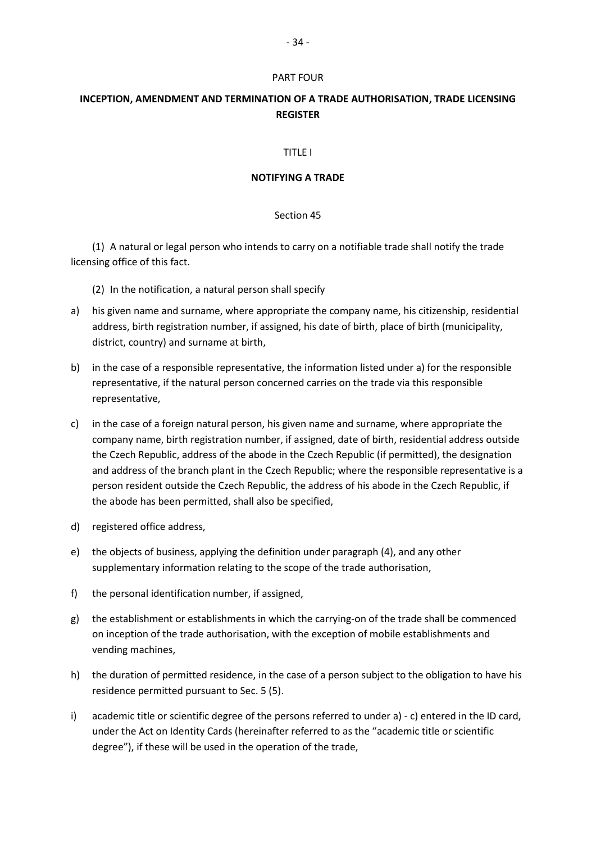#### PART FOUR

# **INCEPTION, AMENDMENT AND TERMINATION OF A TRADE AUTHORISATION, TRADE LICENSING REGISTER**

### TITLE I

### **NOTIFYING A TRADE**

### Section 45

(1) A natural or legal person who intends to carry on a notifiable trade shall notify the trade licensing office of this fact.

(2) In the notification, a natural person shall specify

- a) his given name and surname, where appropriate the company name, his citizenship, residential address, birth registration number, if assigned, his date of birth, place of birth (municipality, district, country) and surname at birth,
- b) in the case of a responsible representative, the information listed under a) for the responsible representative, if the natural person concerned carries on the trade via this responsible representative,
- c) in the case of a foreign natural person, his given name and surname, where appropriate the company name, birth registration number, if assigned, date of birth, residential address outside the Czech Republic, address of the abode in the Czech Republic (if permitted), the designation and address of the branch plant in the Czech Republic; where the responsible representative is a person resident outside the Czech Republic, the address of his abode in the Czech Republic, if the abode has been permitted, shall also be specified,
- d) registered office address,
- e) the objects of business, applying the definition under paragraph (4), and any other supplementary information relating to the scope of the trade authorisation,
- f) the personal identification number, if assigned,
- g) the establishment or establishments in which the carrying-on of the trade shall be commenced on inception of the trade authorisation, with the exception of mobile establishments and vending machines,
- h) the duration of permitted residence, in the case of a person subject to the obligation to have his residence permitted pursuant to Sec. 5 (5).
- i) academic title or scientific degree of the persons referred to under a) c) entered in the ID card, under the Act on Identity Cards (hereinafter referred to as the "academic title or scientific degree"), if these will be used in the operation of the trade,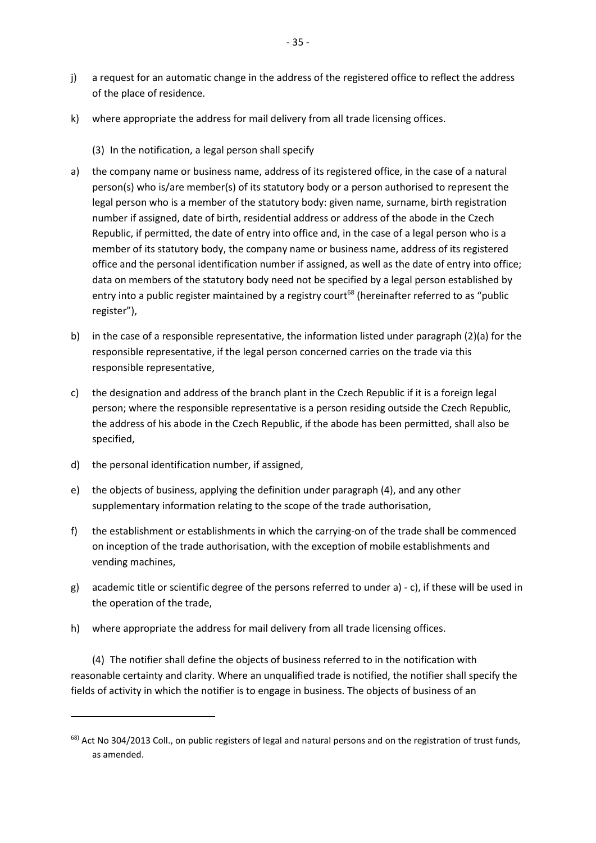- j) a request for an automatic change in the address of the registered office to reflect the address of the place of residence.
- k) where appropriate the address for mail delivery from all trade licensing offices.
	- (3) In the notification, a legal person shall specify
- a) the company name or business name, address of its registered office, in the case of a natural person(s) who is/are member(s) of its statutory body or a person authorised to represent the legal person who is a member of the statutory body: given name, surname, birth registration number if assigned, date of birth, residential address or address of the abode in the Czech Republic, if permitted, the date of entry into office and, in the case of a legal person who is a member of its statutory body, the company name or business name, address of its registered office and the personal identification number if assigned, as well as the date of entry into office; data on members of the statutory body need not be specified by a legal person established by entry into a public register maintained by a registry court<sup>68</sup> (hereinafter referred to as "public register"),
- b) in the case of a responsible representative, the information listed under paragraph (2)(a) for the responsible representative, if the legal person concerned carries on the trade via this responsible representative,
- c) the designation and address of the branch plant in the Czech Republic if it is a foreign legal person; where the responsible representative is a person residing outside the Czech Republic, the address of his abode in the Czech Republic, if the abode has been permitted, shall also be specified,
- d) the personal identification number, if assigned,

**.** 

- e) the objects of business, applying the definition under paragraph (4), and any other supplementary information relating to the scope of the trade authorisation,
- f) the establishment or establishments in which the carrying-on of the trade shall be commenced on inception of the trade authorisation, with the exception of mobile establishments and vending machines,
- g) academic title or scientific degree of the persons referred to under a) c), if these will be used in the operation of the trade,
- h) where appropriate the address for mail delivery from all trade licensing offices.

(4) The notifier shall define the objects of business referred to in the notification with reasonable certainty and clarity. Where an unqualified trade is notified, the notifier shall specify the fields of activity in which the notifier is to engage in business. The objects of business of an

<sup>68)</sup> Act No 304/2013 Coll., on public registers of legal and natural persons and on the registration of trust funds, as amended.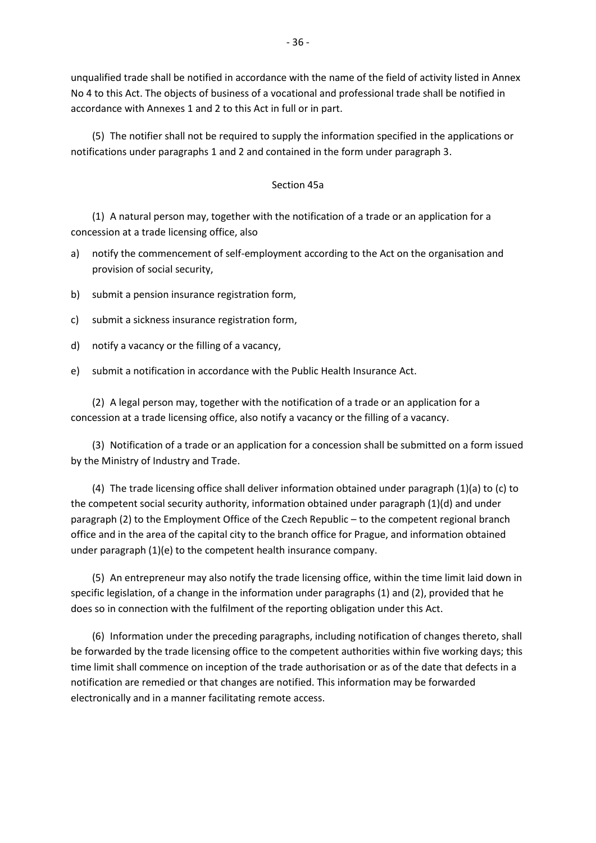unqualified trade shall be notified in accordance with the name of the field of activity listed in Annex No 4 to this Act. The objects of business of a vocational and professional trade shall be notified in accordance with Annexes 1 and 2 to this Act in full or in part.

(5) The notifier shall not be required to supply the information specified in the applications or notifications under paragraphs 1 and 2 and contained in the form under paragraph 3.

## Section 45a

(1) A natural person may, together with the notification of a trade or an application for a concession at a trade licensing office, also

- a) notify the commencement of self-employment according to the Act on the organisation and provision of social security,
- b) submit a pension insurance registration form,
- c) submit a sickness insurance registration form,
- d) notify a vacancy or the filling of a vacancy,
- e) submit a notification in accordance with the Public Health Insurance Act.

(2) A legal person may, together with the notification of a trade or an application for a concession at a trade licensing office, also notify a vacancy or the filling of a vacancy.

(3) Notification of a trade or an application for a concession shall be submitted on a form issued by the Ministry of Industry and Trade.

(4) The trade licensing office shall deliver information obtained under paragraph (1)(a) to (c) to the competent social security authority, information obtained under paragraph (1)(d) and under paragraph (2) to the Employment Office of the Czech Republic – to the competent regional branch office and in the area of the capital city to the branch office for Prague, and information obtained under paragraph (1)(e) to the competent health insurance company.

(5) An entrepreneur may also notify the trade licensing office, within the time limit laid down in specific legislation, of a change in the information under paragraphs (1) and (2), provided that he does so in connection with the fulfilment of the reporting obligation under this Act.

(6) Information under the preceding paragraphs, including notification of changes thereto, shall be forwarded by the trade licensing office to the competent authorities within five working days; this time limit shall commence on inception of the trade authorisation or as of the date that defects in a notification are remedied or that changes are notified. This information may be forwarded electronically and in a manner facilitating remote access.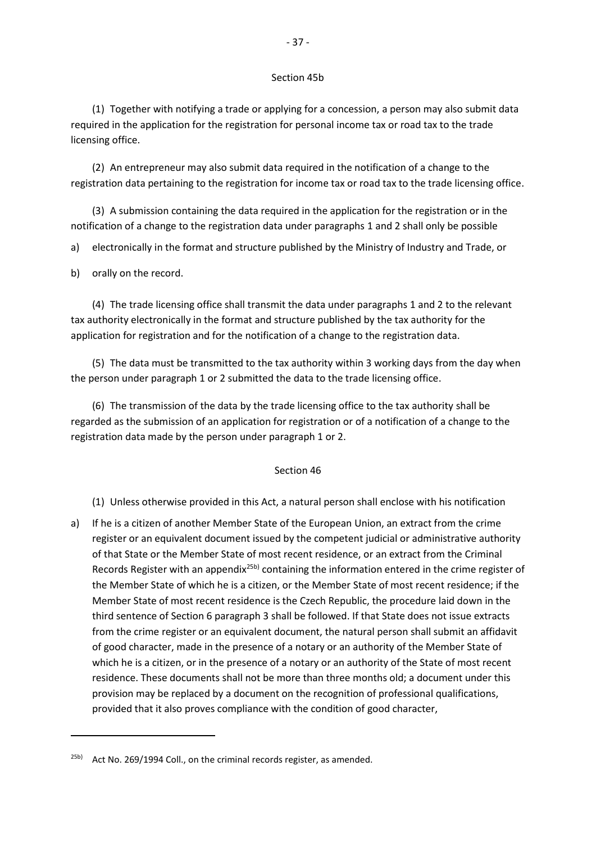#### Section 45b

(1) Together with notifying a trade or applying for a concession, a person may also submit data required in the application for the registration for personal income tax or road tax to the trade licensing office.

(2) An entrepreneur may also submit data required in the notification of a change to the registration data pertaining to the registration for income tax or road tax to the trade licensing office.

(3) A submission containing the data required in the application for the registration or in the notification of a change to the registration data under paragraphs 1 and 2 shall only be possible

a) electronically in the format and structure published by the Ministry of Industry and Trade, or

b) orally on the record.

**.** 

(4) The trade licensing office shall transmit the data under paragraphs 1 and 2 to the relevant tax authority electronically in the format and structure published by the tax authority for the application for registration and for the notification of a change to the registration data.

(5) The data must be transmitted to the tax authority within 3 working days from the day when the person under paragraph 1 or 2 submitted the data to the trade licensing office.

(6) The transmission of the data by the trade licensing office to the tax authority shall be regarded as the submission of an application for registration or of a notification of a change to the registration data made by the person under paragraph 1 or 2.

#### Section 46

(1) Unless otherwise provided in this Act, a natural person shall enclose with his notification

a) If he is a citizen of another Member State of the European Union, an extract from the crime register or an equivalent document issued by the competent judicial or administrative authority of that State or the Member State of most recent residence, or an extract from the Criminal Records Register with an appendix<sup>25b)</sup> containing the information entered in the crime register of the Member State of which he is a citizen, or the Member State of most recent residence; if the Member State of most recent residence is the Czech Republic, the procedure laid down in the third sentence of Section 6 paragraph 3 shall be followed. If that State does not issue extracts from the crime register or an equivalent document, the natural person shall submit an affidavit of good character, made in the presence of a notary or an authority of the Member State of which he is a citizen, or in the presence of a notary or an authority of the State of most recent residence. These documents shall not be more than three months old; a document under this provision may be replaced by a document on the recognition of professional qualifications, provided that it also proves compliance with the condition of good character,

<sup>25</sup>b) Act No. 269/1994 Coll., on the criminal records register, as amended.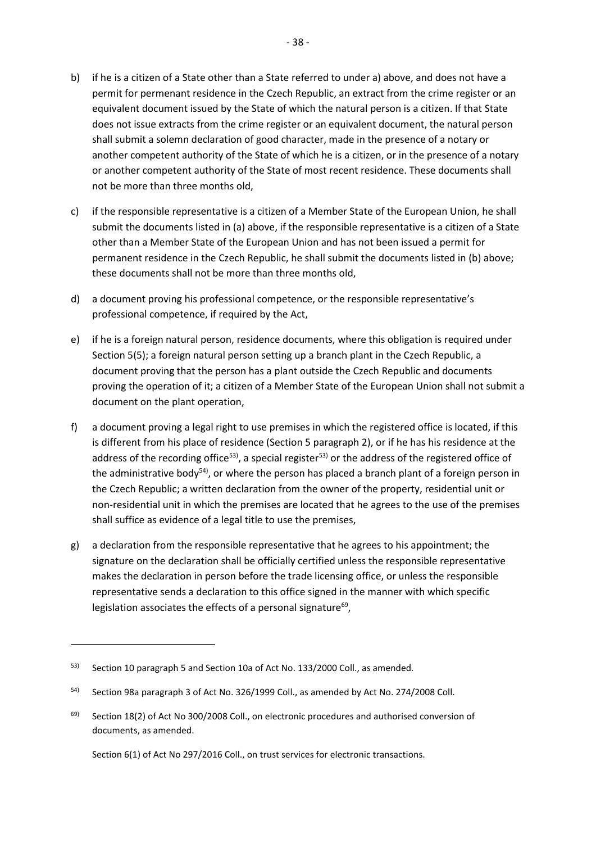b) if he is a citizen of a State other than a State referred to under a) above, and does not have a permit for permenant residence in the Czech Republic, an extract from the crime register or an equivalent document issued by the State of which the natural person is a citizen. If that State does not issue extracts from the crime register or an equivalent document, the natural person shall submit a solemn declaration of good character, made in the presence of a notary or another competent authority of the State of which he is a citizen, or in the presence of a notary or another competent authority of the State of most recent residence. These documents shall not be more than three months old,

- 38 -

- c) if the responsible representative is a citizen of a Member State of the European Union, he shall submit the documents listed in (a) above, if the responsible representative is a citizen of a State other than a Member State of the European Union and has not been issued a permit for permanent residence in the Czech Republic, he shall submit the documents listed in (b) above; these documents shall not be more than three months old,
- d) a document proving his professional competence, or the responsible representative's professional competence, if required by the Act,
- e) if he is a foreign natural person, residence documents, where this obligation is required under Section 5(5); a foreign natural person setting up a branch plant in the Czech Republic, a document proving that the person has a plant outside the Czech Republic and documents proving the operation of it; a citizen of a Member State of the European Union shall not submit a document on the plant operation,
- f) a document proving a legal right to use premises in which the registered office is located, if this is different from his place of residence (Section 5 paragraph 2), or if he has his residence at the address of the recording office<sup>53)</sup>, a special register<sup>53)</sup> or the address of the registered office of the administrative body<sup>54)</sup>, or where the person has placed a branch plant of a foreign person in the Czech Republic; a written declaration from the owner of the property, residential unit or non-residential unit in which the premises are located that he agrees to the use of the premises shall suffice as evidence of a legal title to use the premises,
- g) a declaration from the responsible representative that he agrees to his appointment; the signature on the declaration shall be officially certified unless the responsible representative makes the declaration in person before the trade licensing office, or unless the responsible representative sends a declaration to this office signed in the manner with which specific legislation associates the effects of a personal signature $^{69}$ ,

**.** 

Section 6(1) of Act No 297/2016 Coll., on trust services for electronic transactions.

<sup>53)</sup> Section 10 paragraph 5 and Section 10a of Act No. 133/2000 Coll., as amended.

<sup>54)</sup> Section 98a paragraph 3 of Act No. 326/1999 Coll., as amended by Act No. 274/2008 Coll.

<sup>&</sup>lt;sup>69)</sup> Section 18(2) of Act No 300/2008 Coll., on electronic procedures and authorised conversion of documents, as amended.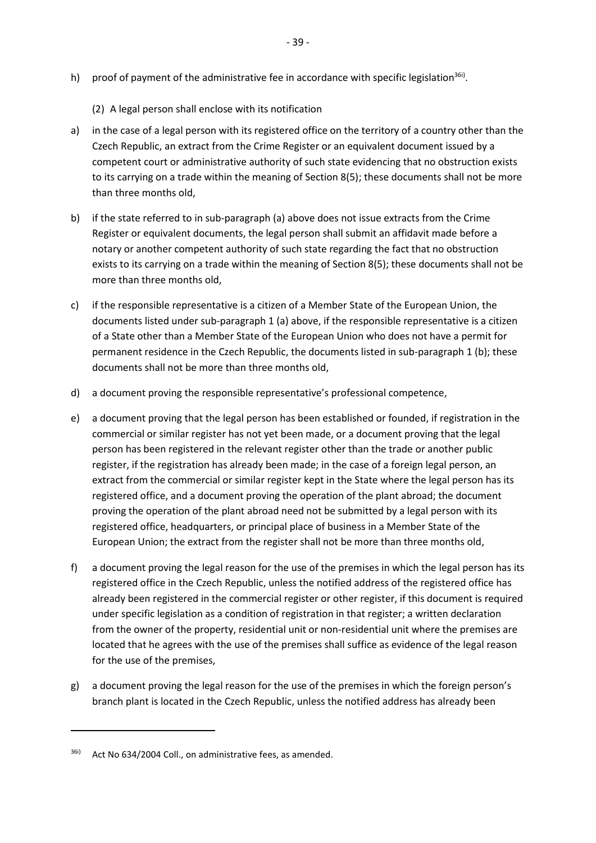- h) proof of payment of the administrative fee in accordance with specific legislation<sup>36i)</sup>.
	- (2) A legal person shall enclose with its notification
- a) in the case of a legal person with its registered office on the territory of a country other than the Czech Republic, an extract from the Crime Register or an equivalent document issued by a competent court or administrative authority of such state evidencing that no obstruction exists to its carrying on a trade within the meaning of Section 8(5); these documents shall not be more than three months old,
- b) if the state referred to in sub-paragraph (a) above does not issue extracts from the Crime Register or equivalent documents, the legal person shall submit an affidavit made before a notary or another competent authority of such state regarding the fact that no obstruction exists to its carrying on a trade within the meaning of Section 8(5); these documents shall not be more than three months old,
- c) if the responsible representative is a citizen of a Member State of the European Union, the documents listed under sub-paragraph 1 (a) above, if the responsible representative is a citizen of a State other than a Member State of the European Union who does not have a permit for permanent residence in the Czech Republic, the documents listed in sub-paragraph 1 (b); these documents shall not be more than three months old,
- d) a document proving the responsible representative's professional competence,
- e) a document proving that the legal person has been established or founded, if registration in the commercial or similar register has not yet been made, or a document proving that the legal person has been registered in the relevant register other than the trade or another public register, if the registration has already been made; in the case of a foreign legal person, an extract from the commercial or similar register kept in the State where the legal person has its registered office, and a document proving the operation of the plant abroad; the document proving the operation of the plant abroad need not be submitted by a legal person with its registered office, headquarters, or principal place of business in a Member State of the European Union; the extract from the register shall not be more than three months old,
- f) a document proving the legal reason for the use of the premises in which the legal person has its registered office in the Czech Republic, unless the notified address of the registered office has already been registered in the commercial register or other register, if this document is required under specific legislation as a condition of registration in that register; a written declaration from the owner of the property, residential unit or non-residential unit where the premises are located that he agrees with the use of the premises shall suffice as evidence of the legal reason for the use of the premises,
- g) a document proving the legal reason for the use of the premises in which the foreign person's branch plant is located in the Czech Republic, unless the notified address has already been

 $\overline{a}$ 

<sup>36</sup>i) Act No 634/2004 Coll., on administrative fees, as amended.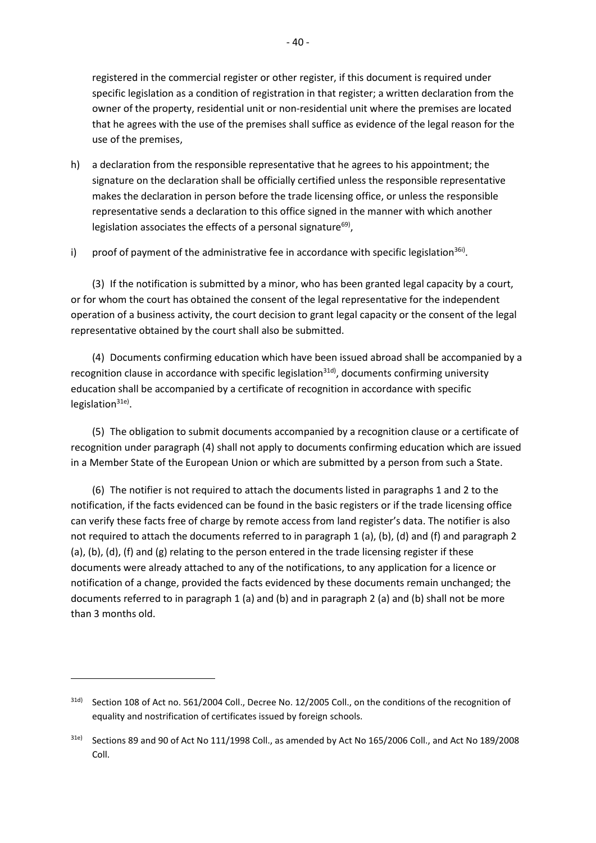registered in the commercial register or other register, if this document is required under specific legislation as a condition of registration in that register; a written declaration from the owner of the property, residential unit or non-residential unit where the premises are located that he agrees with the use of the premises shall suffice as evidence of the legal reason for the use of the premises,

- h) a declaration from the responsible representative that he agrees to his appointment; the signature on the declaration shall be officially certified unless the responsible representative makes the declaration in person before the trade licensing office, or unless the responsible representative sends a declaration to this office signed in the manner with which another legislation associates the effects of a personal signature<sup>69)</sup>,
- i) proof of payment of the administrative fee in accordance with specific legislation<sup>36i)</sup>.

(3) If the notification is submitted by a minor, who has been granted legal capacity by a court, or for whom the court has obtained the consent of the legal representative for the independent operation of a business activity, the court decision to grant legal capacity or the consent of the legal representative obtained by the court shall also be submitted.

(4) Documents confirming education which have been issued abroad shall be accompanied by a recognition clause in accordance with specific legislation<sup>31d)</sup>, documents confirming university education shall be accompanied by a certificate of recognition in accordance with specific legislation<sup>31e)</sup>.

(5) The obligation to submit documents accompanied by a recognition clause or a certificate of recognition under paragraph (4) shall not apply to documents confirming education which are issued in a Member State of the European Union or which are submitted by a person from such a State.

(6) The notifier is not required to attach the documents listed in paragraphs 1 and 2 to the notification, if the facts evidenced can be found in the basic registers or if the trade licensing office can verify these facts free of charge by remote access from land register's data. The notifier is also not required to attach the documents referred to in paragraph 1 (a), (b), (d) and (f) and paragraph 2 (a), (b), (d), (f) and (g) relating to the person entered in the trade licensing register if these documents were already attached to any of the notifications, to any application for a licence or notification of a change, provided the facts evidenced by these documents remain unchanged; the documents referred to in paragraph 1 (a) and (b) and in paragraph 2 (a) and (b) shall not be more than 3 months old.

<sup>31</sup>d) Section 108 of Act no. 561/2004 Coll., Decree No. 12/2005 Coll., on the conditions of the recognition of equality and nostrification of certificates issued by foreign schools.

<sup>31</sup>e) Sections 89 and 90 of Act No 111/1998 Coll., as amended by Act No 165/2006 Coll., and Act No 189/2008 Coll.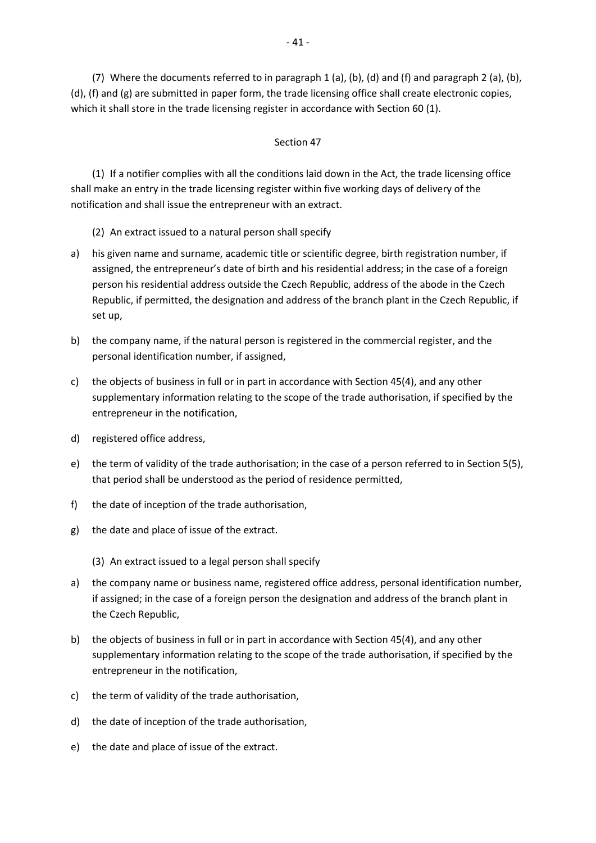(7) Where the documents referred to in paragraph 1 (a), (b), (d) and (f) and paragraph 2 (a), (b), (d), (f) and (g) are submitted in paper form, the trade licensing office shall create electronic copies, which it shall store in the trade licensing register in accordance with Section 60 (1).

# Section 47

(1) If a notifier complies with all the conditions laid down in the Act, the trade licensing office shall make an entry in the trade licensing register within five working days of delivery of the notification and shall issue the entrepreneur with an extract.

- (2) An extract issued to a natural person shall specify
- a) his given name and surname, academic title or scientific degree, birth registration number, if assigned, the entrepreneur's date of birth and his residential address; in the case of a foreign person his residential address outside the Czech Republic, address of the abode in the Czech Republic, if permitted, the designation and address of the branch plant in the Czech Republic, if set up,
- b) the company name, if the natural person is registered in the commercial register, and the personal identification number, if assigned,
- c) the objects of business in full or in part in accordance with Section 45(4), and any other supplementary information relating to the scope of the trade authorisation, if specified by the entrepreneur in the notification,
- d) registered office address,
- e) the term of validity of the trade authorisation; in the case of a person referred to in Section 5(5), that period shall be understood as the period of residence permitted,
- f) the date of inception of the trade authorisation,
- g) the date and place of issue of the extract.
	- (3) An extract issued to a legal person shall specify
- a) the company name or business name, registered office address, personal identification number, if assigned; in the case of a foreign person the designation and address of the branch plant in the Czech Republic,
- b) the objects of business in full or in part in accordance with Section 45(4), and any other supplementary information relating to the scope of the trade authorisation, if specified by the entrepreneur in the notification,
- c) the term of validity of the trade authorisation,
- d) the date of inception of the trade authorisation,
- e) the date and place of issue of the extract.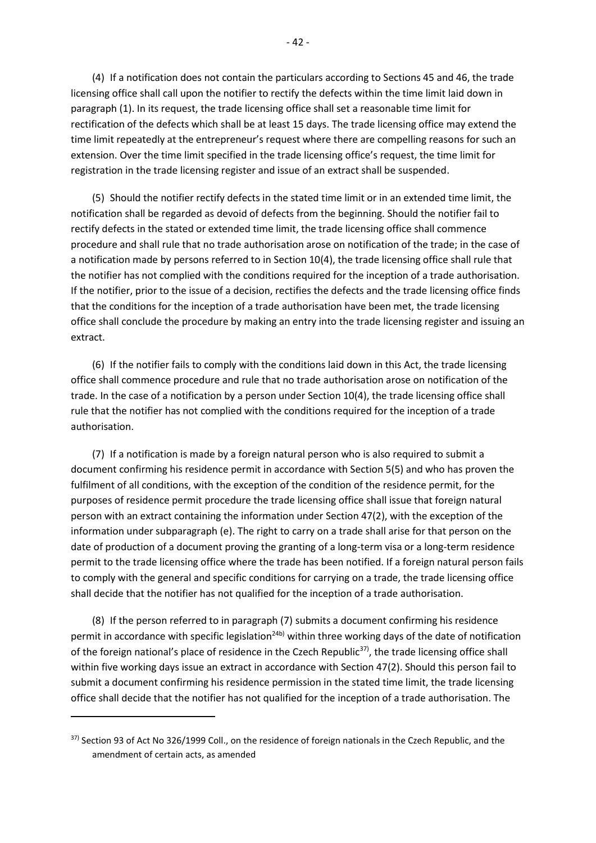(4) If a notification does not contain the particulars according to Sections 45 and 46, the trade licensing office shall call upon the notifier to rectify the defects within the time limit laid down in paragraph (1). In its request, the trade licensing office shall set a reasonable time limit for rectification of the defects which shall be at least 15 days. The trade licensing office may extend the time limit repeatedly at the entrepreneur's request where there are compelling reasons for such an extension. Over the time limit specified in the trade licensing office's request, the time limit for registration in the trade licensing register and issue of an extract shall be suspended.

(5) Should the notifier rectify defects in the stated time limit or in an extended time limit, the notification shall be regarded as devoid of defects from the beginning. Should the notifier fail to rectify defects in the stated or extended time limit, the trade licensing office shall commence procedure and shall rule that no trade authorisation arose on notification of the trade; in the case of a notification made by persons referred to in Section 10(4), the trade licensing office shall rule that the notifier has not complied with the conditions required for the inception of a trade authorisation. If the notifier, prior to the issue of a decision, rectifies the defects and the trade licensing office finds that the conditions for the inception of a trade authorisation have been met, the trade licensing office shall conclude the procedure by making an entry into the trade licensing register and issuing an extract.

(6) If the notifier fails to comply with the conditions laid down in this Act, the trade licensing office shall commence procedure and rule that no trade authorisation arose on notification of the trade. In the case of a notification by a person under Section 10(4), the trade licensing office shall rule that the notifier has not complied with the conditions required for the inception of a trade authorisation.

(7) If a notification is made by a foreign natural person who is also required to submit a document confirming his residence permit in accordance with Section 5(5) and who has proven the fulfilment of all conditions, with the exception of the condition of the residence permit, for the purposes of residence permit procedure the trade licensing office shall issue that foreign natural person with an extract containing the information under Section 47(2), with the exception of the information under subparagraph (e). The right to carry on a trade shall arise for that person on the date of production of a document proving the granting of a long-term visa or a long-term residence permit to the trade licensing office where the trade has been notified. If a foreign natural person fails to comply with the general and specific conditions for carrying on a trade, the trade licensing office shall decide that the notifier has not qualified for the inception of a trade authorisation.

(8) If the person referred to in paragraph (7) submits a document confirming his residence permit in accordance with specific legislation<sup>24b)</sup> within three working days of the date of notification of the foreign national's place of residence in the Czech Republic<sup>37)</sup>, the trade licensing office shall within five working days issue an extract in accordance with Section 47(2). Should this person fail to submit a document confirming his residence permission in the stated time limit, the trade licensing office shall decide that the notifier has not qualified for the inception of a trade authorisation. The

<sup>37)</sup> Section 93 of Act No 326/1999 Coll., on the residence of foreign nationals in the Czech Republic, and the amendment of certain acts, as amended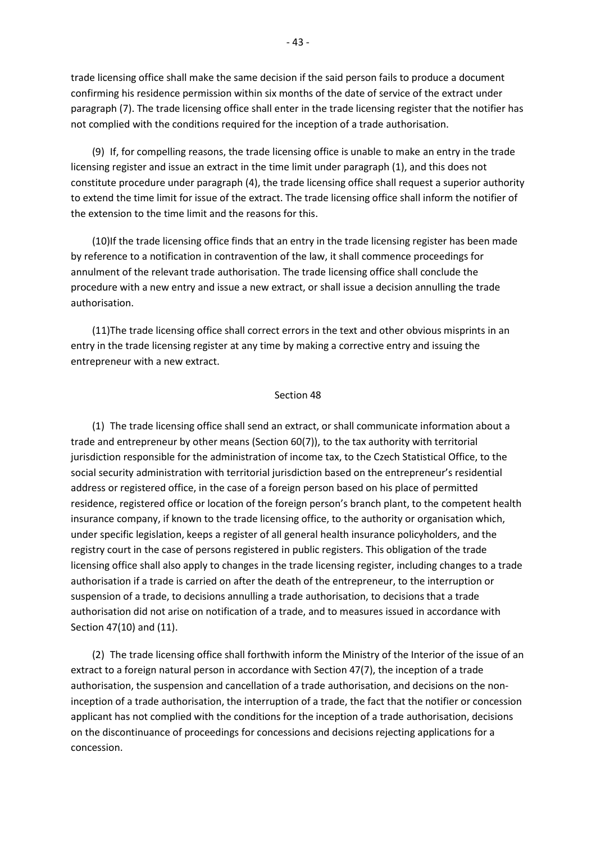trade licensing office shall make the same decision if the said person fails to produce a document confirming his residence permission within six months of the date of service of the extract under paragraph (7). The trade licensing office shall enter in the trade licensing register that the notifier has not complied with the conditions required for the inception of a trade authorisation.

(9) If, for compelling reasons, the trade licensing office is unable to make an entry in the trade licensing register and issue an extract in the time limit under paragraph (1), and this does not constitute procedure under paragraph (4), the trade licensing office shall request a superior authority to extend the time limit for issue of the extract. The trade licensing office shall inform the notifier of the extension to the time limit and the reasons for this.

(10)If the trade licensing office finds that an entry in the trade licensing register has been made by reference to a notification in contravention of the law, it shall commence proceedings for annulment of the relevant trade authorisation. The trade licensing office shall conclude the procedure with a new entry and issue a new extract, or shall issue a decision annulling the trade authorisation.

(11)The trade licensing office shall correct errors in the text and other obvious misprints in an entry in the trade licensing register at any time by making a corrective entry and issuing the entrepreneur with a new extract.

#### Section 48

(1) The trade licensing office shall send an extract, or shall communicate information about a trade and entrepreneur by other means (Section 60(7)), to the tax authority with territorial jurisdiction responsible for the administration of income tax, to the Czech Statistical Office, to the social security administration with territorial jurisdiction based on the entrepreneur's residential address or registered office, in the case of a foreign person based on his place of permitted residence, registered office or location of the foreign person's branch plant, to the competent health insurance company, if known to the trade licensing office, to the authority or organisation which, under specific legislation, keeps a register of all general health insurance policyholders, and the registry court in the case of persons registered in public registers. This obligation of the trade licensing office shall also apply to changes in the trade licensing register, including changes to a trade authorisation if a trade is carried on after the death of the entrepreneur, to the interruption or suspension of a trade, to decisions annulling a trade authorisation, to decisions that a trade authorisation did not arise on notification of a trade, and to measures issued in accordance with Section 47(10) and (11).

(2) The trade licensing office shall forthwith inform the Ministry of the Interior of the issue of an extract to a foreign natural person in accordance with Section 47(7), the inception of a trade authorisation, the suspension and cancellation of a trade authorisation, and decisions on the noninception of a trade authorisation, the interruption of a trade, the fact that the notifier or concession applicant has not complied with the conditions for the inception of a trade authorisation, decisions on the discontinuance of proceedings for concessions and decisions rejecting applications for a concession.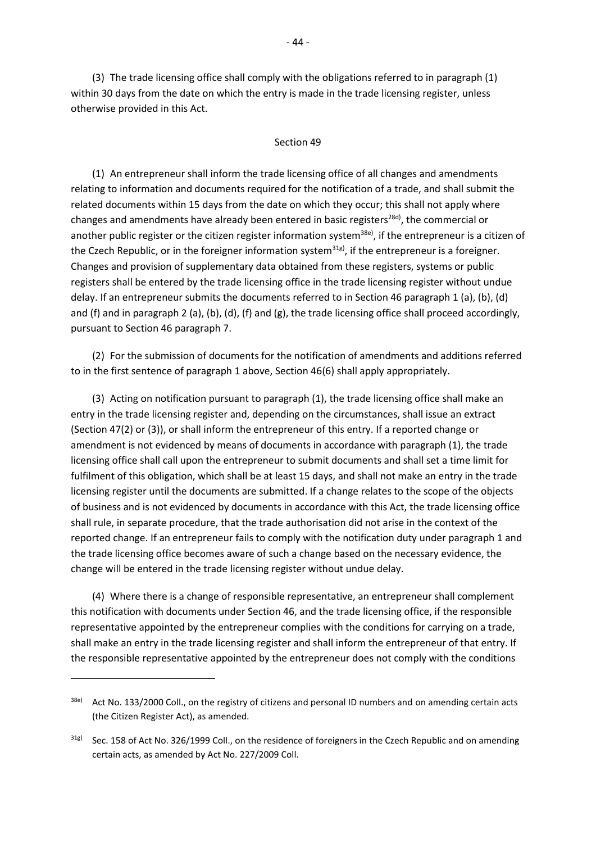(3) The trade licensing office shall comply with the obligations referred to in paragraph (1) within 30 days from the date on which the entry is made in the trade licensing register, unless otherwise provided in this Act.

## Section 49

(1) An entrepreneur shall inform the trade licensing office of all changes and amendments relating to information and documents required for the notification of a trade, and shall submit the related documents within 15 days from the date on which they occur; this shall not apply where changes and amendments have already been entered in basic registers<sup>28d)</sup>, the commercial or another public register or the citizen register information system<sup>38e)</sup>, if the entrepreneur is a citizen of the Czech Republic, or in the foreigner information system<sup>31g)</sup>, if the entrepreneur is a foreigner. Changes and provision of supplementary data obtained from these registers, systems or public registers shall be entered by the trade licensing office in the trade licensing register without undue delay. If an entrepreneur submits the documents referred to in Section 46 paragraph 1 (a), (b), (d) and (f) and in paragraph 2 (a), (b), (d), (f) and (g), the trade licensing office shall proceed accordingly, pursuant to Section 46 paragraph 7.

(2) For the submission of documents for the notification of amendments and additions referred to in the first sentence of paragraph 1 above, Section 46(6) shall apply appropriately.

(3) Acting on notification pursuant to paragraph (1), the trade licensing office shall make an entry in the trade licensing register and, depending on the circumstances, shall issue an extract (Section 47(2) or (3)), or shall inform the entrepreneur of this entry. If a reported change or amendment is not evidenced by means of documents in accordance with paragraph (1), the trade licensing office shall call upon the entrepreneur to submit documents and shall set a time limit for fulfilment of this obligation, which shall be at least 15 days, and shall not make an entry in the trade licensing register until the documents are submitted. If a change relates to the scope of the objects of business and is not evidenced by documents in accordance with this Act, the trade licensing office shall rule, in separate procedure, that the trade authorisation did not arise in the context of the reported change. If an entrepreneur fails to comply with the notification duty under paragraph 1 and the trade licensing office becomes aware of such a change based on the necessary evidence, the change will be entered in the trade licensing register without undue delay.

(4) Where there is a change of responsible representative, an entrepreneur shall complement this notification with documents under Section 46, and the trade licensing office, if the responsible representative appointed by the entrepreneur complies with the conditions for carrying on a trade, shall make an entry in the trade licensing register and shall inform the entrepreneur of that entry. If the responsible representative appointed by the entrepreneur does not comply with the conditions

<sup>38</sup>e) Act No. 133/2000 Coll., on the registry of citizens and personal ID numbers and on amending certain acts (the Citizen Register Act), as amended.

<sup>31</sup>g) Sec. 158 of Act No. 326/1999 Coll., on the residence of foreigners in the Czech Republic and on amending certain acts, as amended by Act No. 227/2009 Coll.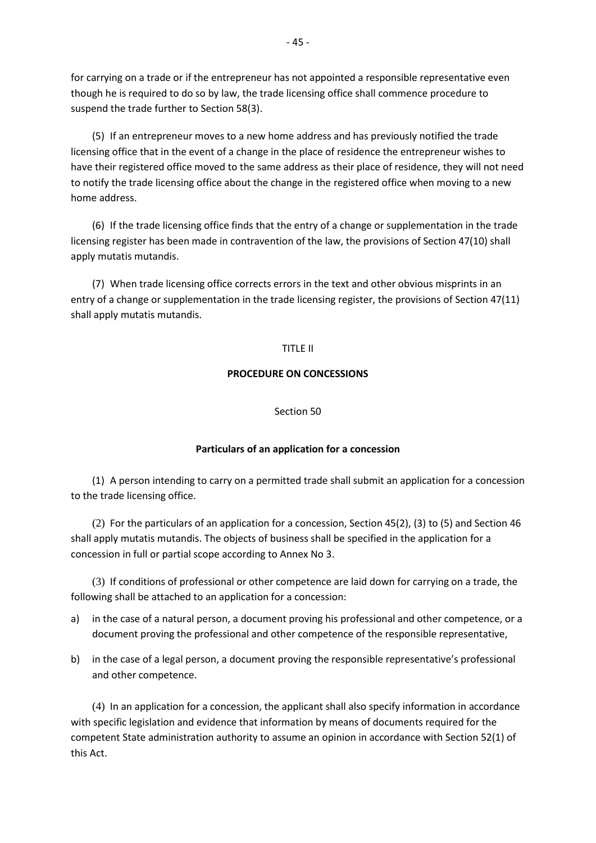for carrying on a trade or if the entrepreneur has not appointed a responsible representative even though he is required to do so by law, the trade licensing office shall commence procedure to suspend the trade further to Section 58(3).

(5) If an entrepreneur moves to a new home address and has previously notified the trade licensing office that in the event of a change in the place of residence the entrepreneur wishes to have their registered office moved to the same address as their place of residence, they will not need to notify the trade licensing office about the change in the registered office when moving to a new home address.

(6) If the trade licensing office finds that the entry of a change or supplementation in the trade licensing register has been made in contravention of the law, the provisions of Section 47(10) shall apply mutatis mutandis.

(7) When trade licensing office corrects errors in the text and other obvious misprints in an entry of a change or supplementation in the trade licensing register, the provisions of Section 47(11) shall apply mutatis mutandis.

## TITLE II

## **PROCEDURE ON CONCESSIONS**

#### Section 50

## **Particulars of an application for a concession**

(1) A person intending to carry on a permitted trade shall submit an application for a concession to the trade licensing office.

(2) For the particulars of an application for a concession, Section 45(2), (3) to (5) and Section 46 shall apply mutatis mutandis. The objects of business shall be specified in the application for a concession in full or partial scope according to Annex No 3.

(3) If conditions of professional or other competence are laid down for carrying on a trade, the following shall be attached to an application for a concession:

- a) in the case of a natural person, a document proving his professional and other competence, or a document proving the professional and other competence of the responsible representative,
- b) in the case of a legal person, a document proving the responsible representative's professional and other competence.

(4) In an application for a concession, the applicant shall also specify information in accordance with specific legislation and evidence that information by means of documents required for the competent State administration authority to assume an opinion in accordance with Section 52(1) of this Act.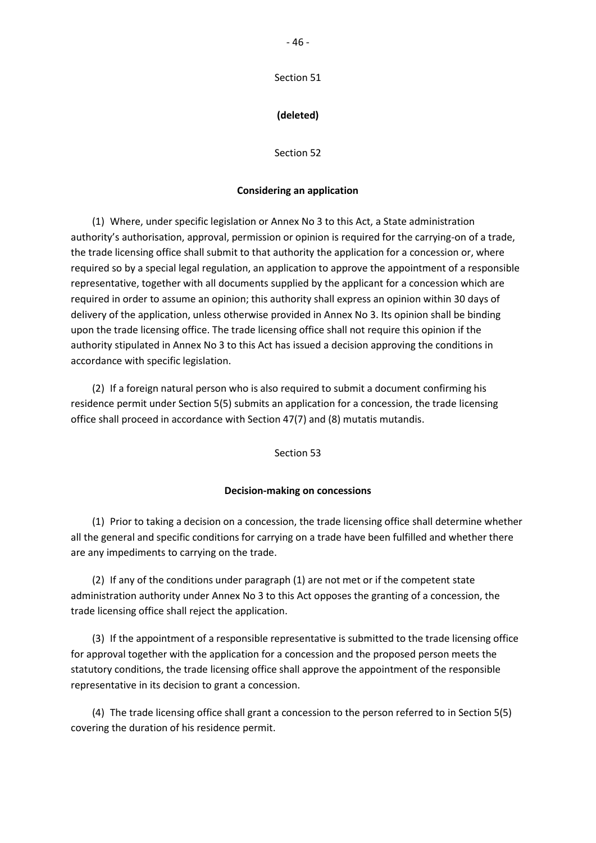Section 51

# **(deleted)**

Section 52

## **Considering an application**

(1) Where, under specific legislation or Annex No 3 to this Act, a State administration authority's authorisation, approval, permission or opinion is required for the carrying-on of a trade, the trade licensing office shall submit to that authority the application for a concession or, where required so by a special legal regulation, an application to approve the appointment of a responsible representative, together with all documents supplied by the applicant for a concession which are required in order to assume an opinion; this authority shall express an opinion within 30 days of delivery of the application, unless otherwise provided in Annex No 3. Its opinion shall be binding upon the trade licensing office. The trade licensing office shall not require this opinion if the authority stipulated in Annex No 3 to this Act has issued a decision approving the conditions in accordance with specific legislation.

(2) If a foreign natural person who is also required to submit a document confirming his residence permit under Section 5(5) submits an application for a concession, the trade licensing office shall proceed in accordance with Section 47(7) and (8) mutatis mutandis.

Section 53

#### **Decision-making on concessions**

(1) Prior to taking a decision on a concession, the trade licensing office shall determine whether all the general and specific conditions for carrying on a trade have been fulfilled and whether there are any impediments to carrying on the trade.

(2) If any of the conditions under paragraph (1) are not met or if the competent state administration authority under Annex No 3 to this Act opposes the granting of a concession, the trade licensing office shall reject the application.

(3) If the appointment of a responsible representative is submitted to the trade licensing office for approval together with the application for a concession and the proposed person meets the statutory conditions, the trade licensing office shall approve the appointment of the responsible representative in its decision to grant a concession.

(4) The trade licensing office shall grant a concession to the person referred to in Section 5(5) covering the duration of his residence permit.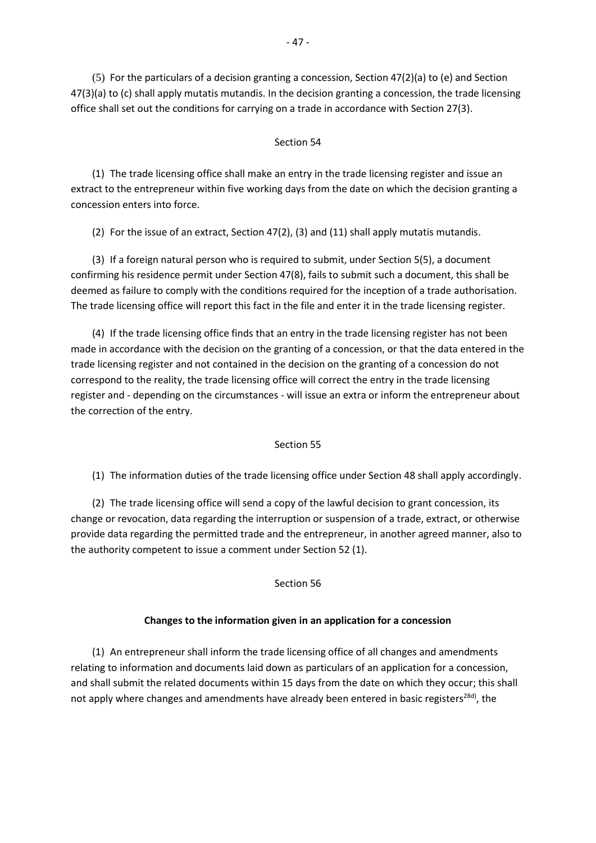(5) For the particulars of a decision granting a concession, Section 47(2)(a) to (e) and Section 47(3)(a) to (c) shall apply mutatis mutandis. In the decision granting a concession, the trade licensing office shall set out the conditions for carrying on a trade in accordance with Section 27(3).

# Section 54

(1) The trade licensing office shall make an entry in the trade licensing register and issue an extract to the entrepreneur within five working days from the date on which the decision granting a concession enters into force.

(2) For the issue of an extract, Section 47(2), (3) and (11) shall apply mutatis mutandis.

(3) If a foreign natural person who is required to submit, under Section 5(5), a document confirming his residence permit under Section 47(8), fails to submit such a document, this shall be deemed as failure to comply with the conditions required for the inception of a trade authorisation. The trade licensing office will report this fact in the file and enter it in the trade licensing register.

(4) If the trade licensing office finds that an entry in the trade licensing register has not been made in accordance with the decision on the granting of a concession, or that the data entered in the trade licensing register and not contained in the decision on the granting of a concession do not correspond to the reality, the trade licensing office will correct the entry in the trade licensing register and - depending on the circumstances - will issue an extra or inform the entrepreneur about the correction of the entry.

## Section 55

(1) The information duties of the trade licensing office under Section 48 shall apply accordingly.

(2) The trade licensing office will send a copy of the lawful decision to grant concession, its change or revocation, data regarding the interruption or suspension of a trade, extract, or otherwise provide data regarding the permitted trade and the entrepreneur, in another agreed manner, also to the authority competent to issue a comment under Section 52 (1).

## Section 56

## **Changes to the information given in an application for a concession**

(1) An entrepreneur shall inform the trade licensing office of all changes and amendments relating to information and documents laid down as particulars of an application for a concession, and shall submit the related documents within 15 days from the date on which they occur; this shall not apply where changes and amendments have already been entered in basic registers<sup>28d)</sup>, the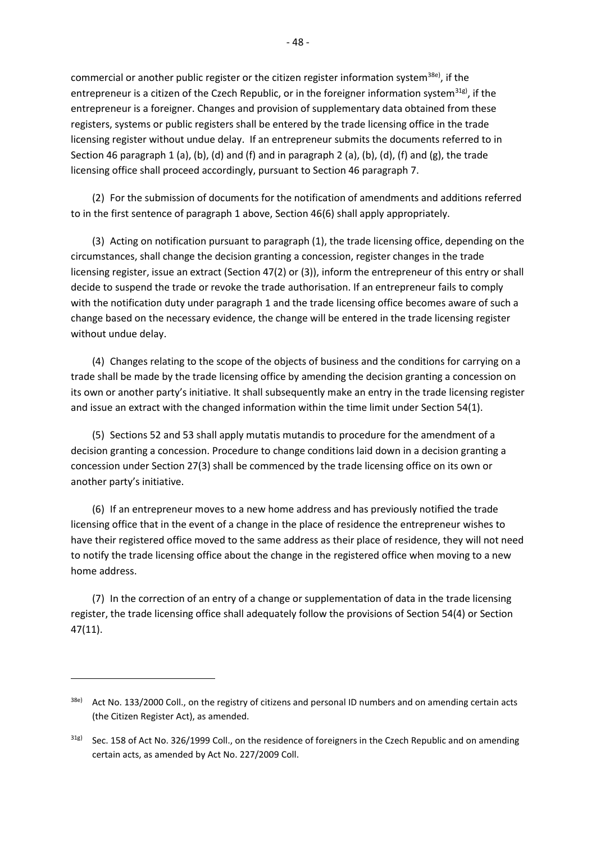commercial or another public register or the citizen register information system<sup>38e)</sup>, if the entrepreneur is a citizen of the Czech Republic, or in the foreigner information system<sup>31g)</sup>, if the entrepreneur is a foreigner. Changes and provision of supplementary data obtained from these registers, systems or public registers shall be entered by the trade licensing office in the trade licensing register without undue delay. If an entrepreneur submits the documents referred to in Section 46 paragraph 1 (a), (b), (d) and (f) and in paragraph 2 (a), (b), (d), (f) and (g), the trade licensing office shall proceed accordingly, pursuant to Section 46 paragraph 7.

(2) For the submission of documents for the notification of amendments and additions referred to in the first sentence of paragraph 1 above, Section 46(6) shall apply appropriately.

(3) Acting on notification pursuant to paragraph (1), the trade licensing office, depending on the circumstances, shall change the decision granting a concession, register changes in the trade licensing register, issue an extract (Section 47(2) or (3)), inform the entrepreneur of this entry or shall decide to suspend the trade or revoke the trade authorisation. If an entrepreneur fails to comply with the notification duty under paragraph 1 and the trade licensing office becomes aware of such a change based on the necessary evidence, the change will be entered in the trade licensing register without undue delay.

(4) Changes relating to the scope of the objects of business and the conditions for carrying on a trade shall be made by the trade licensing office by amending the decision granting a concession on its own or another party's initiative. It shall subsequently make an entry in the trade licensing register and issue an extract with the changed information within the time limit under Section 54(1).

(5) Sections 52 and 53 shall apply mutatis mutandis to procedure for the amendment of a decision granting a concession. Procedure to change conditions laid down in a decision granting a concession under Section 27(3) shall be commenced by the trade licensing office on its own or another party's initiative.

(6) If an entrepreneur moves to a new home address and has previously notified the trade licensing office that in the event of a change in the place of residence the entrepreneur wishes to have their registered office moved to the same address as their place of residence, they will not need to notify the trade licensing office about the change in the registered office when moving to a new home address.

(7) In the correction of an entry of a change or supplementation of data in the trade licensing register, the trade licensing office shall adequately follow the provisions of Section 54(4) or Section 47(11).

<sup>38</sup>e) Act No. 133/2000 Coll., on the registry of citizens and personal ID numbers and on amending certain acts (the Citizen Register Act), as amended.

<sup>31</sup>g) Sec. 158 of Act No. 326/1999 Coll., on the residence of foreigners in the Czech Republic and on amending certain acts, as amended by Act No. 227/2009 Coll.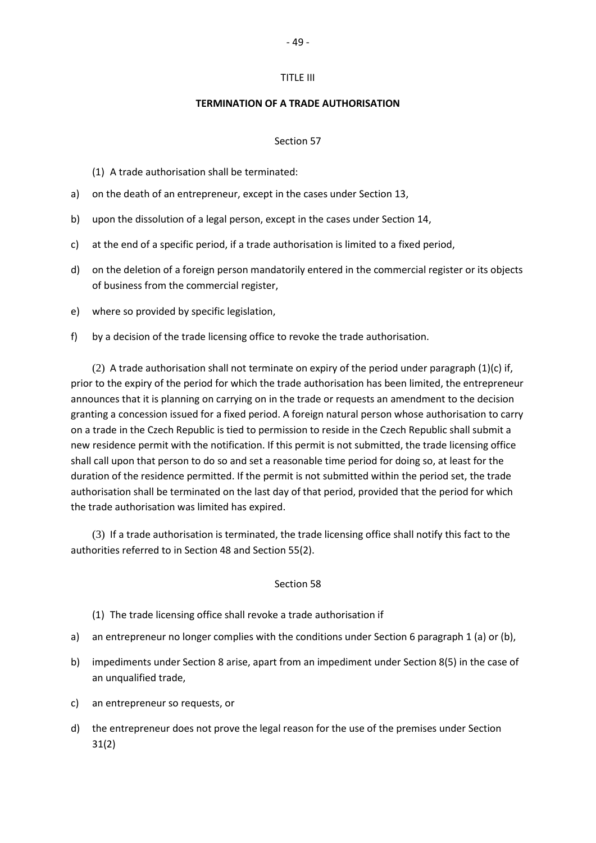#### TITLE III

#### **TERMINATION OF A TRADE AUTHORISATION**

#### Section 57

(1) A trade authorisation shall be terminated:

- a) on the death of an entrepreneur, except in the cases under Section 13,
- b) upon the dissolution of a legal person, except in the cases under Section 14,
- c) at the end of a specific period, if a trade authorisation is limited to a fixed period,
- d) on the deletion of a foreign person mandatorily entered in the commercial register or its objects of business from the commercial register,
- e) where so provided by specific legislation,
- f) by a decision of the trade licensing office to revoke the trade authorisation.

(2) A trade authorisation shall not terminate on expiry of the period under paragraph  $(1)(c)$  if, prior to the expiry of the period for which the trade authorisation has been limited, the entrepreneur announces that it is planning on carrying on in the trade or requests an amendment to the decision granting a concession issued for a fixed period. A foreign natural person whose authorisation to carry on a trade in the Czech Republic is tied to permission to reside in the Czech Republic shall submit a new residence permit with the notification. If this permit is not submitted, the trade licensing office shall call upon that person to do so and set a reasonable time period for doing so, at least for the duration of the residence permitted. If the permit is not submitted within the period set, the trade authorisation shall be terminated on the last day of that period, provided that the period for which the trade authorisation was limited has expired.

(3) If a trade authorisation is terminated, the trade licensing office shall notify this fact to the authorities referred to in Section 48 and Section 55(2).

#### Section 58

- (1) The trade licensing office shall revoke a trade authorisation if
- a) an entrepreneur no longer complies with the conditions under Section 6 paragraph 1 (a) or (b),
- b) impediments under Section 8 arise, apart from an impediment under Section 8(5) in the case of an unqualified trade,
- c) an entrepreneur so requests, or
- d) the entrepreneur does not prove the legal reason for the use of the premises under Section 31(2)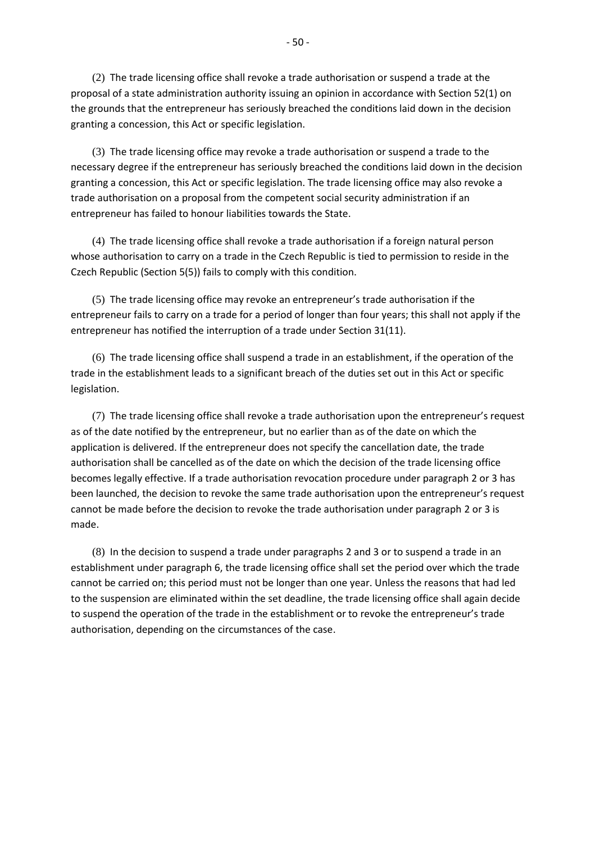(2) The trade licensing office shall revoke a trade authorisation or suspend a trade at the proposal of a state administration authority issuing an opinion in accordance with Section 52(1) on the grounds that the entrepreneur has seriously breached the conditions laid down in the decision granting a concession, this Act or specific legislation.

(3) The trade licensing office may revoke a trade authorisation or suspend a trade to the necessary degree if the entrepreneur has seriously breached the conditions laid down in the decision granting a concession, this Act or specific legislation. The trade licensing office may also revoke a trade authorisation on a proposal from the competent social security administration if an entrepreneur has failed to honour liabilities towards the State.

(4) The trade licensing office shall revoke a trade authorisation if a foreign natural person whose authorisation to carry on a trade in the Czech Republic is tied to permission to reside in the Czech Republic (Section 5(5)) fails to comply with this condition.

(5) The trade licensing office may revoke an entrepreneur's trade authorisation if the entrepreneur fails to carry on a trade for a period of longer than four years; this shall not apply if the entrepreneur has notified the interruption of a trade under Section 31(11).

(6) The trade licensing office shall suspend a trade in an establishment, if the operation of the trade in the establishment leads to a significant breach of the duties set out in this Act or specific legislation.

(7) The trade licensing office shall revoke a trade authorisation upon the entrepreneur's request as of the date notified by the entrepreneur, but no earlier than as of the date on which the application is delivered. If the entrepreneur does not specify the cancellation date, the trade authorisation shall be cancelled as of the date on which the decision of the trade licensing office becomes legally effective. If a trade authorisation revocation procedure under paragraph 2 or 3 has been launched, the decision to revoke the same trade authorisation upon the entrepreneur's request cannot be made before the decision to revoke the trade authorisation under paragraph 2 or 3 is made.

(8) In the decision to suspend a trade under paragraphs 2 and 3 or to suspend a trade in an establishment under paragraph 6, the trade licensing office shall set the period over which the trade cannot be carried on; this period must not be longer than one year. Unless the reasons that had led to the suspension are eliminated within the set deadline, the trade licensing office shall again decide to suspend the operation of the trade in the establishment or to revoke the entrepreneur's trade authorisation, depending on the circumstances of the case.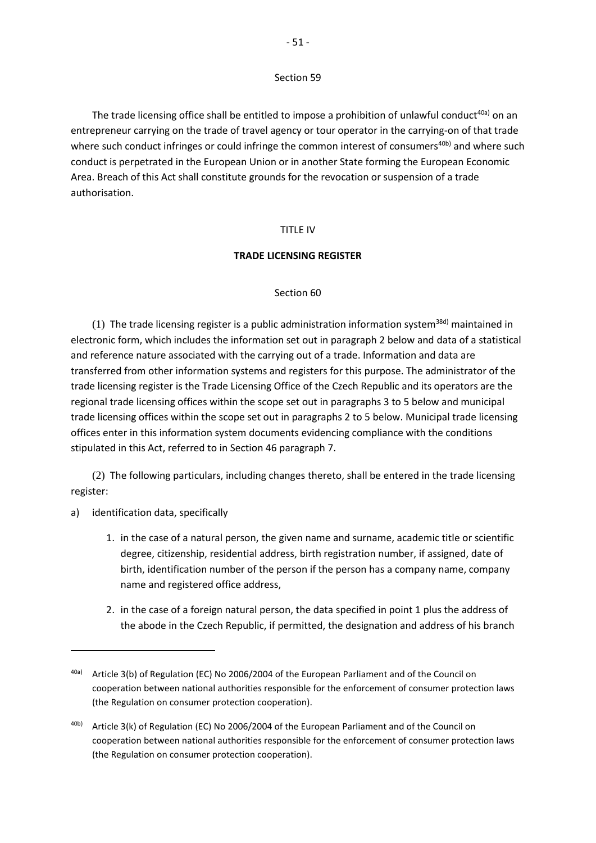#### Section 59

The trade licensing office shall be entitled to impose a prohibition of unlawful conduct<sup>40a)</sup> on an entrepreneur carrying on the trade of travel agency or tour operator in the carrying-on of that trade where such conduct infringes or could infringe the common interest of consumers<sup>40b)</sup> and where such conduct is perpetrated in the European Union or in another State forming the European Economic Area. Breach of this Act shall constitute grounds for the revocation or suspension of a trade authorisation.

## TITLE IV

#### **TRADE LICENSING REGISTER**

## Section 60

(1) The trade licensing register is a public administration information system<sup>38d)</sup> maintained in electronic form, which includes the information set out in paragraph 2 below and data of a statistical and reference nature associated with the carrying out of a trade. Information and data are transferred from other information systems and registers for this purpose. The administrator of the trade licensing register is the Trade Licensing Office of the Czech Republic and its operators are the regional trade licensing offices within the scope set out in paragraphs 3 to 5 below and municipal trade licensing offices within the scope set out in paragraphs 2 to 5 below. Municipal trade licensing offices enter in this information system documents evidencing compliance with the conditions stipulated in this Act, referred to in Section 46 paragraph 7.

(2) The following particulars, including changes thereto, shall be entered in the trade licensing register:

a) identification data, specifically

- 1. in the case of a natural person, the given name and surname, academic title or scientific degree, citizenship, residential address, birth registration number, if assigned, date of birth, identification number of the person if the person has a company name, company name and registered office address,
- 2. in the case of a foreign natural person, the data specified in point 1 plus the address of the abode in the Czech Republic, if permitted, the designation and address of his branch

<sup>40</sup>a) Article 3(b) of Regulation (EC) No 2006/2004 of the European Parliament and of the Council on cooperation between national authorities responsible for the enforcement of consumer protection laws (the Regulation on consumer protection cooperation).

<sup>40</sup>b) Article 3(k) of Regulation (EC) No 2006/2004 of the European Parliament and of the Council on cooperation between national authorities responsible for the enforcement of consumer protection laws (the Regulation on consumer protection cooperation).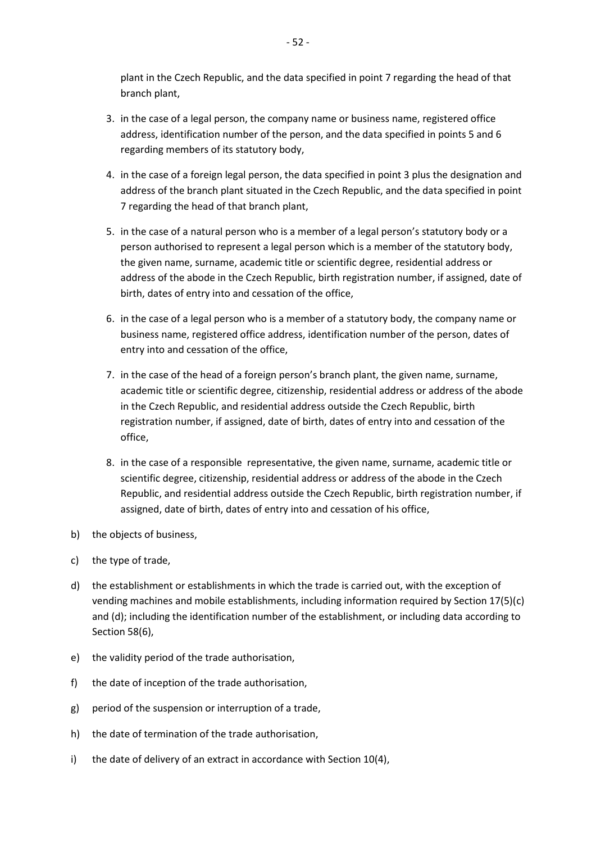plant in the Czech Republic, and the data specified in point 7 regarding the head of that branch plant,

- 3. in the case of a legal person, the company name or business name, registered office address, identification number of the person, and the data specified in points 5 and 6 regarding members of its statutory body,
- 4. in the case of a foreign legal person, the data specified in point 3 plus the designation and address of the branch plant situated in the Czech Republic, and the data specified in point 7 regarding the head of that branch plant,
- 5. in the case of a natural person who is a member of a legal person's statutory body or a person authorised to represent a legal person which is a member of the statutory body, the given name, surname, academic title or scientific degree, residential address or address of the abode in the Czech Republic, birth registration number, if assigned, date of birth, dates of entry into and cessation of the office,
- 6. in the case of a legal person who is a member of a statutory body, the company name or business name, registered office address, identification number of the person, dates of entry into and cessation of the office,
- 7. in the case of the head of a foreign person's branch plant, the given name, surname, academic title or scientific degree, citizenship, residential address or address of the abode in the Czech Republic, and residential address outside the Czech Republic, birth registration number, if assigned, date of birth, dates of entry into and cessation of the office,
- 8. in the case of a responsible representative, the given name, surname, academic title or scientific degree, citizenship, residential address or address of the abode in the Czech Republic, and residential address outside the Czech Republic, birth registration number, if assigned, date of birth, dates of entry into and cessation of his office,
- b) the objects of business,
- c) the type of trade,
- d) the establishment or establishments in which the trade is carried out, with the exception of vending machines and mobile establishments, including information required by Section 17(5)(c) and (d); including the identification number of the establishment, or including data according to Section 58(6),
- e) the validity period of the trade authorisation,
- f) the date of inception of the trade authorisation,
- g) period of the suspension or interruption of a trade,
- h) the date of termination of the trade authorisation,
- i) the date of delivery of an extract in accordance with Section 10(4),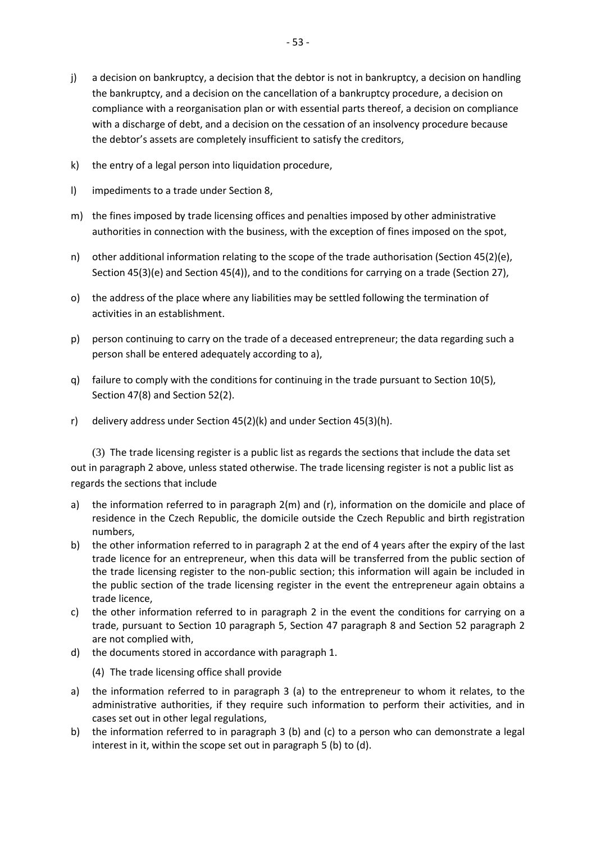- k) the entry of a legal person into liquidation procedure,
- l) impediments to a trade under Section 8,
- m) the fines imposed by trade licensing offices and penalties imposed by other administrative authorities in connection with the business, with the exception of fines imposed on the spot,
- n) other additional information relating to the scope of the trade authorisation (Section 45(2)(e), Section 45(3)(e) and Section 45(4)), and to the conditions for carrying on a trade (Section 27),
- o) the address of the place where any liabilities may be settled following the termination of activities in an establishment.
- p) person continuing to carry on the trade of a deceased entrepreneur; the data regarding such a person shall be entered adequately according to a),
- q) failure to comply with the conditions for continuing in the trade pursuant to Section 10(5), Section 47(8) and Section 52(2).
- r) delivery address under Section 45(2)(k) and under Section 45(3)(h).

(3) The trade licensing register is a public list as regards the sections that include the data set out in paragraph 2 above, unless stated otherwise. The trade licensing register is not a public list as regards the sections that include

- a) the information referred to in paragraph 2(m) and (r), information on the domicile and place of residence in the Czech Republic, the domicile outside the Czech Republic and birth registration numbers,
- b) the other information referred to in paragraph 2 at the end of 4 years after the expiry of the last trade licence for an entrepreneur, when this data will be transferred from the public section of the trade licensing register to the non-public section; this information will again be included in the public section of the trade licensing register in the event the entrepreneur again obtains a trade licence,
- c) the other information referred to in paragraph 2 in the event the conditions for carrying on a trade, pursuant to Section 10 paragraph 5, Section 47 paragraph 8 and Section 52 paragraph 2 are not complied with,
- d) the documents stored in accordance with paragraph 1.

(4) The trade licensing office shall provide

- a) the information referred to in paragraph 3 (a) to the entrepreneur to whom it relates, to the administrative authorities, if they require such information to perform their activities, and in cases set out in other legal regulations,
- b) the information referred to in paragraph 3 (b) and (c) to a person who can demonstrate a legal interest in it, within the scope set out in paragraph 5 (b) to (d).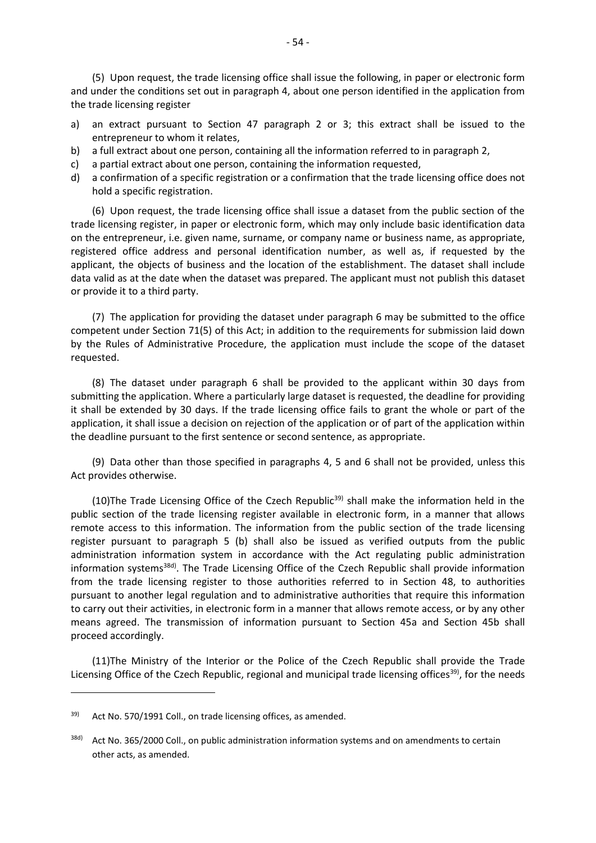(5) Upon request, the trade licensing office shall issue the following, in paper or electronic form and under the conditions set out in paragraph 4, about one person identified in the application from the trade licensing register

- a) an extract pursuant to Section 47 paragraph 2 or 3; this extract shall be issued to the entrepreneur to whom it relates,
- b) a full extract about one person, containing all the information referred to in paragraph 2,
- c) a partial extract about one person, containing the information requested,
- d) a confirmation of a specific registration or a confirmation that the trade licensing office does not hold a specific registration.

(6) Upon request, the trade licensing office shall issue a dataset from the public section of the trade licensing register, in paper or electronic form, which may only include basic identification data on the entrepreneur, i.e. given name, surname, or company name or business name, as appropriate, registered office address and personal identification number, as well as, if requested by the applicant, the objects of business and the location of the establishment. The dataset shall include data valid as at the date when the dataset was prepared. The applicant must not publish this dataset or provide it to a third party.

(7) The application for providing the dataset under paragraph 6 may be submitted to the office competent under Section 71(5) of this Act; in addition to the requirements for submission laid down by the Rules of Administrative Procedure, the application must include the scope of the dataset requested.

(8) The dataset under paragraph 6 shall be provided to the applicant within 30 days from submitting the application. Where a particularly large dataset is requested, the deadline for providing it shall be extended by 30 days. If the trade licensing office fails to grant the whole or part of the application, it shall issue a decision on rejection of the application or of part of the application within the deadline pursuant to the first sentence or second sentence, as appropriate.

(9) Data other than those specified in paragraphs 4, 5 and 6 shall not be provided, unless this Act provides otherwise.

(10)The Trade Licensing Office of the Czech Republic<sup>39)</sup> shall make the information held in the public section of the trade licensing register available in electronic form, in a manner that allows remote access to this information. The information from the public section of the trade licensing register pursuant to paragraph 5 (b) shall also be issued as verified outputs from the public administration information system in accordance with the Act regulating public administration information systems<sup>38d)</sup>. The Trade Licensing Office of the Czech Republic shall provide information from the trade licensing register to those authorities referred to in Section 48, to authorities pursuant to another legal regulation and to administrative authorities that require this information to carry out their activities, in electronic form in a manner that allows remote access, or by any other means agreed. The transmission of information pursuant to Section 45a and Section 45b shall proceed accordingly.

(11)The Ministry of the Interior or the Police of the Czech Republic shall provide the Trade Licensing Office of the Czech Republic, regional and municipal trade licensing offices<sup>39)</sup>, for the needs

<sup>39)</sup> Act No. 570/1991 Coll., on trade licensing offices, as amended.

<sup>38</sup>d) Act No. 365/2000 Coll., on public administration information systems and on amendments to certain other acts, as amended.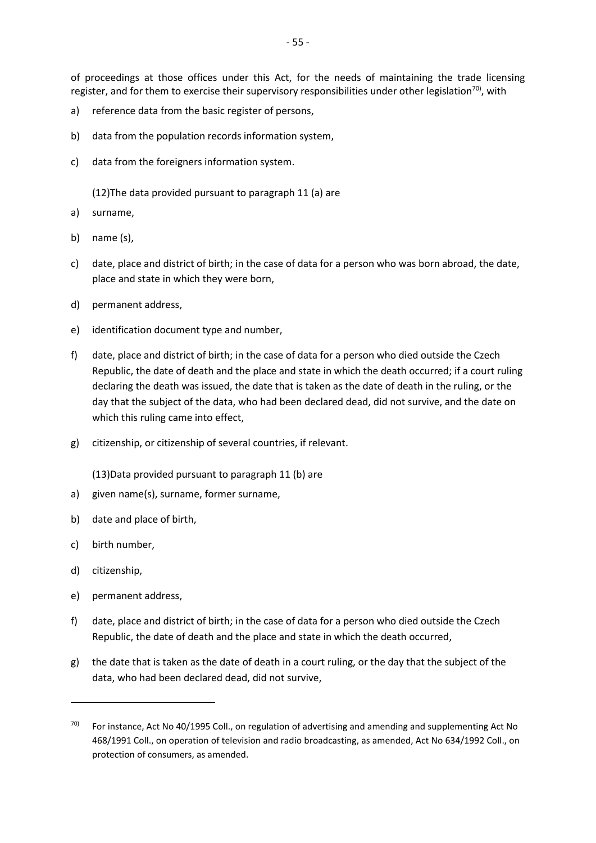of proceedings at those offices under this Act, for the needs of maintaining the trade licensing register, and for them to exercise their supervisory responsibilities under other legislation<sup>70)</sup>, with

- a) reference data from the basic register of persons,
- b) data from the population records information system,
- c) data from the foreigners information system.

(12)The data provided pursuant to paragraph 11 (a) are

- a) surname,
- b) name (s),
- c) date, place and district of birth; in the case of data for a person who was born abroad, the date, place and state in which they were born,
- d) permanent address,
- e) identification document type and number,
- f) date, place and district of birth; in the case of data for a person who died outside the Czech Republic, the date of death and the place and state in which the death occurred; if a court ruling declaring the death was issued, the date that is taken as the date of death in the ruling, or the day that the subject of the data, who had been declared dead, did not survive, and the date on which this ruling came into effect,
- g) citizenship, or citizenship of several countries, if relevant.

(13)Data provided pursuant to paragraph 11 (b) are

- a) given name(s), surname, former surname,
- b) date and place of birth,
- c) birth number,
- d) citizenship,

- e) permanent address,
- f) date, place and district of birth; in the case of data for a person who died outside the Czech Republic, the date of death and the place and state in which the death occurred,
- g) the date that is taken as the date of death in a court ruling, or the day that the subject of the data, who had been declared dead, did not survive,

 $70$  For instance, Act No 40/1995 Coll., on regulation of advertising and amending and supplementing Act No 468/1991 Coll., on operation of television and radio broadcasting, as amended, Act No 634/1992 Coll., on protection of consumers, as amended.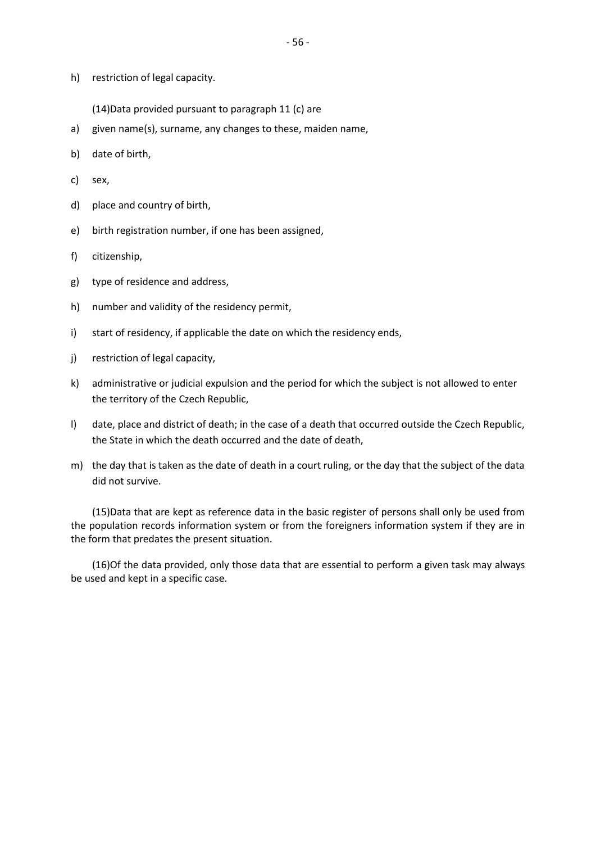h) restriction of legal capacity.

(14)Data provided pursuant to paragraph 11 (c) are

- a) given name(s), surname, any changes to these, maiden name,
- b) date of birth,
- c) sex,
- d) place and country of birth,
- e) birth registration number, if one has been assigned,
- f) citizenship,
- g) type of residence and address,
- h) number and validity of the residency permit,
- i) start of residency, if applicable the date on which the residency ends,
- j) restriction of legal capacity,
- k) administrative or judicial expulsion and the period for which the subject is not allowed to enter the territory of the Czech Republic,
- l) date, place and district of death; in the case of a death that occurred outside the Czech Republic, the State in which the death occurred and the date of death,
- m) the day that is taken as the date of death in a court ruling, or the day that the subject of the data did not survive.

(15)Data that are kept as reference data in the basic register of persons shall only be used from the population records information system or from the foreigners information system if they are in the form that predates the present situation.

(16)Of the data provided, only those data that are essential to perform a given task may always be used and kept in a specific case.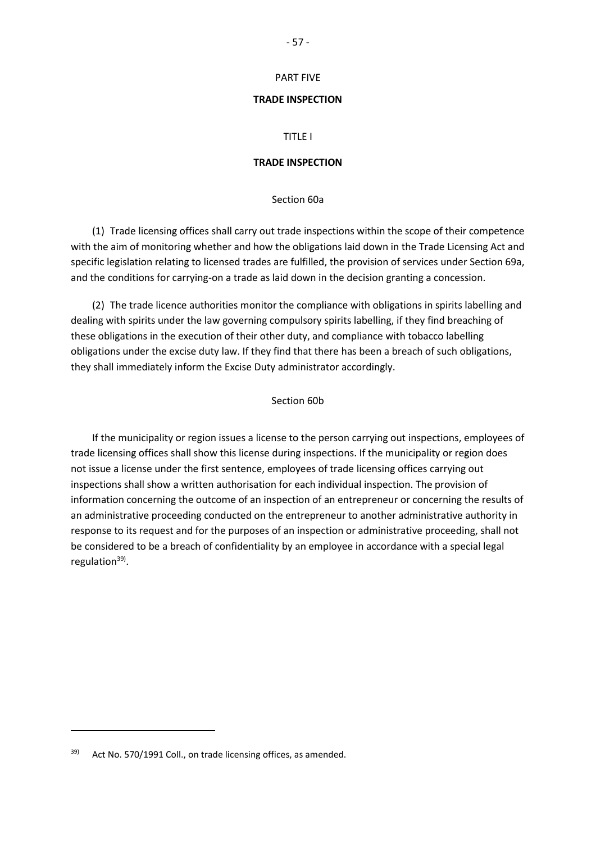- 57 -

# PART FIVE

#### **TRADE INSPECTION**

#### TITLE I

#### **TRADE INSPECTION**

Section 60a

(1) Trade licensing offices shall carry out trade inspections within the scope of their competence with the aim of monitoring whether and how the obligations laid down in the Trade Licensing Act and specific legislation relating to licensed trades are fulfilled, the provision of services under Section 69a, and the conditions for carrying-on a trade as laid down in the decision granting a concession.

(2) The trade licence authorities monitor the compliance with obligations in spirits labelling and dealing with spirits under the law governing compulsory spirits labelling, if they find breaching of these obligations in the execution of their other duty, and compliance with tobacco labelling obligations under the excise duty law. If they find that there has been a breach of such obligations, they shall immediately inform the Excise Duty administrator accordingly.

## Section 60b

If the municipality or region issues a license to the person carrying out inspections, employees of trade licensing offices shall show this license during inspections. If the municipality or region does not issue a license under the first sentence, employees of trade licensing offices carrying out inspections shall show a written authorisation for each individual inspection. The provision of information concerning the outcome of an inspection of an entrepreneur or concerning the results of an administrative proceeding conducted on the entrepreneur to another administrative authority in response to its request and for the purposes of an inspection or administrative proceeding, shall not be considered to be a breach of confidentiality by an employee in accordance with a special legal regulation<sup>39)</sup>.

 $\overline{a}$ 

 $39$  Act No. 570/1991 Coll., on trade licensing offices, as amended.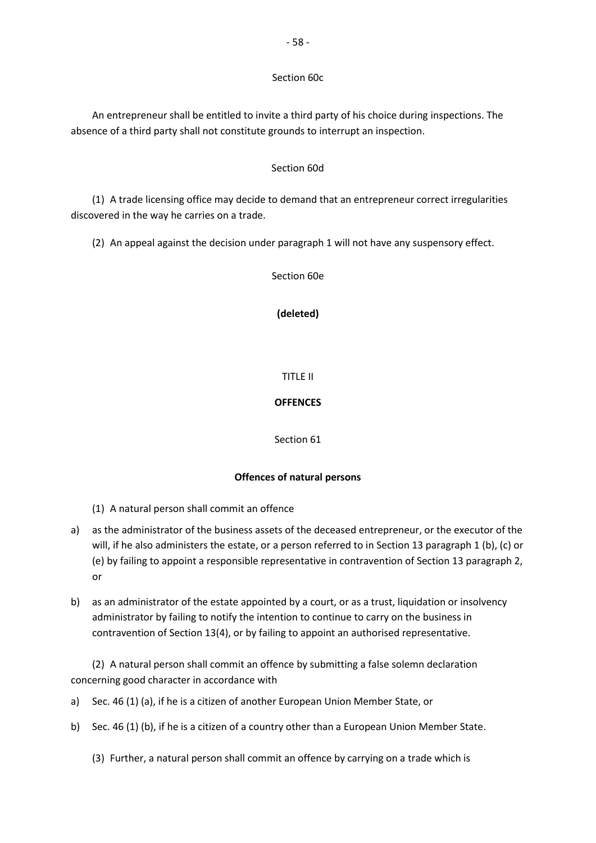## Section 60c

An entrepreneur shall be entitled to invite a third party of his choice during inspections. The absence of a third party shall not constitute grounds to interrupt an inspection.

## Section 60d

(1) A trade licensing office may decide to demand that an entrepreneur correct irregularities discovered in the way he carries on a trade.

(2) An appeal against the decision under paragraph 1 will not have any suspensory effect.

Section 60e

## **(deleted)**

## TITLE II

## **OFFENCES**

#### Section 61

## **Offences of natural persons**

- (1) A natural person shall commit an offence
- a) as the administrator of the business assets of the deceased entrepreneur, or the executor of the will, if he also administers the estate, or a person referred to in Section 13 paragraph 1 (b), (c) or (e) by failing to appoint a responsible representative in contravention of Section 13 paragraph 2, or
- b) as an administrator of the estate appointed by a court, or as a trust, liquidation or insolvency administrator by failing to notify the intention to continue to carry on the business in contravention of Section 13(4), or by failing to appoint an authorised representative.

(2) A natural person shall commit an offence by submitting a false solemn declaration concerning good character in accordance with

- a) Sec. 46 (1) (a), if he is a citizen of another European Union Member State, or
- b) Sec. 46 (1) (b), if he is a citizen of a country other than a European Union Member State.

(3) Further, a natural person shall commit an offence by carrying on a trade which is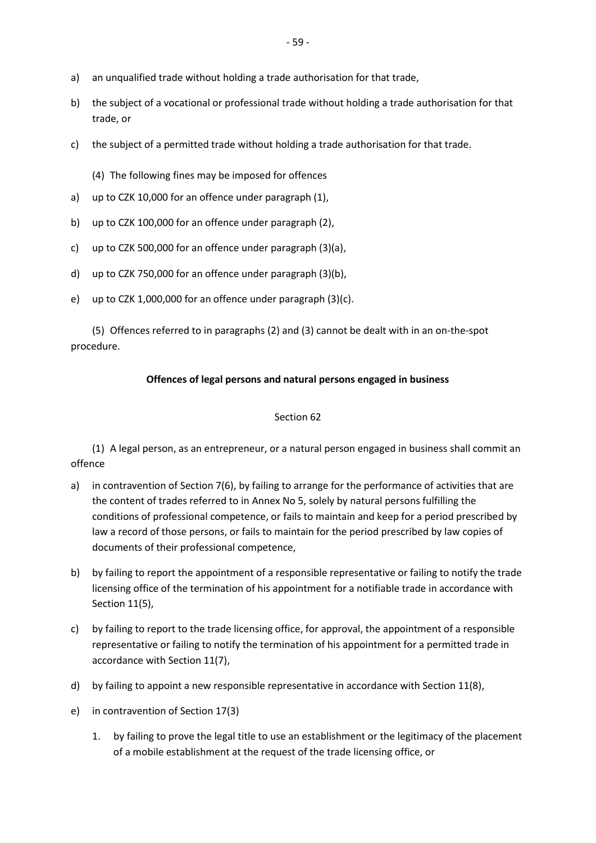- a) an unqualified trade without holding a trade authorisation for that trade,
- b) the subject of a vocational or professional trade without holding a trade authorisation for that trade, or
- c) the subject of a permitted trade without holding a trade authorisation for that trade.
	- (4) The following fines may be imposed for offences
- a) up to CZK 10,000 for an offence under paragraph (1),
- b) up to CZK 100,000 for an offence under paragraph (2),
- c) up to CZK 500,000 for an offence under paragraph (3)(a),
- d) up to CZK 750,000 for an offence under paragraph (3)(b),
- e) up to CZK 1,000,000 for an offence under paragraph (3)(c).

(5) Offences referred to in paragraphs (2) and (3) cannot be dealt with in an on-the-spot procedure.

# **Offences of legal persons and natural persons engaged in business**

# Section 62

(1) A legal person, as an entrepreneur, or a natural person engaged in business shall commit an offence

- a) in contravention of Section 7(6), by failing to arrange for the performance of activities that are the content of trades referred to in Annex No 5, solely by natural persons fulfilling the conditions of professional competence, or fails to maintain and keep for a period prescribed by law a record of those persons, or fails to maintain for the period prescribed by law copies of documents of their professional competence,
- b) by failing to report the appointment of a responsible representative or failing to notify the trade licensing office of the termination of his appointment for a notifiable trade in accordance with Section 11(5),
- c) by failing to report to the trade licensing office, for approval, the appointment of a responsible representative or failing to notify the termination of his appointment for a permitted trade in accordance with Section 11(7),
- d) by failing to appoint a new responsible representative in accordance with Section 11(8),
- e) in contravention of Section 17(3)
	- 1. by failing to prove the legal title to use an establishment or the legitimacy of the placement of a mobile establishment at the request of the trade licensing office, or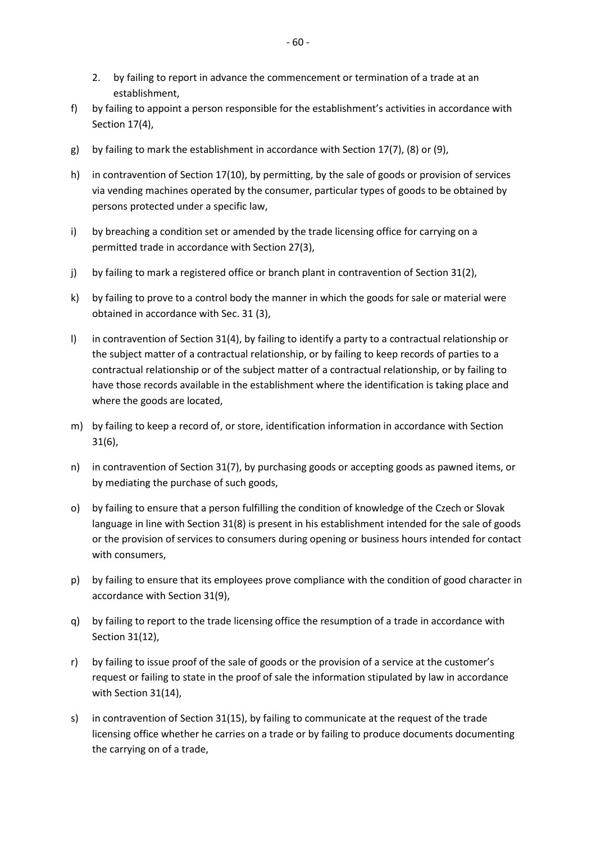- 2. by failing to report in advance the commencement or termination of a trade at an establishment,
- f) by failing to appoint a person responsible for the establishment's activities in accordance with Section 17(4),
- g) by failing to mark the establishment in accordance with Section 17(7), (8) or (9),
- h) in contravention of Section 17(10), by permitting, by the sale of goods or provision of services via vending machines operated by the consumer, particular types of goods to be obtained by persons protected under a specific law,
- i) by breaching a condition set or amended by the trade licensing office for carrying on a permitted trade in accordance with Section 27(3),
- j) by failing to mark a registered office or branch plant in contravention of Section 31(2),
- k) by failing to prove to a control body the manner in which the goods for sale or material were obtained in accordance with Sec. 31 (3),
- l) in contravention of Section 31(4), by failing to identify a party to a contractual relationship or the subject matter of a contractual relationship, or by failing to keep records of parties to a contractual relationship or of the subject matter of a contractual relationship, or by failing to have those records available in the establishment where the identification is taking place and where the goods are located,
- m) by failing to keep a record of, or store, identification information in accordance with Section 31(6),
- n) in contravention of Section 31(7), by purchasing goods or accepting goods as pawned items, or by mediating the purchase of such goods,
- o) by failing to ensure that a person fulfilling the condition of knowledge of the Czech or Slovak language in line with Section 31(8) is present in his establishment intended for the sale of goods or the provision of services to consumers during opening or business hours intended for contact with consumers,
- p) by failing to ensure that its employees prove compliance with the condition of good character in accordance with Section 31(9),
- q) by failing to report to the trade licensing office the resumption of a trade in accordance with Section 31(12),
- r) by failing to issue proof of the sale of goods or the provision of a service at the customer's request or failing to state in the proof of sale the information stipulated by law in accordance with Section 31(14),
- s) in contravention of Section 31(15), by failing to communicate at the request of the trade licensing office whether he carries on a trade or by failing to produce documents documenting the carrying on of a trade,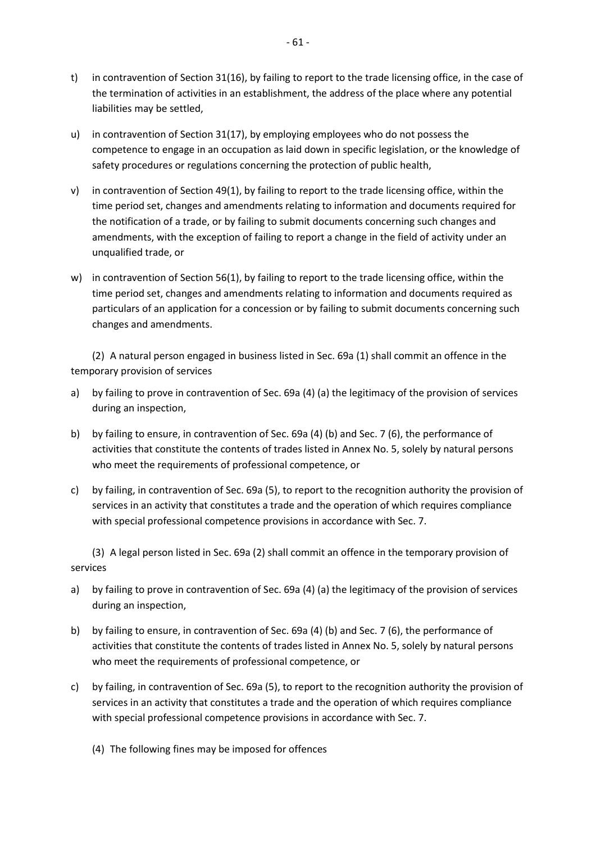- t) in contravention of Section 31(16), by failing to report to the trade licensing office, in the case of the termination of activities in an establishment, the address of the place where any potential liabilities may be settled,
- u) in contravention of Section 31(17), by employing employees who do not possess the competence to engage in an occupation as laid down in specific legislation, or the knowledge of safety procedures or regulations concerning the protection of public health,
- v) in contravention of Section 49(1), by failing to report to the trade licensing office, within the time period set, changes and amendments relating to information and documents required for the notification of a trade, or by failing to submit documents concerning such changes and amendments, with the exception of failing to report a change in the field of activity under an unqualified trade, or
- w) in contravention of Section 56(1), by failing to report to the trade licensing office, within the time period set, changes and amendments relating to information and documents required as particulars of an application for a concession or by failing to submit documents concerning such changes and amendments.

(2) A natural person engaged in business listed in Sec. 69a (1) shall commit an offence in the temporary provision of services

- a) by failing to prove in contravention of Sec. 69a (4) (a) the legitimacy of the provision of services during an inspection,
- b) by failing to ensure, in contravention of Sec. 69a (4) (b) and Sec. 7 (6), the performance of activities that constitute the contents of trades listed in Annex No. 5, solely by natural persons who meet the requirements of professional competence, or
- c) by failing, in contravention of Sec. 69a (5), to report to the recognition authority the provision of services in an activity that constitutes a trade and the operation of which requires compliance with special professional competence provisions in accordance with Sec. 7.

(3) A legal person listed in Sec. 69a (2) shall commit an offence in the temporary provision of services

- a) by failing to prove in contravention of Sec. 69a (4) (a) the legitimacy of the provision of services during an inspection,
- b) by failing to ensure, in contravention of Sec. 69a (4) (b) and Sec. 7 (6), the performance of activities that constitute the contents of trades listed in Annex No. 5, solely by natural persons who meet the requirements of professional competence, or
- c) by failing, in contravention of Sec. 69a (5), to report to the recognition authority the provision of services in an activity that constitutes a trade and the operation of which requires compliance with special professional competence provisions in accordance with Sec. 7.
	- (4) The following fines may be imposed for offences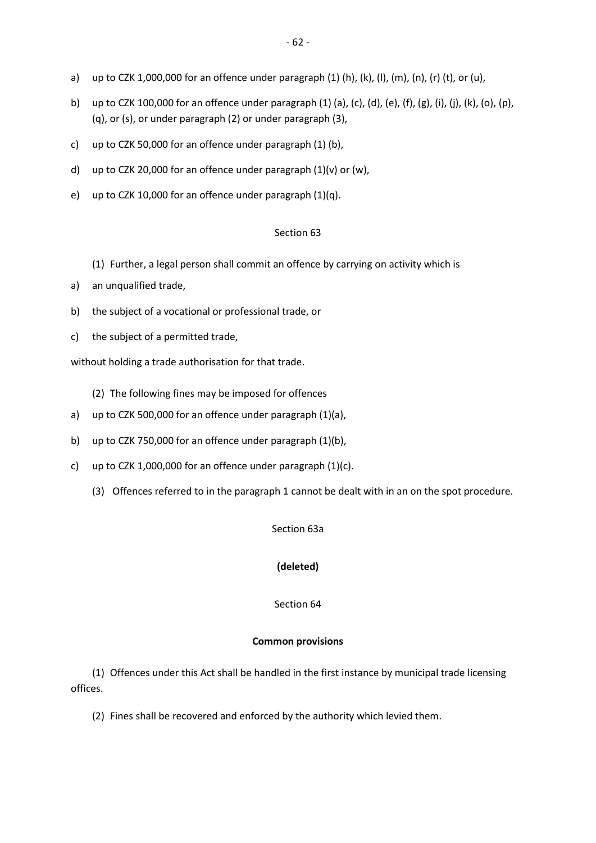- a) up to CZK 1,000,000 for an offence under paragraph (1) (h), (k), (l), (m), (n), (r) (t), or (u),
- b) up to CZK 100,000 for an offence under paragraph (1) (a), (c), (d), (e), (f), (g), (i), (j), (k), (o), (p), (q), or (s), or under paragraph (2) or under paragraph (3),
- c) up to CZK 50,000 for an offence under paragraph (1) (b),
- d) up to CZK 20,000 for an offence under paragraph  $(1)(v)$  or  $(w)$ ,
- e) up to CZK 10,000 for an offence under paragraph (1)(q).

#### Section 63

- (1) Further, a legal person shall commit an offence by carrying on activity which is
- a) an unqualified trade,
- b) the subject of a vocational or professional trade, or
- c) the subject of a permitted trade,

without holding a trade authorisation for that trade.

(2) The following fines may be imposed for offences

- a) up to CZK 500,000 for an offence under paragraph (1)(a),
- b) up to CZK 750,000 for an offence under paragraph (1)(b),
- c) up to CZK 1,000,000 for an offence under paragraph  $(1)(c)$ .
	- (3) Offences referred to in the paragraph 1 cannot be dealt with in an on the spot procedure.

#### Section 63a

### **(deleted)**

Section 64

#### **Common provisions**

(1) Offences under this Act shall be handled in the first instance by municipal trade licensing offices.

(2) Fines shall be recovered and enforced by the authority which levied them.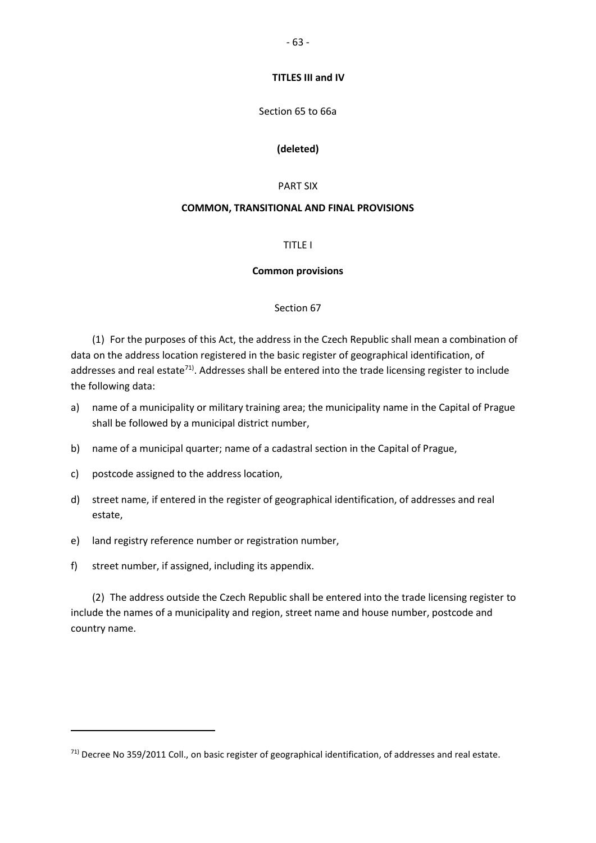**TITLES III and IV**

#### Section 65 to 66a

#### **(deleted)**

#### PART SIX

#### **COMMON, TRANSITIONAL AND FINAL PROVISIONS**

## TITLE I

#### **Common provisions**

#### Section 67

(1) For the purposes of this Act, the address in the Czech Republic shall mean a combination of data on the address location registered in the basic register of geographical identification, of addresses and real estate<sup>71)</sup>. Addresses shall be entered into the trade licensing register to include the following data:

- a) name of a municipality or military training area; the municipality name in the Capital of Prague shall be followed by a municipal district number,
- b) name of a municipal quarter; name of a cadastral section in the Capital of Prague,
- c) postcode assigned to the address location,
- d) street name, if entered in the register of geographical identification, of addresses and real estate,
- e) land registry reference number or registration number,
- f) street number, if assigned, including its appendix.

 $\overline{a}$ 

(2) The address outside the Czech Republic shall be entered into the trade licensing register to include the names of a municipality and region, street name and house number, postcode and country name.

 $71)$  Decree No 359/2011 Coll., on basic register of geographical identification, of addresses and real estate.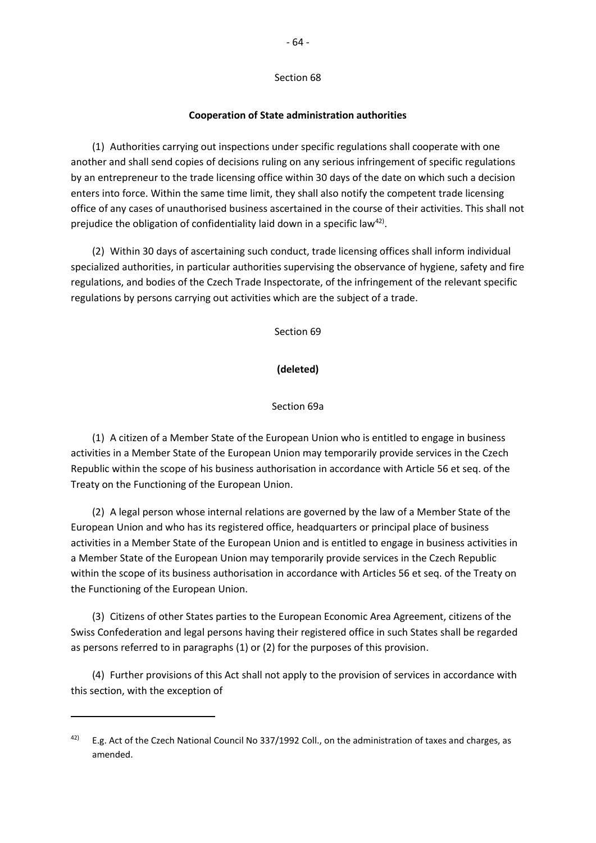## Section 68

#### **Cooperation of State administration authorities**

(1) Authorities carrying out inspections under specific regulations shall cooperate with one another and shall send copies of decisions ruling on any serious infringement of specific regulations by an entrepreneur to the trade licensing office within 30 days of the date on which such a decision enters into force. Within the same time limit, they shall also notify the competent trade licensing office of any cases of unauthorised business ascertained in the course of their activities. This shall not prejudice the obligation of confidentiality laid down in a specific law<sup>42)</sup>.

(2) Within 30 days of ascertaining such conduct, trade licensing offices shall inform individual specialized authorities, in particular authorities supervising the observance of hygiene, safety and fire regulations, and bodies of the Czech Trade Inspectorate, of the infringement of the relevant specific regulations by persons carrying out activities which are the subject of a trade.

Section 69

**(deleted)**

#### Section 69a

(1) A citizen of a Member State of the European Union who is entitled to engage in business activities in a Member State of the European Union may temporarily provide services in the Czech Republic within the scope of his business authorisation in accordance with Article 56 et seq. of the Treaty on the Functioning of the European Union.

(2) A legal person whose internal relations are governed by the law of a Member State of the European Union and who has its registered office, headquarters or principal place of business activities in a Member State of the European Union and is entitled to engage in business activities in a Member State of the European Union may temporarily provide services in the Czech Republic within the scope of its business authorisation in accordance with Articles 56 et seq. of the Treaty on the Functioning of the European Union.

(3) Citizens of other States parties to the European Economic Area Agreement, citizens of the Swiss Confederation and legal persons having their registered office in such States shall be regarded as persons referred to in paragraphs (1) or (2) for the purposes of this provision.

(4) Further provisions of this Act shall not apply to the provision of services in accordance with this section, with the exception of

<sup>42)</sup> E.g. Act of the Czech National Council No 337/1992 Coll., on the administration of taxes and charges, as amended.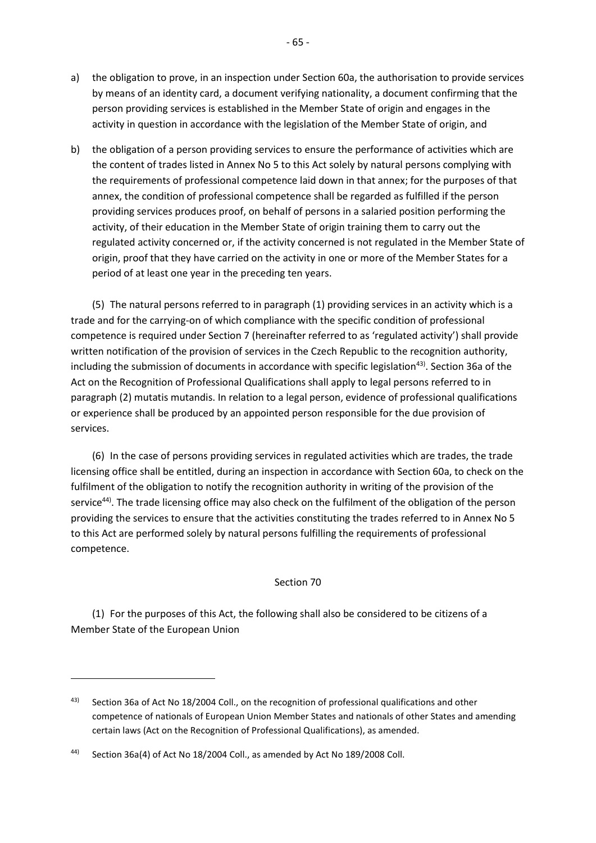- a) the obligation to prove, in an inspection under Section 60a, the authorisation to provide services by means of an identity card, a document verifying nationality, a document confirming that the person providing services is established in the Member State of origin and engages in the activity in question in accordance with the legislation of the Member State of origin, and
- b) the obligation of a person providing services to ensure the performance of activities which are the content of trades listed in Annex No 5 to this Act solely by natural persons complying with the requirements of professional competence laid down in that annex; for the purposes of that annex, the condition of professional competence shall be regarded as fulfilled if the person providing services produces proof, on behalf of persons in a salaried position performing the activity, of their education in the Member State of origin training them to carry out the regulated activity concerned or, if the activity concerned is not regulated in the Member State of origin, proof that they have carried on the activity in one or more of the Member States for a period of at least one year in the preceding ten years.

(5) The natural persons referred to in paragraph (1) providing services in an activity which is a trade and for the carrying-on of which compliance with the specific condition of professional competence is required under Section 7 (hereinafter referred to as 'regulated activity') shall provide written notification of the provision of services in the Czech Republic to the recognition authority, including the submission of documents in accordance with specific legislation<sup>43)</sup>. Section 36a of the Act on the Recognition of Professional Qualifications shall apply to legal persons referred to in paragraph (2) mutatis mutandis. In relation to a legal person, evidence of professional qualifications or experience shall be produced by an appointed person responsible for the due provision of services.

(6) In the case of persons providing services in regulated activities which are trades, the trade licensing office shall be entitled, during an inspection in accordance with Section 60a, to check on the fulfilment of the obligation to notify the recognition authority in writing of the provision of the service<sup>44)</sup>. The trade licensing office may also check on the fulfilment of the obligation of the person providing the services to ensure that the activities constituting the trades referred to in Annex No 5 to this Act are performed solely by natural persons fulfilling the requirements of professional competence.

#### Section 70

(1) For the purposes of this Act, the following shall also be considered to be citizens of a Member State of the European Union

<sup>43)</sup> Section 36a of Act No 18/2004 Coll., on the recognition of professional qualifications and other competence of nationals of European Union Member States and nationals of other States and amending certain laws (Act on the Recognition of Professional Qualifications), as amended.

<sup>44)</sup> Section 36a(4) of Act No 18/2004 Coll., as amended by Act No 189/2008 Coll.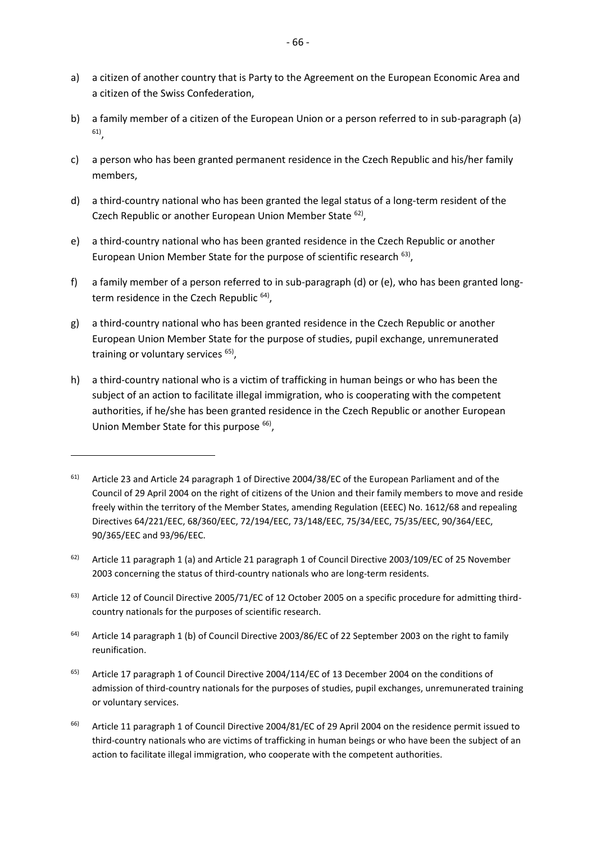- a) a citizen of another country that is Party to the Agreement on the European Economic Area and a citizen of the Swiss Confederation,
- b) a family member of a citizen of the European Union or a person referred to in sub-paragraph (a) 61) ,
- c) a person who has been granted permanent residence in the Czech Republic and his/her family members,
- d) a third-country national who has been granted the legal status of a long-term resident of the Czech Republic or another European Union Member State <sup>62)</sup>,
- e) a third-country national who has been granted residence in the Czech Republic or another European Union Member State for the purpose of scientific research <sup>63)</sup>,
- f) a family member of a person referred to in sub-paragraph (d) or (e), who has been granted longterm residence in the Czech Republic <sup>64)</sup>,
- g) a third-country national who has been granted residence in the Czech Republic or another European Union Member State for the purpose of studies, pupil exchange, unremunerated training or voluntary services <sup>65)</sup>,
- h) a third-country national who is a victim of trafficking in human beings or who has been the subject of an action to facilitate illegal immigration, who is cooperating with the competent authorities, if he/she has been granted residence in the Czech Republic or another European Union Member State for this purpose <sup>66)</sup>,

- <sup>63)</sup> Article 12 of Council Directive 2005/71/EC of 12 October 2005 on a specific procedure for admitting thirdcountry nationals for the purposes of scientific research.
- <sup>64)</sup> Article 14 paragraph 1 (b) of Council Directive 2003/86/EC of 22 September 2003 on the right to family reunification.
- $65$ ) Article 17 paragraph 1 of Council Directive 2004/114/EC of 13 December 2004 on the conditions of admission of third-country nationals for the purposes of studies, pupil exchanges, unremunerated training or voluntary services.
- <sup>66)</sup> Article 11 paragraph 1 of Council Directive 2004/81/EC of 29 April 2004 on the residence permit issued to third-country nationals who are victims of trafficking in human beings or who have been the subject of an action to facilitate illegal immigration, who cooperate with the competent authorities.

<sup>61)</sup> Article 23 and Article 24 paragraph 1 of Directive 2004/38/EC of the European Parliament and of the Council of 29 April 2004 on the right of citizens of the Union and their family members to move and reside freely within the territory of the Member States, amending Regulation (EEEC) No. 1612/68 and repealing Directives 64/221/EEC, 68/360/EEC, 72/194/EEC, 73/148/EEC, 75/34/EEC, 75/35/EEC, 90/364/EEC, 90/365/EEC and 93/96/EEC.

 $62$ ) Article 11 paragraph 1 (a) and Article 21 paragraph 1 of Council Directive 2003/109/EC of 25 November 2003 concerning the status of third-country nationals who are long-term residents.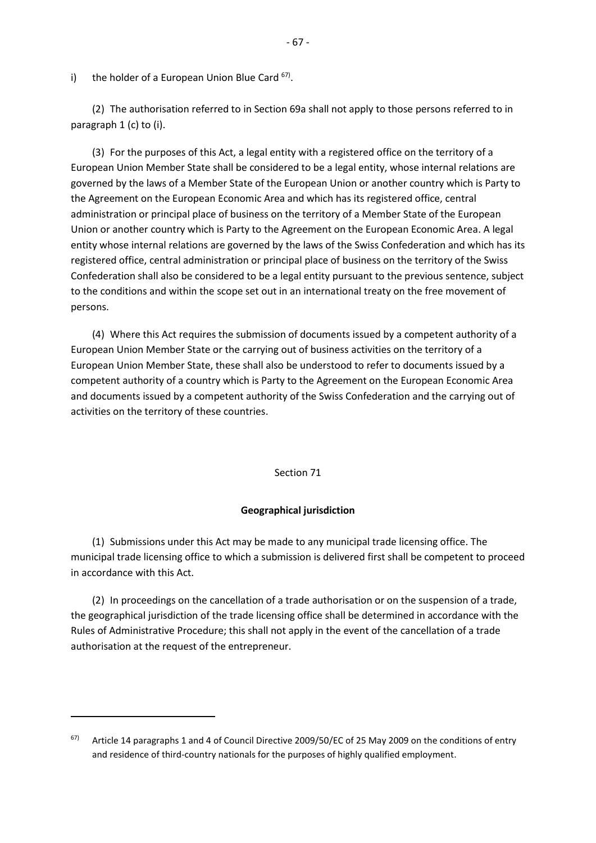i) the holder of a European Union Blue Card <sup>67)</sup>.

(2) The authorisation referred to in Section 69a shall not apply to those persons referred to in paragraph 1 (c) to (i).

(3) For the purposes of this Act, a legal entity with a registered office on the territory of a European Union Member State shall be considered to be a legal entity, whose internal relations are governed by the laws of a Member State of the European Union or another country which is Party to the Agreement on the European Economic Area and which has its registered office, central administration or principal place of business on the territory of a Member State of the European Union or another country which is Party to the Agreement on the European Economic Area. A legal entity whose internal relations are governed by the laws of the Swiss Confederation and which has its registered office, central administration or principal place of business on the territory of the Swiss Confederation shall also be considered to be a legal entity pursuant to the previous sentence, subject to the conditions and within the scope set out in an international treaty on the free movement of persons.

(4) Where this Act requires the submission of documents issued by a competent authority of a European Union Member State or the carrying out of business activities on the territory of a European Union Member State, these shall also be understood to refer to documents issued by a competent authority of a country which is Party to the Agreement on the European Economic Area and documents issued by a competent authority of the Swiss Confederation and the carrying out of activities on the territory of these countries.

#### Section 71

### **Geographical jurisdiction**

(1) Submissions under this Act may be made to any municipal trade licensing office. The municipal trade licensing office to which a submission is delivered first shall be competent to proceed in accordance with this Act.

(2) In proceedings on the cancellation of a trade authorisation or on the suspension of a trade, the geographical jurisdiction of the trade licensing office shall be determined in accordance with the Rules of Administrative Procedure; this shall not apply in the event of the cancellation of a trade authorisation at the request of the entrepreneur.

 $67$  Article 14 paragraphs 1 and 4 of Council Directive 2009/50/EC of 25 May 2009 on the conditions of entry and residence of third-country nationals for the purposes of highly qualified employment.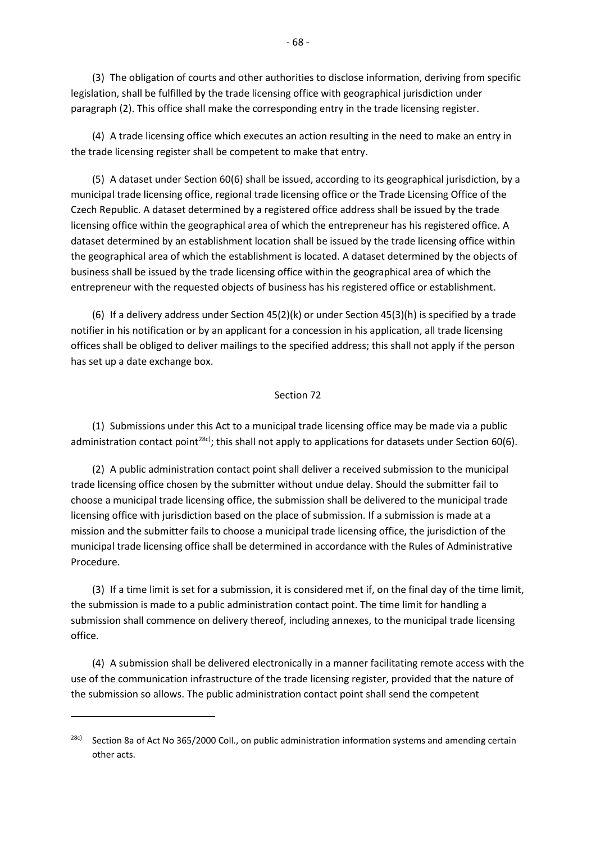(3) The obligation of courts and other authorities to disclose information, deriving from specific legislation, shall be fulfilled by the trade licensing office with geographical jurisdiction under paragraph (2). This office shall make the corresponding entry in the trade licensing register.

(4) A trade licensing office which executes an action resulting in the need to make an entry in the trade licensing register shall be competent to make that entry.

(5) A dataset under Section 60(6) shall be issued, according to its geographical jurisdiction, by a municipal trade licensing office, regional trade licensing office or the Trade Licensing Office of the Czech Republic. A dataset determined by a registered office address shall be issued by the trade licensing office within the geographical area of which the entrepreneur has his registered office. A dataset determined by an establishment location shall be issued by the trade licensing office within the geographical area of which the establishment is located. A dataset determined by the objects of business shall be issued by the trade licensing office within the geographical area of which the entrepreneur with the requested objects of business has his registered office or establishment.

(6) If a delivery address under Section 45(2)(k) or under Section 45(3)(h) is specified by a trade notifier in his notification or by an applicant for a concession in his application, all trade licensing offices shall be obliged to deliver mailings to the specified address; this shall not apply if the person has set up a date exchange box.

#### Section 72

(1) Submissions under this Act to a municipal trade licensing office may be made via a public administration contact point<sup>28c)</sup>; this shall not apply to applications for datasets under Section 60(6).

(2) A public administration contact point shall deliver a received submission to the municipal trade licensing office chosen by the submitter without undue delay. Should the submitter fail to choose a municipal trade licensing office, the submission shall be delivered to the municipal trade licensing office with jurisdiction based on the place of submission. If a submission is made at a mission and the submitter fails to choose a municipal trade licensing office, the jurisdiction of the municipal trade licensing office shall be determined in accordance with the Rules of Administrative Procedure.

(3) If a time limit is set for a submission, it is considered met if, on the final day of the time limit, the submission is made to a public administration contact point. The time limit for handling a submission shall commence on delivery thereof, including annexes, to the municipal trade licensing office.

(4) A submission shall be delivered electronically in a manner facilitating remote access with the use of the communication infrastructure of the trade licensing register, provided that the nature of the submission so allows. The public administration contact point shall send the competent

<sup>&</sup>lt;sup>28c)</sup> Section 8a of Act No 365/2000 Coll., on public administration information systems and amending certain other acts.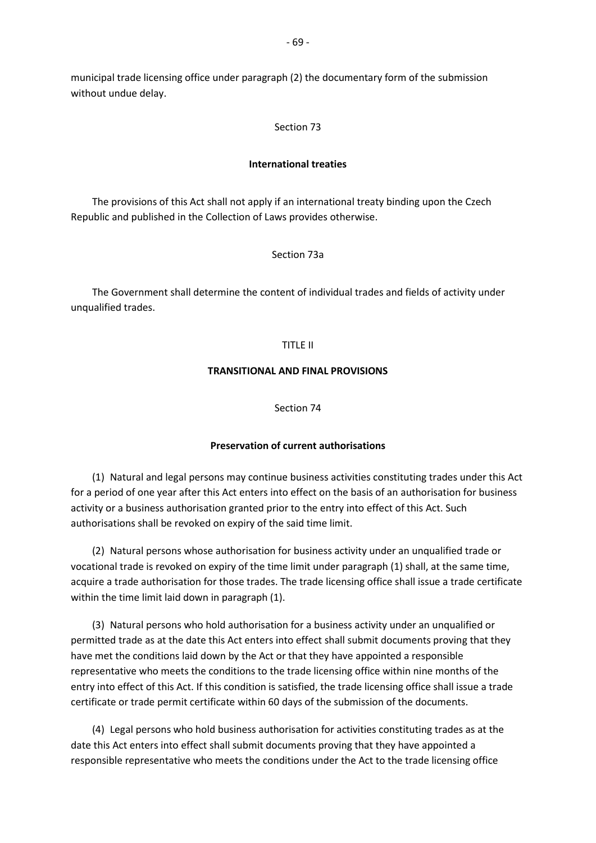municipal trade licensing office under paragraph (2) the documentary form of the submission without undue delay.

#### Section 73

#### **International treaties**

The provisions of this Act shall not apply if an international treaty binding upon the Czech Republic and published in the Collection of Laws provides otherwise.

## Section 73a

The Government shall determine the content of individual trades and fields of activity under unqualified trades.

#### TITLE II

#### **TRANSITIONAL AND FINAL PROVISIONS**

Section 74

## **Preservation of current authorisations**

(1) Natural and legal persons may continue business activities constituting trades under this Act for a period of one year after this Act enters into effect on the basis of an authorisation for business activity or a business authorisation granted prior to the entry into effect of this Act. Such authorisations shall be revoked on expiry of the said time limit.

(2) Natural persons whose authorisation for business activity under an unqualified trade or vocational trade is revoked on expiry of the time limit under paragraph (1) shall, at the same time, acquire a trade authorisation for those trades. The trade licensing office shall issue a trade certificate within the time limit laid down in paragraph (1).

(3) Natural persons who hold authorisation for a business activity under an unqualified or permitted trade as at the date this Act enters into effect shall submit documents proving that they have met the conditions laid down by the Act or that they have appointed a responsible representative who meets the conditions to the trade licensing office within nine months of the entry into effect of this Act. If this condition is satisfied, the trade licensing office shall issue a trade certificate or trade permit certificate within 60 days of the submission of the documents.

(4) Legal persons who hold business authorisation for activities constituting trades as at the date this Act enters into effect shall submit documents proving that they have appointed a responsible representative who meets the conditions under the Act to the trade licensing office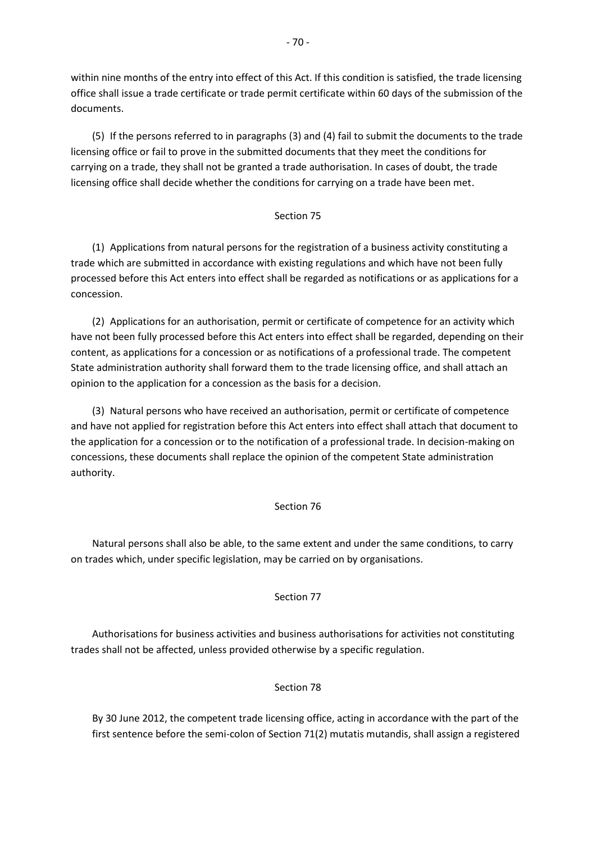within nine months of the entry into effect of this Act. If this condition is satisfied, the trade licensing office shall issue a trade certificate or trade permit certificate within 60 days of the submission of the documents.

(5) If the persons referred to in paragraphs (3) and (4) fail to submit the documents to the trade licensing office or fail to prove in the submitted documents that they meet the conditions for carrying on a trade, they shall not be granted a trade authorisation. In cases of doubt, the trade licensing office shall decide whether the conditions for carrying on a trade have been met.

# Section 75

(1) Applications from natural persons for the registration of a business activity constituting a trade which are submitted in accordance with existing regulations and which have not been fully processed before this Act enters into effect shall be regarded as notifications or as applications for a concession.

(2) Applications for an authorisation, permit or certificate of competence for an activity which have not been fully processed before this Act enters into effect shall be regarded, depending on their content, as applications for a concession or as notifications of a professional trade. The competent State administration authority shall forward them to the trade licensing office, and shall attach an opinion to the application for a concession as the basis for a decision.

(3) Natural persons who have received an authorisation, permit or certificate of competence and have not applied for registration before this Act enters into effect shall attach that document to the application for a concession or to the notification of a professional trade. In decision-making on concessions, these documents shall replace the opinion of the competent State administration authority.

## Section 76

Natural persons shall also be able, to the same extent and under the same conditions, to carry on trades which, under specific legislation, may be carried on by organisations.

## Section 77

Authorisations for business activities and business authorisations for activities not constituting trades shall not be affected, unless provided otherwise by a specific regulation.

## Section 78

By 30 June 2012, the competent trade licensing office, acting in accordance with the part of the first sentence before the semi-colon of Section 71(2) mutatis mutandis, shall assign a registered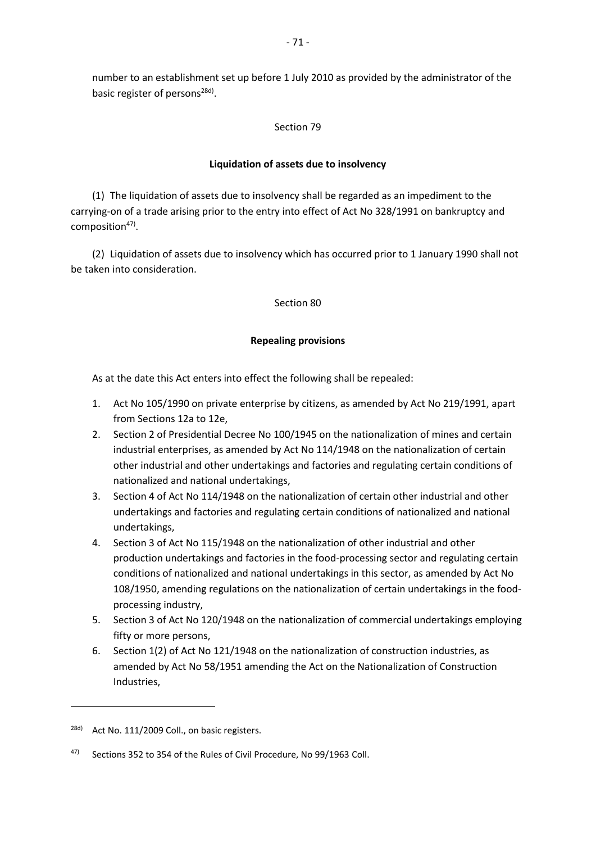number to an establishment set up before 1 July 2010 as provided by the administrator of the basic register of persons<sup>28d)</sup>.

## Section 79

## **Liquidation of assets due to insolvency**

(1) The liquidation of assets due to insolvency shall be regarded as an impediment to the carrying-on of a trade arising prior to the entry into effect of Act No 328/1991 on bankruptcy and composition<sup>47)</sup>.

(2) Liquidation of assets due to insolvency which has occurred prior to 1 January 1990 shall not be taken into consideration.

## Section 80

## **Repealing provisions**

As at the date this Act enters into effect the following shall be repealed:

- 1. Act No 105/1990 on private enterprise by citizens, as amended by Act No 219/1991, apart from Sections 12a to 12e,
- 2. Section 2 of Presidential Decree No 100/1945 on the nationalization of mines and certain industrial enterprises, as amended by Act No 114/1948 on the nationalization of certain other industrial and other undertakings and factories and regulating certain conditions of nationalized and national undertakings,
- 3. Section 4 of Act No 114/1948 on the nationalization of certain other industrial and other undertakings and factories and regulating certain conditions of nationalized and national undertakings,
- 4. Section 3 of Act No 115/1948 on the nationalization of other industrial and other production undertakings and factories in the food-processing sector and regulating certain conditions of nationalized and national undertakings in this sector, as amended by Act No 108/1950, amending regulations on the nationalization of certain undertakings in the foodprocessing industry,
- 5. Section 3 of Act No 120/1948 on the nationalization of commercial undertakings employing fifty or more persons,
- 6. Section 1(2) of Act No 121/1948 on the nationalization of construction industries, as amended by Act No 58/1951 amending the Act on the Nationalization of Construction Industries,

 $\overline{a}$ 

<sup>&</sup>lt;sup>28d)</sup> Act No. 111/2009 Coll., on basic registers.

<sup>47)</sup> Sections 352 to 354 of the Rules of Civil Procedure, No 99/1963 Coll.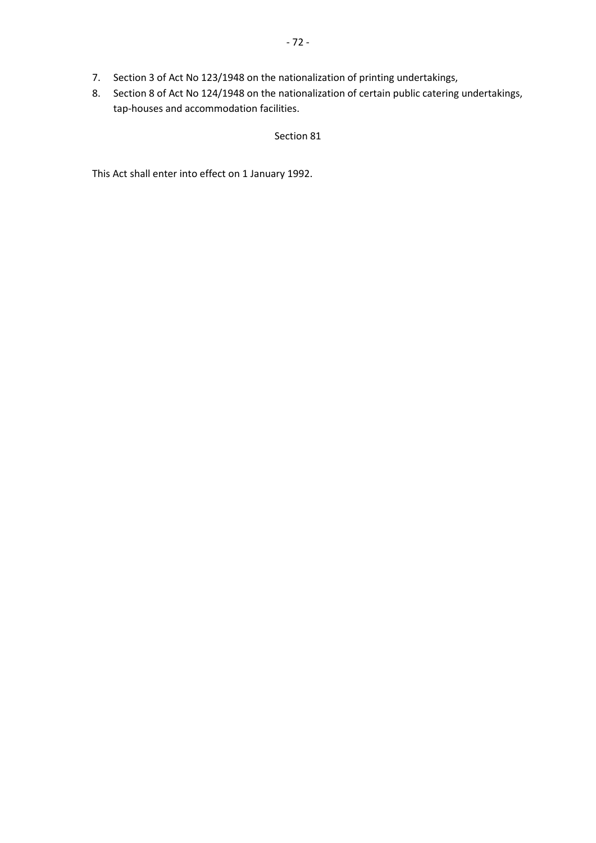- 7. Section 3 of Act No 123/1948 on the nationalization of printing undertakings,
- 8. Section 8 of Act No 124/1948 on the nationalization of certain public catering undertakings, tap-houses and accommodation facilities.

# Section 81

This Act shall enter into effect on 1 January 1992.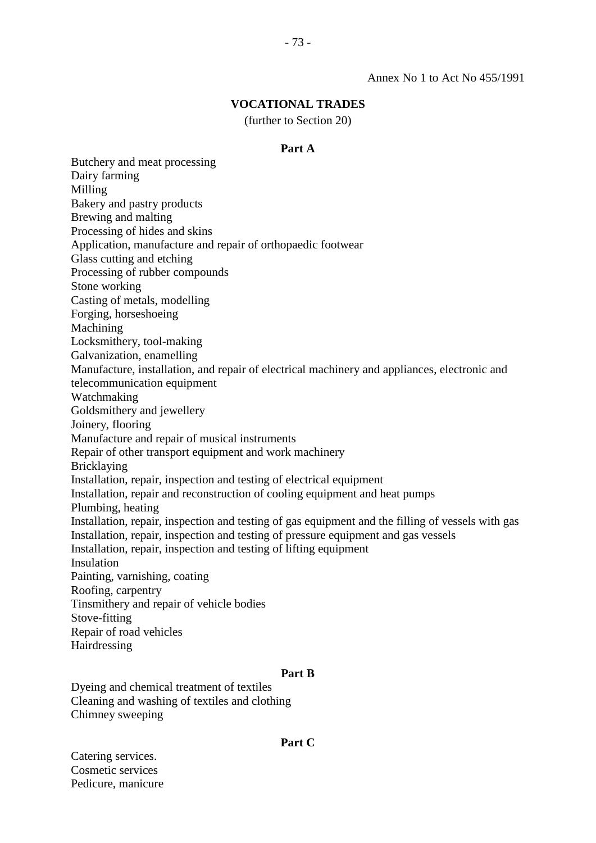## **VOCATIONAL TRADES**

(further to Section 20)

#### **Part A**

Butchery and meat processing Dairy farming Milling Bakery and pastry products Brewing and malting Processing of hides and skins Application, manufacture and repair of orthopaedic footwear Glass cutting and etching Processing of rubber compounds Stone working Casting of metals, modelling Forging, horseshoeing Machining Locksmithery, tool-making Galvanization, enamelling Manufacture, installation, and repair of electrical machinery and appliances, electronic and telecommunication equipment Watchmaking Goldsmithery and jewellery Joinery, flooring Manufacture and repair of musical instruments Repair of other transport equipment and work machinery Bricklaying Installation, repair, inspection and testing of electrical equipment Installation, repair and reconstruction of cooling equipment and heat pumps Plumbing, heating Installation, repair, inspection and testing of gas equipment and the filling of vessels with gas Installation, repair, inspection and testing of pressure equipment and gas vessels Installation, repair, inspection and testing of lifting equipment Insulation Painting, varnishing, coating Roofing, carpentry Tinsmithery and repair of vehicle bodies Stove-fitting Repair of road vehicles Hairdressing

#### **Part B**

Dyeing and chemical treatment of textiles Cleaning and washing of textiles and clothing Chimney sweeping

#### **Part C**

Catering services. Cosmetic services Pedicure, manicure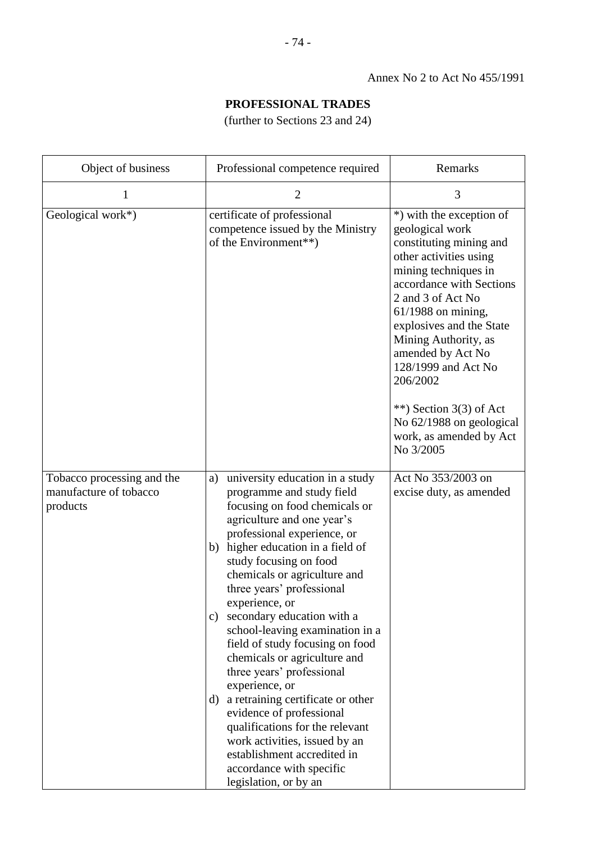# **PROFESSIONAL TRADES**

(further to Sections 23 and 24)

| Object of business                                               | Professional competence required                                                                                                                                                                                                                                                                                                                                                                                                                                                                                                                                                                                                                                                                                                                     | Remarks                                                                                                                                                                                                                                                                                                                                                                                                        |
|------------------------------------------------------------------|------------------------------------------------------------------------------------------------------------------------------------------------------------------------------------------------------------------------------------------------------------------------------------------------------------------------------------------------------------------------------------------------------------------------------------------------------------------------------------------------------------------------------------------------------------------------------------------------------------------------------------------------------------------------------------------------------------------------------------------------------|----------------------------------------------------------------------------------------------------------------------------------------------------------------------------------------------------------------------------------------------------------------------------------------------------------------------------------------------------------------------------------------------------------------|
| 1                                                                | $\overline{2}$                                                                                                                                                                                                                                                                                                                                                                                                                                                                                                                                                                                                                                                                                                                                       | 3                                                                                                                                                                                                                                                                                                                                                                                                              |
| Geological work*)                                                | certificate of professional<br>competence issued by the Ministry<br>of the Environment**)                                                                                                                                                                                                                                                                                                                                                                                                                                                                                                                                                                                                                                                            | *) with the exception of<br>geological work<br>constituting mining and<br>other activities using<br>mining techniques in<br>accordance with Sections<br>2 and 3 of Act No<br>$61/1988$ on mining,<br>explosives and the State<br>Mining Authority, as<br>amended by Act No<br>128/1999 and Act No<br>206/2002<br>**) Section $3(3)$ of Act<br>No 62/1988 on geological<br>work, as amended by Act<br>No 3/2005 |
| Tobacco processing and the<br>manufacture of tobacco<br>products | university education in a study<br>a)<br>programme and study field<br>focusing on food chemicals or<br>agriculture and one year's<br>professional experience, or<br>higher education in a field of<br>b)<br>study focusing on food<br>chemicals or agriculture and<br>three years' professional<br>experience, or<br>secondary education with a<br>$\mathbf{c})$<br>school-leaving examination in a<br>field of study focusing on food<br>chemicals or agriculture and<br>three years' professional<br>experience, or<br>a retraining certificate or other<br>d)<br>evidence of professional<br>qualifications for the relevant<br>work activities, issued by an<br>establishment accredited in<br>accordance with specific<br>legislation, or by an | Act No 353/2003 on<br>excise duty, as amended                                                                                                                                                                                                                                                                                                                                                                  |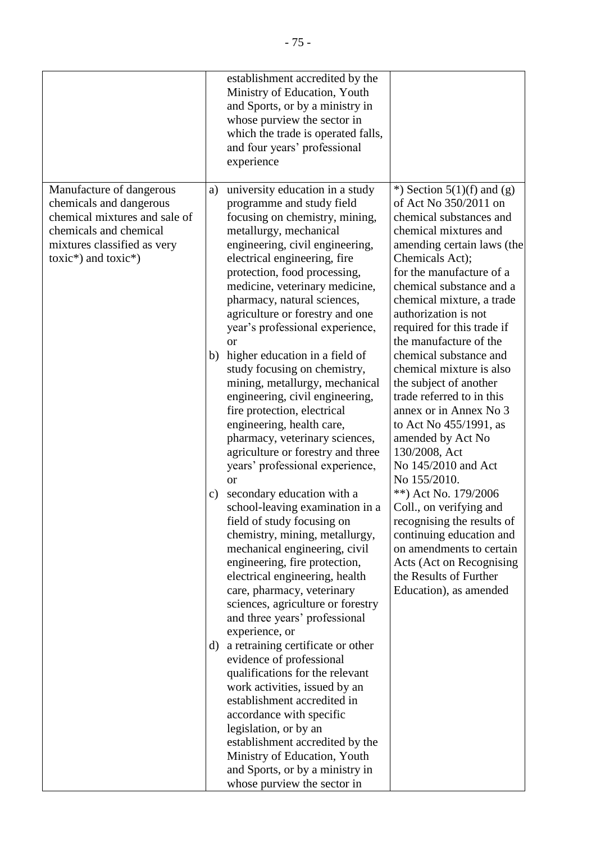|                                                                                                                                                                          |                      | establishment accredited by the<br>Ministry of Education, Youth<br>and Sports, or by a ministry in<br>whose purview the sector in<br>which the trade is operated falls,<br>and four years' professional<br>experience                                                                                                                                                                                                                                                                                                                                                                                                                                                                                                                                                                                                                                                                                                                                                                                                                                                                                                                                                                                                                                                                                                                                                |                                                                                                                                                                                                                                                                                                                                                                                                                                                                                                                                                                                                                                                                                                                                                                                                          |
|--------------------------------------------------------------------------------------------------------------------------------------------------------------------------|----------------------|----------------------------------------------------------------------------------------------------------------------------------------------------------------------------------------------------------------------------------------------------------------------------------------------------------------------------------------------------------------------------------------------------------------------------------------------------------------------------------------------------------------------------------------------------------------------------------------------------------------------------------------------------------------------------------------------------------------------------------------------------------------------------------------------------------------------------------------------------------------------------------------------------------------------------------------------------------------------------------------------------------------------------------------------------------------------------------------------------------------------------------------------------------------------------------------------------------------------------------------------------------------------------------------------------------------------------------------------------------------------|----------------------------------------------------------------------------------------------------------------------------------------------------------------------------------------------------------------------------------------------------------------------------------------------------------------------------------------------------------------------------------------------------------------------------------------------------------------------------------------------------------------------------------------------------------------------------------------------------------------------------------------------------------------------------------------------------------------------------------------------------------------------------------------------------------|
| Manufacture of dangerous<br>chemicals and dangerous<br>chemical mixtures and sale of<br>chemicals and chemical<br>mixtures classified as very<br>$toxic*)$ and $toxic*)$ | a)<br>b)<br>c)<br>d) | university education in a study<br>programme and study field<br>focusing on chemistry, mining,<br>metallurgy, mechanical<br>engineering, civil engineering,<br>electrical engineering, fire<br>protection, food processing,<br>medicine, veterinary medicine,<br>pharmacy, natural sciences,<br>agriculture or forestry and one<br>year's professional experience,<br><b>or</b><br>higher education in a field of<br>study focusing on chemistry,<br>mining, metallurgy, mechanical<br>engineering, civil engineering,<br>fire protection, electrical<br>engineering, health care,<br>pharmacy, veterinary sciences,<br>agriculture or forestry and three<br>years' professional experience,<br><sub>or</sub><br>secondary education with a<br>school-leaving examination in a<br>field of study focusing on<br>chemistry, mining, metallurgy,<br>mechanical engineering, civil<br>engineering, fire protection,<br>electrical engineering, health<br>care, pharmacy, veterinary<br>sciences, agriculture or forestry<br>and three years' professional<br>experience, or<br>a retraining certificate or other<br>evidence of professional<br>qualifications for the relevant<br>work activities, issued by an<br>establishment accredited in<br>accordance with specific<br>legislation, or by an<br>establishment accredited by the<br>Ministry of Education, Youth | *) Section $5(1)(f)$ and $(g)$<br>of Act No 350/2011 on<br>chemical substances and<br>chemical mixtures and<br>amending certain laws (the<br>Chemicals Act);<br>for the manufacture of a<br>chemical substance and a<br>chemical mixture, a trade<br>authorization is not<br>required for this trade if<br>the manufacture of the<br>chemical substance and<br>chemical mixture is also<br>the subject of another<br>trade referred to in this<br>annex or in Annex No 3<br>to Act No 455/1991, as<br>amended by Act No<br>130/2008, Act<br>No 145/2010 and Act<br>No 155/2010.<br>**) Act No. 179/2006<br>Coll., on verifying and<br>recognising the results of<br>continuing education and<br>on amendments to certain<br>Acts (Act on Recognising<br>the Results of Further<br>Education), as amended |
|                                                                                                                                                                          |                      | and Sports, or by a ministry in<br>whose purview the sector in                                                                                                                                                                                                                                                                                                                                                                                                                                                                                                                                                                                                                                                                                                                                                                                                                                                                                                                                                                                                                                                                                                                                                                                                                                                                                                       |                                                                                                                                                                                                                                                                                                                                                                                                                                                                                                                                                                                                                                                                                                                                                                                                          |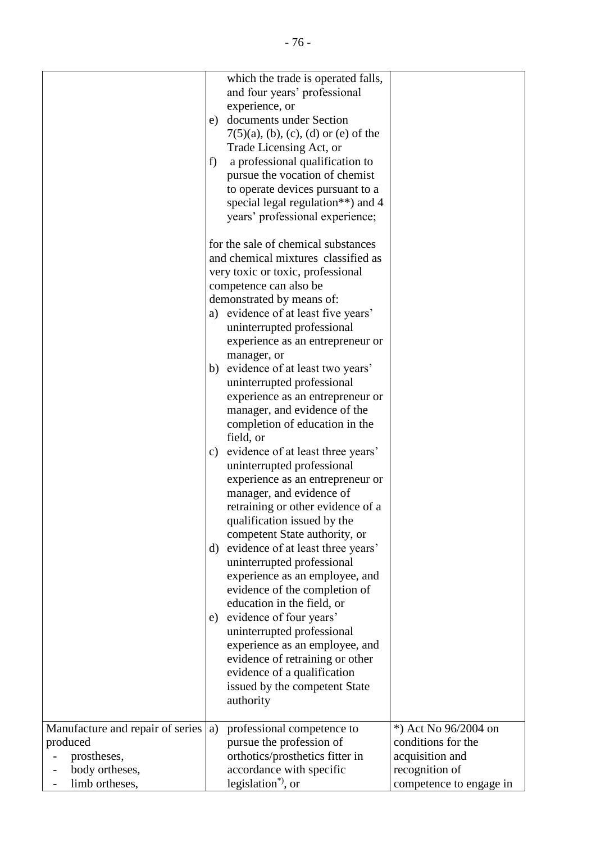|                                  | which the trade is operated falls,<br>and four years' professional<br>experience, or<br>documents under Section<br>e) |                         |
|----------------------------------|-----------------------------------------------------------------------------------------------------------------------|-------------------------|
|                                  | $7(5)(a)$ , (b), (c), (d) or (e) of the<br>Trade Licensing Act, or<br>f                                               |                         |
|                                  | a professional qualification to<br>pursue the vocation of chemist<br>to operate devices pursuant to a                 |                         |
|                                  | special legal regulation <sup>**</sup> ) and 4<br>years' professional experience;                                     |                         |
|                                  | for the sale of chemical substances<br>and chemical mixtures classified as                                            |                         |
|                                  | very toxic or toxic, professional                                                                                     |                         |
|                                  | competence can also be<br>demonstrated by means of:                                                                   |                         |
|                                  | a) evidence of at least five years'                                                                                   |                         |
|                                  | uninterrupted professional<br>experience as an entrepreneur or                                                        |                         |
|                                  | manager, or                                                                                                           |                         |
|                                  | b) evidence of at least two years'<br>uninterrupted professional                                                      |                         |
|                                  | experience as an entrepreneur or                                                                                      |                         |
|                                  | manager, and evidence of the                                                                                          |                         |
|                                  | completion of education in the                                                                                        |                         |
|                                  | field, or                                                                                                             |                         |
|                                  | evidence of at least three years'<br>c)                                                                               |                         |
|                                  | uninterrupted professional                                                                                            |                         |
|                                  | experience as an entrepreneur or<br>manager, and evidence of                                                          |                         |
|                                  | retraining or other evidence of a                                                                                     |                         |
|                                  | qualification issued by the                                                                                           |                         |
|                                  | competent State authority, or                                                                                         |                         |
|                                  | evidence of at least three years'<br>d)                                                                               |                         |
|                                  | uninterrupted professional                                                                                            |                         |
|                                  | experience as an employee, and                                                                                        |                         |
|                                  | evidence of the completion of<br>education in the field, or                                                           |                         |
|                                  | evidence of four years'<br>e)                                                                                         |                         |
|                                  | uninterrupted professional                                                                                            |                         |
|                                  | experience as an employee, and                                                                                        |                         |
|                                  | evidence of retraining or other                                                                                       |                         |
|                                  | evidence of a qualification                                                                                           |                         |
|                                  | issued by the competent State<br>authority                                                                            |                         |
| Manufacture and repair of series | professional competence to<br>a)                                                                                      | *) Act No 96/2004 on    |
| produced                         | pursue the profession of                                                                                              | conditions for the      |
| prostheses,                      | orthotics/prosthetics fitter in                                                                                       | acquisition and         |
| body ortheses,                   | accordance with specific                                                                                              | recognition of          |
| limb ortheses,                   | legislation <sup>*</sup> , or                                                                                         | competence to engage in |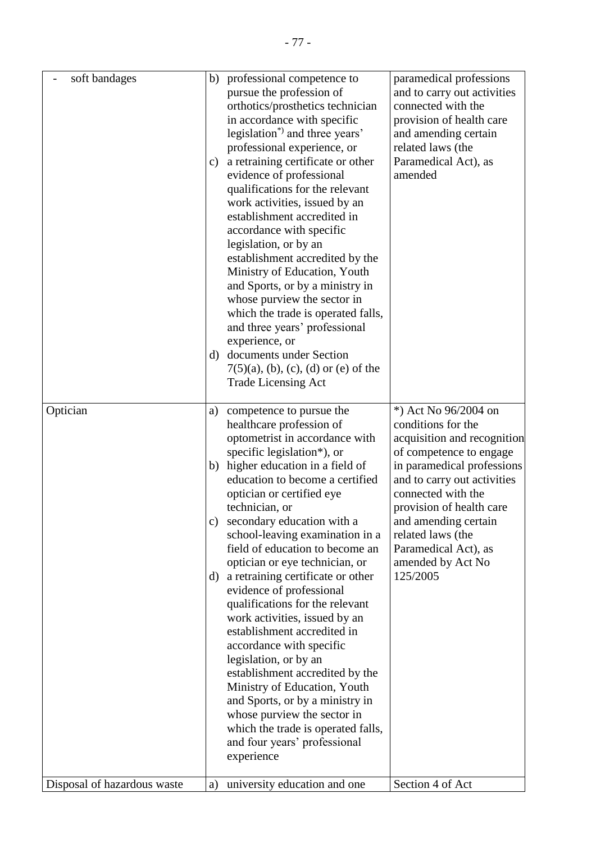| soft bandages               | $\mathbf{c})$<br>d) | b) professional competence to<br>pursue the profession of<br>orthotics/prosthetics technician<br>in accordance with specific<br>legislation <sup>*</sup> ) and three years'<br>professional experience, or<br>a retraining certificate or other<br>evidence of professional<br>qualifications for the relevant<br>work activities, issued by an<br>establishment accredited in<br>accordance with specific<br>legislation, or by an<br>establishment accredited by the<br>Ministry of Education, Youth<br>and Sports, or by a ministry in<br>whose purview the sector in<br>which the trade is operated falls,<br>and three years' professional<br>experience, or<br>documents under Section<br>$7(5)(a)$ , (b), (c), (d) or (e) of the<br><b>Trade Licensing Act</b>                                                               | paramedical professions<br>and to carry out activities<br>connected with the<br>provision of health care<br>and amending certain<br>related laws (the<br>Paramedical Act), as<br>amended                                                                                                                                  |
|-----------------------------|---------------------|-------------------------------------------------------------------------------------------------------------------------------------------------------------------------------------------------------------------------------------------------------------------------------------------------------------------------------------------------------------------------------------------------------------------------------------------------------------------------------------------------------------------------------------------------------------------------------------------------------------------------------------------------------------------------------------------------------------------------------------------------------------------------------------------------------------------------------------|---------------------------------------------------------------------------------------------------------------------------------------------------------------------------------------------------------------------------------------------------------------------------------------------------------------------------|
| Optician                    | a)<br>b)<br>c)      | competence to pursue the<br>healthcare profession of<br>optometrist in accordance with<br>specific legislation*), or<br>higher education in a field of<br>education to become a certified<br>optician or certified eye<br>technician, or<br>secondary education with a<br>school-leaving examination in a<br>field of education to become an<br>optician or eye technician, or<br>d) a retraining certificate or other<br>evidence of professional<br>qualifications for the relevant<br>work activities, issued by an<br>establishment accredited in<br>accordance with specific<br>legislation, or by an<br>establishment accredited by the<br>Ministry of Education, Youth<br>and Sports, or by a ministry in<br>whose purview the sector in<br>which the trade is operated falls,<br>and four years' professional<br>experience | *) Act No 96/2004 on<br>conditions for the<br>acquisition and recognition<br>of competence to engage<br>in paramedical professions<br>and to carry out activities<br>connected with the<br>provision of health care<br>and amending certain<br>related laws (the<br>Paramedical Act), as<br>amended by Act No<br>125/2005 |
| Disposal of hazardous waste | a)                  | university education and one                                                                                                                                                                                                                                                                                                                                                                                                                                                                                                                                                                                                                                                                                                                                                                                                        | Section 4 of Act                                                                                                                                                                                                                                                                                                          |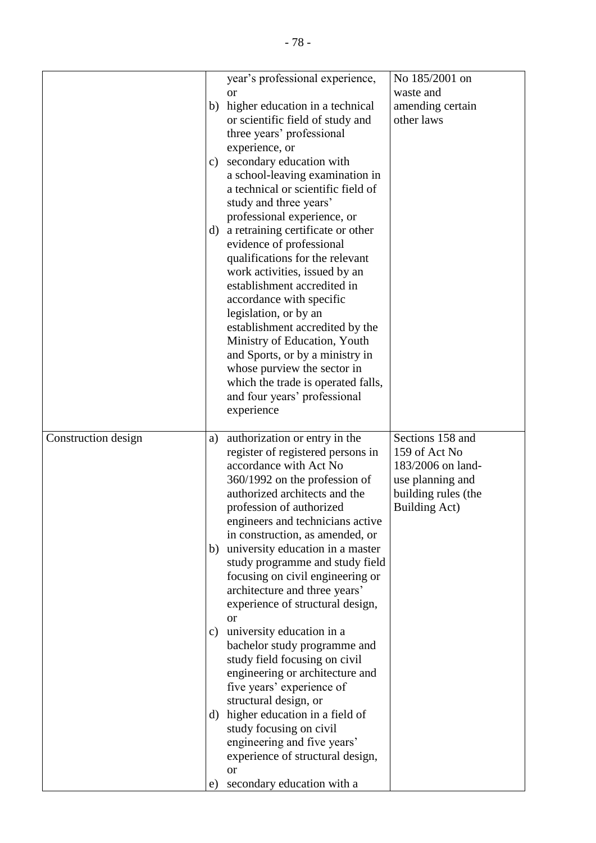|                     |    | year's professional experience,                   | No 185/2001 on      |
|---------------------|----|---------------------------------------------------|---------------------|
|                     |    | <sub>or</sub>                                     | waste and           |
|                     | b) | higher education in a technical                   | amending certain    |
|                     |    | or scientific field of study and                  | other laws          |
|                     |    | three years' professional                         |                     |
|                     |    | experience, or                                    |                     |
|                     | c) | secondary education with                          |                     |
|                     |    | a school-leaving examination in                   |                     |
|                     |    | a technical or scientific field of                |                     |
|                     |    | study and three years'                            |                     |
|                     |    | professional experience, or                       |                     |
|                     | d) | a retraining certificate or other                 |                     |
|                     |    | evidence of professional                          |                     |
|                     |    | qualifications for the relevant                   |                     |
|                     |    | work activities, issued by an                     |                     |
|                     |    | establishment accredited in                       |                     |
|                     |    | accordance with specific                          |                     |
|                     |    | legislation, or by an                             |                     |
|                     |    | establishment accredited by the                   |                     |
|                     |    | Ministry of Education, Youth                      |                     |
|                     |    | and Sports, or by a ministry in                   |                     |
|                     |    | whose purview the sector in                       |                     |
|                     |    | which the trade is operated falls,                |                     |
|                     |    | and four years' professional                      |                     |
|                     |    | experience                                        |                     |
|                     |    |                                                   |                     |
|                     |    |                                                   |                     |
|                     |    |                                                   |                     |
| Construction design | a) | authorization or entry in the                     | Sections 158 and    |
|                     |    | register of registered persons in                 | 159 of Act No       |
|                     |    | accordance with Act No                            | 183/2006 on land-   |
|                     |    | 360/1992 on the profession of                     | use planning and    |
|                     |    | authorized architects and the                     | building rules (the |
|                     |    | profession of authorized                          | Building Act)       |
|                     |    | engineers and technicians active                  |                     |
|                     |    | in construction, as amended, or                   |                     |
|                     |    | b) university education in a master               |                     |
|                     |    | study programme and study field                   |                     |
|                     |    | focusing on civil engineering or                  |                     |
|                     |    | architecture and three years'                     |                     |
|                     |    | experience of structural design,                  |                     |
|                     |    | <sub>or</sub>                                     |                     |
|                     | c) | university education in a                         |                     |
|                     |    | bachelor study programme and                      |                     |
|                     |    | study field focusing on civil                     |                     |
|                     |    | engineering or architecture and                   |                     |
|                     |    | five years' experience of                         |                     |
|                     |    | structural design, or                             |                     |
|                     |    | d) higher education in a field of                 |                     |
|                     |    | study focusing on civil                           |                     |
|                     |    | engineering and five years'                       |                     |
|                     |    | experience of structural design,<br><sub>or</sub> |                     |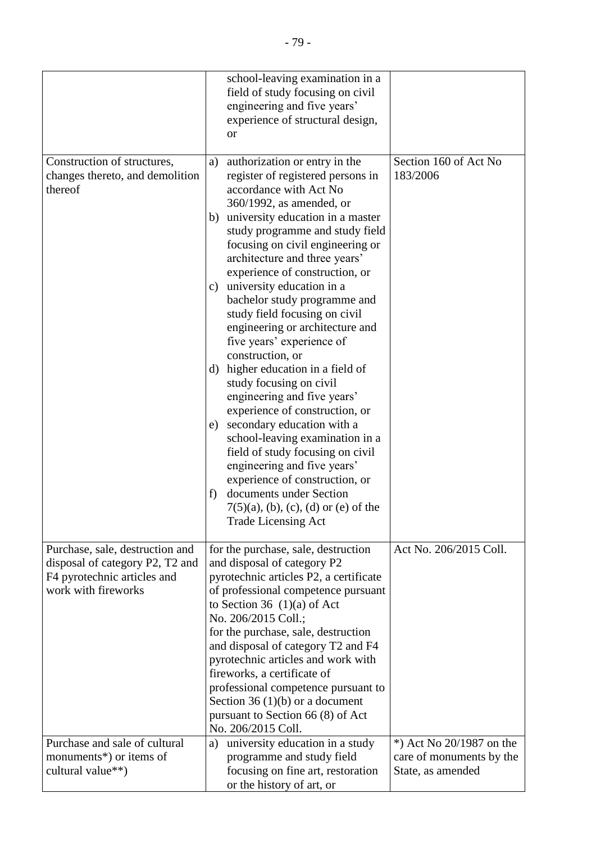|                                                                           | school-leaving examination in a<br>field of study focusing on civil<br>engineering and five years'<br>experience of structural design,<br><sub>or</sub>                                                                                                                                                                                                                                                                                                                                                                                                                                                                                                                                                                                                                                                                                                                                                                           |                                   |
|---------------------------------------------------------------------------|-----------------------------------------------------------------------------------------------------------------------------------------------------------------------------------------------------------------------------------------------------------------------------------------------------------------------------------------------------------------------------------------------------------------------------------------------------------------------------------------------------------------------------------------------------------------------------------------------------------------------------------------------------------------------------------------------------------------------------------------------------------------------------------------------------------------------------------------------------------------------------------------------------------------------------------|-----------------------------------|
| Construction of structures,<br>changes thereto, and demolition<br>thereof | authorization or entry in the<br>a)<br>register of registered persons in<br>accordance with Act No<br>360/1992, as amended, or<br>university education in a master<br>b)<br>study programme and study field<br>focusing on civil engineering or<br>architecture and three years'<br>experience of construction, or<br>university education in a<br>c)<br>bachelor study programme and<br>study field focusing on civil<br>engineering or architecture and<br>five years' experience of<br>construction, or<br>d) higher education in a field of<br>study focusing on civil<br>engineering and five years'<br>experience of construction, or<br>secondary education with a<br>e)<br>school-leaving examination in a<br>field of study focusing on civil<br>engineering and five years'<br>experience of construction, or<br>documents under Section<br>f)<br>$7(5)(a)$ , (b), (c), (d) or (e) of the<br><b>Trade Licensing Act</b> | Section 160 of Act No<br>183/2006 |
| Purchase, sale, destruction and                                           | for the purchase, sale, destruction                                                                                                                                                                                                                                                                                                                                                                                                                                                                                                                                                                                                                                                                                                                                                                                                                                                                                               | Act No. 206/2015 Coll.            |
| disposal of category P2, T2 and<br>F4 pyrotechnic articles and            | and disposal of category P2<br>pyrotechnic articles P2, a certificate                                                                                                                                                                                                                                                                                                                                                                                                                                                                                                                                                                                                                                                                                                                                                                                                                                                             |                                   |
| work with fireworks<br>Purchase and sale of cultural                      | of professional competence pursuant<br>to Section 36 $(1)(a)$ of Act<br>No. 206/2015 Coll.;<br>for the purchase, sale, destruction<br>and disposal of category T2 and F4<br>pyrotechnic articles and work with<br>fireworks, a certificate of<br>professional competence pursuant to<br>Section 36 $(1)(b)$ or a document<br>pursuant to Section 66 (8) of Act<br>No. 206/2015 Coll.<br>university education in a study<br>a)                                                                                                                                                                                                                                                                                                                                                                                                                                                                                                     | *) Act No 20/1987 on the          |
| monuments*) or items of                                                   | programme and study field                                                                                                                                                                                                                                                                                                                                                                                                                                                                                                                                                                                                                                                                                                                                                                                                                                                                                                         | care of monuments by the          |
| cultural value**)                                                         | focusing on fine art, restoration<br>or the history of art, or                                                                                                                                                                                                                                                                                                                                                                                                                                                                                                                                                                                                                                                                                                                                                                                                                                                                    | State, as amended                 |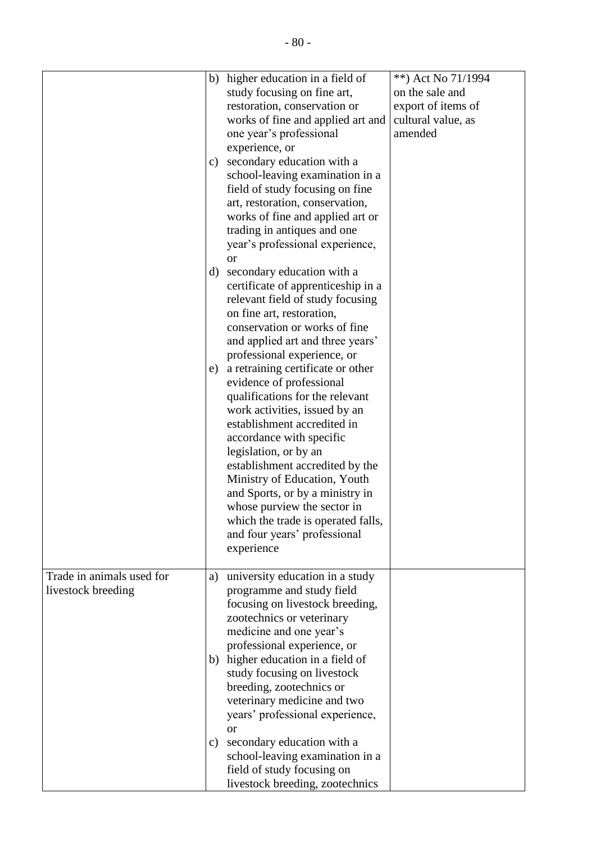|                                                 | c)                  | b) higher education in a field of<br>study focusing on fine art,<br>restoration, conservation or<br>works of fine and applied art and<br>one year's professional<br>experience, or<br>secondary education with a<br>school-leaving examination in a<br>field of study focusing on fine<br>art, restoration, conservation,<br>works of fine and applied art or<br>trading in antiques and one<br>year's professional experience,<br><b>or</b>                                                                                                                                                                                                                                            | **) Act No 71/1994<br>on the sale and<br>export of items of<br>cultural value, as<br>amended |
|-------------------------------------------------|---------------------|-----------------------------------------------------------------------------------------------------------------------------------------------------------------------------------------------------------------------------------------------------------------------------------------------------------------------------------------------------------------------------------------------------------------------------------------------------------------------------------------------------------------------------------------------------------------------------------------------------------------------------------------------------------------------------------------|----------------------------------------------------------------------------------------------|
|                                                 | d)<br>e)            | secondary education with a<br>certificate of apprenticeship in a<br>relevant field of study focusing<br>on fine art, restoration,<br>conservation or works of fine<br>and applied art and three years'<br>professional experience, or<br>a retraining certificate or other<br>evidence of professional<br>qualifications for the relevant<br>work activities, issued by an<br>establishment accredited in<br>accordance with specific<br>legislation, or by an<br>establishment accredited by the<br>Ministry of Education, Youth<br>and Sports, or by a ministry in<br>whose purview the sector in<br>which the trade is operated falls,<br>and four years' professional<br>experience |                                                                                              |
| Trade in animals used for<br>livestock breeding | a)<br>$\mathbf{c})$ | university education in a study<br>programme and study field<br>focusing on livestock breeding,<br>zootechnics or veterinary<br>medicine and one year's<br>professional experience, or<br>b) higher education in a field of<br>study focusing on livestock<br>breeding, zootechnics or<br>veterinary medicine and two<br>years' professional experience,<br><sub>or</sub><br>secondary education with a<br>school-leaving examination in a<br>field of study focusing on<br>livestock breeding, zootechnics                                                                                                                                                                             |                                                                                              |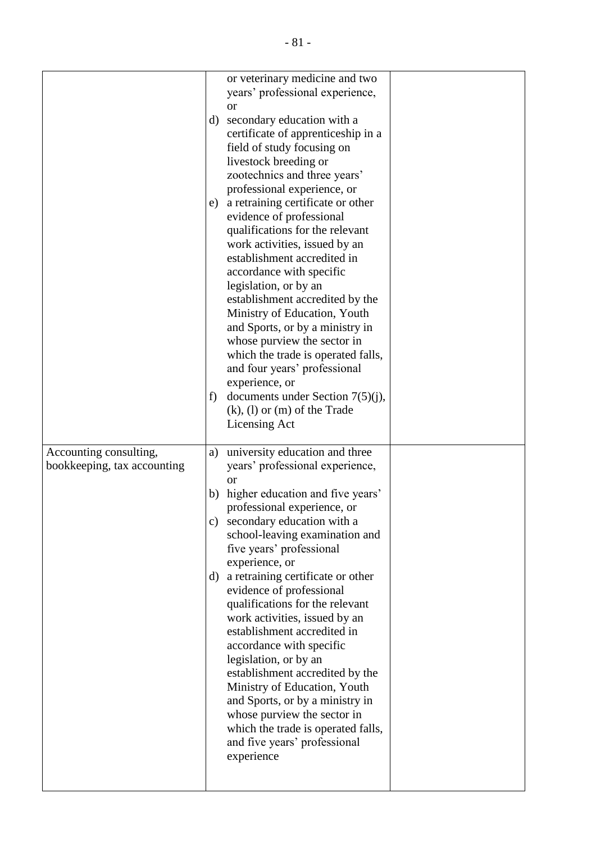|                             |               | or veterinary medicine and two<br>years' professional experience,  |  |
|-----------------------------|---------------|--------------------------------------------------------------------|--|
|                             |               | <sub>or</sub>                                                      |  |
|                             | d)            | secondary education with a                                         |  |
|                             |               | certificate of apprenticeship in a                                 |  |
|                             |               | field of study focusing on                                         |  |
|                             |               | livestock breeding or<br>zootechnics and three years'              |  |
|                             |               | professional experience, or                                        |  |
|                             | e)            | a retraining certificate or other                                  |  |
|                             |               | evidence of professional                                           |  |
|                             |               | qualifications for the relevant                                    |  |
|                             |               | work activities, issued by an<br>establishment accredited in       |  |
|                             |               | accordance with specific                                           |  |
|                             |               | legislation, or by an                                              |  |
|                             |               | establishment accredited by the                                    |  |
|                             |               | Ministry of Education, Youth                                       |  |
|                             |               | and Sports, or by a ministry in                                    |  |
|                             |               | whose purview the sector in<br>which the trade is operated falls,  |  |
|                             |               | and four years' professional                                       |  |
|                             |               | experience, or                                                     |  |
|                             | f)            | documents under Section $7(5)(j)$ ,                                |  |
|                             |               | $(k)$ , $(l)$ or $(m)$ of the Trade                                |  |
|                             |               | Licensing Act                                                      |  |
| Accounting consulting,      | a)            | university education and three                                     |  |
| bookkeeping, tax accounting |               | years' professional experience,                                    |  |
|                             | b)            | <b>or</b><br>higher education and five years'                      |  |
|                             |               | professional experience, or                                        |  |
|                             | $\mathbf{c})$ | secondary education with a                                         |  |
|                             |               | school-leaving examination and                                     |  |
|                             |               | five years' professional                                           |  |
|                             | d)            | experience, or<br>a retraining certificate or other                |  |
|                             |               | evidence of professional                                           |  |
|                             |               | qualifications for the relevant                                    |  |
|                             |               | work activities, issued by an                                      |  |
|                             |               | establishment accredited in                                        |  |
|                             |               | accordance with specific<br>legislation, or by an                  |  |
|                             |               | establishment accredited by the                                    |  |
|                             |               | Ministry of Education, Youth                                       |  |
|                             |               | and Sports, or by a ministry in                                    |  |
|                             |               | whose purview the sector in                                        |  |
|                             |               | which the trade is operated falls,<br>and five years' professional |  |
|                             |               | experience                                                         |  |
|                             |               |                                                                    |  |
|                             |               |                                                                    |  |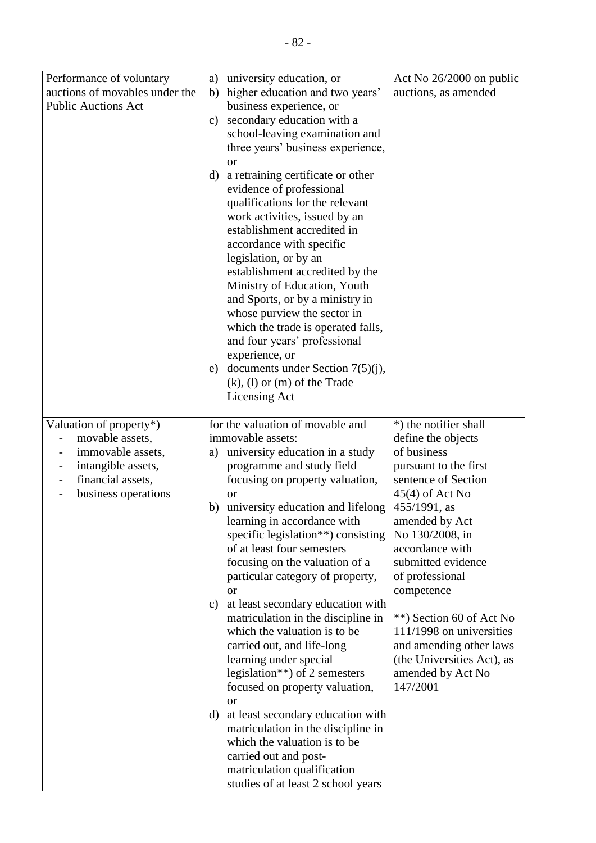| Performance of voluntary                   | a)            | university education, or                                           | Act No 26/2000 on public                             |
|--------------------------------------------|---------------|--------------------------------------------------------------------|------------------------------------------------------|
| auctions of movables under the             | b)            | higher education and two years'                                    | auctions, as amended                                 |
| <b>Public Auctions Act</b>                 |               | business experience, or                                            |                                                      |
|                                            | $\mathbf{c})$ | secondary education with a                                         |                                                      |
|                                            |               | school-leaving examination and                                     |                                                      |
|                                            |               | three years' business experience,                                  |                                                      |
|                                            |               | <sub>or</sub>                                                      |                                                      |
|                                            | d)            | a retraining certificate or other                                  |                                                      |
|                                            |               | evidence of professional                                           |                                                      |
|                                            |               | qualifications for the relevant                                    |                                                      |
|                                            |               | work activities, issued by an                                      |                                                      |
|                                            |               | establishment accredited in                                        |                                                      |
|                                            |               | accordance with specific<br>legislation, or by an                  |                                                      |
|                                            |               | establishment accredited by the                                    |                                                      |
|                                            |               | Ministry of Education, Youth                                       |                                                      |
|                                            |               | and Sports, or by a ministry in                                    |                                                      |
|                                            |               | whose purview the sector in                                        |                                                      |
|                                            |               | which the trade is operated falls,                                 |                                                      |
|                                            |               | and four years' professional                                       |                                                      |
|                                            |               | experience, or                                                     |                                                      |
|                                            | e)            | documents under Section $7(5)(j)$ ,                                |                                                      |
|                                            |               | $(k)$ , $(l)$ or $(m)$ of the Trade                                |                                                      |
|                                            |               | Licensing Act                                                      |                                                      |
|                                            |               |                                                                    |                                                      |
| Valuation of property*)<br>movable assets, |               | for the valuation of movable and<br>immovable assets:              | *) the notifier shall<br>define the objects          |
| immovable assets,                          | a)            | university education in a study                                    | of business                                          |
| intangible assets,                         |               | programme and study field                                          | pursuant to the first                                |
| financial assets,                          |               | focusing on property valuation,                                    | sentence of Section                                  |
| business operations                        |               | or                                                                 | $45(4)$ of Act No                                    |
|                                            | b)            | university education and lifelong                                  | 455/1991, as                                         |
|                                            |               | learning in accordance with                                        | amended by Act                                       |
|                                            |               | specific legislation <sup>**</sup> ) consisting                    | No 130/2008, in                                      |
|                                            |               | of at least four semesters                                         | accordance with                                      |
|                                            |               | focusing on the valuation of a                                     | submitted evidence                                   |
|                                            |               | particular category of property,                                   | of professional                                      |
|                                            |               | <b>or</b>                                                          | competence                                           |
|                                            | $\mathbf{c})$ | at least secondary education with                                  |                                                      |
|                                            |               | matriculation in the discipline in<br>which the valuation is to be | **) Section 60 of Act No<br>111/1998 on universities |
|                                            |               | carried out, and life-long                                         | and amending other laws                              |
|                                            |               | learning under special                                             | (the Universities Act), as                           |
|                                            |               | legislation**) of 2 semesters                                      | amended by Act No                                    |
|                                            |               | focused on property valuation,                                     | 147/2001                                             |
|                                            |               | <sub>or</sub>                                                      |                                                      |
|                                            | d)            | at least secondary education with                                  |                                                      |
|                                            |               | matriculation in the discipline in                                 |                                                      |
|                                            |               | which the valuation is to be                                       |                                                      |
|                                            |               | carried out and post-                                              |                                                      |
|                                            |               | matriculation qualification                                        |                                                      |
|                                            |               | studies of at least 2 school years                                 |                                                      |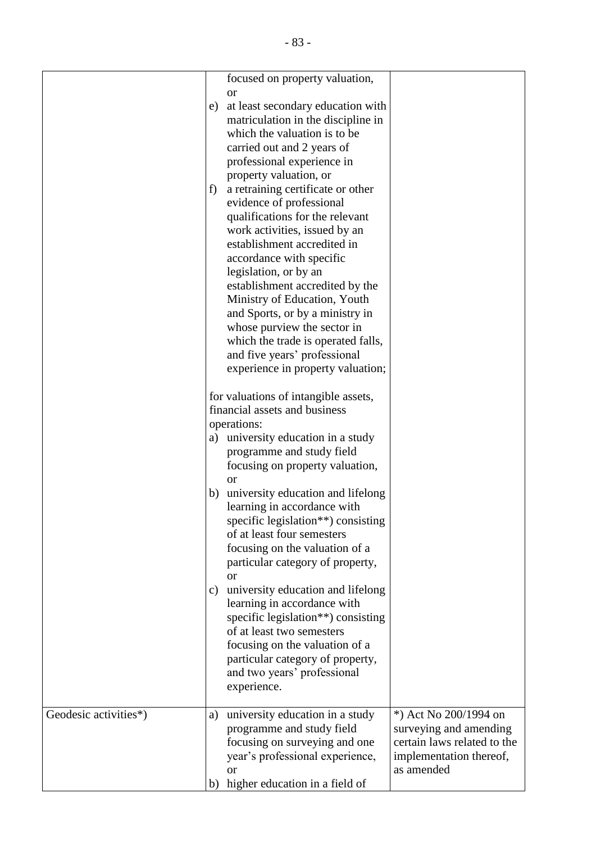|                       |               | focused on property valuation,                                          |                             |
|-----------------------|---------------|-------------------------------------------------------------------------|-----------------------------|
|                       | e)            | <b>or</b>                                                               |                             |
|                       |               | at least secondary education with<br>matriculation in the discipline in |                             |
|                       |               | which the valuation is to be                                            |                             |
|                       |               | carried out and 2 years of                                              |                             |
|                       |               | professional experience in                                              |                             |
|                       |               | property valuation, or                                                  |                             |
|                       | f)            | a retraining certificate or other                                       |                             |
|                       |               | evidence of professional                                                |                             |
|                       |               | qualifications for the relevant                                         |                             |
|                       |               | work activities, issued by an                                           |                             |
|                       |               | establishment accredited in                                             |                             |
|                       |               | accordance with specific                                                |                             |
|                       |               | legislation, or by an                                                   |                             |
|                       |               | establishment accredited by the                                         |                             |
|                       |               | Ministry of Education, Youth                                            |                             |
|                       |               | and Sports, or by a ministry in                                         |                             |
|                       |               | whose purview the sector in                                             |                             |
|                       |               | which the trade is operated falls,                                      |                             |
|                       |               | and five years' professional                                            |                             |
|                       |               | experience in property valuation;                                       |                             |
|                       |               |                                                                         |                             |
|                       |               | for valuations of intangible assets,                                    |                             |
|                       |               | financial assets and business                                           |                             |
|                       |               | operations:                                                             |                             |
|                       | a)            | university education in a study                                         |                             |
|                       |               | programme and study field                                               |                             |
|                       |               | focusing on property valuation,                                         |                             |
|                       |               | <b>or</b>                                                               |                             |
|                       | b)            | university education and lifelong                                       |                             |
|                       |               | learning in accordance with                                             |                             |
|                       |               | specific legislation**) consisting                                      |                             |
|                       |               | of at least four semesters                                              |                             |
|                       |               | focusing on the valuation of a                                          |                             |
|                       |               | particular category of property,                                        |                             |
|                       |               | <sub>or</sub>                                                           |                             |
|                       | $\mathbf{c})$ | university education and lifelong<br>learning in accordance with        |                             |
|                       |               | specific legislation**) consisting                                      |                             |
|                       |               | of at least two semesters                                               |                             |
|                       |               | focusing on the valuation of a                                          |                             |
|                       |               | particular category of property,                                        |                             |
|                       |               | and two years' professional                                             |                             |
|                       |               | experience.                                                             |                             |
|                       |               |                                                                         |                             |
| Geodesic activities*) | a)            | university education in a study                                         | *) Act No 200/1994 on       |
|                       |               | programme and study field                                               | surveying and amending      |
|                       |               | focusing on surveying and one                                           | certain laws related to the |
|                       |               | year's professional experience,                                         | implementation thereof,     |
|                       |               | <sub>or</sub>                                                           | as amended                  |
|                       | b)            | higher education in a field of                                          |                             |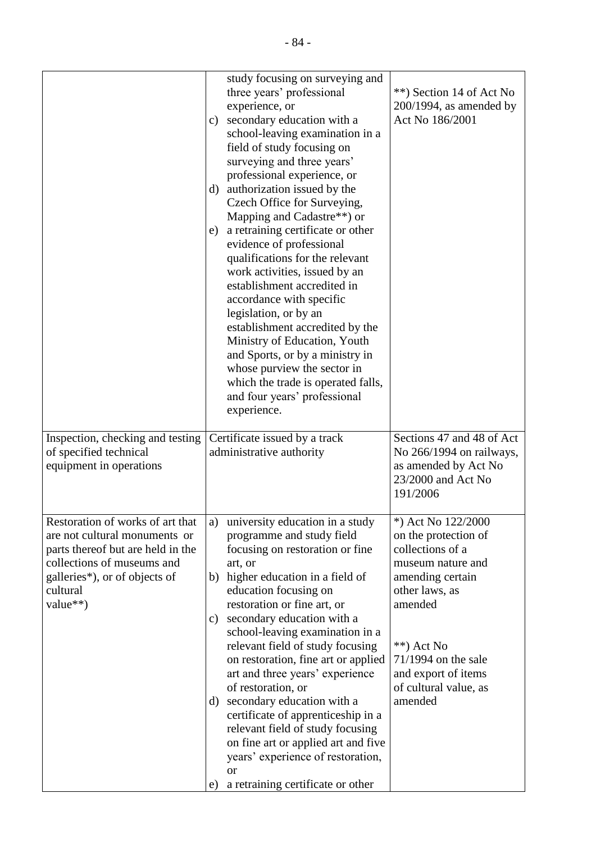|                                                                                                                                                                                               | study focusing on surveying and<br>three years' professional<br>experience, or<br>c) secondary education with a<br>school-leaving examination in a<br>field of study focusing on<br>surveying and three years'<br>professional experience, or<br>d) authorization issued by the<br>Czech Office for Surveying,<br>Mapping and Cadastre**) or<br>a retraining certificate or other<br>e)<br>evidence of professional<br>qualifications for the relevant<br>work activities, issued by an<br>establishment accredited in<br>accordance with specific<br>legislation, or by an<br>establishment accredited by the<br>Ministry of Education, Youth<br>and Sports, or by a ministry in<br>whose purview the sector in<br>which the trade is operated falls,<br>and four years' professional<br>experience. | **) Section 14 of Act No<br>$200/1994$ , as amended by<br>Act No 186/2001                                                                                                                                                               |
|-----------------------------------------------------------------------------------------------------------------------------------------------------------------------------------------------|-------------------------------------------------------------------------------------------------------------------------------------------------------------------------------------------------------------------------------------------------------------------------------------------------------------------------------------------------------------------------------------------------------------------------------------------------------------------------------------------------------------------------------------------------------------------------------------------------------------------------------------------------------------------------------------------------------------------------------------------------------------------------------------------------------|-----------------------------------------------------------------------------------------------------------------------------------------------------------------------------------------------------------------------------------------|
| Inspection, checking and testing<br>of specified technical<br>equipment in operations                                                                                                         | Certificate issued by a track<br>administrative authority                                                                                                                                                                                                                                                                                                                                                                                                                                                                                                                                                                                                                                                                                                                                             | Sections 47 and 48 of Act<br>No 266/1994 on railways,<br>as amended by Act No<br>23/2000 and Act No<br>191/2006                                                                                                                         |
| Restoration of works of art that<br>are not cultural monuments or<br>parts thereof but are held in the<br>collections of museums and<br>galleries*), or of objects of<br>cultural<br>value**) | university education in a study<br>a)<br>programme and study field<br>focusing on restoration or fine<br>art, or<br>higher education in a field of<br>b)<br>education focusing on<br>restoration or fine art, or<br>secondary education with a<br>C)<br>school-leaving examination in a<br>relevant field of study focusing<br>on restoration, fine art or applied<br>art and three years' experience<br>of restoration, or<br>secondary education with a<br>d)<br>certificate of apprenticeship in a<br>relevant field of study focusing<br>on fine art or applied art and five<br>years' experience of restoration,<br><b>or</b><br>a retraining certificate or other<br>e)                                                                                                                         | *) Act No 122/2000<br>on the protection of<br>collections of a<br>museum nature and<br>amending certain<br>other laws, as<br>amended<br>$**$ ) Act No<br>71/1994 on the sale<br>and export of items<br>of cultural value, as<br>amended |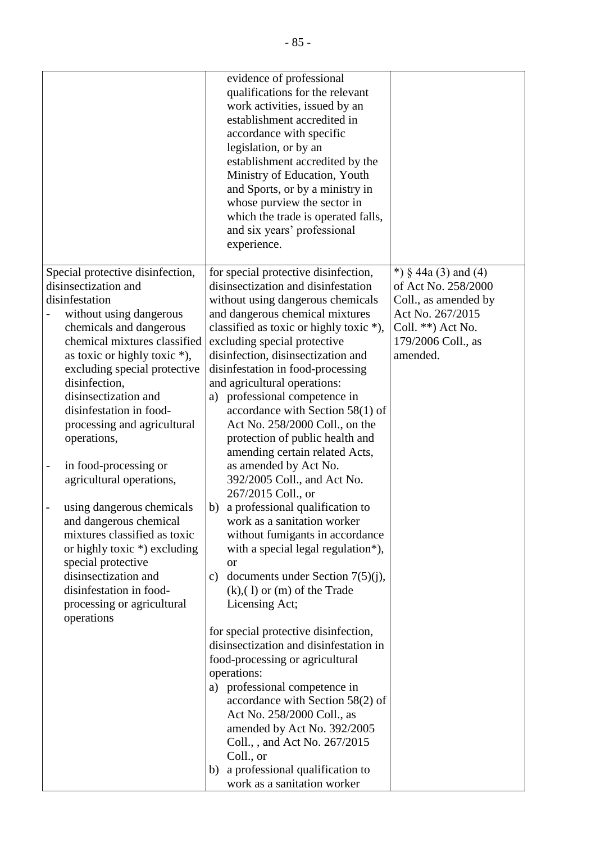|                                  | evidence of professional<br>qualifications for the relevant<br>work activities, issued by an<br>establishment accredited in<br>accordance with specific<br>legislation, or by an<br>establishment accredited by the<br>Ministry of Education, Youth<br>and Sports, or by a ministry in<br>whose purview the sector in<br>which the trade is operated falls,<br>and six years' professional<br>experience. |                        |
|----------------------------------|-----------------------------------------------------------------------------------------------------------------------------------------------------------------------------------------------------------------------------------------------------------------------------------------------------------------------------------------------------------------------------------------------------------|------------------------|
| Special protective disinfection, | for special protective disinfection,                                                                                                                                                                                                                                                                                                                                                                      | *) $§$ 44a (3) and (4) |
| disinsectization and             | disinsectization and disinfestation                                                                                                                                                                                                                                                                                                                                                                       | of Act No. 258/2000    |
| disinfestation                   | without using dangerous chemicals                                                                                                                                                                                                                                                                                                                                                                         | Coll., as amended by   |
| without using dangerous          | and dangerous chemical mixtures                                                                                                                                                                                                                                                                                                                                                                           | Act No. 267/2015       |
| chemicals and dangerous          | classified as toxic or highly toxic *),                                                                                                                                                                                                                                                                                                                                                                   | Coll. $**$ ) Act No.   |
| chemical mixtures classified     | excluding special protective                                                                                                                                                                                                                                                                                                                                                                              | 179/2006 Coll., as     |
| as toxic or highly toxic $*$ ),  | disinfection, disinsectization and                                                                                                                                                                                                                                                                                                                                                                        | amended.               |
| excluding special protective     | disinfestation in food-processing                                                                                                                                                                                                                                                                                                                                                                         |                        |
| disinfection,                    | and agricultural operations:                                                                                                                                                                                                                                                                                                                                                                              |                        |
| disinsectization and             | professional competence in<br>a)                                                                                                                                                                                                                                                                                                                                                                          |                        |
| disinfestation in food-          | accordance with Section 58(1) of                                                                                                                                                                                                                                                                                                                                                                          |                        |
| processing and agricultural      | Act No. 258/2000 Coll., on the                                                                                                                                                                                                                                                                                                                                                                            |                        |
| operations,                      | protection of public health and                                                                                                                                                                                                                                                                                                                                                                           |                        |
|                                  | amending certain related Acts,                                                                                                                                                                                                                                                                                                                                                                            |                        |
| in food-processing or            | as amended by Act No.                                                                                                                                                                                                                                                                                                                                                                                     |                        |
| agricultural operations,         | 392/2005 Coll., and Act No.<br>267/2015 Coll., or                                                                                                                                                                                                                                                                                                                                                         |                        |
| using dangerous chemicals        | a professional qualification to<br>b)                                                                                                                                                                                                                                                                                                                                                                     |                        |
| and dangerous chemical           | work as a sanitation worker                                                                                                                                                                                                                                                                                                                                                                               |                        |
| mixtures classified as toxic     | without fumigants in accordance                                                                                                                                                                                                                                                                                                                                                                           |                        |
| or highly toxic $*$ ) excluding  | with a special legal regulation*),                                                                                                                                                                                                                                                                                                                                                                        |                        |
| special protective               | <b>or</b>                                                                                                                                                                                                                                                                                                                                                                                                 |                        |
| disinsectization and             | documents under Section $7(5)(j)$ ,<br>$\mathbf{c}$ )                                                                                                                                                                                                                                                                                                                                                     |                        |
| disinfestation in food-          | $(k)$ , (1) or (m) of the Trade                                                                                                                                                                                                                                                                                                                                                                           |                        |
| processing or agricultural       | Licensing Act;                                                                                                                                                                                                                                                                                                                                                                                            |                        |
| operations                       |                                                                                                                                                                                                                                                                                                                                                                                                           |                        |
|                                  | for special protective disinfection,                                                                                                                                                                                                                                                                                                                                                                      |                        |
|                                  | disinsectization and disinfestation in                                                                                                                                                                                                                                                                                                                                                                    |                        |
|                                  | food-processing or agricultural                                                                                                                                                                                                                                                                                                                                                                           |                        |
|                                  | operations:                                                                                                                                                                                                                                                                                                                                                                                               |                        |
|                                  | a) professional competence in<br>accordance with Section 58(2) of                                                                                                                                                                                                                                                                                                                                         |                        |
|                                  | Act No. 258/2000 Coll., as                                                                                                                                                                                                                                                                                                                                                                                |                        |
|                                  | amended by Act No. 392/2005                                                                                                                                                                                                                                                                                                                                                                               |                        |
|                                  | Coll., , and Act No. 267/2015                                                                                                                                                                                                                                                                                                                                                                             |                        |
|                                  | Coll., or                                                                                                                                                                                                                                                                                                                                                                                                 |                        |
|                                  | a professional qualification to<br>b)                                                                                                                                                                                                                                                                                                                                                                     |                        |
|                                  | work as a sanitation worker                                                                                                                                                                                                                                                                                                                                                                               |                        |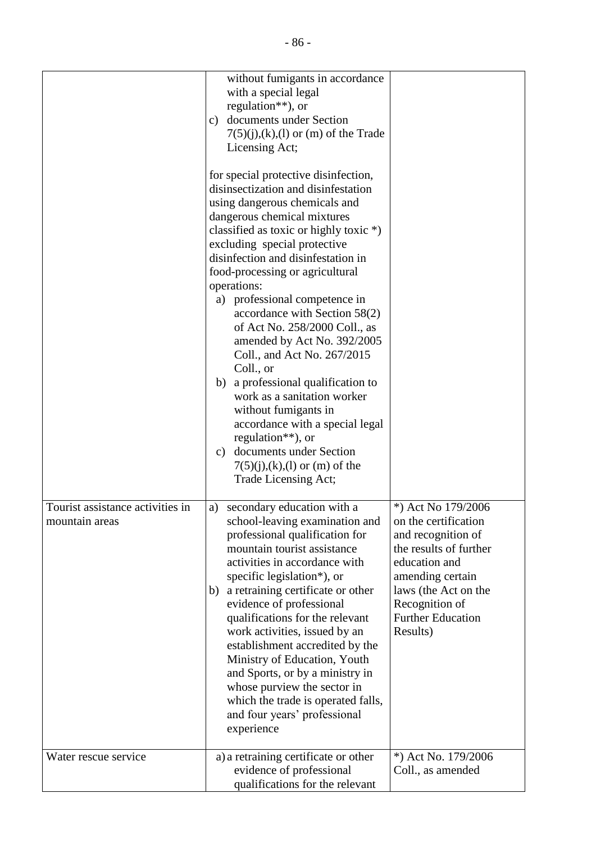|                                                    | without fumigants in accordance<br>with a special legal<br>regulation**), or<br>documents under Section<br>c)<br>$7(5)(j),(k),(l)$ or (m) of the Trade<br>Licensing Act;<br>for special protective disinfection,<br>disinsectization and disinfestation<br>using dangerous chemicals and<br>dangerous chemical mixtures<br>classified as toxic or highly toxic *)<br>excluding special protective<br>disinfection and disinfestation in<br>food-processing or agricultural<br>operations:<br>a) professional competence in<br>accordance with Section 58(2)<br>of Act No. 258/2000 Coll., as<br>amended by Act No. 392/2005<br>Coll., and Act No. 267/2015<br>Coll., or<br>b) a professional qualification to<br>work as a sanitation worker<br>without fumigants in<br>accordance with a special legal<br>regulation $**$ ), or<br>c) documents under Section<br>$7(5)(j),(k),(l)$ or (m) of the<br>Trade Licensing Act; |                                                                                                                                                                                                                   |
|----------------------------------------------------|---------------------------------------------------------------------------------------------------------------------------------------------------------------------------------------------------------------------------------------------------------------------------------------------------------------------------------------------------------------------------------------------------------------------------------------------------------------------------------------------------------------------------------------------------------------------------------------------------------------------------------------------------------------------------------------------------------------------------------------------------------------------------------------------------------------------------------------------------------------------------------------------------------------------------|-------------------------------------------------------------------------------------------------------------------------------------------------------------------------------------------------------------------|
| Tourist assistance activities in<br>mountain areas | secondary education with a<br>a)<br>school-leaving examination and<br>professional qualification for<br>mountain tourist assistance<br>activities in accordance with<br>specific legislation*), or<br>a retraining certificate or other<br>b)<br>evidence of professional<br>qualifications for the relevant<br>work activities, issued by an<br>establishment accredited by the<br>Ministry of Education, Youth<br>and Sports, or by a ministry in<br>whose purview the sector in<br>which the trade is operated falls,<br>and four years' professional<br>experience                                                                                                                                                                                                                                                                                                                                                    | *) Act No 179/2006<br>on the certification<br>and recognition of<br>the results of further<br>education and<br>amending certain<br>laws (the Act on the<br>Recognition of<br><b>Further Education</b><br>Results) |
| Water rescue service                               | a) a retraining certificate or other<br>evidence of professional<br>qualifications for the relevant                                                                                                                                                                                                                                                                                                                                                                                                                                                                                                                                                                                                                                                                                                                                                                                                                       | *) Act No. 179/2006<br>Coll., as amended                                                                                                                                                                          |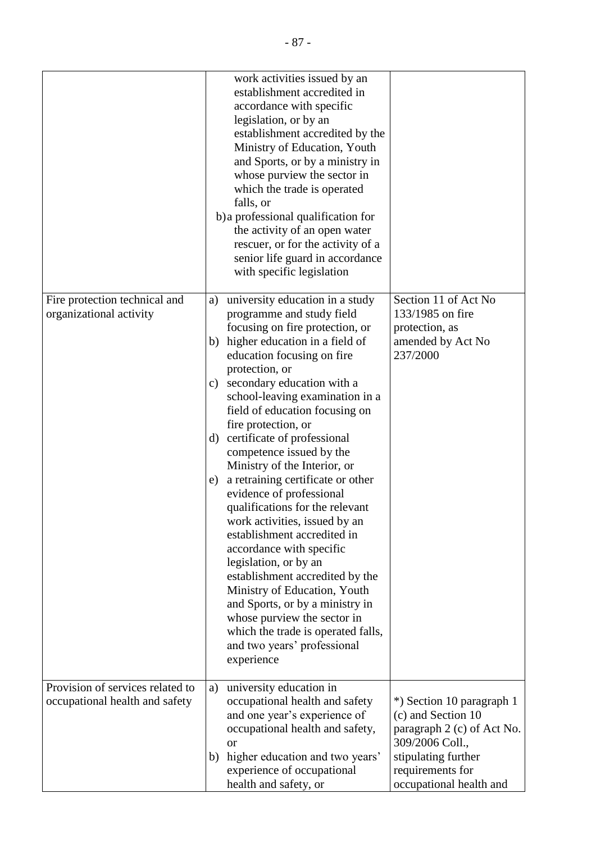|                                  | work activities issued by an<br>establishment accredited in<br>accordance with specific<br>legislation, or by an<br>establishment accredited by the<br>Ministry of Education, Youth<br>and Sports, or by a ministry in<br>whose purview the sector in<br>which the trade is operated<br>falls, or<br>b) a professional qualification for<br>the activity of an open water<br>rescuer, or for the activity of a<br>senior life guard in accordance<br>with specific legislation |                                             |
|----------------------------------|--------------------------------------------------------------------------------------------------------------------------------------------------------------------------------------------------------------------------------------------------------------------------------------------------------------------------------------------------------------------------------------------------------------------------------------------------------------------------------|---------------------------------------------|
| Fire protection technical and    | university education in a study<br>a)                                                                                                                                                                                                                                                                                                                                                                                                                                          | Section 11 of Act No                        |
| organizational activity          | programme and study field                                                                                                                                                                                                                                                                                                                                                                                                                                                      | 133/1985 on fire                            |
|                                  | focusing on fire protection, or                                                                                                                                                                                                                                                                                                                                                                                                                                                | protection, as                              |
|                                  | b) higher education in a field of                                                                                                                                                                                                                                                                                                                                                                                                                                              | amended by Act No                           |
|                                  | education focusing on fire<br>protection, or                                                                                                                                                                                                                                                                                                                                                                                                                                   | 237/2000                                    |
|                                  | secondary education with a<br>$\mathbf{c})$                                                                                                                                                                                                                                                                                                                                                                                                                                    |                                             |
|                                  | school-leaving examination in a                                                                                                                                                                                                                                                                                                                                                                                                                                                |                                             |
|                                  | field of education focusing on                                                                                                                                                                                                                                                                                                                                                                                                                                                 |                                             |
|                                  | fire protection, or                                                                                                                                                                                                                                                                                                                                                                                                                                                            |                                             |
|                                  | d) certificate of professional                                                                                                                                                                                                                                                                                                                                                                                                                                                 |                                             |
|                                  | competence issued by the                                                                                                                                                                                                                                                                                                                                                                                                                                                       |                                             |
|                                  | Ministry of the Interior, or                                                                                                                                                                                                                                                                                                                                                                                                                                                   |                                             |
|                                  | a retraining certificate or other<br>e)<br>evidence of professional                                                                                                                                                                                                                                                                                                                                                                                                            |                                             |
|                                  | qualifications for the relevant                                                                                                                                                                                                                                                                                                                                                                                                                                                |                                             |
|                                  | work activities, issued by an                                                                                                                                                                                                                                                                                                                                                                                                                                                  |                                             |
|                                  | establishment accredited in                                                                                                                                                                                                                                                                                                                                                                                                                                                    |                                             |
|                                  | accordance with specific                                                                                                                                                                                                                                                                                                                                                                                                                                                       |                                             |
|                                  | legislation, or by an                                                                                                                                                                                                                                                                                                                                                                                                                                                          |                                             |
|                                  | establishment accredited by the                                                                                                                                                                                                                                                                                                                                                                                                                                                |                                             |
|                                  | Ministry of Education, Youth<br>and Sports, or by a ministry in                                                                                                                                                                                                                                                                                                                                                                                                                |                                             |
|                                  | whose purview the sector in                                                                                                                                                                                                                                                                                                                                                                                                                                                    |                                             |
|                                  | which the trade is operated falls,                                                                                                                                                                                                                                                                                                                                                                                                                                             |                                             |
|                                  | and two years' professional                                                                                                                                                                                                                                                                                                                                                                                                                                                    |                                             |
|                                  | experience                                                                                                                                                                                                                                                                                                                                                                                                                                                                     |                                             |
| Provision of services related to | university education in<br>a)                                                                                                                                                                                                                                                                                                                                                                                                                                                  |                                             |
| occupational health and safety   | occupational health and safety                                                                                                                                                                                                                                                                                                                                                                                                                                                 | *) Section 10 paragraph 1                   |
|                                  | and one year's experience of                                                                                                                                                                                                                                                                                                                                                                                                                                                   | (c) and Section 10                          |
|                                  | occupational health and safety,                                                                                                                                                                                                                                                                                                                                                                                                                                                | paragraph 2 (c) of Act No.                  |
|                                  | <sub>or</sub>                                                                                                                                                                                                                                                                                                                                                                                                                                                                  | 309/2006 Coll.,                             |
|                                  | higher education and two years'<br>b)                                                                                                                                                                                                                                                                                                                                                                                                                                          | stipulating further                         |
|                                  | experience of occupational<br>health and safety, or                                                                                                                                                                                                                                                                                                                                                                                                                            | requirements for<br>occupational health and |
|                                  |                                                                                                                                                                                                                                                                                                                                                                                                                                                                                |                                             |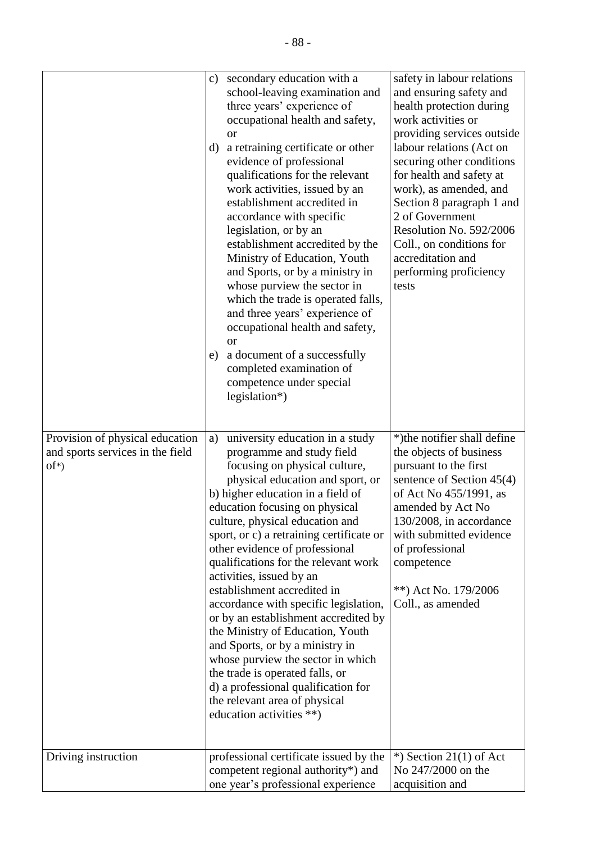|                                                                                | c)<br>d)<br>e) | secondary education with a<br>school-leaving examination and<br>three years' experience of<br>occupational health and safety,<br><sub>or</sub><br>a retraining certificate or other<br>evidence of professional<br>qualifications for the relevant<br>work activities, issued by an<br>establishment accredited in<br>accordance with specific<br>legislation, or by an<br>establishment accredited by the<br>Ministry of Education, Youth<br>and Sports, or by a ministry in<br>whose purview the sector in<br>which the trade is operated falls,<br>and three years' experience of<br>occupational health and safety,<br><sub>or</sub><br>a document of a successfully<br>completed examination of<br>competence under special<br>legislation*)                | safety in labour relations<br>and ensuring safety and<br>health protection during<br>work activities or<br>providing services outside<br>labour relations (Act on<br>securing other conditions<br>for health and safety at<br>work), as amended, and<br>Section 8 paragraph 1 and<br>2 of Government<br>Resolution No. 592/2006<br>Coll., on conditions for<br>accreditation and<br>performing proficiency<br>tests |
|--------------------------------------------------------------------------------|----------------|------------------------------------------------------------------------------------------------------------------------------------------------------------------------------------------------------------------------------------------------------------------------------------------------------------------------------------------------------------------------------------------------------------------------------------------------------------------------------------------------------------------------------------------------------------------------------------------------------------------------------------------------------------------------------------------------------------------------------------------------------------------|---------------------------------------------------------------------------------------------------------------------------------------------------------------------------------------------------------------------------------------------------------------------------------------------------------------------------------------------------------------------------------------------------------------------|
| Provision of physical education<br>and sports services in the field<br>$of^*)$ | a)             | university education in a study<br>programme and study field<br>focusing on physical culture,<br>physical education and sport, or<br>b) higher education in a field of<br>education focusing on physical<br>culture, physical education and<br>sport, or c) a retraining certificate or<br>other evidence of professional<br>qualifications for the relevant work<br>activities, issued by an<br>establishment accredited in<br>accordance with specific legislation,<br>or by an establishment accredited by<br>the Ministry of Education, Youth<br>and Sports, or by a ministry in<br>whose purview the sector in which<br>the trade is operated falls, or<br>d) a professional qualification for<br>the relevant area of physical<br>education activities **) | *)the notifier shall define<br>the objects of business<br>pursuant to the first<br>sentence of Section $45(4)$<br>of Act No 455/1991, as<br>amended by Act No<br>130/2008, in accordance<br>with submitted evidence<br>of professional<br>competence<br>**) Act No. 179/2006<br>Coll., as amended                                                                                                                   |
| Driving instruction                                                            |                | professional certificate issued by the<br>competent regional authority*) and<br>one year's professional experience                                                                                                                                                                                                                                                                                                                                                                                                                                                                                                                                                                                                                                               | $*$ ) Section 21(1) of Act<br>No 247/2000 on the<br>acquisition and                                                                                                                                                                                                                                                                                                                                                 |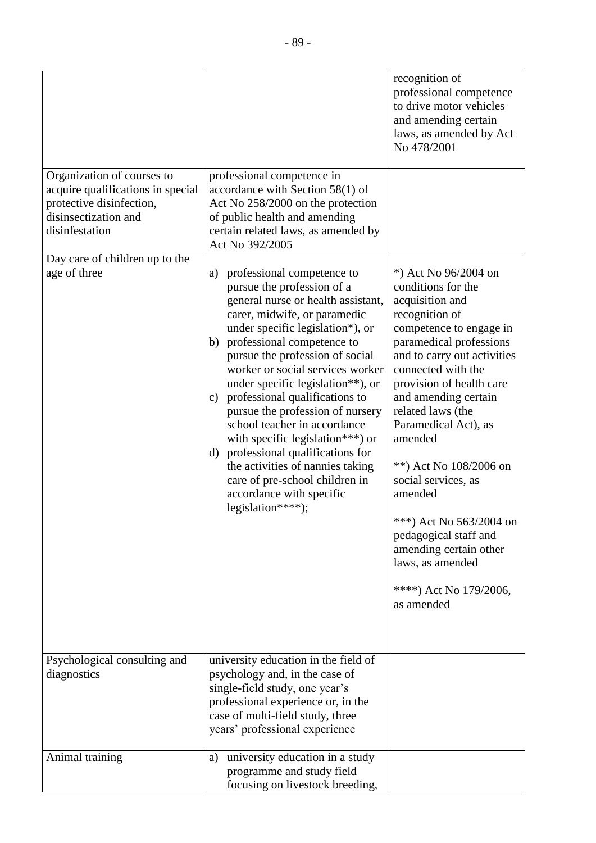|                                                                                                                                       |                                                                                                                                                                                                                                                                                                                                                                                                                                                                                                                                                                                                                                                       | recognition of<br>professional competence<br>to drive motor vehicles<br>and amending certain<br>laws, as amended by Act<br>No 478/2001                                                                                                                                                                                                                                                                                                                                                                       |
|---------------------------------------------------------------------------------------------------------------------------------------|-------------------------------------------------------------------------------------------------------------------------------------------------------------------------------------------------------------------------------------------------------------------------------------------------------------------------------------------------------------------------------------------------------------------------------------------------------------------------------------------------------------------------------------------------------------------------------------------------------------------------------------------------------|--------------------------------------------------------------------------------------------------------------------------------------------------------------------------------------------------------------------------------------------------------------------------------------------------------------------------------------------------------------------------------------------------------------------------------------------------------------------------------------------------------------|
| Organization of courses to<br>acquire qualifications in special<br>protective disinfection,<br>disinsectization and<br>disinfestation | professional competence in<br>accordance with Section $58(1)$ of<br>Act No 258/2000 on the protection<br>of public health and amending<br>certain related laws, as amended by<br>Act No 392/2005                                                                                                                                                                                                                                                                                                                                                                                                                                                      |                                                                                                                                                                                                                                                                                                                                                                                                                                                                                                              |
| Day care of children up to the<br>age of three                                                                                        | professional competence to<br>a)<br>pursue the profession of a<br>general nurse or health assistant,<br>carer, midwife, or paramedic<br>under specific legislation*), or<br>professional competence to<br>b)<br>pursue the profession of social<br>worker or social services worker<br>under specific legislation**), or<br>professional qualifications to<br>C)<br>pursue the profession of nursery<br>school teacher in accordance<br>with specific legislation <sup>***</sup> ) or<br>professional qualifications for<br>d)<br>the activities of nannies taking<br>care of pre-school children in<br>accordance with specific<br>legislation****); | *) Act No 96/2004 on<br>conditions for the<br>acquisition and<br>recognition of<br>competence to engage in<br>paramedical professions<br>and to carry out activities<br>connected with the<br>provision of health care<br>and amending certain<br>related laws (the<br>Paramedical Act), as<br>amended<br>**) Act No 108/2006 on<br>social services, as<br>amended<br>***) Act No 563/2004 on<br>pedagogical staff and<br>amending certain other<br>laws, as amended<br>****) Act No 179/2006,<br>as amended |
| Psychological consulting and<br>diagnostics                                                                                           | university education in the field of<br>psychology and, in the case of<br>single-field study, one year's<br>professional experience or, in the<br>case of multi-field study, three<br>years' professional experience                                                                                                                                                                                                                                                                                                                                                                                                                                  |                                                                                                                                                                                                                                                                                                                                                                                                                                                                                                              |
| Animal training                                                                                                                       | university education in a study<br>a)<br>programme and study field<br>focusing on livestock breeding,                                                                                                                                                                                                                                                                                                                                                                                                                                                                                                                                                 |                                                                                                                                                                                                                                                                                                                                                                                                                                                                                                              |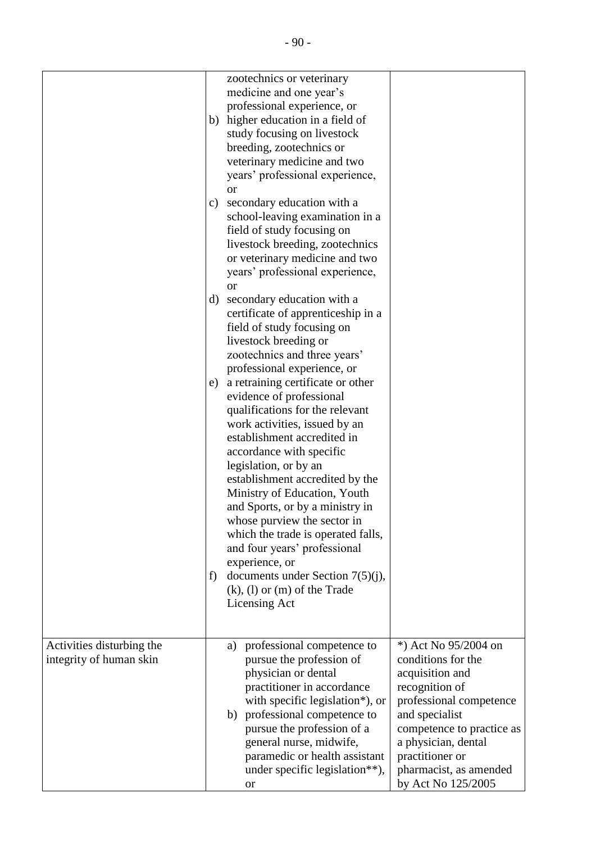|                                                      | b)            | zootechnics or veterinary<br>medicine and one year's<br>professional experience, or<br>higher education in a field of<br>study focusing on livestock<br>breeding, zootechnics or<br>veterinary medicine and two<br>years' professional experience,<br><b>or</b>                                                                                                                                                                                    |                                                                                                                                                                                                                                                     |
|------------------------------------------------------|---------------|----------------------------------------------------------------------------------------------------------------------------------------------------------------------------------------------------------------------------------------------------------------------------------------------------------------------------------------------------------------------------------------------------------------------------------------------------|-----------------------------------------------------------------------------------------------------------------------------------------------------------------------------------------------------------------------------------------------------|
|                                                      | $\mathbf{c})$ | secondary education with a<br>school-leaving examination in a<br>field of study focusing on<br>livestock breeding, zootechnics<br>or veterinary medicine and two<br>years' professional experience,<br><sub>or</sub>                                                                                                                                                                                                                               |                                                                                                                                                                                                                                                     |
|                                                      | d)            | secondary education with a<br>certificate of apprenticeship in a<br>field of study focusing on<br>livestock breeding or<br>zootechnics and three years'<br>professional experience, or                                                                                                                                                                                                                                                             |                                                                                                                                                                                                                                                     |
|                                                      | e)            | a retraining certificate or other<br>evidence of professional<br>qualifications for the relevant<br>work activities, issued by an<br>establishment accredited in<br>accordance with specific<br>legislation, or by an<br>establishment accredited by the<br>Ministry of Education, Youth<br>and Sports, or by a ministry in<br>whose purview the sector in<br>which the trade is operated falls,<br>and four years' professional<br>experience, or |                                                                                                                                                                                                                                                     |
|                                                      | f)            | documents under Section $7(5)(i)$ ,<br>$(k)$ , $(l)$ or $(m)$ of the Trade<br>Licensing Act                                                                                                                                                                                                                                                                                                                                                        |                                                                                                                                                                                                                                                     |
| Activities disturbing the<br>integrity of human skin |               | professional competence to<br>a)<br>pursue the profession of<br>physician or dental<br>practitioner in accordance<br>with specific legislation*), or<br>b) professional competence to<br>pursue the profession of a<br>general nurse, midwife,<br>paramedic or health assistant<br>under specific legislation**),<br><b>or</b>                                                                                                                     | *) Act No 95/2004 on<br>conditions for the<br>acquisition and<br>recognition of<br>professional competence<br>and specialist<br>competence to practice as<br>a physician, dental<br>practitioner or<br>pharmacist, as amended<br>by Act No 125/2005 |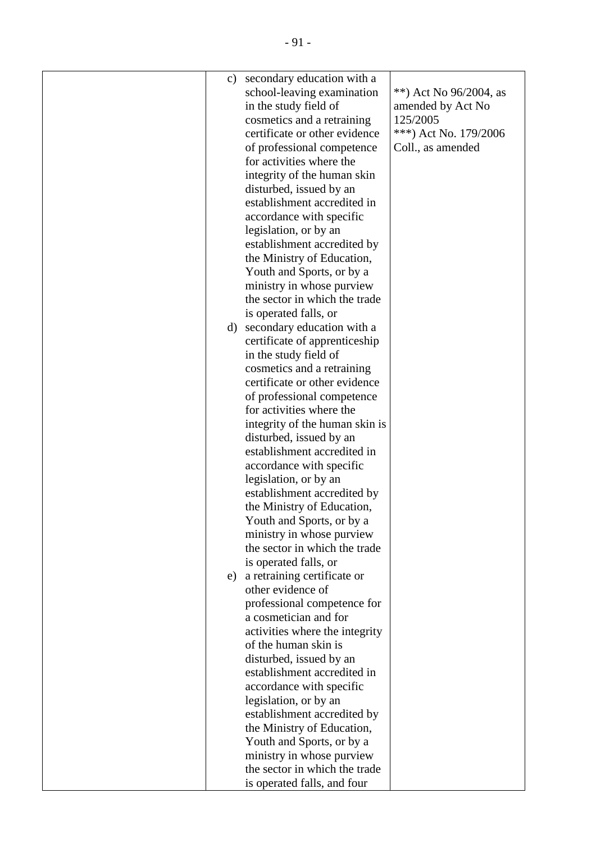| c) secondary education with a<br>school-leaving examination<br>**) Act No $96/2004$ , as<br>in the study field of<br>amended by Act No<br>125/2005<br>cosmetics and a retraining<br>certificate or other evidence<br>***) Act No. 179/2006<br>of professional competence<br>Coll., as amended<br>for activities where the<br>integrity of the human skin<br>disturbed, issued by an<br>establishment accredited in<br>accordance with specific<br>legislation, or by an<br>establishment accredited by<br>the Ministry of Education,<br>Youth and Sports, or by a<br>ministry in whose purview<br>the sector in which the trade<br>is operated falls, or<br>d) secondary education with a<br>certificate of apprenticeship<br>in the study field of<br>cosmetics and a retraining<br>certificate or other evidence<br>of professional competence<br>for activities where the<br>integrity of the human skin is<br>disturbed, issued by an<br>establishment accredited in<br>accordance with specific<br>legislation, or by an<br>establishment accredited by<br>the Ministry of Education,<br>Youth and Sports, or by a<br>ministry in whose purview<br>the sector in which the trade<br>is operated falls, or<br>a retraining certificate or<br>e)<br>other evidence of<br>professional competence for<br>a cosmetician and for<br>activities where the integrity<br>of the human skin is<br>disturbed, issued by an |  |  |
|-----------------------------------------------------------------------------------------------------------------------------------------------------------------------------------------------------------------------------------------------------------------------------------------------------------------------------------------------------------------------------------------------------------------------------------------------------------------------------------------------------------------------------------------------------------------------------------------------------------------------------------------------------------------------------------------------------------------------------------------------------------------------------------------------------------------------------------------------------------------------------------------------------------------------------------------------------------------------------------------------------------------------------------------------------------------------------------------------------------------------------------------------------------------------------------------------------------------------------------------------------------------------------------------------------------------------------------------------------------------------------------------------------------------------|--|--|
|                                                                                                                                                                                                                                                                                                                                                                                                                                                                                                                                                                                                                                                                                                                                                                                                                                                                                                                                                                                                                                                                                                                                                                                                                                                                                                                                                                                                                       |  |  |
|                                                                                                                                                                                                                                                                                                                                                                                                                                                                                                                                                                                                                                                                                                                                                                                                                                                                                                                                                                                                                                                                                                                                                                                                                                                                                                                                                                                                                       |  |  |
|                                                                                                                                                                                                                                                                                                                                                                                                                                                                                                                                                                                                                                                                                                                                                                                                                                                                                                                                                                                                                                                                                                                                                                                                                                                                                                                                                                                                                       |  |  |
|                                                                                                                                                                                                                                                                                                                                                                                                                                                                                                                                                                                                                                                                                                                                                                                                                                                                                                                                                                                                                                                                                                                                                                                                                                                                                                                                                                                                                       |  |  |
|                                                                                                                                                                                                                                                                                                                                                                                                                                                                                                                                                                                                                                                                                                                                                                                                                                                                                                                                                                                                                                                                                                                                                                                                                                                                                                                                                                                                                       |  |  |
|                                                                                                                                                                                                                                                                                                                                                                                                                                                                                                                                                                                                                                                                                                                                                                                                                                                                                                                                                                                                                                                                                                                                                                                                                                                                                                                                                                                                                       |  |  |
|                                                                                                                                                                                                                                                                                                                                                                                                                                                                                                                                                                                                                                                                                                                                                                                                                                                                                                                                                                                                                                                                                                                                                                                                                                                                                                                                                                                                                       |  |  |
|                                                                                                                                                                                                                                                                                                                                                                                                                                                                                                                                                                                                                                                                                                                                                                                                                                                                                                                                                                                                                                                                                                                                                                                                                                                                                                                                                                                                                       |  |  |
|                                                                                                                                                                                                                                                                                                                                                                                                                                                                                                                                                                                                                                                                                                                                                                                                                                                                                                                                                                                                                                                                                                                                                                                                                                                                                                                                                                                                                       |  |  |
|                                                                                                                                                                                                                                                                                                                                                                                                                                                                                                                                                                                                                                                                                                                                                                                                                                                                                                                                                                                                                                                                                                                                                                                                                                                                                                                                                                                                                       |  |  |
|                                                                                                                                                                                                                                                                                                                                                                                                                                                                                                                                                                                                                                                                                                                                                                                                                                                                                                                                                                                                                                                                                                                                                                                                                                                                                                                                                                                                                       |  |  |
|                                                                                                                                                                                                                                                                                                                                                                                                                                                                                                                                                                                                                                                                                                                                                                                                                                                                                                                                                                                                                                                                                                                                                                                                                                                                                                                                                                                                                       |  |  |
|                                                                                                                                                                                                                                                                                                                                                                                                                                                                                                                                                                                                                                                                                                                                                                                                                                                                                                                                                                                                                                                                                                                                                                                                                                                                                                                                                                                                                       |  |  |
|                                                                                                                                                                                                                                                                                                                                                                                                                                                                                                                                                                                                                                                                                                                                                                                                                                                                                                                                                                                                                                                                                                                                                                                                                                                                                                                                                                                                                       |  |  |
|                                                                                                                                                                                                                                                                                                                                                                                                                                                                                                                                                                                                                                                                                                                                                                                                                                                                                                                                                                                                                                                                                                                                                                                                                                                                                                                                                                                                                       |  |  |
|                                                                                                                                                                                                                                                                                                                                                                                                                                                                                                                                                                                                                                                                                                                                                                                                                                                                                                                                                                                                                                                                                                                                                                                                                                                                                                                                                                                                                       |  |  |
|                                                                                                                                                                                                                                                                                                                                                                                                                                                                                                                                                                                                                                                                                                                                                                                                                                                                                                                                                                                                                                                                                                                                                                                                                                                                                                                                                                                                                       |  |  |
|                                                                                                                                                                                                                                                                                                                                                                                                                                                                                                                                                                                                                                                                                                                                                                                                                                                                                                                                                                                                                                                                                                                                                                                                                                                                                                                                                                                                                       |  |  |
|                                                                                                                                                                                                                                                                                                                                                                                                                                                                                                                                                                                                                                                                                                                                                                                                                                                                                                                                                                                                                                                                                                                                                                                                                                                                                                                                                                                                                       |  |  |
|                                                                                                                                                                                                                                                                                                                                                                                                                                                                                                                                                                                                                                                                                                                                                                                                                                                                                                                                                                                                                                                                                                                                                                                                                                                                                                                                                                                                                       |  |  |
|                                                                                                                                                                                                                                                                                                                                                                                                                                                                                                                                                                                                                                                                                                                                                                                                                                                                                                                                                                                                                                                                                                                                                                                                                                                                                                                                                                                                                       |  |  |
|                                                                                                                                                                                                                                                                                                                                                                                                                                                                                                                                                                                                                                                                                                                                                                                                                                                                                                                                                                                                                                                                                                                                                                                                                                                                                                                                                                                                                       |  |  |
|                                                                                                                                                                                                                                                                                                                                                                                                                                                                                                                                                                                                                                                                                                                                                                                                                                                                                                                                                                                                                                                                                                                                                                                                                                                                                                                                                                                                                       |  |  |
|                                                                                                                                                                                                                                                                                                                                                                                                                                                                                                                                                                                                                                                                                                                                                                                                                                                                                                                                                                                                                                                                                                                                                                                                                                                                                                                                                                                                                       |  |  |
|                                                                                                                                                                                                                                                                                                                                                                                                                                                                                                                                                                                                                                                                                                                                                                                                                                                                                                                                                                                                                                                                                                                                                                                                                                                                                                                                                                                                                       |  |  |
|                                                                                                                                                                                                                                                                                                                                                                                                                                                                                                                                                                                                                                                                                                                                                                                                                                                                                                                                                                                                                                                                                                                                                                                                                                                                                                                                                                                                                       |  |  |
|                                                                                                                                                                                                                                                                                                                                                                                                                                                                                                                                                                                                                                                                                                                                                                                                                                                                                                                                                                                                                                                                                                                                                                                                                                                                                                                                                                                                                       |  |  |
|                                                                                                                                                                                                                                                                                                                                                                                                                                                                                                                                                                                                                                                                                                                                                                                                                                                                                                                                                                                                                                                                                                                                                                                                                                                                                                                                                                                                                       |  |  |
|                                                                                                                                                                                                                                                                                                                                                                                                                                                                                                                                                                                                                                                                                                                                                                                                                                                                                                                                                                                                                                                                                                                                                                                                                                                                                                                                                                                                                       |  |  |
|                                                                                                                                                                                                                                                                                                                                                                                                                                                                                                                                                                                                                                                                                                                                                                                                                                                                                                                                                                                                                                                                                                                                                                                                                                                                                                                                                                                                                       |  |  |
|                                                                                                                                                                                                                                                                                                                                                                                                                                                                                                                                                                                                                                                                                                                                                                                                                                                                                                                                                                                                                                                                                                                                                                                                                                                                                                                                                                                                                       |  |  |
|                                                                                                                                                                                                                                                                                                                                                                                                                                                                                                                                                                                                                                                                                                                                                                                                                                                                                                                                                                                                                                                                                                                                                                                                                                                                                                                                                                                                                       |  |  |
|                                                                                                                                                                                                                                                                                                                                                                                                                                                                                                                                                                                                                                                                                                                                                                                                                                                                                                                                                                                                                                                                                                                                                                                                                                                                                                                                                                                                                       |  |  |
|                                                                                                                                                                                                                                                                                                                                                                                                                                                                                                                                                                                                                                                                                                                                                                                                                                                                                                                                                                                                                                                                                                                                                                                                                                                                                                                                                                                                                       |  |  |
|                                                                                                                                                                                                                                                                                                                                                                                                                                                                                                                                                                                                                                                                                                                                                                                                                                                                                                                                                                                                                                                                                                                                                                                                                                                                                                                                                                                                                       |  |  |
|                                                                                                                                                                                                                                                                                                                                                                                                                                                                                                                                                                                                                                                                                                                                                                                                                                                                                                                                                                                                                                                                                                                                                                                                                                                                                                                                                                                                                       |  |  |
|                                                                                                                                                                                                                                                                                                                                                                                                                                                                                                                                                                                                                                                                                                                                                                                                                                                                                                                                                                                                                                                                                                                                                                                                                                                                                                                                                                                                                       |  |  |
|                                                                                                                                                                                                                                                                                                                                                                                                                                                                                                                                                                                                                                                                                                                                                                                                                                                                                                                                                                                                                                                                                                                                                                                                                                                                                                                                                                                                                       |  |  |
|                                                                                                                                                                                                                                                                                                                                                                                                                                                                                                                                                                                                                                                                                                                                                                                                                                                                                                                                                                                                                                                                                                                                                                                                                                                                                                                                                                                                                       |  |  |
|                                                                                                                                                                                                                                                                                                                                                                                                                                                                                                                                                                                                                                                                                                                                                                                                                                                                                                                                                                                                                                                                                                                                                                                                                                                                                                                                                                                                                       |  |  |
|                                                                                                                                                                                                                                                                                                                                                                                                                                                                                                                                                                                                                                                                                                                                                                                                                                                                                                                                                                                                                                                                                                                                                                                                                                                                                                                                                                                                                       |  |  |
|                                                                                                                                                                                                                                                                                                                                                                                                                                                                                                                                                                                                                                                                                                                                                                                                                                                                                                                                                                                                                                                                                                                                                                                                                                                                                                                                                                                                                       |  |  |
|                                                                                                                                                                                                                                                                                                                                                                                                                                                                                                                                                                                                                                                                                                                                                                                                                                                                                                                                                                                                                                                                                                                                                                                                                                                                                                                                                                                                                       |  |  |
|                                                                                                                                                                                                                                                                                                                                                                                                                                                                                                                                                                                                                                                                                                                                                                                                                                                                                                                                                                                                                                                                                                                                                                                                                                                                                                                                                                                                                       |  |  |
| establishment accredited in                                                                                                                                                                                                                                                                                                                                                                                                                                                                                                                                                                                                                                                                                                                                                                                                                                                                                                                                                                                                                                                                                                                                                                                                                                                                                                                                                                                           |  |  |
| accordance with specific                                                                                                                                                                                                                                                                                                                                                                                                                                                                                                                                                                                                                                                                                                                                                                                                                                                                                                                                                                                                                                                                                                                                                                                                                                                                                                                                                                                              |  |  |
| legislation, or by an                                                                                                                                                                                                                                                                                                                                                                                                                                                                                                                                                                                                                                                                                                                                                                                                                                                                                                                                                                                                                                                                                                                                                                                                                                                                                                                                                                                                 |  |  |
| establishment accredited by                                                                                                                                                                                                                                                                                                                                                                                                                                                                                                                                                                                                                                                                                                                                                                                                                                                                                                                                                                                                                                                                                                                                                                                                                                                                                                                                                                                           |  |  |
| the Ministry of Education,                                                                                                                                                                                                                                                                                                                                                                                                                                                                                                                                                                                                                                                                                                                                                                                                                                                                                                                                                                                                                                                                                                                                                                                                                                                                                                                                                                                            |  |  |
| Youth and Sports, or by a                                                                                                                                                                                                                                                                                                                                                                                                                                                                                                                                                                                                                                                                                                                                                                                                                                                                                                                                                                                                                                                                                                                                                                                                                                                                                                                                                                                             |  |  |
| ministry in whose purview                                                                                                                                                                                                                                                                                                                                                                                                                                                                                                                                                                                                                                                                                                                                                                                                                                                                                                                                                                                                                                                                                                                                                                                                                                                                                                                                                                                             |  |  |
| the sector in which the trade                                                                                                                                                                                                                                                                                                                                                                                                                                                                                                                                                                                                                                                                                                                                                                                                                                                                                                                                                                                                                                                                                                                                                                                                                                                                                                                                                                                         |  |  |
| is operated falls, and four                                                                                                                                                                                                                                                                                                                                                                                                                                                                                                                                                                                                                                                                                                                                                                                                                                                                                                                                                                                                                                                                                                                                                                                                                                                                                                                                                                                           |  |  |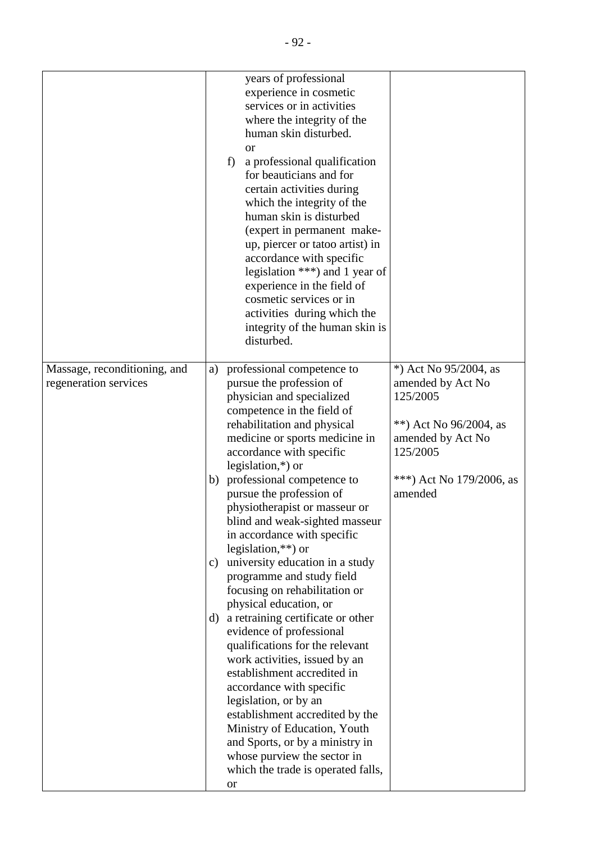|                                                       |                            | years of professional<br>experience in cosmetic<br>services or in activities<br>where the integrity of the<br>human skin disturbed.<br><sub>or</sub><br>a professional qualification<br>f)<br>for beauticians and for<br>certain activities during<br>which the integrity of the<br>human skin is disturbed<br>(expert in permanent make-<br>up, piercer or tatoo artist) in<br>accordance with specific<br>legislation $***$ ) and 1 year of<br>experience in the field of<br>cosmetic services or in<br>activities during which the<br>integrity of the human skin is<br>disturbed.                                                                                                                                                                                                                                                                                                                                                                                     |                                                                                                                                                                |
|-------------------------------------------------------|----------------------------|---------------------------------------------------------------------------------------------------------------------------------------------------------------------------------------------------------------------------------------------------------------------------------------------------------------------------------------------------------------------------------------------------------------------------------------------------------------------------------------------------------------------------------------------------------------------------------------------------------------------------------------------------------------------------------------------------------------------------------------------------------------------------------------------------------------------------------------------------------------------------------------------------------------------------------------------------------------------------|----------------------------------------------------------------------------------------------------------------------------------------------------------------|
| Massage, reconditioning, and<br>regeneration services | a)<br>b)<br>c)<br>$\rm d)$ | professional competence to<br>pursue the profession of<br>physician and specialized<br>competence in the field of<br>rehabilitation and physical<br>medicine or sports medicine in<br>accordance with specific<br>legislation, $*$ ) or<br>professional competence to<br>pursue the profession of<br>physiotherapist or masseur or<br>blind and weak-sighted masseur<br>in accordance with specific<br>legislation, $**$ ) or<br>university education in a study<br>programme and study field<br>focusing on rehabilitation or<br>physical education, or<br>a retraining certificate or other<br>evidence of professional<br>qualifications for the relevant<br>work activities, issued by an<br>establishment accredited in<br>accordance with specific<br>legislation, or by an<br>establishment accredited by the<br>Ministry of Education, Youth<br>and Sports, or by a ministry in<br>whose purview the sector in<br>which the trade is operated falls,<br><b>or</b> | *) Act No $95/2004$ , as<br>amended by Act No<br>125/2005<br>**) Act No $96/2004$ , as<br>amended by Act No<br>125/2005<br>***) Act No 179/2006, as<br>amended |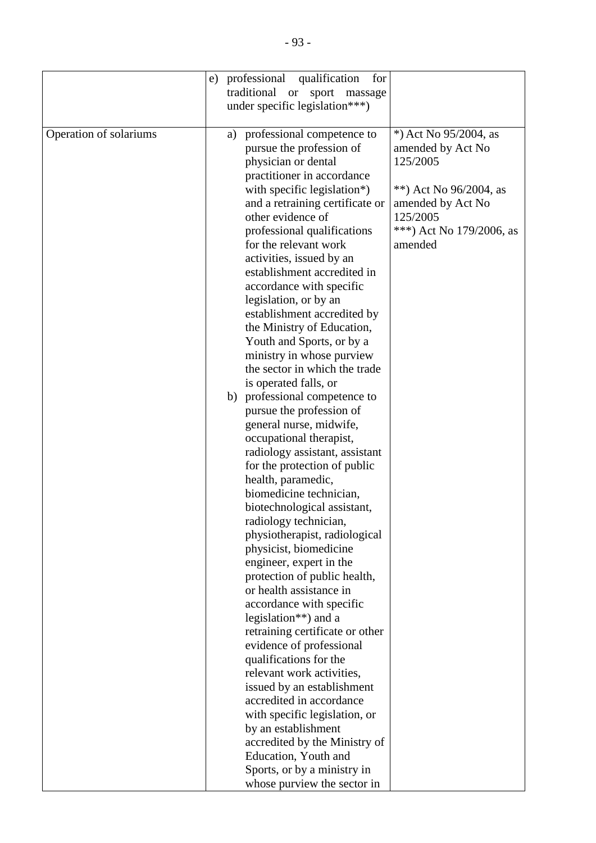|                        | e) professional<br>qualification<br>for<br>traditional or<br>sport<br>massage<br>under specific legislation***)                                                                                                                                                                                                                                                                                                                                                                                                                                                                                                                                                                                                                                                                                                                                                                                                                                                                                                                                                                                                                                                                                                                                                                                                                                                                                                   |                                                                                                                                                             |
|------------------------|-------------------------------------------------------------------------------------------------------------------------------------------------------------------------------------------------------------------------------------------------------------------------------------------------------------------------------------------------------------------------------------------------------------------------------------------------------------------------------------------------------------------------------------------------------------------------------------------------------------------------------------------------------------------------------------------------------------------------------------------------------------------------------------------------------------------------------------------------------------------------------------------------------------------------------------------------------------------------------------------------------------------------------------------------------------------------------------------------------------------------------------------------------------------------------------------------------------------------------------------------------------------------------------------------------------------------------------------------------------------------------------------------------------------|-------------------------------------------------------------------------------------------------------------------------------------------------------------|
| Operation of solariums | professional competence to<br>a)<br>pursue the profession of<br>physician or dental<br>practitioner in accordance<br>with specific legislation*)<br>and a retraining certificate or<br>other evidence of<br>professional qualifications<br>for the relevant work<br>activities, issued by an<br>establishment accredited in<br>accordance with specific<br>legislation, or by an<br>establishment accredited by<br>the Ministry of Education,<br>Youth and Sports, or by a<br>ministry in whose purview<br>the sector in which the trade<br>is operated falls, or<br>b) professional competence to<br>pursue the profession of<br>general nurse, midwife,<br>occupational therapist,<br>radiology assistant, assistant<br>for the protection of public<br>health, paramedic,<br>biomedicine technician,<br>biotechnological assistant,<br>radiology technician,<br>physiotherapist, radiological<br>physicist, biomedicine<br>engineer, expert in the<br>protection of public health,<br>or health assistance in<br>accordance with specific<br>legislation <sup>**</sup> ) and a<br>retraining certificate or other<br>evidence of professional<br>qualifications for the<br>relevant work activities,<br>issued by an establishment<br>accredited in accordance<br>with specific legislation, or<br>by an establishment<br>accredited by the Ministry of<br>Education, Youth and<br>Sports, or by a ministry in | *) Act No 95/2004, as<br>amended by Act No<br>125/2005<br>**) Act No $96/2004$ , as<br>amended by Act No<br>125/2005<br>***) Act No 179/2006, as<br>amended |
|                        | whose purview the sector in                                                                                                                                                                                                                                                                                                                                                                                                                                                                                                                                                                                                                                                                                                                                                                                                                                                                                                                                                                                                                                                                                                                                                                                                                                                                                                                                                                                       |                                                                                                                                                             |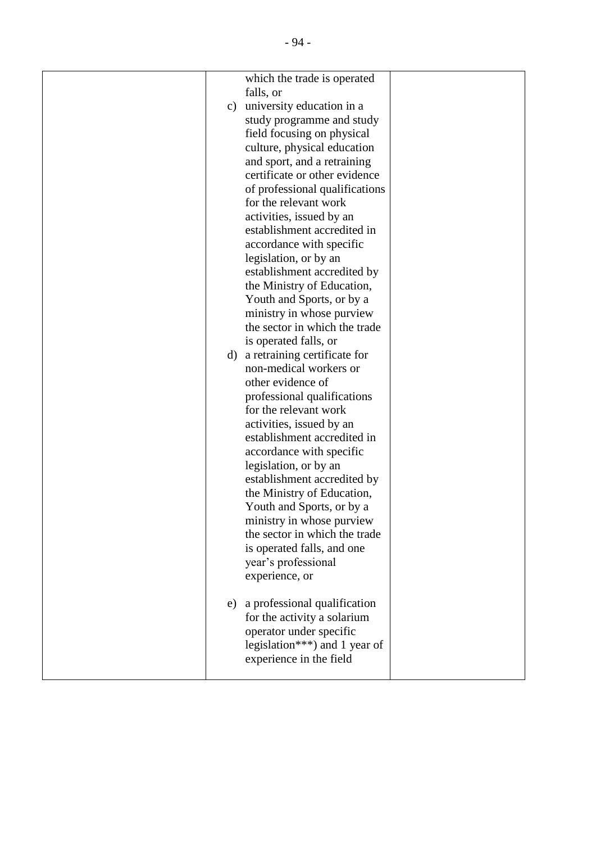|    | which the trade is operated     |  |
|----|---------------------------------|--|
|    | falls, or                       |  |
| c) | university education in a       |  |
|    | study programme and study       |  |
|    | field focusing on physical      |  |
|    | culture, physical education     |  |
|    | and sport, and a retraining     |  |
|    | certificate or other evidence   |  |
|    | of professional qualifications  |  |
|    | for the relevant work           |  |
|    | activities, issued by an        |  |
|    | establishment accredited in     |  |
|    | accordance with specific        |  |
|    |                                 |  |
|    | legislation, or by an           |  |
|    | establishment accredited by     |  |
|    | the Ministry of Education,      |  |
|    | Youth and Sports, or by a       |  |
|    | ministry in whose purview       |  |
|    | the sector in which the trade   |  |
|    | is operated falls, or           |  |
|    | d) a retraining certificate for |  |
|    | non-medical workers or          |  |
|    | other evidence of               |  |
|    | professional qualifications     |  |
|    | for the relevant work           |  |
|    | activities, issued by an        |  |
|    | establishment accredited in     |  |
|    | accordance with specific        |  |
|    | legislation, or by an           |  |
|    | establishment accredited by     |  |
|    | the Ministry of Education,      |  |
|    | Youth and Sports, or by a       |  |
|    | ministry in whose purview       |  |
|    | the sector in which the trade   |  |
|    | is operated falls, and one      |  |
|    | year's professional             |  |
|    | experience, or                  |  |
|    |                                 |  |
| e) | a professional qualification    |  |
|    | for the activity a solarium     |  |
|    | operator under specific         |  |
|    | legislation***) and 1 year of   |  |
|    | experience in the field         |  |
|    |                                 |  |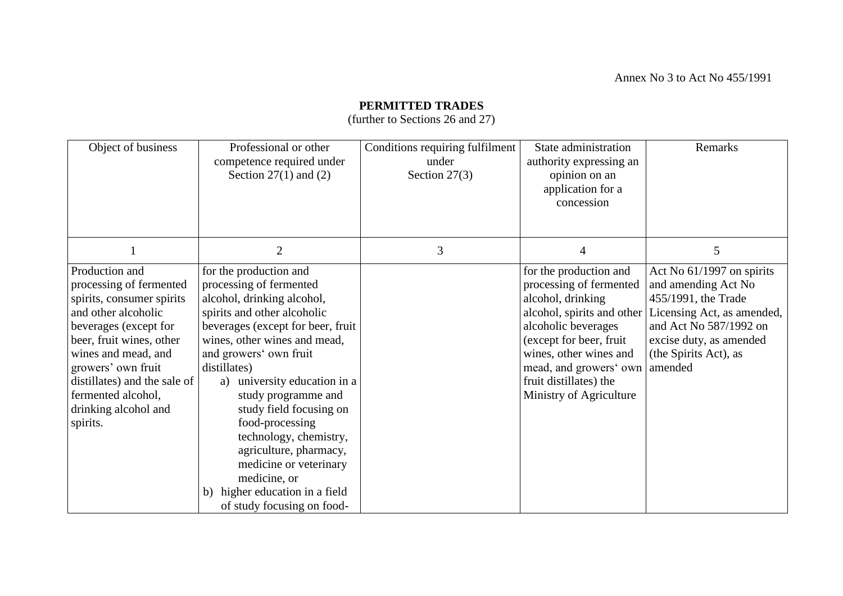### **PERMITTED TRADES**

(further to Sections 26 and 27)

| Object of business                                                                                                                                                                                                                                                                        | Professional or other<br>competence required under<br>Section $27(1)$ and $(2)$                                                                                                                                                                                                                                                                                                                                                                                                                        | Conditions requiring fulfilment<br>under<br>Section $27(3)$ | State administration<br>authority expressing an<br>opinion on an<br>application for a<br>concession                                                                                                                                       | Remarks                                                                                                                                                                                                        |
|-------------------------------------------------------------------------------------------------------------------------------------------------------------------------------------------------------------------------------------------------------------------------------------------|--------------------------------------------------------------------------------------------------------------------------------------------------------------------------------------------------------------------------------------------------------------------------------------------------------------------------------------------------------------------------------------------------------------------------------------------------------------------------------------------------------|-------------------------------------------------------------|-------------------------------------------------------------------------------------------------------------------------------------------------------------------------------------------------------------------------------------------|----------------------------------------------------------------------------------------------------------------------------------------------------------------------------------------------------------------|
|                                                                                                                                                                                                                                                                                           | $\overline{2}$                                                                                                                                                                                                                                                                                                                                                                                                                                                                                         | 3                                                           | $\overline{4}$                                                                                                                                                                                                                            | 5                                                                                                                                                                                                              |
| Production and<br>processing of fermented<br>spirits, consumer spirits<br>and other alcoholic<br>beverages (except for<br>beer, fruit wines, other<br>wines and mead, and<br>growers' own fruit<br>distillates) and the sale of<br>fermented alcohol,<br>drinking alcohol and<br>spirits. | for the production and<br>processing of fermented<br>alcohol, drinking alcohol,<br>spirits and other alcoholic<br>beverages (except for beer, fruit<br>wines, other wines and mead,<br>and growers' own fruit<br>distillates)<br>university education in a<br>a)<br>study programme and<br>study field focusing on<br>food-processing<br>technology, chemistry,<br>agriculture, pharmacy,<br>medicine or veterinary<br>medicine, or<br>higher education in a field<br>b)<br>of study focusing on food- |                                                             | for the production and<br>processing of fermented<br>alcohol, drinking<br>alcoholic beverages<br>(except for beer, fruit<br>wines, other wines and<br>mead, and growers' own amended<br>fruit distillates) the<br>Ministry of Agriculture | Act No 61/1997 on spirits<br>and amending Act No<br>455/1991, the Trade<br>alcohol, spirits and other Licensing Act, as amended,<br>and Act No 587/1992 on<br>excise duty, as amended<br>(the Spirits Act), as |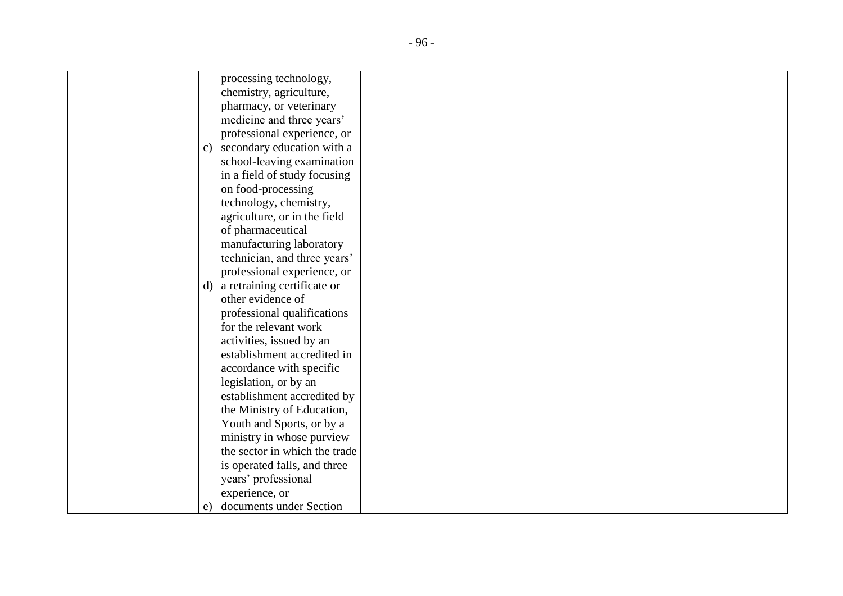| processing technology,                     |
|--------------------------------------------|
| chemistry, agriculture,                    |
| pharmacy, or veterinary                    |
| medicine and three years'                  |
| professional experience, or                |
| secondary education with a<br>$\mathbf{c}$ |
| school-leaving examination                 |
| in a field of study focusing               |
| on food-processing                         |
| technology, chemistry,                     |
| agriculture, or in the field               |
| of pharmaceutical                          |
| manufacturing laboratory                   |
| technician, and three years'               |
| professional experience, or                |
| d) a retraining certificate or             |
| other evidence of                          |
| professional qualifications                |
| for the relevant work                      |
| activities, issued by an                   |
| establishment accredited in                |
| accordance with specific                   |
| legislation, or by an                      |
| establishment accredited by                |
| the Ministry of Education,                 |
| Youth and Sports, or by a                  |
| ministry in whose purview                  |
| the sector in which the trade              |
| is operated falls, and three               |
| years' professional                        |
| experience, or                             |
| documents under Section<br>e)              |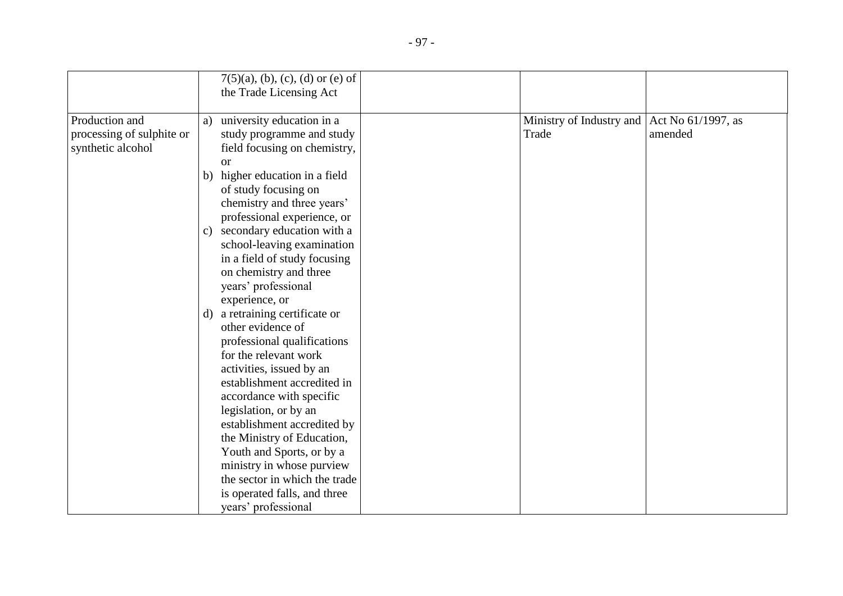|                                                                  |                     | $7(5)(a)$ , (b), (c), (d) or (e) of<br>the Trade Licensing Act                                                                                                                                                                                           |  |                                   |                               |
|------------------------------------------------------------------|---------------------|----------------------------------------------------------------------------------------------------------------------------------------------------------------------------------------------------------------------------------------------------------|--|-----------------------------------|-------------------------------|
| Production and<br>processing of sulphite or<br>synthetic alcohol | a)<br>$\mathbf{c})$ | university education in a<br>study programme and study<br>field focusing on chemistry,<br><b>or</b><br>b) higher education in a field<br>of study focusing on<br>chemistry and three years'<br>professional experience, or<br>secondary education with a |  | Ministry of Industry and<br>Trade | Act No 61/1997, as<br>amended |
|                                                                  | d)                  | school-leaving examination<br>in a field of study focusing<br>on chemistry and three<br>years' professional<br>experience, or<br>a retraining certificate or<br>other evidence of                                                                        |  |                                   |                               |
|                                                                  |                     | professional qualifications<br>for the relevant work<br>activities, issued by an<br>establishment accredited in<br>accordance with specific<br>legislation, or by an<br>establishment accredited by                                                      |  |                                   |                               |
|                                                                  |                     | the Ministry of Education,<br>Youth and Sports, or by a<br>ministry in whose purview<br>the sector in which the trade<br>is operated falls, and three<br>years' professional                                                                             |  |                                   |                               |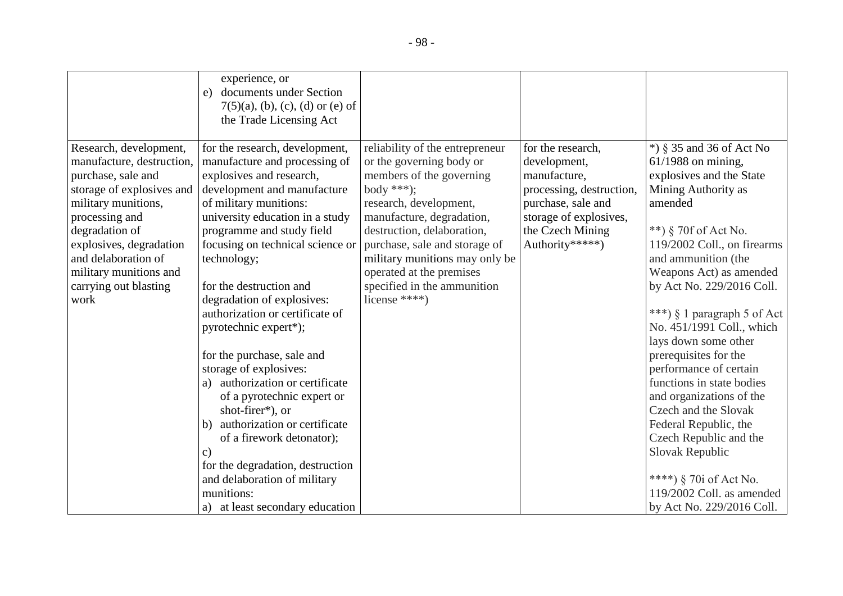|                                                                                                                                                                                                                                                                                | experience, or<br>documents under Section<br>e)<br>$7(5)(a)$ , (b), (c), (d) or (e) of<br>the Trade Licensing Act                                                                                                                                                                                                                                                                                                                                                                                                                                                                                                                                                                                                                       |                                                                                                                                                                                                                                                                                                                                           |                                                                                                                                                                      |                                                                                                                                                                                                                                                                                                                                                                                                                                                                                                                                                                                                                                             |
|--------------------------------------------------------------------------------------------------------------------------------------------------------------------------------------------------------------------------------------------------------------------------------|-----------------------------------------------------------------------------------------------------------------------------------------------------------------------------------------------------------------------------------------------------------------------------------------------------------------------------------------------------------------------------------------------------------------------------------------------------------------------------------------------------------------------------------------------------------------------------------------------------------------------------------------------------------------------------------------------------------------------------------------|-------------------------------------------------------------------------------------------------------------------------------------------------------------------------------------------------------------------------------------------------------------------------------------------------------------------------------------------|----------------------------------------------------------------------------------------------------------------------------------------------------------------------|---------------------------------------------------------------------------------------------------------------------------------------------------------------------------------------------------------------------------------------------------------------------------------------------------------------------------------------------------------------------------------------------------------------------------------------------------------------------------------------------------------------------------------------------------------------------------------------------------------------------------------------------|
| Research, development,<br>manufacture, destruction,<br>purchase, sale and<br>storage of explosives and<br>military munitions,<br>processing and<br>degradation of<br>explosives, degradation<br>and delaboration of<br>military munitions and<br>carrying out blasting<br>work | for the research, development,<br>manufacture and processing of<br>explosives and research,<br>development and manufacture<br>of military munitions:<br>university education in a study<br>programme and study field<br>focusing on technical science or<br>technology;<br>for the destruction and<br>degradation of explosives:<br>authorization or certificate of<br>pyrotechnic expert*);<br>for the purchase, sale and<br>storage of explosives:<br>a) authorization or certificate<br>of a pyrotechnic expert or<br>shot-firer*), or<br>authorization or certificate<br>b)<br>of a firework detonator);<br>C)<br>for the degradation, destruction<br>and delaboration of military<br>munitions:<br>a) at least secondary education | reliability of the entrepreneur<br>or the governing body or<br>members of the governing<br>body ***);<br>research, development,<br>manufacture, degradation,<br>destruction, delaboration,<br>purchase, sale and storage of<br>military munitions may only be<br>operated at the premises<br>specified in the ammunition<br>license ****) | for the research,<br>development,<br>manufacture,<br>processing, destruction,<br>purchase, sale and<br>storage of explosives,<br>the Czech Mining<br>Authority*****) | $*)$ § 35 and 36 of Act No<br>$61/1988$ on mining,<br>explosives and the State<br>Mining Authority as<br>amended<br>**) § 70f of Act No.<br>119/2002 Coll., on firearms<br>and ammunition (the<br>Weapons Act) as amended<br>by Act No. 229/2016 Coll.<br>***) $\S$ 1 paragraph 5 of Act<br>No. 451/1991 Coll., which<br>lays down some other<br>prerequisites for the<br>performance of certain<br>functions in state bodies<br>and organizations of the<br>Czech and the Slovak<br>Federal Republic, the<br>Czech Republic and the<br>Slovak Republic<br>****) § 70i of Act No.<br>119/2002 Coll. as amended<br>by Act No. 229/2016 Coll. |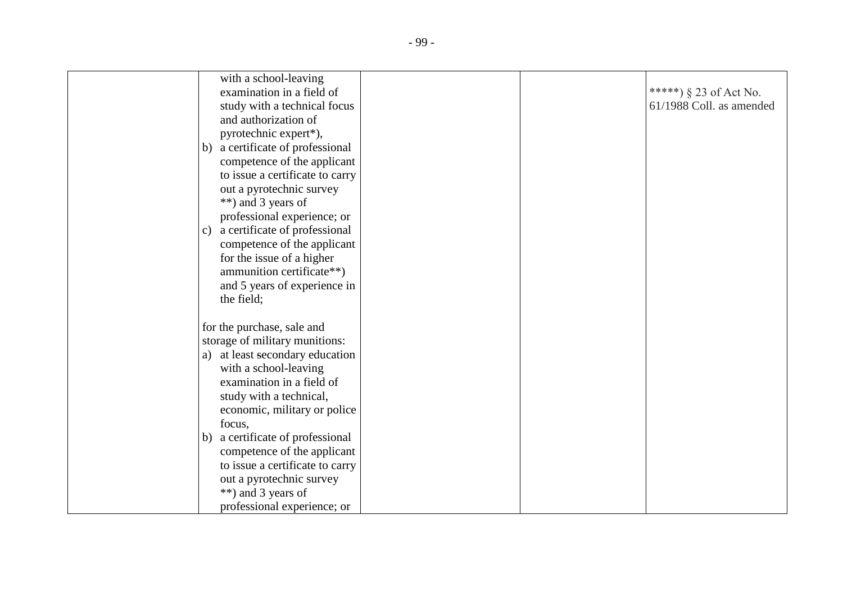| with a school-leaving                         |  |                          |
|-----------------------------------------------|--|--------------------------|
| examination in a field of                     |  | *****) $§$ 23 of Act No. |
| study with a technical focus                  |  | 61/1988 Coll. as amended |
| and authorization of                          |  |                          |
| pyrotechnic expert*),                         |  |                          |
| a certificate of professional<br>b)           |  |                          |
| competence of the applicant                   |  |                          |
| to issue a certificate to carry               |  |                          |
| out a pyrotechnic survey                      |  |                          |
| **) and 3 years of                            |  |                          |
| professional experience; or                   |  |                          |
| a certificate of professional<br>$\mathbf{c}$ |  |                          |
| competence of the applicant                   |  |                          |
| for the issue of a higher                     |  |                          |
| ammunition certificate**)                     |  |                          |
| and 5 years of experience in                  |  |                          |
| the field;                                    |  |                          |
|                                               |  |                          |
| for the purchase, sale and                    |  |                          |
| storage of military munitions:                |  |                          |
| at least secondary education<br>a)            |  |                          |
| with a school-leaving                         |  |                          |
| examination in a field of                     |  |                          |
| study with a technical,                       |  |                          |
| economic, military or police                  |  |                          |
| focus,                                        |  |                          |
| a certificate of professional<br>b)           |  |                          |
| competence of the applicant                   |  |                          |
| to issue a certificate to carry               |  |                          |
| out a pyrotechnic survey                      |  |                          |
| **) and 3 years of                            |  |                          |
| professional experience; or                   |  |                          |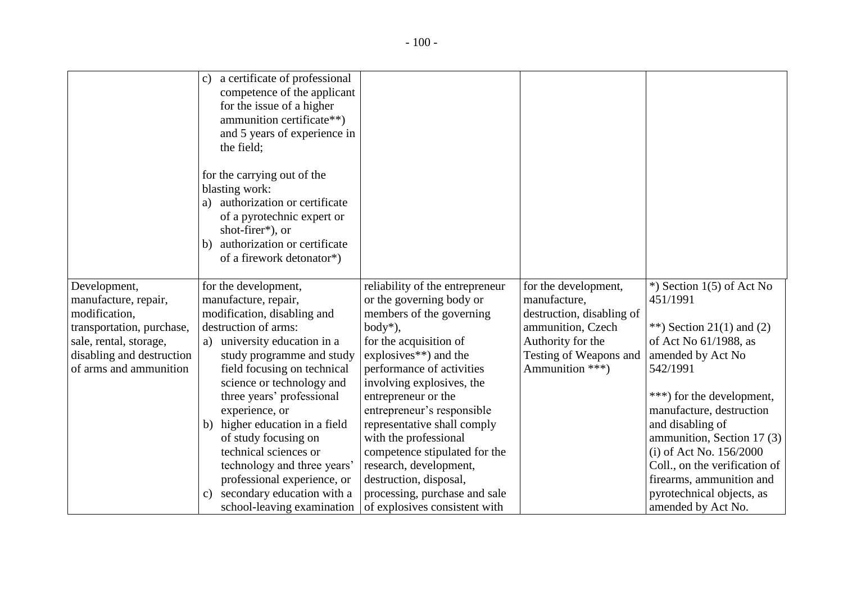|                           | a certificate of professional<br>$\mathbf{c}$<br>competence of the applicant<br>for the issue of a higher<br>ammunition certificate**)<br>and 5 years of experience in<br>the field;                     |                                                        |                           |                                                       |
|---------------------------|----------------------------------------------------------------------------------------------------------------------------------------------------------------------------------------------------------|--------------------------------------------------------|---------------------------|-------------------------------------------------------|
|                           | for the carrying out of the<br>blasting work:<br>authorization or certificate<br>a)<br>of a pyrotechnic expert or<br>shot-firer*), or<br>authorization or certificate<br>b)<br>of a firework detonator*) |                                                        |                           |                                                       |
| Development,              | for the development,                                                                                                                                                                                     | reliability of the entrepreneur                        | for the development,      | $*$ ) Section 1(5) of Act No                          |
| manufacture, repair,      | manufacture, repair,                                                                                                                                                                                     | or the governing body or                               | manufacture,              | 451/1991                                              |
| modification,             | modification, disabling and                                                                                                                                                                              | members of the governing                               | destruction, disabling of |                                                       |
| transportation, purchase, | destruction of arms:                                                                                                                                                                                     | $body^*$ ),                                            | ammunition, Czech         | **) Section 21(1) and (2)                             |
| sale, rental, storage,    | a) university education in a                                                                                                                                                                             | for the acquisition of                                 | Authority for the         | of Act No 61/1988, as                                 |
| disabling and destruction | study programme and study                                                                                                                                                                                | explosives $**$ ) and the                              | Testing of Weapons and    | amended by Act No                                     |
| of arms and ammunition    | field focusing on technical                                                                                                                                                                              | performance of activities                              | Ammunition ***)           | 542/1991                                              |
|                           | science or technology and                                                                                                                                                                                | involving explosives, the                              |                           |                                                       |
|                           | three years' professional                                                                                                                                                                                | entrepreneur or the                                    |                           | ***) for the development,                             |
|                           | experience, or                                                                                                                                                                                           | entrepreneur's responsible                             |                           | manufacture, destruction                              |
|                           | higher education in a field<br>b)                                                                                                                                                                        | representative shall comply                            |                           | and disabling of                                      |
|                           | of study focusing on<br>technical sciences or                                                                                                                                                            | with the professional<br>competence stipulated for the |                           | ammunition, Section 17 (3)<br>(i) of Act No. 156/2000 |
|                           | technology and three years'                                                                                                                                                                              | research, development,                                 |                           | Coll., on the verification of                         |
|                           | professional experience, or                                                                                                                                                                              | destruction, disposal,                                 |                           | firearms, ammunition and                              |
|                           | secondary education with a<br>C)                                                                                                                                                                         | processing, purchase and sale                          |                           | pyrotechnical objects, as                             |
|                           | school-leaving examination                                                                                                                                                                               | of explosives consistent with                          |                           | amended by Act No.                                    |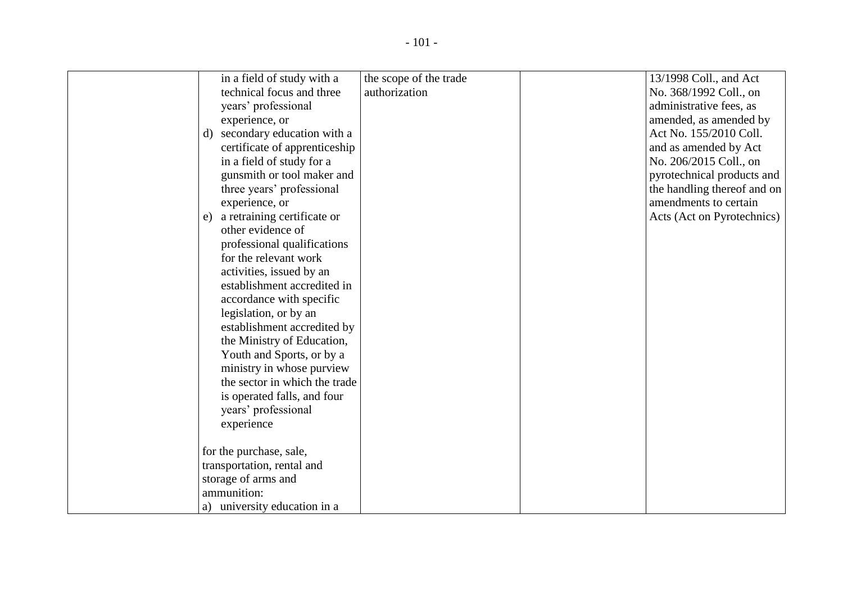| in a field of study with a        | the scope of the trade | 13/1998 Coll., and Act      |
|-----------------------------------|------------------------|-----------------------------|
| technical focus and three         | authorization          | No. 368/1992 Coll., on      |
| years' professional               |                        | administrative fees, as     |
| experience, or                    |                        | amended, as amended by      |
| secondary education with a<br>d)  |                        | Act No. 155/2010 Coll.      |
| certificate of apprenticeship     |                        | and as amended by Act       |
| in a field of study for a         |                        | No. 206/2015 Coll., on      |
| gunsmith or tool maker and        |                        | pyrotechnical products and  |
| three years' professional         |                        | the handling thereof and on |
| experience, or                    |                        | amendments to certain       |
| a retraining certificate or<br>e) |                        | Acts (Act on Pyrotechnics)  |
| other evidence of                 |                        |                             |
| professional qualifications       |                        |                             |
| for the relevant work             |                        |                             |
| activities, issued by an          |                        |                             |
| establishment accredited in       |                        |                             |
| accordance with specific          |                        |                             |
| legislation, or by an             |                        |                             |
| establishment accredited by       |                        |                             |
| the Ministry of Education,        |                        |                             |
| Youth and Sports, or by a         |                        |                             |
| ministry in whose purview         |                        |                             |
| the sector in which the trade     |                        |                             |
| is operated falls, and four       |                        |                             |
| years' professional               |                        |                             |
| experience                        |                        |                             |
|                                   |                        |                             |
| for the purchase, sale,           |                        |                             |
| transportation, rental and        |                        |                             |
| storage of arms and               |                        |                             |
| ammunition:                       |                        |                             |
| a) university education in a      |                        |                             |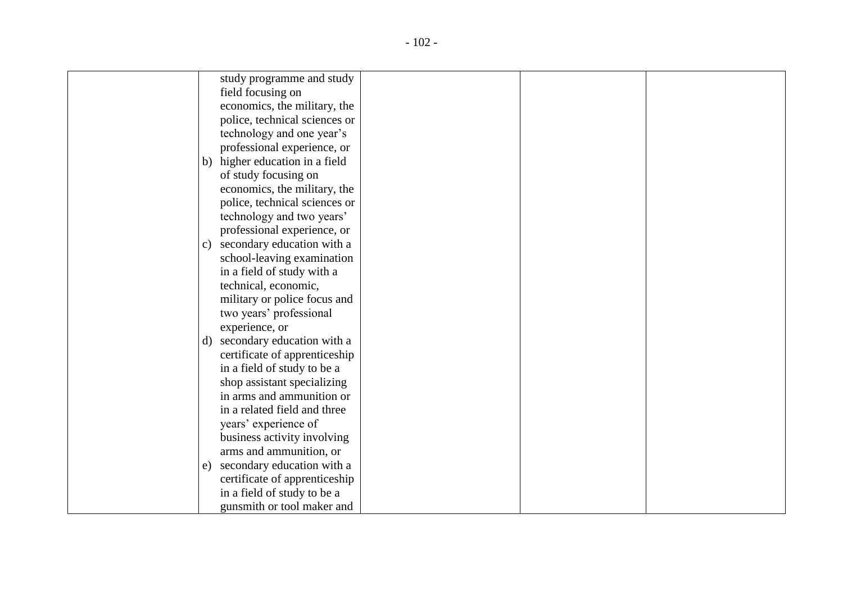| study programme and study                    |
|----------------------------------------------|
| field focusing on                            |
| economics, the military, the                 |
| police, technical sciences or                |
| technology and one year's                    |
| professional experience, or                  |
| b) higher education in a field               |
| of study focusing on                         |
| economics, the military, the                 |
| police, technical sciences or                |
| technology and two years'                    |
| professional experience, or                  |
| secondary education with a<br>$\mathbf{c}$ ) |
| school-leaving examination                   |
| in a field of study with a                   |
| technical, economic,                         |
| military or police focus and                 |
| two years' professional                      |
| experience, or                               |
| secondary education with a<br>d)             |
| certificate of apprenticeship                |
| in a field of study to be a                  |
| shop assistant specializing                  |
| in arms and ammunition or                    |
| in a related field and three                 |
| years' experience of                         |
| business activity involving                  |
| arms and ammunition, or                      |
| secondary education with a<br>e)             |
| certificate of apprenticeship                |
| in a field of study to be a                  |
| gunsmith or tool maker and                   |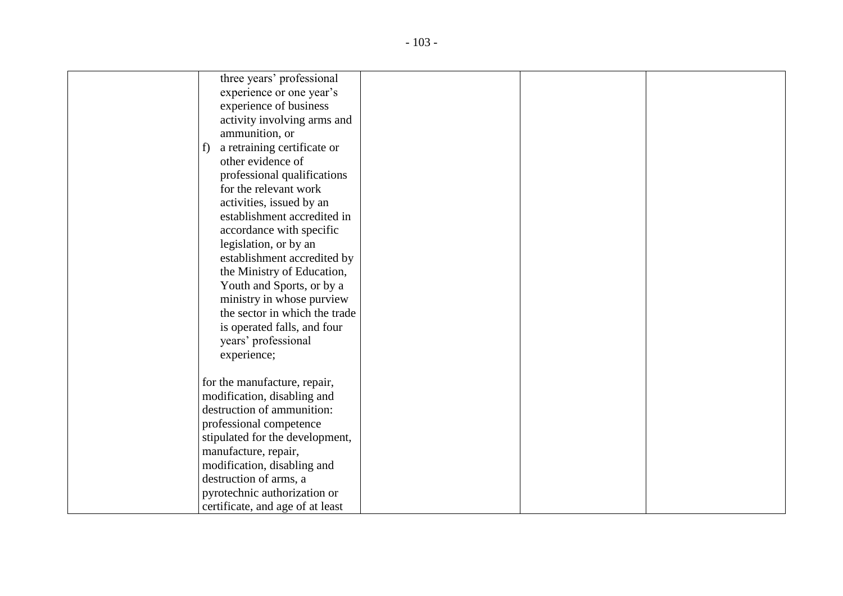| three years' professional         |
|-----------------------------------|
| experience or one year's          |
| experience of business            |
| activity involving arms and       |
| ammunition, or                    |
| a retraining certificate or<br>f) |
| other evidence of                 |
| professional qualifications       |
| for the relevant work             |
| activities, issued by an          |
| establishment accredited in       |
| accordance with specific          |
| legislation, or by an             |
| establishment accredited by       |
| the Ministry of Education,        |
| Youth and Sports, or by a         |
| ministry in whose purview         |
| the sector in which the trade     |
| is operated falls, and four       |
| years' professional               |
| experience;                       |
|                                   |
| for the manufacture, repair,      |
| modification, disabling and       |
| destruction of ammunition:        |
| professional competence           |
| stipulated for the development,   |
| manufacture, repair,              |
| modification, disabling and       |
| destruction of arms, a            |
| pyrotechnic authorization or      |
| certificate, and age of at least  |
|                                   |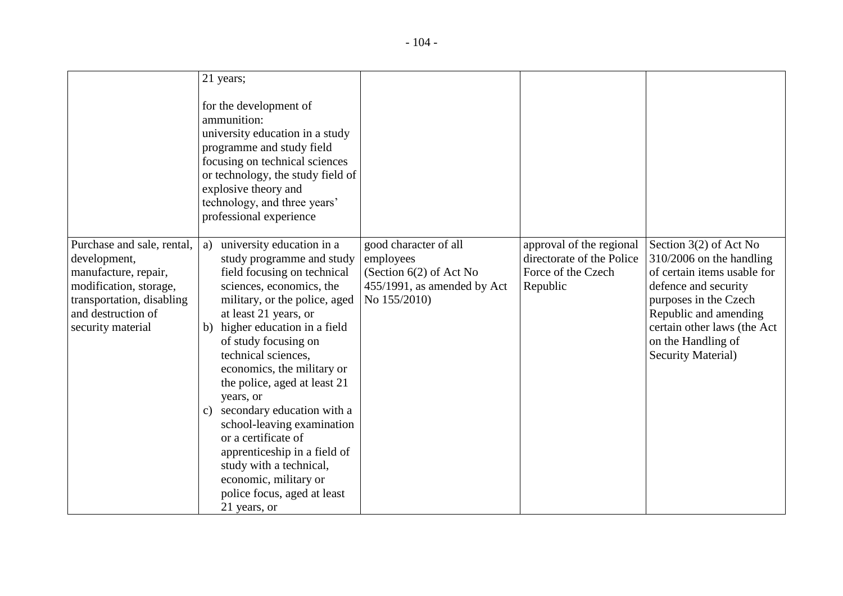|                                                                                                                                                                      | 21 years;                                                                                                                                                                                                                                                                                                                                                                                                                                                                                                                                                                                 |                                                                                                                |                                                                                         |                                                                                                                                                                                                                                                    |
|----------------------------------------------------------------------------------------------------------------------------------------------------------------------|-------------------------------------------------------------------------------------------------------------------------------------------------------------------------------------------------------------------------------------------------------------------------------------------------------------------------------------------------------------------------------------------------------------------------------------------------------------------------------------------------------------------------------------------------------------------------------------------|----------------------------------------------------------------------------------------------------------------|-----------------------------------------------------------------------------------------|----------------------------------------------------------------------------------------------------------------------------------------------------------------------------------------------------------------------------------------------------|
|                                                                                                                                                                      | for the development of<br>ammunition:<br>university education in a study<br>programme and study field<br>focusing on technical sciences<br>or technology, the study field of<br>explosive theory and<br>technology, and three years'<br>professional experience                                                                                                                                                                                                                                                                                                                           |                                                                                                                |                                                                                         |                                                                                                                                                                                                                                                    |
| Purchase and sale, rental,<br>development,<br>manufacture, repair,<br>modification, storage,<br>transportation, disabling<br>and destruction of<br>security material | university education in a<br>a)<br>study programme and study<br>field focusing on technical<br>sciences, economics, the<br>military, or the police, aged<br>at least 21 years, or<br>higher education in a field<br>b)<br>of study focusing on<br>technical sciences,<br>economics, the military or<br>the police, aged at least 21<br>years, or<br>secondary education with a<br>$\mathcal{C}$ )<br>school-leaving examination<br>or a certificate of<br>apprenticeship in a field of<br>study with a technical,<br>economic, military or<br>police focus, aged at least<br>21 years, or | good character of all<br>employees<br>(Section $6(2)$ of Act No<br>455/1991, as amended by Act<br>No 155/2010) | approval of the regional<br>directorate of the Police<br>Force of the Czech<br>Republic | Section $3(2)$ of Act No<br>$310/2006$ on the handling<br>of certain items usable for<br>defence and security<br>purposes in the Czech<br>Republic and amending<br>certain other laws (the Act<br>on the Handling of<br><b>Security Material</b> ) |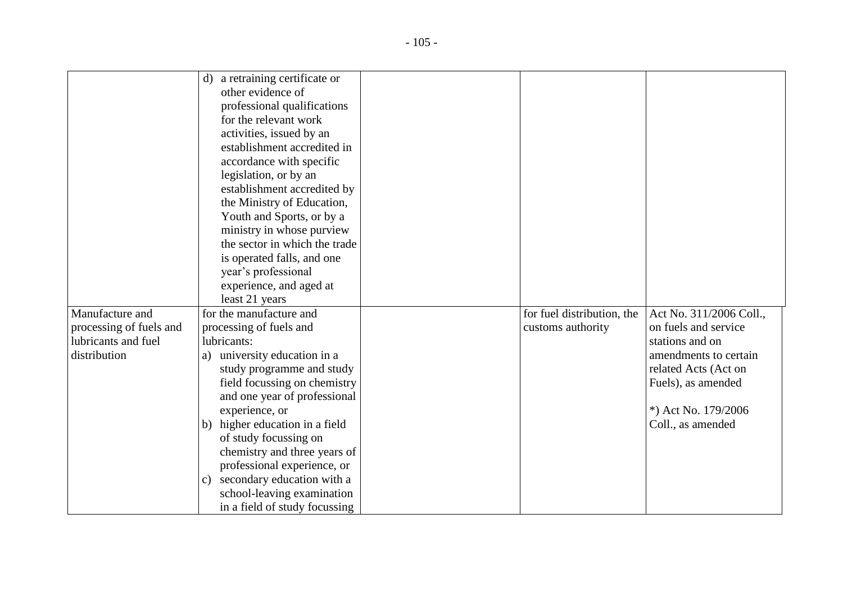|                         | d) a retraining certificate or   |                            |                         |
|-------------------------|----------------------------------|----------------------------|-------------------------|
|                         | other evidence of                |                            |                         |
|                         | professional qualifications      |                            |                         |
|                         | for the relevant work            |                            |                         |
|                         | activities, issued by an         |                            |                         |
|                         | establishment accredited in      |                            |                         |
|                         | accordance with specific         |                            |                         |
|                         | legislation, or by an            |                            |                         |
|                         | establishment accredited by      |                            |                         |
|                         | the Ministry of Education,       |                            |                         |
|                         | Youth and Sports, or by a        |                            |                         |
|                         | ministry in whose purview        |                            |                         |
|                         | the sector in which the trade    |                            |                         |
|                         | is operated falls, and one       |                            |                         |
|                         | year's professional              |                            |                         |
|                         | experience, and aged at          |                            |                         |
|                         | least 21 years                   |                            |                         |
| Manufacture and         | for the manufacture and          | for fuel distribution, the | Act No. 311/2006 Coll., |
| processing of fuels and | processing of fuels and          | customs authority          | on fuels and service    |
| lubricants and fuel     | lubricants:                      |                            | stations and on         |
| distribution            | university education in a<br>a)  |                            | amendments to certain   |
|                         | study programme and study        |                            | related Acts (Act on    |
|                         | field focussing on chemistry     |                            | Fuels), as amended      |
|                         | and one year of professional     |                            |                         |
|                         | experience, or                   |                            | *) Act No. 179/2006     |
|                         | b) higher education in a field   |                            | Coll., as amended       |
|                         | of study focussing on            |                            |                         |
|                         | chemistry and three years of     |                            |                         |
|                         | professional experience, or      |                            |                         |
|                         | secondary education with a<br>C) |                            |                         |
|                         | school-leaving examination       |                            |                         |
|                         | in a field of study focussing    |                            |                         |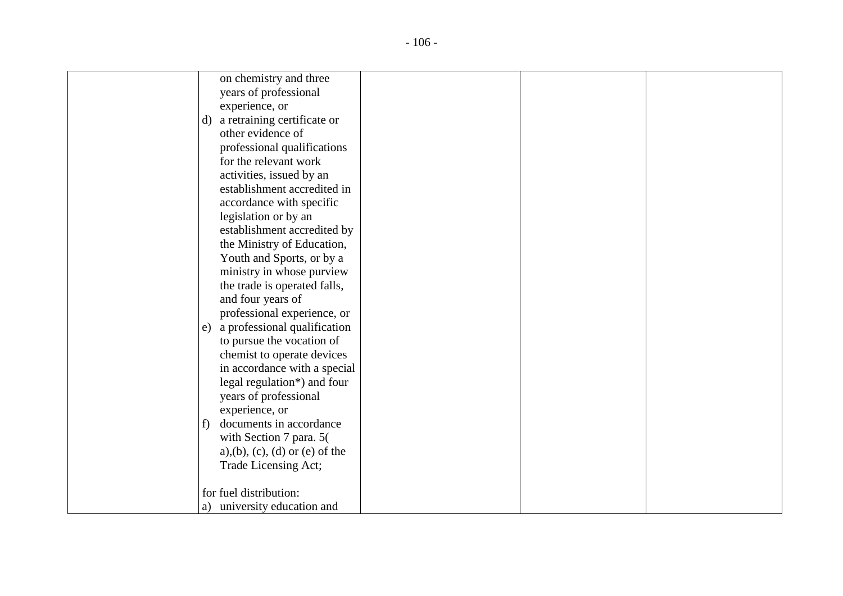| on chemistry and three                       |
|----------------------------------------------|
| years of professional                        |
| experience, or                               |
| a retraining certificate or<br>d)            |
| other evidence of                            |
| professional qualifications                  |
| for the relevant work                        |
| activities, issued by an                     |
| establishment accredited in                  |
| accordance with specific                     |
| legislation or by an                         |
| establishment accredited by                  |
| the Ministry of Education,                   |
| Youth and Sports, or by a                    |
| ministry in whose purview                    |
| the trade is operated falls,                 |
| and four years of                            |
| professional experience, or                  |
| a professional qualification<br>e)           |
| to pursue the vocation of                    |
| chemist to operate devices                   |
| in accordance with a special                 |
| legal regulation*) and four                  |
| years of professional                        |
| experience, or                               |
| documents in accordance<br>f)                |
| with Section 7 para. 5(                      |
| $a)$ , $(b)$ , $(c)$ , $(d)$ or $(e)$ of the |
| Trade Licensing Act;                         |
|                                              |
| for fuel distribution:                       |
| a) university education and                  |
|                                              |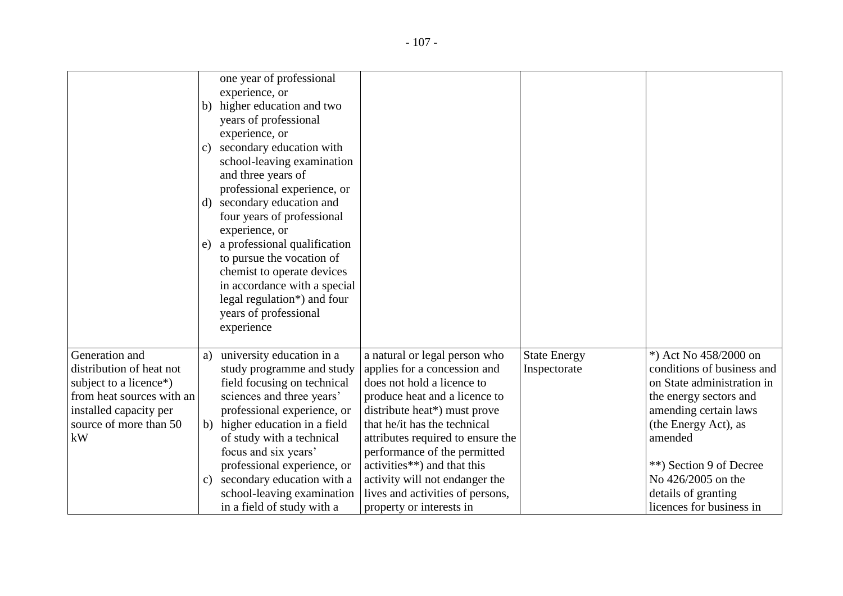|                           | b)<br>C)<br>e) | one year of professional<br>experience, or<br>higher education and two<br>years of professional<br>experience, or<br>secondary education with<br>school-leaving examination<br>and three years of<br>professional experience, or<br>d) secondary education and<br>four years of professional<br>experience, or<br>a professional qualification<br>to pursue the vocation of<br>chemist to operate devices |                                                               |                                     |                            |
|---------------------------|----------------|-----------------------------------------------------------------------------------------------------------------------------------------------------------------------------------------------------------------------------------------------------------------------------------------------------------------------------------------------------------------------------------------------------------|---------------------------------------------------------------|-------------------------------------|----------------------------|
|                           |                | in accordance with a special                                                                                                                                                                                                                                                                                                                                                                              |                                                               |                                     |                            |
|                           |                | legal regulation*) and four<br>years of professional                                                                                                                                                                                                                                                                                                                                                      |                                                               |                                     |                            |
|                           |                | experience                                                                                                                                                                                                                                                                                                                                                                                                |                                                               |                                     |                            |
| Generation and            |                | university education in a                                                                                                                                                                                                                                                                                                                                                                                 |                                                               |                                     | *) Act No 458/2000 on      |
| distribution of heat not  | a)             | study programme and study                                                                                                                                                                                                                                                                                                                                                                                 | a natural or legal person who<br>applies for a concession and | <b>State Energy</b><br>Inspectorate | conditions of business and |
| subject to a licence*)    |                | field focusing on technical                                                                                                                                                                                                                                                                                                                                                                               | does not hold a licence to                                    |                                     | on State administration in |
| from heat sources with an |                | sciences and three years'                                                                                                                                                                                                                                                                                                                                                                                 | produce heat and a licence to                                 |                                     | the energy sectors and     |
| installed capacity per    |                | professional experience, or                                                                                                                                                                                                                                                                                                                                                                               | distribute heat*) must prove                                  |                                     | amending certain laws      |
| source of more than 50    |                | b) higher education in a field                                                                                                                                                                                                                                                                                                                                                                            | that he/it has the technical                                  |                                     | (the Energy Act), as       |
| kW                        |                | of study with a technical                                                                                                                                                                                                                                                                                                                                                                                 | attributes required to ensure the                             |                                     | amended                    |
|                           |                | focus and six years'                                                                                                                                                                                                                                                                                                                                                                                      | performance of the permitted                                  |                                     |                            |
|                           |                | professional experience, or                                                                                                                                                                                                                                                                                                                                                                               | activities**) and that this                                   |                                     | **) Section 9 of Decree    |
|                           | C)             | secondary education with a                                                                                                                                                                                                                                                                                                                                                                                | activity will not endanger the                                |                                     | No 426/2005 on the         |
|                           |                | school-leaving examination                                                                                                                                                                                                                                                                                                                                                                                | lives and activities of persons,                              |                                     | details of granting        |
|                           |                | in a field of study with a                                                                                                                                                                                                                                                                                                                                                                                | property or interests in                                      |                                     | licences for business in   |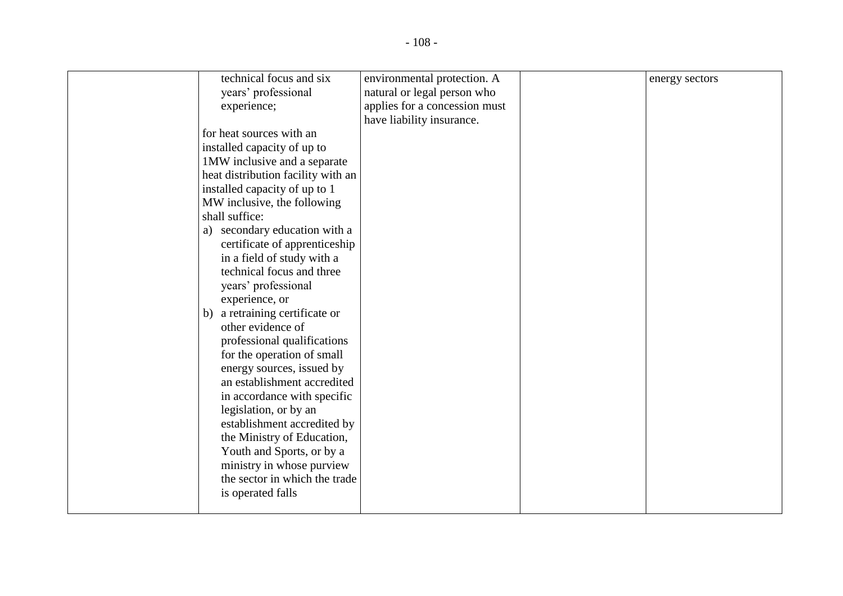| technical focus and six            | environmental protection. A   | energy sectors |
|------------------------------------|-------------------------------|----------------|
| years' professional                | natural or legal person who   |                |
| experience;                        | applies for a concession must |                |
|                                    | have liability insurance.     |                |
| for heat sources with an           |                               |                |
| installed capacity of up to        |                               |                |
| 1MW inclusive and a separate       |                               |                |
| heat distribution facility with an |                               |                |
| installed capacity of up to 1      |                               |                |
| MW inclusive, the following        |                               |                |
| shall suffice:                     |                               |                |
| a) secondary education with a      |                               |                |
| certificate of apprenticeship      |                               |                |
| in a field of study with a         |                               |                |
| technical focus and three          |                               |                |
| years' professional                |                               |                |
| experience, or                     |                               |                |
| a retraining certificate or<br>b)  |                               |                |
| other evidence of                  |                               |                |
| professional qualifications        |                               |                |
| for the operation of small         |                               |                |
| energy sources, issued by          |                               |                |
| an establishment accredited        |                               |                |
| in accordance with specific        |                               |                |
| legislation, or by an              |                               |                |
| establishment accredited by        |                               |                |
| the Ministry of Education,         |                               |                |
| Youth and Sports, or by a          |                               |                |
| ministry in whose purview          |                               |                |
| the sector in which the trade      |                               |                |
| is operated falls                  |                               |                |
|                                    |                               |                |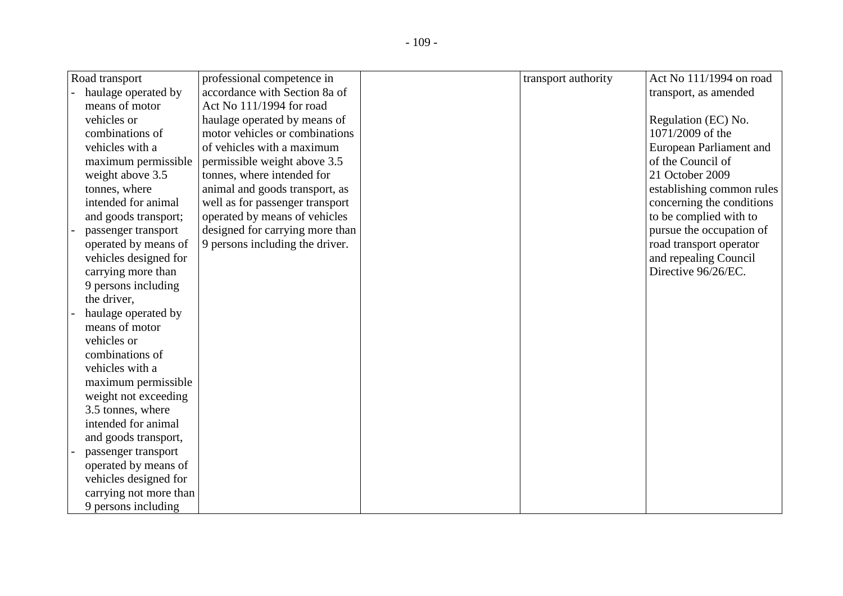| Road transport         | professional competence in      | transport authority | Act No 111/1994 on road        |
|------------------------|---------------------------------|---------------------|--------------------------------|
| haulage operated by    | accordance with Section 8a of   |                     | transport, as amended          |
| means of motor         | Act No 111/1994 for road        |                     |                                |
| vehicles or            | haulage operated by means of    |                     | Regulation (EC) No.            |
| combinations of        | motor vehicles or combinations  |                     | 1071/2009 of the               |
| vehicles with a        | of vehicles with a maximum      |                     | <b>European Parliament and</b> |
| maximum permissible    | permissible weight above 3.5    |                     | of the Council of              |
| weight above 3.5       | tonnes, where intended for      |                     | 21 October 2009                |
| tonnes, where          | animal and goods transport, as  |                     | establishing common rules      |
| intended for animal    | well as for passenger transport |                     | concerning the conditions      |
| and goods transport;   | operated by means of vehicles   |                     | to be complied with to         |
| passenger transport    | designed for carrying more than |                     | pursue the occupation of       |
| operated by means of   | 9 persons including the driver. |                     | road transport operator        |
| vehicles designed for  |                                 |                     | and repealing Council          |
| carrying more than     |                                 |                     | Directive 96/26/EC.            |
| 9 persons including    |                                 |                     |                                |
| the driver,            |                                 |                     |                                |
| haulage operated by    |                                 |                     |                                |
| means of motor         |                                 |                     |                                |
| vehicles or            |                                 |                     |                                |
| combinations of        |                                 |                     |                                |
| vehicles with a        |                                 |                     |                                |
| maximum permissible    |                                 |                     |                                |
| weight not exceeding   |                                 |                     |                                |
| 3.5 tonnes, where      |                                 |                     |                                |
| intended for animal    |                                 |                     |                                |
| and goods transport,   |                                 |                     |                                |
| passenger transport    |                                 |                     |                                |
| operated by means of   |                                 |                     |                                |
| vehicles designed for  |                                 |                     |                                |
| carrying not more than |                                 |                     |                                |
| 9 persons including    |                                 |                     |                                |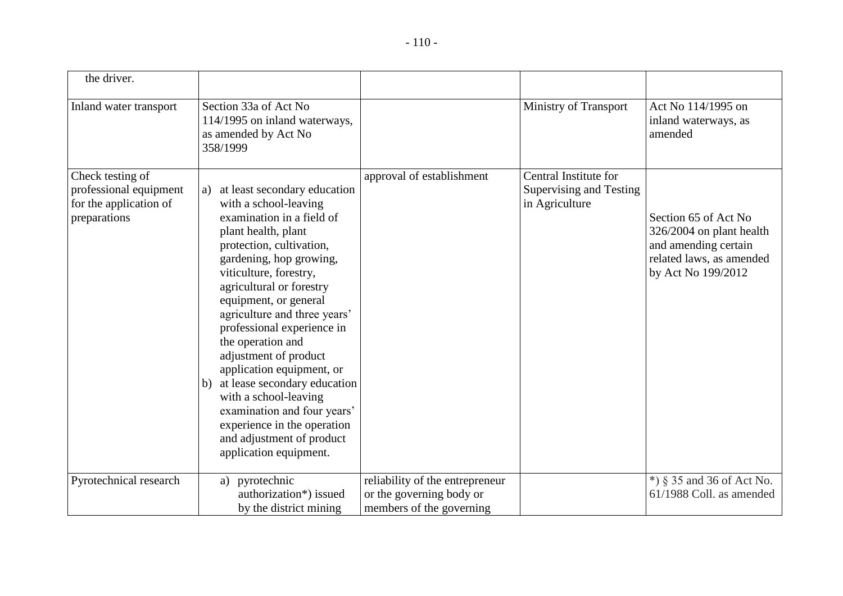| the driver.                                                                          |                                                                                                                                                                                                                                                                                                                                                                                                                                                                                                                                                                                    |                                                                                         |                                                                    |                                                                                                                            |
|--------------------------------------------------------------------------------------|------------------------------------------------------------------------------------------------------------------------------------------------------------------------------------------------------------------------------------------------------------------------------------------------------------------------------------------------------------------------------------------------------------------------------------------------------------------------------------------------------------------------------------------------------------------------------------|-----------------------------------------------------------------------------------------|--------------------------------------------------------------------|----------------------------------------------------------------------------------------------------------------------------|
| Inland water transport                                                               | Section 33a of Act No<br>114/1995 on inland waterways,<br>as amended by Act No<br>358/1999                                                                                                                                                                                                                                                                                                                                                                                                                                                                                         |                                                                                         | Ministry of Transport                                              | Act No 114/1995 on<br>inland waterways, as<br>amended                                                                      |
| Check testing of<br>professional equipment<br>for the application of<br>preparations | at least secondary education<br>a)<br>with a school-leaving<br>examination in a field of<br>plant health, plant<br>protection, cultivation,<br>gardening, hop growing,<br>viticulture, forestry,<br>agricultural or forestry<br>equipment, or general<br>agriculture and three years'<br>professional experience in<br>the operation and<br>adjustment of product<br>application equipment, or<br>at lease secondary education<br>b)<br>with a school-leaving<br>examination and four years'<br>experience in the operation<br>and adjustment of product<br>application equipment. | approval of establishment                                                               | Central Institute for<br>Supervising and Testing<br>in Agriculture | Section 65 of Act No<br>326/2004 on plant health<br>and amending certain<br>related laws, as amended<br>by Act No 199/2012 |
| Pyrotechnical research                                                               | a) pyrotechnic<br>authorization*) issued<br>by the district mining                                                                                                                                                                                                                                                                                                                                                                                                                                                                                                                 | reliability of the entrepreneur<br>or the governing body or<br>members of the governing |                                                                    | $*)$ § 35 and 36 of Act No.<br>61/1988 Coll. as amended                                                                    |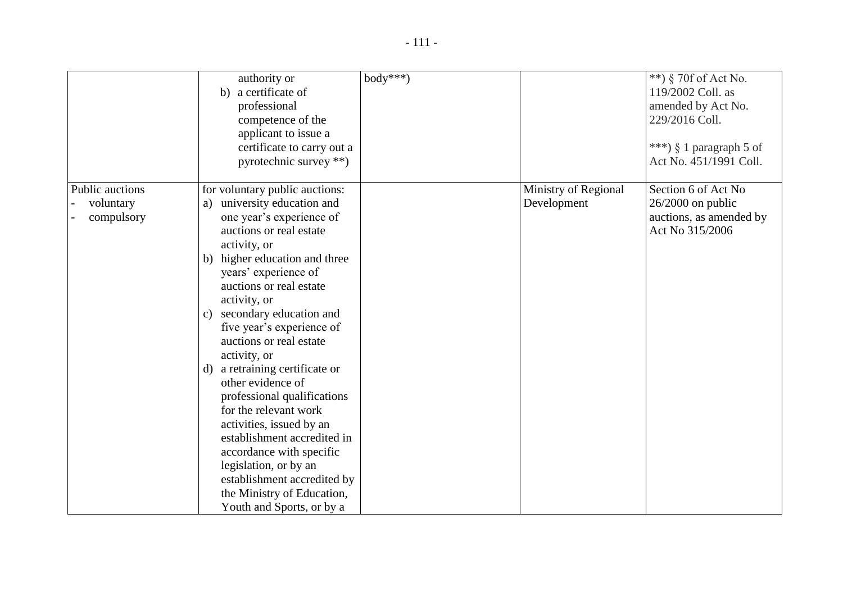|                                                   | authority or<br>b) a certificate of<br>professional<br>competence of the<br>applicant to issue a<br>certificate to carry out a<br>pyrotechnic survey **)                                                                                                                                                                                                                                                                                                                                                                                                                                                                                                                                   | $body***$ |                                     | **) § 70f of Act No.<br>119/2002 Coll. as<br>amended by Act No.<br>229/2016 Coll.<br>***) § 1 paragraph 5 of<br>Act No. 451/1991 Coll. |
|---------------------------------------------------|--------------------------------------------------------------------------------------------------------------------------------------------------------------------------------------------------------------------------------------------------------------------------------------------------------------------------------------------------------------------------------------------------------------------------------------------------------------------------------------------------------------------------------------------------------------------------------------------------------------------------------------------------------------------------------------------|-----------|-------------------------------------|----------------------------------------------------------------------------------------------------------------------------------------|
| <b>Public auctions</b><br>voluntary<br>compulsory | for voluntary public auctions:<br>university education and<br>a)<br>one year's experience of<br>auctions or real estate<br>activity, or<br>b) higher education and three<br>years' experience of<br>auctions or real estate<br>activity, or<br>secondary education and<br>$\mathbf{c}$<br>five year's experience of<br>auctions or real estate<br>activity, or<br>a retraining certificate or<br>d)<br>other evidence of<br>professional qualifications<br>for the relevant work<br>activities, issued by an<br>establishment accredited in<br>accordance with specific<br>legislation, or by an<br>establishment accredited by<br>the Ministry of Education,<br>Youth and Sports, or by a |           | Ministry of Regional<br>Development | Section 6 of Act No<br>$26/2000$ on public<br>auctions, as amended by<br>Act No 315/2006                                               |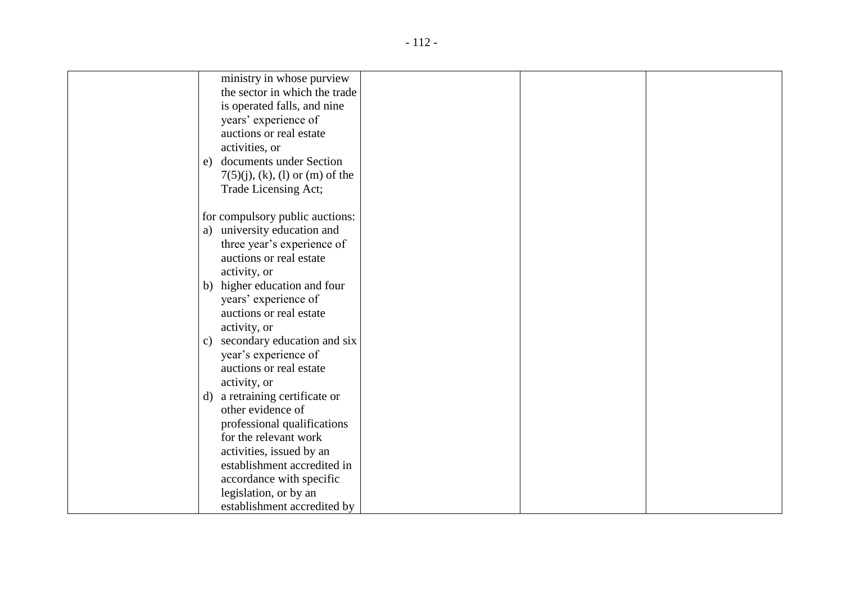| ministry in whose purview                      |
|------------------------------------------------|
| the sector in which the trade                  |
| is operated falls, and nine                    |
| years' experience of                           |
| auctions or real estate                        |
| activities, or                                 |
| documents under Section<br>e)                  |
| $7(5)(j)$ , (k), (l) or (m) of the             |
| Trade Licensing Act;                           |
|                                                |
| for compulsory public auctions:                |
| a) university education and                    |
| three year's experience of                     |
| auctions or real estate                        |
| activity, or                                   |
| b) higher education and four                   |
| years' experience of                           |
| auctions or real estate                        |
| activity, or                                   |
| secondary education and six<br>$\mathcal{C}$ ) |
| year's experience of                           |
| auctions or real estate                        |
| activity, or                                   |
| a retraining certificate or<br>d)              |
| other evidence of                              |
| professional qualifications                    |
| for the relevant work                          |
| activities, issued by an                       |
| establishment accredited in                    |
| accordance with specific                       |
| legislation, or by an                          |
| establishment accredited by                    |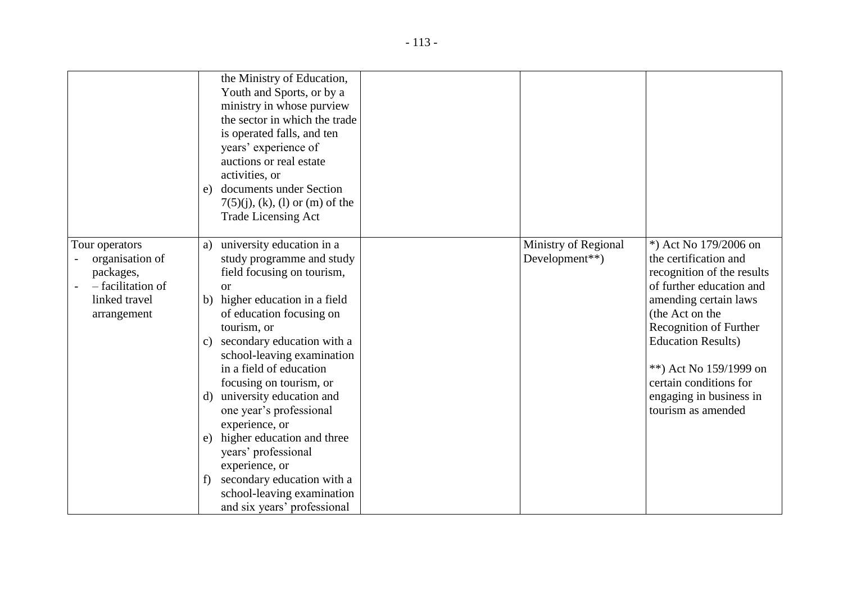|                                                                                                     | the Ministry of Education,<br>Youth and Sports, or by a<br>ministry in whose purview<br>the sector in which the trade<br>is operated falls, and ten<br>years' experience of<br>auctions or real estate<br>activities, or<br>documents under Section<br>e)<br>$7(5)(j)$ , (k), (l) or (m) of the<br><b>Trade Licensing Act</b>                                                                                                                                                                                                                                                          |                                        |                                                                                                                                                                                                                                                                                                                   |
|-----------------------------------------------------------------------------------------------------|----------------------------------------------------------------------------------------------------------------------------------------------------------------------------------------------------------------------------------------------------------------------------------------------------------------------------------------------------------------------------------------------------------------------------------------------------------------------------------------------------------------------------------------------------------------------------------------|----------------------------------------|-------------------------------------------------------------------------------------------------------------------------------------------------------------------------------------------------------------------------------------------------------------------------------------------------------------------|
| Tour operators<br>organisation of<br>packages,<br>- facilitation of<br>linked travel<br>arrangement | university education in a<br>a)<br>study programme and study<br>field focusing on tourism,<br><sub>or</sub><br>b) higher education in a field<br>of education focusing on<br>tourism, or<br>secondary education with a<br>$\mathbf{c}$<br>school-leaving examination<br>in a field of education<br>focusing on tourism, or<br>university education and<br>d)<br>one year's professional<br>experience, or<br>higher education and three<br>e)<br>years' professional<br>experience, or<br>secondary education with a<br>f<br>school-leaving examination<br>and six years' professional | Ministry of Regional<br>Development**) | *) Act No 179/2006 on<br>the certification and<br>recognition of the results<br>of further education and<br>amending certain laws<br>(the Act on the<br>Recognition of Further<br><b>Education Results</b> )<br>**) Act No 159/1999 on<br>certain conditions for<br>engaging in business in<br>tourism as amended |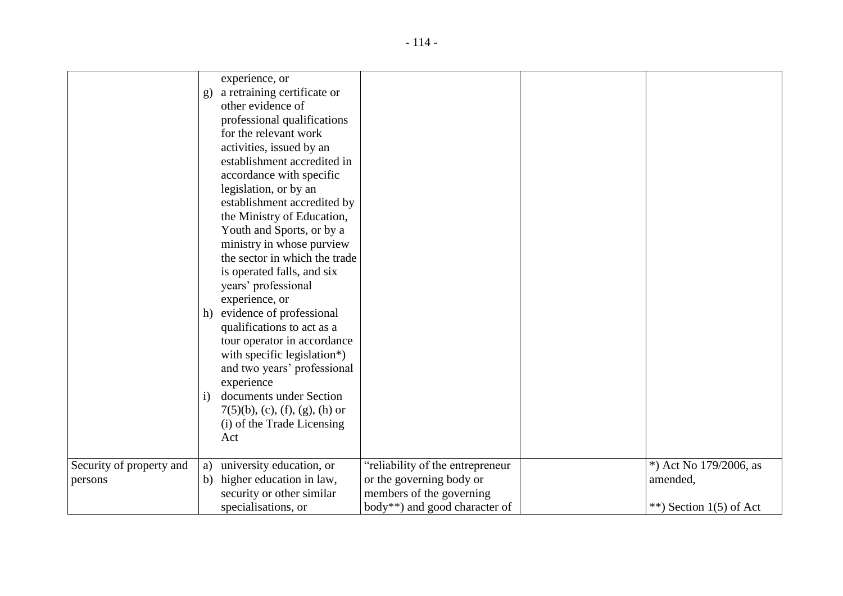|                                     | experience, or<br>a retraining certificate or<br>$\mathbf{g}$<br>other evidence of<br>professional qualifications<br>for the relevant work<br>activities, issued by an<br>establishment accredited in<br>accordance with specific<br>legislation, or by an<br>establishment accredited by<br>the Ministry of Education,<br>Youth and Sports, or by a<br>ministry in whose purview<br>the sector in which the trade<br>is operated falls, and six<br>years' professional<br>experience, or<br>evidence of professional<br>h)<br>qualifications to act as a<br>tour operator in accordance<br>with specific legislation*)<br>and two years' professional<br>experience<br>documents under Section<br>$\mathbf{i}$<br>$7(5)(b)$ , (c), (f), (g), (h) or<br>(i) of the Trade Licensing<br>Act |                                                                                                                           |                                                                    |
|-------------------------------------|-------------------------------------------------------------------------------------------------------------------------------------------------------------------------------------------------------------------------------------------------------------------------------------------------------------------------------------------------------------------------------------------------------------------------------------------------------------------------------------------------------------------------------------------------------------------------------------------------------------------------------------------------------------------------------------------------------------------------------------------------------------------------------------------|---------------------------------------------------------------------------------------------------------------------------|--------------------------------------------------------------------|
| Security of property and<br>persons | university education, or<br>a)<br>higher education in law,<br>b)<br>security or other similar<br>specialisations, or                                                                                                                                                                                                                                                                                                                                                                                                                                                                                                                                                                                                                                                                      | "reliability of the entrepreneur<br>or the governing body or<br>members of the governing<br>body**) and good character of | *) Act No $179/2006$ , as<br>amended,<br>**) Section $1(5)$ of Act |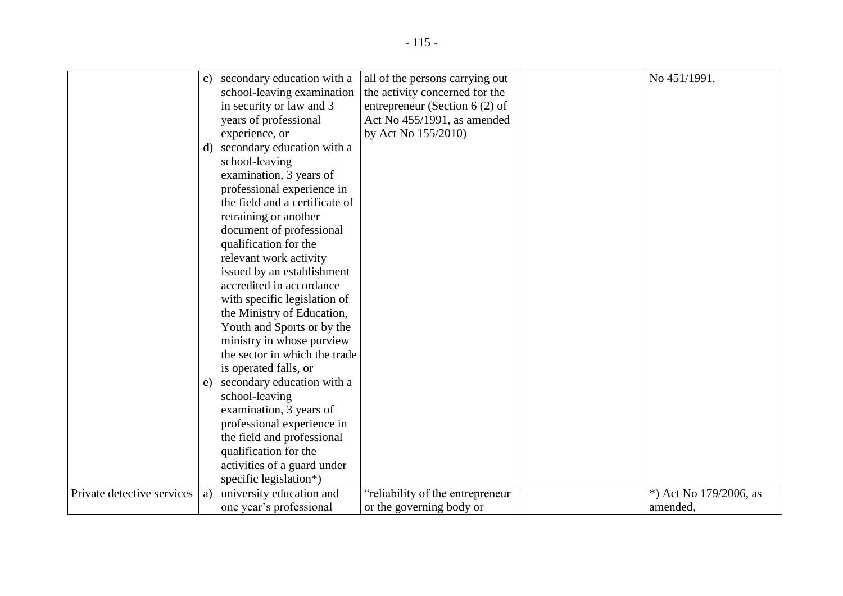|                            | $\mathbf{c}$ | secondary education with a     | all of the persons carrying out  | No 451/1991.           |
|----------------------------|--------------|--------------------------------|----------------------------------|------------------------|
|                            |              | school-leaving examination     | the activity concerned for the   |                        |
|                            |              | in security or law and 3       | entrepreneur (Section 6 $(2)$ of |                        |
|                            |              | years of professional          | Act No 455/1991, as amended      |                        |
|                            |              | experience, or                 | by Act No 155/2010)              |                        |
|                            | $\mathbf{d}$ | secondary education with a     |                                  |                        |
|                            |              | school-leaving                 |                                  |                        |
|                            |              | examination, 3 years of        |                                  |                        |
|                            |              | professional experience in     |                                  |                        |
|                            |              | the field and a certificate of |                                  |                        |
|                            |              | retraining or another          |                                  |                        |
|                            |              | document of professional       |                                  |                        |
|                            |              | qualification for the          |                                  |                        |
|                            |              | relevant work activity         |                                  |                        |
|                            |              | issued by an establishment     |                                  |                        |
|                            |              | accredited in accordance       |                                  |                        |
|                            |              | with specific legislation of   |                                  |                        |
|                            |              | the Ministry of Education,     |                                  |                        |
|                            |              | Youth and Sports or by the     |                                  |                        |
|                            |              | ministry in whose purview      |                                  |                        |
|                            |              | the sector in which the trade  |                                  |                        |
|                            |              | is operated falls, or          |                                  |                        |
|                            | e)           | secondary education with a     |                                  |                        |
|                            |              | school-leaving                 |                                  |                        |
|                            |              | examination, 3 years of        |                                  |                        |
|                            |              | professional experience in     |                                  |                        |
|                            |              | the field and professional     |                                  |                        |
|                            |              | qualification for the          |                                  |                        |
|                            |              | activities of a guard under    |                                  |                        |
|                            |              | specific legislation*)         |                                  |                        |
| Private detective services | a)           | university education and       | "reliability of the entrepreneur | *) Act No 179/2006, as |
|                            |              | one year's professional        | or the governing body or         | amended,               |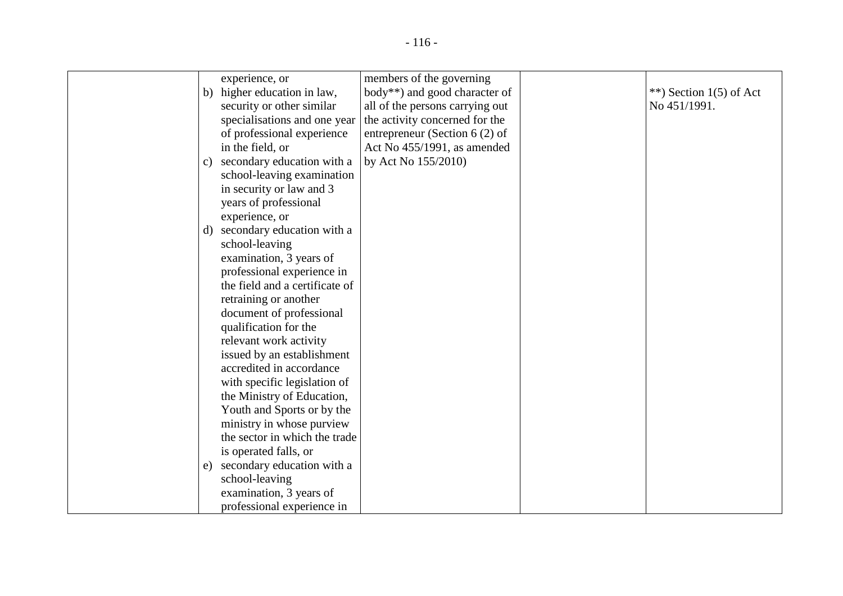|              | experience, or                 | members of the governing         |                           |
|--------------|--------------------------------|----------------------------------|---------------------------|
|              | b) higher education in law,    | body**) and good character of    | **) Section $1(5)$ of Act |
|              | security or other similar      | all of the persons carrying out  | No 451/1991.              |
|              | specialisations and one year   | the activity concerned for the   |                           |
|              | of professional experience     | entrepreneur (Section 6 $(2)$ of |                           |
|              | in the field, or               | Act No 455/1991, as amended      |                           |
| $\mathbf{c}$ | secondary education with a     | by Act No 155/2010)              |                           |
|              | school-leaving examination     |                                  |                           |
|              | in security or law and 3       |                                  |                           |
|              | years of professional          |                                  |                           |
|              | experience, or                 |                                  |                           |
| $\mathbf{d}$ | secondary education with a     |                                  |                           |
|              | school-leaving                 |                                  |                           |
|              | examination, 3 years of        |                                  |                           |
|              | professional experience in     |                                  |                           |
|              | the field and a certificate of |                                  |                           |
|              | retraining or another          |                                  |                           |
|              | document of professional       |                                  |                           |
|              | qualification for the          |                                  |                           |
|              | relevant work activity         |                                  |                           |
|              | issued by an establishment     |                                  |                           |
|              | accredited in accordance       |                                  |                           |
|              | with specific legislation of   |                                  |                           |
|              | the Ministry of Education,     |                                  |                           |
|              | Youth and Sports or by the     |                                  |                           |
|              | ministry in whose purview      |                                  |                           |
|              | the sector in which the trade  |                                  |                           |
|              | is operated falls, or          |                                  |                           |
| e)           | secondary education with a     |                                  |                           |
|              | school-leaving                 |                                  |                           |
|              | examination, 3 years of        |                                  |                           |
|              | professional experience in     |                                  |                           |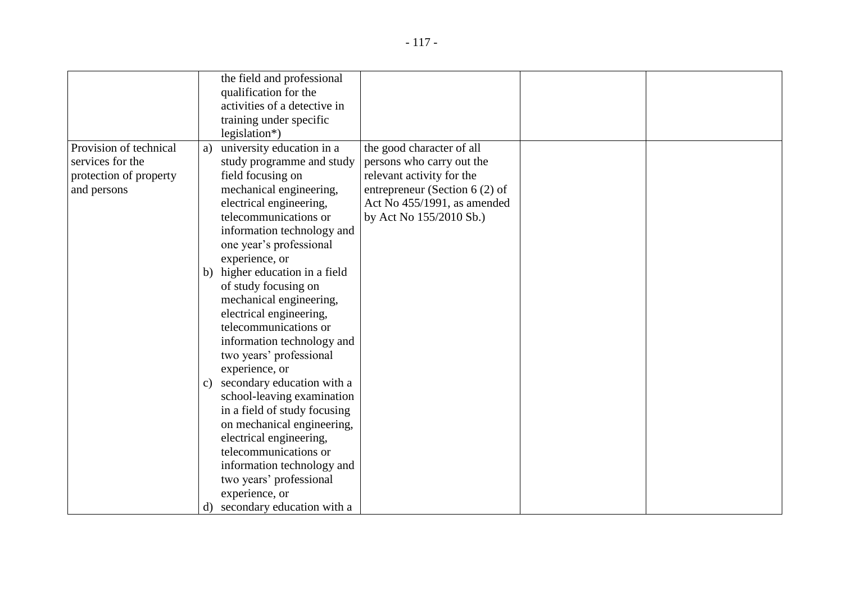|                        |               | the field and professional    |                                  |  |
|------------------------|---------------|-------------------------------|----------------------------------|--|
|                        |               |                               |                                  |  |
|                        |               | qualification for the         |                                  |  |
|                        |               | activities of a detective in  |                                  |  |
|                        |               | training under specific       |                                  |  |
|                        |               | legislation*)                 |                                  |  |
| Provision of technical | a)            | university education in a     | the good character of all        |  |
| services for the       |               | study programme and study     | persons who carry out the        |  |
| protection of property |               | field focusing on             | relevant activity for the        |  |
| and persons            |               | mechanical engineering,       | entrepreneur (Section 6 $(2)$ of |  |
|                        |               | electrical engineering,       | Act No 455/1991, as amended      |  |
|                        |               | telecommunications or         | by Act No 155/2010 Sb.)          |  |
|                        |               | information technology and    |                                  |  |
|                        |               | one year's professional       |                                  |  |
|                        |               | experience, or                |                                  |  |
|                        | b)            | higher education in a field   |                                  |  |
|                        |               | of study focusing on          |                                  |  |
|                        |               | mechanical engineering,       |                                  |  |
|                        |               | electrical engineering,       |                                  |  |
|                        |               | telecommunications or         |                                  |  |
|                        |               | information technology and    |                                  |  |
|                        |               | two years' professional       |                                  |  |
|                        |               | experience, or                |                                  |  |
|                        | $\mathbf{c})$ | secondary education with a    |                                  |  |
|                        |               | school-leaving examination    |                                  |  |
|                        |               | in a field of study focusing  |                                  |  |
|                        |               | on mechanical engineering,    |                                  |  |
|                        |               | electrical engineering,       |                                  |  |
|                        |               | telecommunications or         |                                  |  |
|                        |               |                               |                                  |  |
|                        |               | information technology and    |                                  |  |
|                        |               | two years' professional       |                                  |  |
|                        |               | experience, or                |                                  |  |
|                        |               | d) secondary education with a |                                  |  |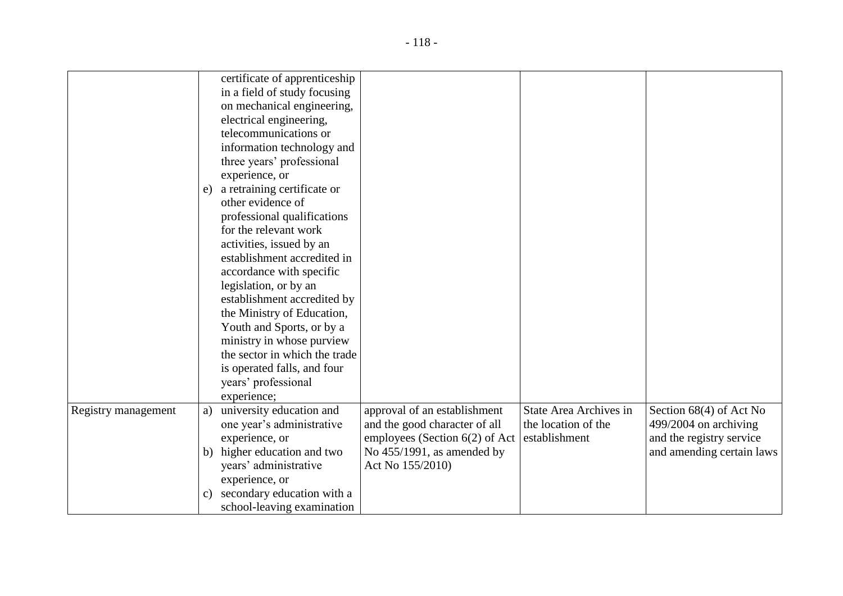|                     |               | certificate of apprenticeship<br>in a field of study focusing<br>on mechanical engineering,<br>electrical engineering, |                                                               |                                               |                                                  |
|---------------------|---------------|------------------------------------------------------------------------------------------------------------------------|---------------------------------------------------------------|-----------------------------------------------|--------------------------------------------------|
|                     |               | telecommunications or<br>information technology and<br>three years' professional                                       |                                                               |                                               |                                                  |
|                     |               | experience, or                                                                                                         |                                                               |                                               |                                                  |
|                     | e)            | a retraining certificate or                                                                                            |                                                               |                                               |                                                  |
|                     |               | other evidence of                                                                                                      |                                                               |                                               |                                                  |
|                     |               | professional qualifications                                                                                            |                                                               |                                               |                                                  |
|                     |               | for the relevant work                                                                                                  |                                                               |                                               |                                                  |
|                     |               | activities, issued by an                                                                                               |                                                               |                                               |                                                  |
|                     |               | establishment accredited in                                                                                            |                                                               |                                               |                                                  |
|                     |               | accordance with specific                                                                                               |                                                               |                                               |                                                  |
|                     |               | legislation, or by an                                                                                                  |                                                               |                                               |                                                  |
|                     |               | establishment accredited by                                                                                            |                                                               |                                               |                                                  |
|                     |               | the Ministry of Education,                                                                                             |                                                               |                                               |                                                  |
|                     |               | Youth and Sports, or by a                                                                                              |                                                               |                                               |                                                  |
|                     |               | ministry in whose purview                                                                                              |                                                               |                                               |                                                  |
|                     |               | the sector in which the trade                                                                                          |                                                               |                                               |                                                  |
|                     |               | is operated falls, and four                                                                                            |                                                               |                                               |                                                  |
|                     |               | years' professional                                                                                                    |                                                               |                                               |                                                  |
|                     |               | experience;                                                                                                            |                                                               |                                               |                                                  |
| Registry management | a)            | university education and<br>one year's administrative                                                                  | approval of an establishment<br>and the good character of all | State Area Archives in<br>the location of the | Section 68(4) of Act No<br>499/2004 on archiving |
|                     |               | experience, or                                                                                                         | employees (Section $6(2)$ of Act                              | establishment                                 | and the registry service                         |
|                     | b)            | higher education and two                                                                                               | No $455/1991$ , as amended by                                 |                                               | and amending certain laws                        |
|                     |               | years' administrative                                                                                                  | Act No 155/2010)                                              |                                               |                                                  |
|                     |               | experience, or                                                                                                         |                                                               |                                               |                                                  |
|                     | $\mathbf{c})$ | secondary education with a                                                                                             |                                                               |                                               |                                                  |
|                     |               | school-leaving examination                                                                                             |                                                               |                                               |                                                  |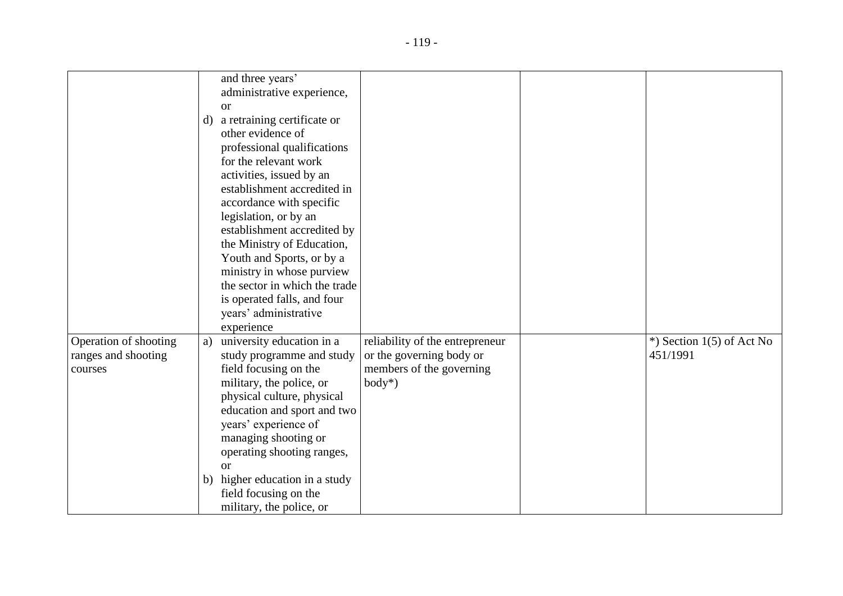|                                                         | and three years'<br>administrative experience,<br><b>or</b><br>a retraining certificate or<br>d)                                                                                                                                                                                                                                                                                                                        |                                                                                                      |                                          |
|---------------------------------------------------------|-------------------------------------------------------------------------------------------------------------------------------------------------------------------------------------------------------------------------------------------------------------------------------------------------------------------------------------------------------------------------------------------------------------------------|------------------------------------------------------------------------------------------------------|------------------------------------------|
|                                                         | other evidence of<br>professional qualifications<br>for the relevant work<br>activities, issued by an<br>establishment accredited in<br>accordance with specific<br>legislation, or by an<br>establishment accredited by<br>the Ministry of Education,<br>Youth and Sports, or by a<br>ministry in whose purview<br>the sector in which the trade<br>is operated falls, and four<br>years' administrative<br>experience |                                                                                                      |                                          |
| Operation of shooting<br>ranges and shooting<br>courses | university education in a<br>a)<br>study programme and study<br>field focusing on the<br>military, the police, or<br>physical culture, physical<br>education and sport and two<br>years' experience of<br>managing shooting or<br>operating shooting ranges,<br>$\alpha$<br>b) higher education in a study<br>field focusing on the<br>military, the police, or                                                         | reliability of the entrepreneur<br>or the governing body or<br>members of the governing<br>$body^*)$ | $*$ ) Section 1(5) of Act No<br>451/1991 |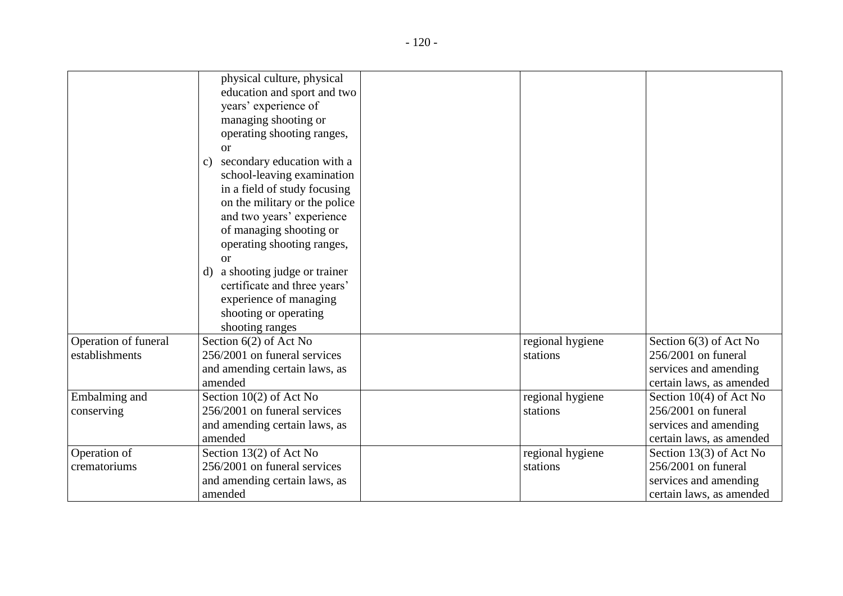|                      | physical culture, physical                    |                  |                          |
|----------------------|-----------------------------------------------|------------------|--------------------------|
|                      | education and sport and two                   |                  |                          |
|                      | years' experience of                          |                  |                          |
|                      | managing shooting or                          |                  |                          |
|                      | operating shooting ranges,                    |                  |                          |
|                      | <b>or</b>                                     |                  |                          |
|                      | secondary education with a<br>$\mathcal{C}$ ) |                  |                          |
|                      | school-leaving examination                    |                  |                          |
|                      | in a field of study focusing                  |                  |                          |
|                      | on the military or the police                 |                  |                          |
|                      | and two years' experience                     |                  |                          |
|                      | of managing shooting or                       |                  |                          |
|                      | operating shooting ranges,                    |                  |                          |
|                      | <b>or</b>                                     |                  |                          |
|                      | a shooting judge or trainer<br>d)             |                  |                          |
|                      | certificate and three years'                  |                  |                          |
|                      | experience of managing                        |                  |                          |
|                      | shooting or operating                         |                  |                          |
|                      | shooting ranges                               |                  |                          |
| Operation of funeral | Section $6(2)$ of Act No                      | regional hygiene | Section 6(3) of Act No   |
| establishments       | 256/2001 on funeral services                  | stations         | $256/2001$ on funeral    |
|                      | and amending certain laws, as                 |                  | services and amending    |
|                      | amended                                       |                  | certain laws, as amended |
| Embalming and        | Section 10(2) of Act No                       | regional hygiene | Section 10(4) of Act No  |
| conserving           | 256/2001 on funeral services                  | stations         | $256/2001$ on funeral    |
|                      | and amending certain laws, as                 |                  | services and amending    |
|                      | amended                                       |                  | certain laws, as amended |
| Operation of         | Section 13(2) of Act No                       | regional hygiene | Section 13(3) of Act No  |
| crematoriums         | 256/2001 on funeral services                  | stations         | $256/2001$ on funeral    |
|                      | and amending certain laws, as                 |                  | services and amending    |
|                      | amended                                       |                  | certain laws, as amended |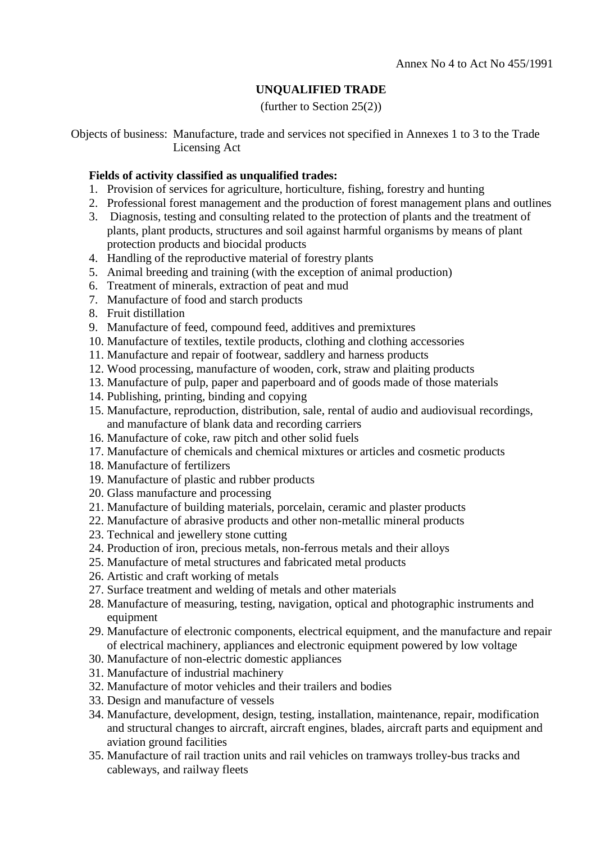# **UNQUALIFIED TRADE**

(further to Section 25(2))

Objects of business: Manufacture, trade and services not specified in Annexes 1 to 3 to the Trade Licensing Act

## **Fields of activity classified as unqualified trades:**

- 1. Provision of services for agriculture, horticulture, fishing, forestry and hunting
- 2. Professional forest management and the production of forest management plans and outlines
- 3. Diagnosis, testing and consulting related to the protection of plants and the treatment of plants, plant products, structures and soil against harmful organisms by means of plant protection products and biocidal products
- 4. Handling of the reproductive material of forestry plants
- 5. Animal breeding and training (with the exception of animal production)
- 6. Treatment of minerals, extraction of peat and mud
- 7. Manufacture of food and starch products
- 8. Fruit distillation
- 9. Manufacture of feed, compound feed, additives and premixtures
- 10. Manufacture of textiles, textile products, clothing and clothing accessories
- 11. Manufacture and repair of footwear, saddlery and harness products
- 12. Wood processing, manufacture of wooden, cork, straw and plaiting products
- 13. Manufacture of pulp, paper and paperboard and of goods made of those materials
- 14. Publishing, printing, binding and copying
- 15. Manufacture, reproduction, distribution, sale, rental of audio and audiovisual recordings, and manufacture of blank data and recording carriers
- 16. Manufacture of coke, raw pitch and other solid fuels
- 17. Manufacture of chemicals and chemical mixtures or articles and cosmetic products
- 18. Manufacture of fertilizers
- 19. Manufacture of plastic and rubber products
- 20. Glass manufacture and processing
- 21. Manufacture of building materials, porcelain, ceramic and plaster products
- 22. Manufacture of abrasive products and other non-metallic mineral products
- 23. Technical and jewellery stone cutting
- 24. Production of iron, precious metals, non-ferrous metals and their alloys
- 25. Manufacture of metal structures and fabricated metal products
- 26. Artistic and craft working of metals
- 27. Surface treatment and welding of metals and other materials
- 28. Manufacture of measuring, testing, navigation, optical and photographic instruments and equipment
- 29. Manufacture of electronic components, electrical equipment, and the manufacture and repair of electrical machinery, appliances and electronic equipment powered by low voltage
- 30. Manufacture of non-electric domestic appliances
- 31. Manufacture of industrial machinery
- 32. Manufacture of motor vehicles and their trailers and bodies
- 33. Design and manufacture of vessels
- 34. Manufacture, development, design, testing, installation, maintenance, repair, modification and structural changes to aircraft, aircraft engines, blades, aircraft parts and equipment and aviation ground facilities
- 35. Manufacture of rail traction units and rail vehicles on tramways trolley-bus tracks and cableways, and railway fleets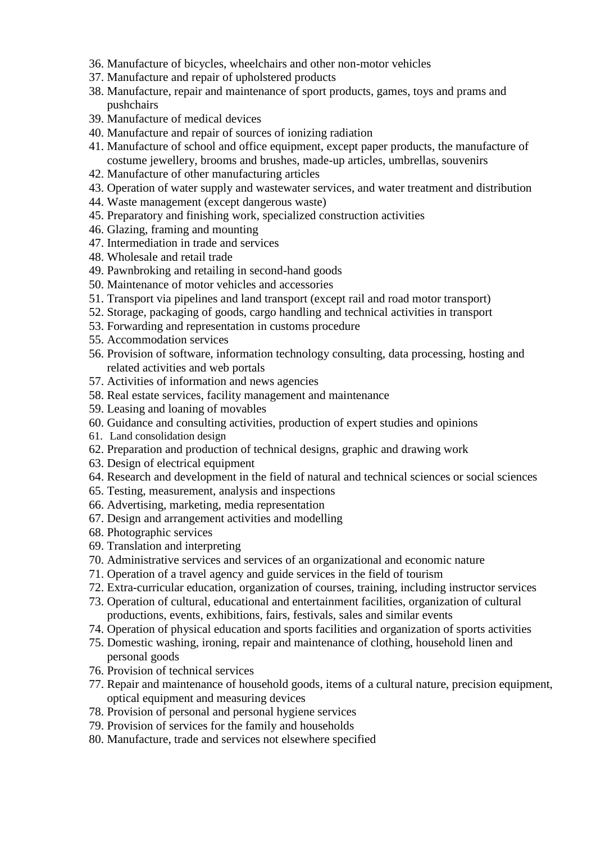- 36. Manufacture of bicycles, wheelchairs and other non-motor vehicles
- 37. Manufacture and repair of upholstered products
- 38. Manufacture, repair and maintenance of sport products, games, toys and prams and pushchairs
- 39. Manufacture of medical devices
- 40. Manufacture and repair of sources of ionizing radiation
- 41. Manufacture of school and office equipment, except paper products, the manufacture of costume jewellery, brooms and brushes, made-up articles, umbrellas, souvenirs
- 42. Manufacture of other manufacturing articles
- 43. Operation of water supply and wastewater services, and water treatment and distribution
- 44. Waste management (except dangerous waste)
- 45. Preparatory and finishing work, specialized construction activities
- 46. Glazing, framing and mounting
- 47. Intermediation in trade and services
- 48. Wholesale and retail trade
- 49. Pawnbroking and retailing in second-hand goods
- 50. Maintenance of motor vehicles and accessories
- 51. Transport via pipelines and land transport (except rail and road motor transport)
- 52. Storage, packaging of goods, cargo handling and technical activities in transport
- 53. Forwarding and representation in customs procedure
- 55. Accommodation services
- 56. Provision of software, information technology consulting, data processing, hosting and related activities and web portals
- 57. Activities of information and news agencies
- 58. Real estate services, facility management and maintenance
- 59. Leasing and loaning of movables
- 60. Guidance and consulting activities, production of expert studies and opinions
- 61. Land consolidation design
- 62. Preparation and production of technical designs, graphic and drawing work
- 63. Design of electrical equipment
- 64. Research and development in the field of natural and technical sciences or social sciences
- 65. Testing, measurement, analysis and inspections
- 66. Advertising, marketing, media representation
- 67. Design and arrangement activities and modelling
- 68. Photographic services
- 69. Translation and interpreting
- 70. Administrative services and services of an organizational and economic nature
- 71. Operation of a travel agency and guide services in the field of tourism
- 72. Extra-curricular education, organization of courses, training, including instructor services
- 73. Operation of cultural, educational and entertainment facilities, organization of cultural productions, events, exhibitions, fairs, festivals, sales and similar events
- 74. Operation of physical education and sports facilities and organization of sports activities
- 75. Domestic washing, ironing, repair and maintenance of clothing, household linen and personal goods
- 76. Provision of technical services
- 77. Repair and maintenance of household goods, items of a cultural nature, precision equipment, optical equipment and measuring devices
- 78. Provision of personal and personal hygiene services
- 79. Provision of services for the family and households
- 80. Manufacture, trade and services not elsewhere specified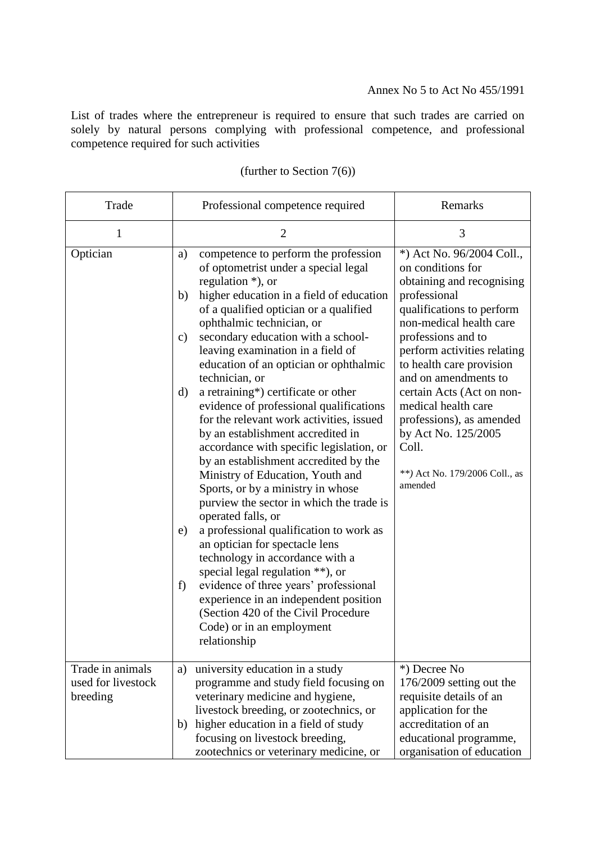List of trades where the entrepreneur is required to ensure that such trades are carried on solely by natural persons complying with professional competence, and professional competence required for such activities

| Trade                                              | Professional competence required                                                                                                                                                                                                                                                                                                                                                                                                                                                                                                                                                                                                                                                                                                                                                                                                                                                                                                                                                                                                                                                                                                           | Remarks                                                                                                                                                                                                                                                                                                                                                                                                                   |
|----------------------------------------------------|--------------------------------------------------------------------------------------------------------------------------------------------------------------------------------------------------------------------------------------------------------------------------------------------------------------------------------------------------------------------------------------------------------------------------------------------------------------------------------------------------------------------------------------------------------------------------------------------------------------------------------------------------------------------------------------------------------------------------------------------------------------------------------------------------------------------------------------------------------------------------------------------------------------------------------------------------------------------------------------------------------------------------------------------------------------------------------------------------------------------------------------------|---------------------------------------------------------------------------------------------------------------------------------------------------------------------------------------------------------------------------------------------------------------------------------------------------------------------------------------------------------------------------------------------------------------------------|
| 1                                                  | $\overline{2}$                                                                                                                                                                                                                                                                                                                                                                                                                                                                                                                                                                                                                                                                                                                                                                                                                                                                                                                                                                                                                                                                                                                             | 3                                                                                                                                                                                                                                                                                                                                                                                                                         |
| Optician                                           | competence to perform the profession<br>a)<br>of optometrist under a special legal<br>regulation $*$ ), or<br>higher education in a field of education<br>b)<br>of a qualified optician or a qualified<br>ophthalmic technician, or<br>secondary education with a school-<br>$\mathbf{c})$<br>leaving examination in a field of<br>education of an optician or ophthalmic<br>technician, or<br>a retraining*) certificate or other<br>d)<br>evidence of professional qualifications<br>for the relevant work activities, issued<br>by an establishment accredited in<br>accordance with specific legislation, or<br>by an establishment accredited by the<br>Ministry of Education, Youth and<br>Sports, or by a ministry in whose<br>purview the sector in which the trade is<br>operated falls, or<br>a professional qualification to work as<br>e)<br>an optician for spectacle lens<br>technology in accordance with a<br>special legal regulation **), or<br>evidence of three years' professional<br>f)<br>experience in an independent position<br>(Section 420 of the Civil Procedure<br>Code) or in an employment<br>relationship | *) Act No. 96/2004 Coll.,<br>on conditions for<br>obtaining and recognising<br>professional<br>qualifications to perform<br>non-medical health care<br>professions and to<br>perform activities relating<br>to health care provision<br>and on amendments to<br>certain Acts (Act on non-<br>medical health care<br>professions), as amended<br>by Act No. 125/2005<br>Coll.<br>**) Act No. 179/2006 Coll., as<br>amended |
| Trade in animals<br>used for livestock<br>breeding | university education in a study<br>a)<br>programme and study field focusing on<br>veterinary medicine and hygiene,<br>livestock breeding, or zootechnics, or<br>higher education in a field of study<br>b)<br>focusing on livestock breeding,<br>zootechnics or veterinary medicine, or                                                                                                                                                                                                                                                                                                                                                                                                                                                                                                                                                                                                                                                                                                                                                                                                                                                    | *) Decree No<br>176/2009 setting out the<br>requisite details of an<br>application for the<br>accreditation of an<br>educational programme,<br>organisation of education                                                                                                                                                                                                                                                  |

# (further to Section 7(6))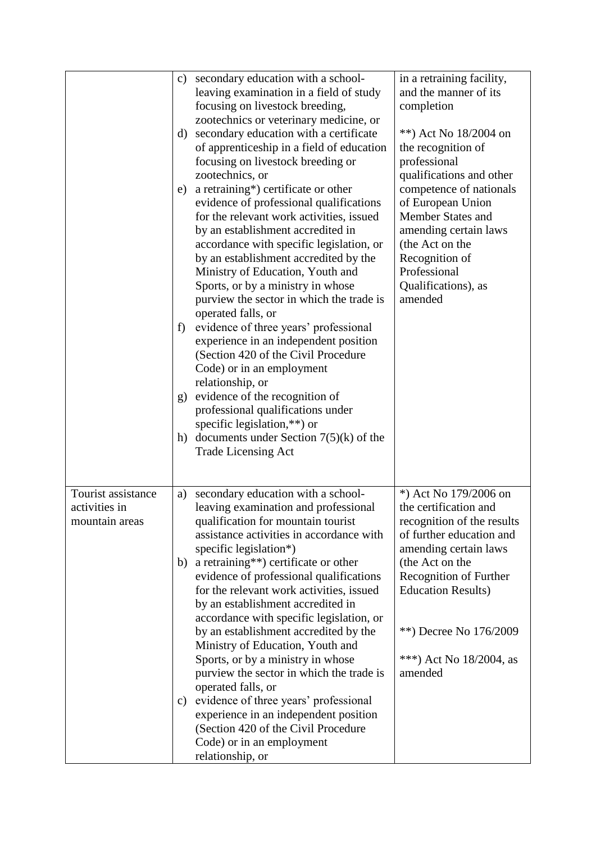|                                                       | $\mathbf{c})$<br>d)<br>e)<br>f)<br>g) | secondary education with a school-<br>leaving examination in a field of study<br>focusing on livestock breeding,<br>zootechnics or veterinary medicine, or<br>secondary education with a certificate<br>of apprenticeship in a field of education<br>focusing on livestock breeding or<br>zootechnics, or<br>a retraining*) certificate or other<br>evidence of professional qualifications<br>for the relevant work activities, issued<br>by an establishment accredited in<br>accordance with specific legislation, or<br>by an establishment accredited by the<br>Ministry of Education, Youth and<br>Sports, or by a ministry in whose<br>purview the sector in which the trade is<br>operated falls, or<br>evidence of three years' professional<br>experience in an independent position<br>(Section 420 of the Civil Procedure<br>Code) or in an employment<br>relationship, or<br>evidence of the recognition of<br>professional qualifications under<br>specific legislation,**) or<br>h) documents under Section $7(5)(k)$ of the<br><b>Trade Licensing Act</b> | in a retraining facility,<br>and the manner of its<br>completion<br>**) Act No 18/2004 on<br>the recognition of<br>professional<br>qualifications and other<br>competence of nationals<br>of European Union<br>Member States and<br>amending certain laws<br>(the Act on the<br>Recognition of<br>Professional<br>Qualifications), as<br>amended |
|-------------------------------------------------------|---------------------------------------|---------------------------------------------------------------------------------------------------------------------------------------------------------------------------------------------------------------------------------------------------------------------------------------------------------------------------------------------------------------------------------------------------------------------------------------------------------------------------------------------------------------------------------------------------------------------------------------------------------------------------------------------------------------------------------------------------------------------------------------------------------------------------------------------------------------------------------------------------------------------------------------------------------------------------------------------------------------------------------------------------------------------------------------------------------------------------|--------------------------------------------------------------------------------------------------------------------------------------------------------------------------------------------------------------------------------------------------------------------------------------------------------------------------------------------------|
| Tourist assistance<br>activities in<br>mountain areas | a)<br>b)<br>c)                        | secondary education with a school-<br>leaving examination and professional<br>qualification for mountain tourist<br>assistance activities in accordance with<br>specific legislation*)<br>a retraining**) certificate or other<br>evidence of professional qualifications<br>for the relevant work activities, issued<br>by an establishment accredited in<br>accordance with specific legislation, or<br>by an establishment accredited by the<br>Ministry of Education, Youth and<br>Sports, or by a ministry in whose<br>purview the sector in which the trade is<br>operated falls, or<br>evidence of three years' professional<br>experience in an independent position<br>(Section 420 of the Civil Procedure<br>Code) or in an employment<br>relationship, or                                                                                                                                                                                                                                                                                                      | *) Act No 179/2006 on<br>the certification and<br>recognition of the results<br>of further education and<br>amending certain laws<br>(the Act on the<br>Recognition of Further<br><b>Education Results)</b><br>**) Decree No 176/2009<br>***) Act No $18/2004$ , as<br>amended                                                                   |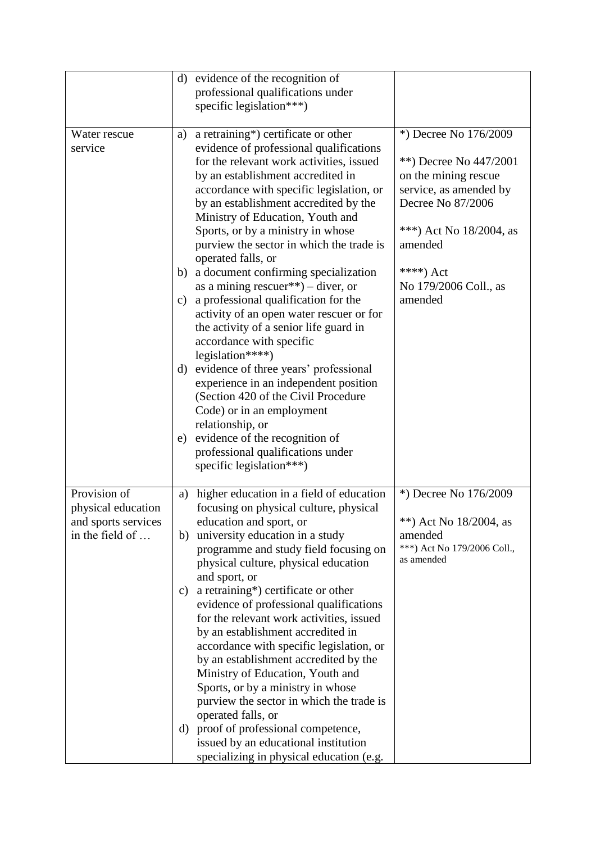|                     |               | d) evidence of the recognition of                                  |                                           |
|---------------------|---------------|--------------------------------------------------------------------|-------------------------------------------|
|                     |               | professional qualifications under                                  |                                           |
|                     |               | specific legislation***)                                           |                                           |
|                     |               |                                                                    |                                           |
| Water rescue        | a)            | a retraining*) certificate or other                                | *) Decree No 176/2009                     |
| service             |               | evidence of professional qualifications                            |                                           |
|                     |               | for the relevant work activities, issued                           | **) Decree No 447/2001                    |
|                     |               | by an establishment accredited in                                  | on the mining rescue                      |
|                     |               | accordance with specific legislation, or                           | service, as amended by                    |
|                     |               | by an establishment accredited by the                              | Decree No 87/2006                         |
|                     |               | Ministry of Education, Youth and                                   |                                           |
|                     |               | Sports, or by a ministry in whose                                  | ***) Act No $18/2004$ , as                |
|                     |               | purview the sector in which the trade is                           | amended                                   |
|                     |               | operated falls, or                                                 |                                           |
|                     | b)            | a document confirming specialization                               | ****) Act                                 |
|                     |               | as a mining rescuer <sup>**</sup> ) – diver, or                    | No 179/2006 Coll., as                     |
|                     | $\mathbf{c})$ | a professional qualification for the                               | amended                                   |
|                     |               | activity of an open water rescuer or for                           |                                           |
|                     |               | the activity of a senior life guard in<br>accordance with specific |                                           |
|                     |               | legislation****)                                                   |                                           |
|                     |               | d) evidence of three years' professional                           |                                           |
|                     |               | experience in an independent position                              |                                           |
|                     |               | (Section 420 of the Civil Procedure                                |                                           |
|                     |               | Code) or in an employment                                          |                                           |
|                     |               | relationship, or                                                   |                                           |
|                     | e)            | evidence of the recognition of                                     |                                           |
|                     |               | professional qualifications under                                  |                                           |
|                     |               | specific legislation***)                                           |                                           |
|                     |               |                                                                    |                                           |
| Provision of        | a)            | higher education in a field of education                           | *) Decree No 176/2009                     |
| physical education  |               | focusing on physical culture, physical                             |                                           |
| and sports services |               | education and sport, or                                            | **) Act No $18/2004$ , as                 |
| in the field of     | b)            | university education in a study                                    | amended                                   |
|                     |               | programme and study field focusing on                              | ***) Act No 179/2006 Coll.,<br>as amended |
|                     |               | physical culture, physical education                               |                                           |
|                     |               | and sport, or<br>a retraining*) certificate or other               |                                           |
|                     | C)            | evidence of professional qualifications                            |                                           |
|                     |               | for the relevant work activities, issued                           |                                           |
|                     |               | by an establishment accredited in                                  |                                           |
|                     |               | accordance with specific legislation, or                           |                                           |
|                     |               | by an establishment accredited by the                              |                                           |
|                     |               | Ministry of Education, Youth and                                   |                                           |
|                     |               | Sports, or by a ministry in whose                                  |                                           |
|                     |               | purview the sector in which the trade is                           |                                           |
|                     |               | operated falls, or                                                 |                                           |
|                     | d)            | proof of professional competence,                                  |                                           |
|                     |               | issued by an educational institution                               |                                           |
|                     |               | specializing in physical education (e.g.                           |                                           |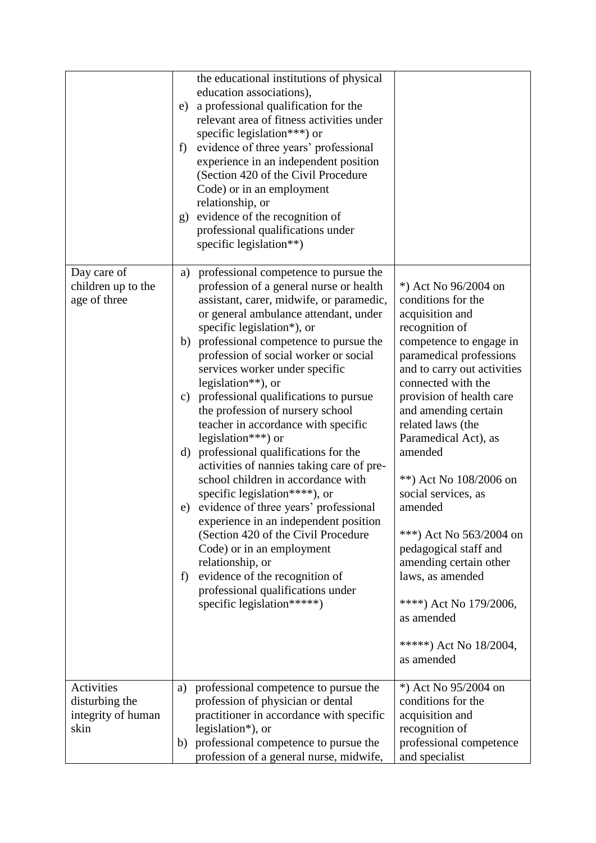|                                                                   | e)<br>f)<br>g) | the educational institutions of physical<br>education associations),<br>a professional qualification for the<br>relevant area of fitness activities under<br>specific legislation***) or<br>evidence of three years' professional<br>experience in an independent position<br>(Section 420 of the Civil Procedure<br>Code) or in an employment<br>relationship, or<br>evidence of the recognition of<br>professional qualifications under<br>specific legislation**)                                                                                                                                                                                                                                                                                                                                                                                                                                                                               |                                                                                                                                                                                                                                                                                                                                                                                                                                                                                                                                                         |
|-------------------------------------------------------------------|----------------|----------------------------------------------------------------------------------------------------------------------------------------------------------------------------------------------------------------------------------------------------------------------------------------------------------------------------------------------------------------------------------------------------------------------------------------------------------------------------------------------------------------------------------------------------------------------------------------------------------------------------------------------------------------------------------------------------------------------------------------------------------------------------------------------------------------------------------------------------------------------------------------------------------------------------------------------------|---------------------------------------------------------------------------------------------------------------------------------------------------------------------------------------------------------------------------------------------------------------------------------------------------------------------------------------------------------------------------------------------------------------------------------------------------------------------------------------------------------------------------------------------------------|
| Day care of<br>children up to the<br>age of three                 | a)<br>f)       | professional competence to pursue the<br>profession of a general nurse or health<br>assistant, carer, midwife, or paramedic,<br>or general ambulance attendant, under<br>specific legislation*), or<br>b) professional competence to pursue the<br>profession of social worker or social<br>services worker under specific<br>legislation $**$ ), or<br>c) professional qualifications to pursue<br>the profession of nursery school<br>teacher in accordance with specific<br>legislation***) or<br>d) professional qualifications for the<br>activities of nannies taking care of pre-<br>school children in accordance with<br>specific legislation****), or<br>e) evidence of three years' professional<br>experience in an independent position<br>(Section 420 of the Civil Procedure<br>Code) or in an employment<br>relationship, or<br>evidence of the recognition of<br>professional qualifications under<br>specific legislation *****) | *) Act No 96/2004 on<br>conditions for the<br>acquisition and<br>recognition of<br>competence to engage in<br>paramedical professions<br>and to carry out activities<br>connected with the<br>provision of health care<br>and amending certain<br>related laws (the<br>Paramedical Act), as<br>amended<br>**) Act No 108/2006 on<br>social services, as<br>amended<br>***) Act No 563/2004 on<br>pedagogical staff and<br>amending certain other<br>laws, as amended<br>****) Act No 179/2006,<br>as amended<br>*****) Act No $18/2004$ ,<br>as amended |
| <b>Activities</b><br>disturbing the<br>integrity of human<br>skin | a)<br>b)       | professional competence to pursue the<br>profession of physician or dental<br>practitioner in accordance with specific<br>legislation*), or<br>professional competence to pursue the<br>profession of a general nurse, midwife,                                                                                                                                                                                                                                                                                                                                                                                                                                                                                                                                                                                                                                                                                                                    | *) Act No 95/2004 on<br>conditions for the<br>acquisition and<br>recognition of<br>professional competence<br>and specialist                                                                                                                                                                                                                                                                                                                                                                                                                            |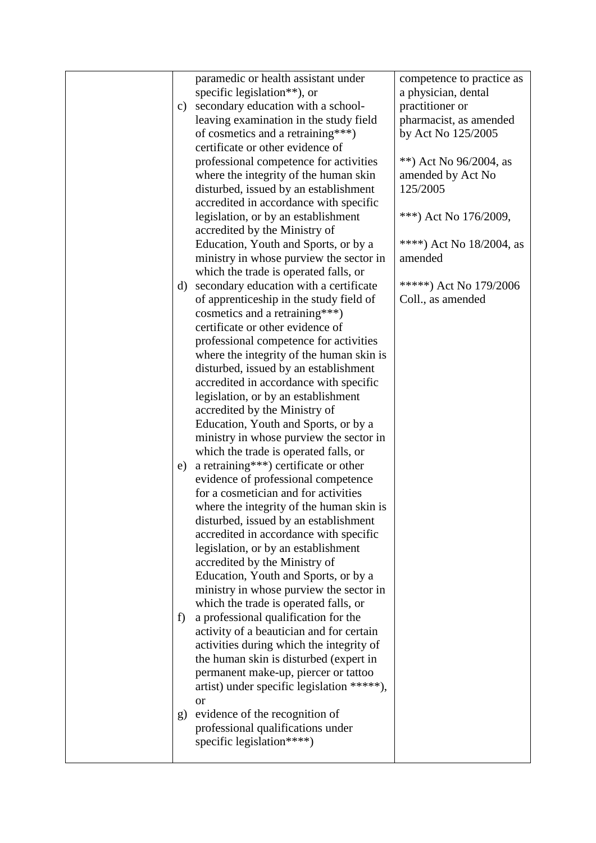|    | paramedic or health assistant under                                              | competence to practice as   |
|----|----------------------------------------------------------------------------------|-----------------------------|
|    | specific legislation**), or                                                      | a physician, dental         |
| c) | secondary education with a school-                                               | practitioner or             |
|    | leaving examination in the study field                                           | pharmacist, as amended      |
|    | of cosmetics and a retraining***)                                                | by Act No 125/2005          |
|    | certificate or other evidence of                                                 |                             |
|    | professional competence for activities                                           | **) Act No $96/2004$ , as   |
|    | where the integrity of the human skin                                            | amended by Act No           |
|    | disturbed, issued by an establishment                                            | 125/2005                    |
|    | accredited in accordance with specific                                           |                             |
|    | legislation, or by an establishment                                              | ***) Act No 176/2009,       |
|    | accredited by the Ministry of                                                    |                             |
|    | Education, Youth and Sports, or by a                                             | ****) Act No $18/2004$ , as |
|    | ministry in whose purview the sector in                                          | amended                     |
|    |                                                                                  |                             |
| d) | which the trade is operated falls, or<br>secondary education with a certificate  | *****) Act No 179/2006      |
|    | of apprenticeship in the study field of                                          | Coll., as amended           |
|    | cosmetics and a retraining***)                                                   |                             |
|    | certificate or other evidence of                                                 |                             |
|    | professional competence for activities                                           |                             |
|    | where the integrity of the human skin is                                         |                             |
|    | disturbed, issued by an establishment                                            |                             |
|    | accredited in accordance with specific                                           |                             |
|    |                                                                                  |                             |
|    | legislation, or by an establishment                                              |                             |
|    | accredited by the Ministry of                                                    |                             |
|    | Education, Youth and Sports, or by a                                             |                             |
|    | ministry in whose purview the sector in                                          |                             |
|    | which the trade is operated falls, or<br>a retraining***) certificate or other   |                             |
| e) | evidence of professional competence                                              |                             |
|    | for a cosmetician and for activities                                             |                             |
|    |                                                                                  |                             |
|    | where the integrity of the human skin is                                         |                             |
|    | disturbed, issued by an establishment                                            |                             |
|    | accredited in accordance with specific                                           |                             |
|    | legislation, or by an establishment                                              |                             |
|    | accredited by the Ministry of                                                    |                             |
|    | Education, Youth and Sports, or by a                                             |                             |
|    | ministry in whose purview the sector in<br>which the trade is operated falls, or |                             |
|    |                                                                                  |                             |
| f) | a professional qualification for the<br>activity of a beautician and for certain |                             |
|    | activities during which the integrity of                                         |                             |
|    |                                                                                  |                             |
|    | the human skin is disturbed (expert in<br>permanent make-up, piercer or tattoo   |                             |
|    | artist) under specific legislation *****),                                       |                             |
|    | <sub>or</sub>                                                                    |                             |
|    | evidence of the recognition of                                                   |                             |
| g) | professional qualifications under                                                |                             |
|    | specific legislation****)                                                        |                             |
|    |                                                                                  |                             |
|    |                                                                                  |                             |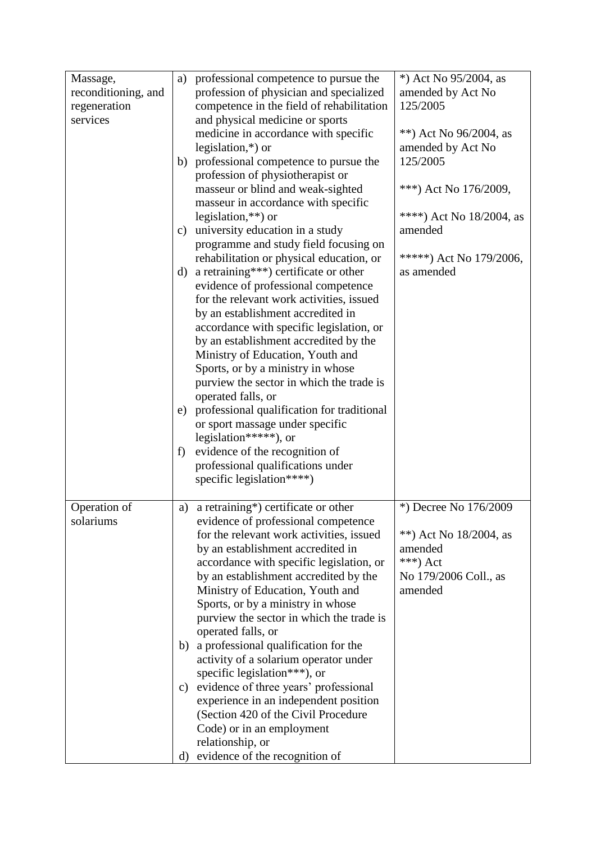| Massage,<br>reconditioning, and<br>regeneration<br>services | a)<br>$\mathbf{c})$<br>d)<br>e)<br>f) | professional competence to pursue the<br>profession of physician and specialized<br>competence in the field of rehabilitation<br>and physical medicine or sports<br>medicine in accordance with specific<br>legislation, $*$ ) or<br>b) professional competence to pursue the<br>profession of physiotherapist or<br>masseur or blind and weak-sighted<br>masseur in accordance with specific<br>legislation, $**$ ) or<br>university education in a study<br>programme and study field focusing on<br>rehabilitation or physical education, or<br>a retraining***) certificate or other<br>evidence of professional competence<br>for the relevant work activities, issued<br>by an establishment accredited in<br>accordance with specific legislation, or<br>by an establishment accredited by the<br>Ministry of Education, Youth and<br>Sports, or by a ministry in whose<br>purview the sector in which the trade is<br>operated falls, or<br>professional qualification for traditional<br>or sport massage under specific<br>legislation*****), or<br>evidence of the recognition of<br>professional qualifications under | *) Act No 95/2004, as<br>amended by Act No<br>125/2005<br>**) Act No $96/2004$ , as<br>amended by Act No<br>125/2005<br>***) Act No 176/2009,<br>****) Act No 18/2004, as<br>amended<br>*****) Act No $179/2006$ ,<br>as amended |
|-------------------------------------------------------------|---------------------------------------|-----------------------------------------------------------------------------------------------------------------------------------------------------------------------------------------------------------------------------------------------------------------------------------------------------------------------------------------------------------------------------------------------------------------------------------------------------------------------------------------------------------------------------------------------------------------------------------------------------------------------------------------------------------------------------------------------------------------------------------------------------------------------------------------------------------------------------------------------------------------------------------------------------------------------------------------------------------------------------------------------------------------------------------------------------------------------------------------------------------------------------------|----------------------------------------------------------------------------------------------------------------------------------------------------------------------------------------------------------------------------------|
| Operation of<br>solariums                                   | a)<br>b)<br>C)<br>d)                  | specific legislation****)<br>a retraining*) certificate or other<br>evidence of professional competence<br>for the relevant work activities, issued<br>by an establishment accredited in<br>accordance with specific legislation, or<br>by an establishment accredited by the<br>Ministry of Education, Youth and<br>Sports, or by a ministry in whose<br>purview the sector in which the trade is<br>operated falls, or<br>a professional qualification for the<br>activity of a solarium operator under<br>specific legislation***), or<br>evidence of three years' professional<br>experience in an independent position<br>(Section 420 of the Civil Procedure<br>Code) or in an employment<br>relationship, or<br>evidence of the recognition of                                                                                                                                                                                                                                                                                                                                                                             | *) Decree No 176/2009<br>**) Act No $18/2004$ , as<br>amended<br>***) Act<br>No 179/2006 Coll., as<br>amended                                                                                                                    |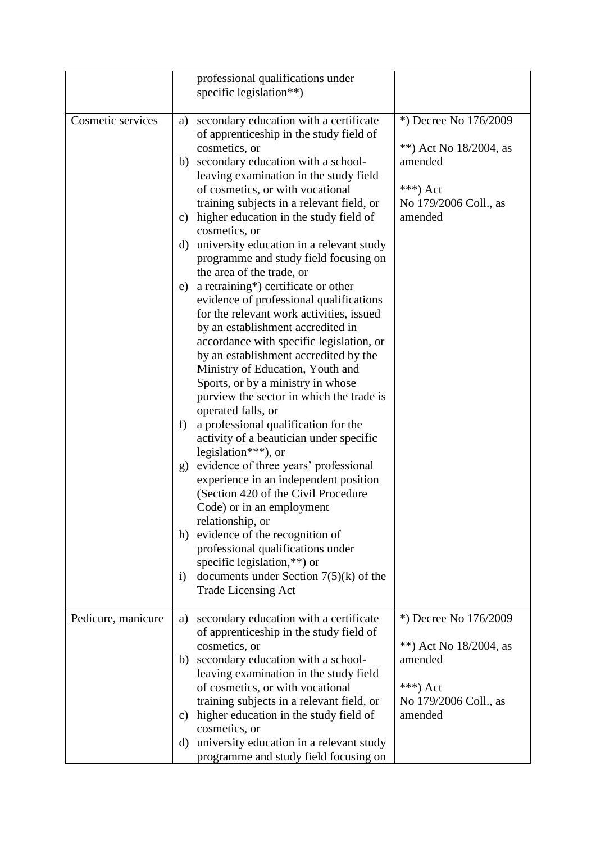|                    | professional qualifications under<br>specific legislation**)                                                                                                                                                                                                                                                                                                                                                                                                                                                                                                                                                                                                                                                                                                                                                                                                                                                                                                                                                                                                                                                                  |                                                                                                               |
|--------------------|-------------------------------------------------------------------------------------------------------------------------------------------------------------------------------------------------------------------------------------------------------------------------------------------------------------------------------------------------------------------------------------------------------------------------------------------------------------------------------------------------------------------------------------------------------------------------------------------------------------------------------------------------------------------------------------------------------------------------------------------------------------------------------------------------------------------------------------------------------------------------------------------------------------------------------------------------------------------------------------------------------------------------------------------------------------------------------------------------------------------------------|---------------------------------------------------------------------------------------------------------------|
| Cosmetic services  | secondary education with a certificate<br>a)<br>of apprenticeship in the study field of<br>cosmetics, or<br>b) secondary education with a school-<br>leaving examination in the study field<br>of cosmetics, or with vocational<br>training subjects in a relevant field, or<br>higher education in the study field of<br>c)<br>cosmetics, or<br>university education in a relevant study<br>d)<br>programme and study field focusing on<br>the area of the trade, or<br>a retraining*) certificate or other<br>e)<br>evidence of professional qualifications<br>for the relevant work activities, issued<br>by an establishment accredited in<br>accordance with specific legislation, or<br>by an establishment accredited by the<br>Ministry of Education, Youth and<br>Sports, or by a ministry in whose<br>purview the sector in which the trade is<br>operated falls, or<br>a professional qualification for the<br>f)<br>activity of a beautician under specific<br>legislation***), or<br>evidence of three years' professional<br>g)<br>experience in an independent position<br>(Section 420 of the Civil Procedure | *) Decree No 176/2009<br>**) Act No $18/2004$ , as<br>amended<br>***) Act<br>No 179/2006 Coll., as<br>amended |
|                    | Code) or in an employment<br>relationship, or<br>evidence of the recognition of<br>h)<br>professional qualifications under<br>specific legislation,**) or<br>documents under Section $7(5)(k)$ of the<br>$\ddot{1}$<br><b>Trade Licensing Act</b>                                                                                                                                                                                                                                                                                                                                                                                                                                                                                                                                                                                                                                                                                                                                                                                                                                                                             |                                                                                                               |
| Pedicure, manicure | secondary education with a certificate<br>a)<br>of apprenticeship in the study field of<br>cosmetics, or<br>secondary education with a school-<br>b)<br>leaving examination in the study field<br>of cosmetics, or with vocational<br>training subjects in a relevant field, or<br>higher education in the study field of<br>C)<br>cosmetics, or<br>university education in a relevant study<br>d)<br>programme and study field focusing on                                                                                                                                                                                                                                                                                                                                                                                                                                                                                                                                                                                                                                                                                   | *) Decree No 176/2009<br>**) Act No $18/2004$ , as<br>amended<br>***) Act<br>No 179/2006 Coll., as<br>amended |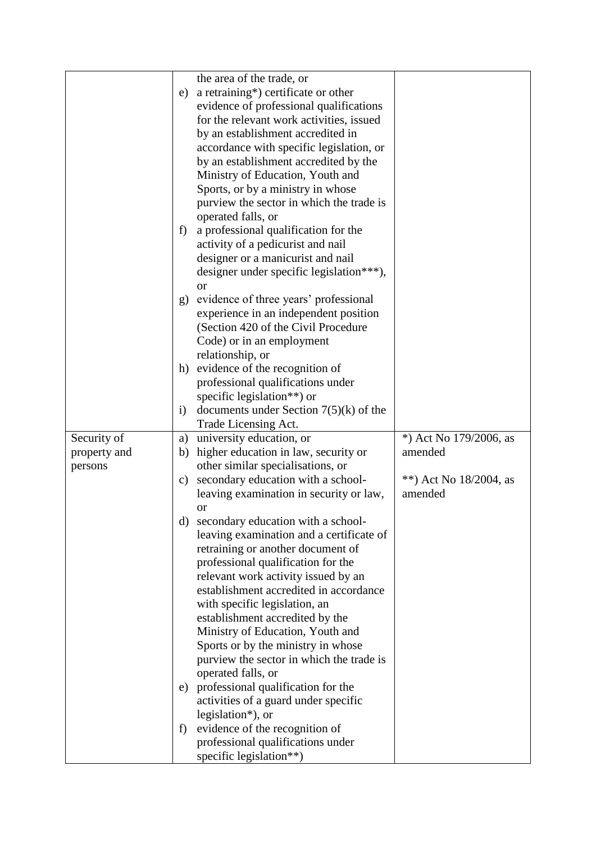|              |              | the area of the trade, or                                      |                           |
|--------------|--------------|----------------------------------------------------------------|---------------------------|
|              | e)           | a retraining*) certificate or other                            |                           |
|              |              | evidence of professional qualifications                        |                           |
|              |              | for the relevant work activities, issued                       |                           |
|              |              | by an establishment accredited in                              |                           |
|              |              | accordance with specific legislation, or                       |                           |
|              |              | by an establishment accredited by the                          |                           |
|              |              | Ministry of Education, Youth and                               |                           |
|              |              |                                                                |                           |
|              |              | Sports, or by a ministry in whose                              |                           |
|              |              | purview the sector in which the trade is<br>operated falls, or |                           |
|              | f)           | a professional qualification for the                           |                           |
|              |              | activity of a pedicurist and nail                              |                           |
|              |              | designer or a manicurist and nail                              |                           |
|              |              | designer under specific legislation***),                       |                           |
|              |              | <b>or</b>                                                      |                           |
|              | g)           | evidence of three years' professional                          |                           |
|              |              | experience in an independent position                          |                           |
|              |              | (Section 420 of the Civil Procedure                            |                           |
|              |              | Code) or in an employment                                      |                           |
|              |              | relationship, or                                               |                           |
|              | h)           | evidence of the recognition of                                 |                           |
|              |              | professional qualifications under                              |                           |
|              |              | specific legislation**) or                                     |                           |
|              | $\mathbf{i}$ | documents under Section $7(5)(k)$ of the                       |                           |
|              |              | Trade Licensing Act.                                           |                           |
| Security of  | a)           | university education, or                                       | *) Act No 179/2006, as    |
| property and | b)           | higher education in law, security or                           | amended                   |
| persons      |              | other similar specialisations, or                              |                           |
|              | c)           | secondary education with a school-                             | **) Act No $18/2004$ , as |
|              |              | leaving examination in security or law,                        | amended                   |
|              |              | <b>or</b>                                                      |                           |
|              | $\rm d$      | secondary education with a school-                             |                           |
|              |              | leaving examination and a certificate of                       |                           |
|              |              | retraining or another document of                              |                           |
|              |              | professional qualification for the                             |                           |
|              |              | relevant work activity issued by an                            |                           |
|              |              | establishment accredited in accordance                         |                           |
|              |              | with specific legislation, an                                  |                           |
|              |              | establishment accredited by the                                |                           |
|              |              | Ministry of Education, Youth and                               |                           |
|              |              | Sports or by the ministry in whose                             |                           |
|              |              | purview the sector in which the trade is                       |                           |
|              |              | operated falls, or                                             |                           |
|              |              | e) professional qualification for the                          |                           |
|              |              | activities of a guard under specific                           |                           |
|              |              | legislation*), or                                              |                           |
|              | f            | evidence of the recognition of                                 |                           |
|              |              |                                                                |                           |
|              |              | professional qualifications under<br>specific legislation**)   |                           |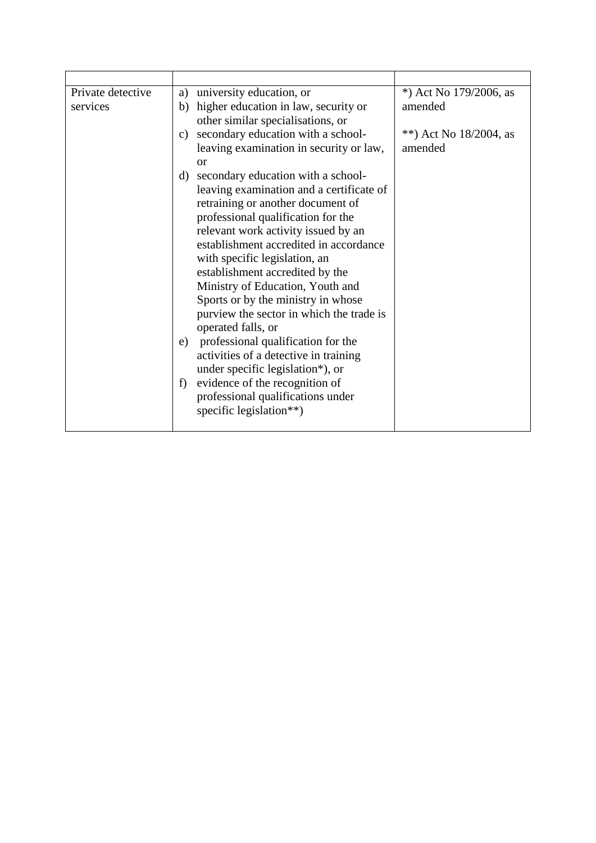| Private detective | university education, or<br>a)                                                | *) Act No $179/2006$ , as |
|-------------------|-------------------------------------------------------------------------------|---------------------------|
| services          | higher education in law, security or<br>b)                                    | amended                   |
|                   | other similar specialisations, or                                             |                           |
|                   | secondary education with a school-<br>c)                                      | **) Act No $18/2004$ , as |
|                   | leaving examination in security or law,                                       | amended                   |
|                   | <sub>or</sub>                                                                 |                           |
|                   | secondary education with a school-<br>d)                                      |                           |
|                   | leaving examination and a certificate of                                      |                           |
|                   | retraining or another document of                                             |                           |
|                   | professional qualification for the                                            |                           |
|                   | relevant work activity issued by an<br>establishment accredited in accordance |                           |
|                   |                                                                               |                           |
|                   | with specific legislation, an<br>establishment accredited by the              |                           |
|                   | Ministry of Education, Youth and                                              |                           |
|                   | Sports or by the ministry in whose                                            |                           |
|                   | purview the sector in which the trade is                                      |                           |
|                   | operated falls, or                                                            |                           |
|                   | professional qualification for the<br>e)                                      |                           |
|                   | activities of a detective in training                                         |                           |
|                   | under specific legislation*), or                                              |                           |
|                   | evidence of the recognition of<br>f)                                          |                           |
|                   | professional qualifications under                                             |                           |
|                   | specific legislation**)                                                       |                           |
|                   |                                                                               |                           |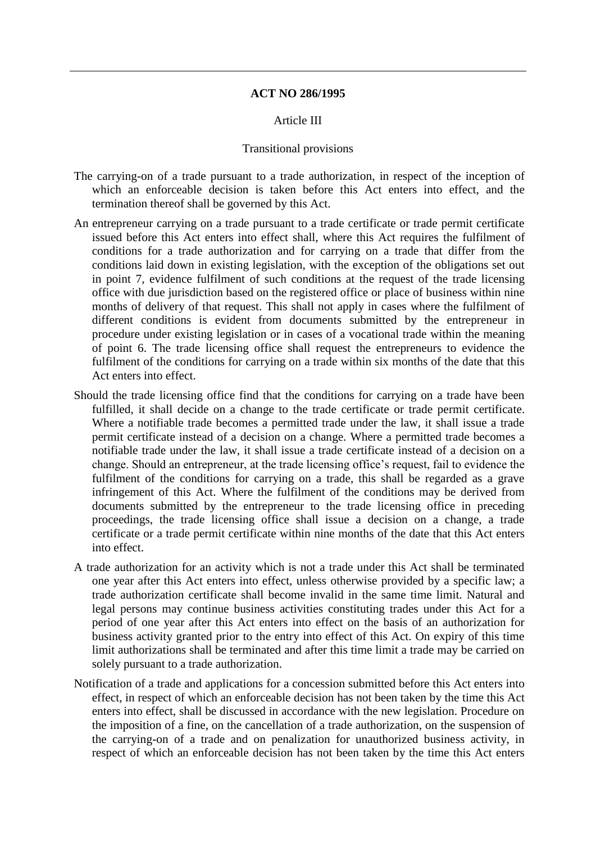## **ACT NO 286/1995**

#### Article III

#### Transitional provisions

- The carrying-on of a trade pursuant to a trade authorization, in respect of the inception of which an enforceable decision is taken before this Act enters into effect, and the termination thereof shall be governed by this Act.
- An entrepreneur carrying on a trade pursuant to a trade certificate or trade permit certificate issued before this Act enters into effect shall, where this Act requires the fulfilment of conditions for a trade authorization and for carrying on a trade that differ from the conditions laid down in existing legislation, with the exception of the obligations set out in point 7, evidence fulfilment of such conditions at the request of the trade licensing office with due jurisdiction based on the registered office or place of business within nine months of delivery of that request. This shall not apply in cases where the fulfilment of different conditions is evident from documents submitted by the entrepreneur in procedure under existing legislation or in cases of a vocational trade within the meaning of point 6. The trade licensing office shall request the entrepreneurs to evidence the fulfilment of the conditions for carrying on a trade within six months of the date that this Act enters into effect.
- Should the trade licensing office find that the conditions for carrying on a trade have been fulfilled, it shall decide on a change to the trade certificate or trade permit certificate. Where a notifiable trade becomes a permitted trade under the law, it shall issue a trade permit certificate instead of a decision on a change. Where a permitted trade becomes a notifiable trade under the law, it shall issue a trade certificate instead of a decision on a change. Should an entrepreneur, at the trade licensing office's request, fail to evidence the fulfilment of the conditions for carrying on a trade, this shall be regarded as a grave infringement of this Act. Where the fulfilment of the conditions may be derived from documents submitted by the entrepreneur to the trade licensing office in preceding proceedings, the trade licensing office shall issue a decision on a change, a trade certificate or a trade permit certificate within nine months of the date that this Act enters into effect.
- A trade authorization for an activity which is not a trade under this Act shall be terminated one year after this Act enters into effect, unless otherwise provided by a specific law; a trade authorization certificate shall become invalid in the same time limit. Natural and legal persons may continue business activities constituting trades under this Act for a period of one year after this Act enters into effect on the basis of an authorization for business activity granted prior to the entry into effect of this Act. On expiry of this time limit authorizations shall be terminated and after this time limit a trade may be carried on solely pursuant to a trade authorization.
- Notification of a trade and applications for a concession submitted before this Act enters into effect, in respect of which an enforceable decision has not been taken by the time this Act enters into effect, shall be discussed in accordance with the new legislation. Procedure on the imposition of a fine, on the cancellation of a trade authorization, on the suspension of the carrying-on of a trade and on penalization for unauthorized business activity, in respect of which an enforceable decision has not been taken by the time this Act enters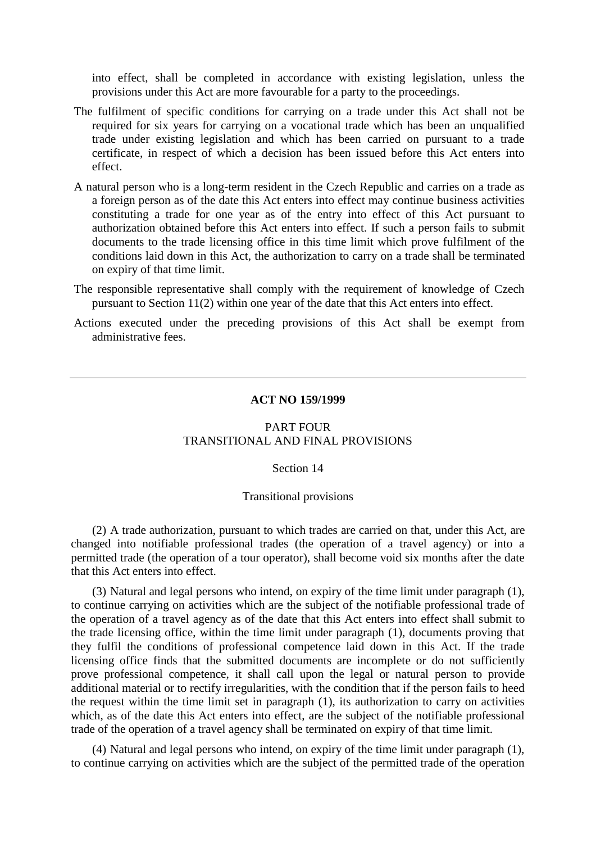into effect, shall be completed in accordance with existing legislation, unless the provisions under this Act are more favourable for a party to the proceedings.

- The fulfilment of specific conditions for carrying on a trade under this Act shall not be required for six years for carrying on a vocational trade which has been an unqualified trade under existing legislation and which has been carried on pursuant to a trade certificate, in respect of which a decision has been issued before this Act enters into effect.
- A natural person who is a long-term resident in the Czech Republic and carries on a trade as a foreign person as of the date this Act enters into effect may continue business activities constituting a trade for one year as of the entry into effect of this Act pursuant to authorization obtained before this Act enters into effect. If such a person fails to submit documents to the trade licensing office in this time limit which prove fulfilment of the conditions laid down in this Act, the authorization to carry on a trade shall be terminated on expiry of that time limit.
- The responsible representative shall comply with the requirement of knowledge of Czech pursuant to Section 11(2) within one year of the date that this Act enters into effect.
- Actions executed under the preceding provisions of this Act shall be exempt from administrative fees.

### **ACT NO 159/1999**

## PART FOUR TRANSITIONAL AND FINAL PROVISIONS

#### Section 14

#### Transitional provisions

(2) A trade authorization, pursuant to which trades are carried on that, under this Act, are changed into notifiable professional trades (the operation of a travel agency) or into a permitted trade (the operation of a tour operator), shall become void six months after the date that this Act enters into effect.

(3) Natural and legal persons who intend, on expiry of the time limit under paragraph (1), to continue carrying on activities which are the subject of the notifiable professional trade of the operation of a travel agency as of the date that this Act enters into effect shall submit to the trade licensing office, within the time limit under paragraph (1), documents proving that they fulfil the conditions of professional competence laid down in this Act. If the trade licensing office finds that the submitted documents are incomplete or do not sufficiently prove professional competence, it shall call upon the legal or natural person to provide additional material or to rectify irregularities, with the condition that if the person fails to heed the request within the time limit set in paragraph (1), its authorization to carry on activities which, as of the date this Act enters into effect, are the subject of the notifiable professional trade of the operation of a travel agency shall be terminated on expiry of that time limit.

(4) Natural and legal persons who intend, on expiry of the time limit under paragraph (1), to continue carrying on activities which are the subject of the permitted trade of the operation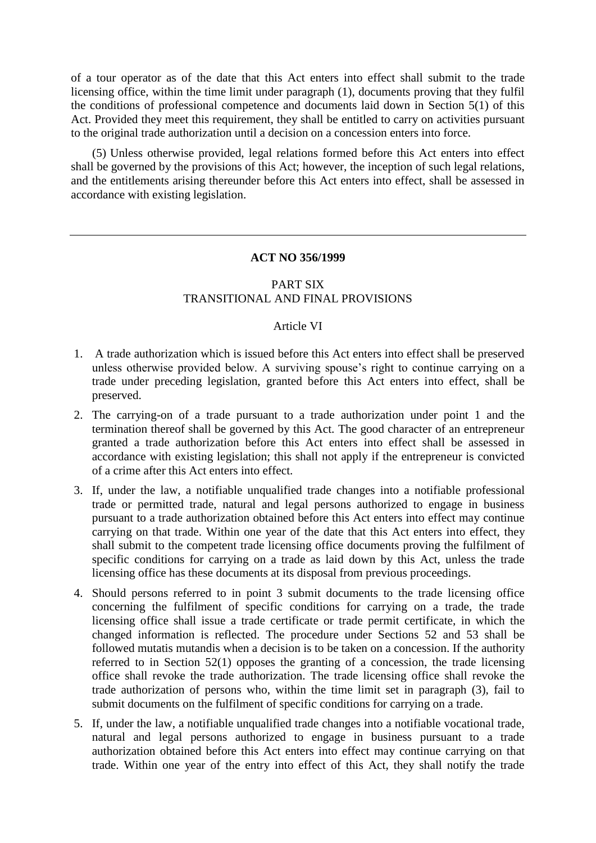of a tour operator as of the date that this Act enters into effect shall submit to the trade licensing office, within the time limit under paragraph (1), documents proving that they fulfil the conditions of professional competence and documents laid down in Section 5(1) of this Act. Provided they meet this requirement, they shall be entitled to carry on activities pursuant to the original trade authorization until a decision on a concession enters into force.

(5) Unless otherwise provided, legal relations formed before this Act enters into effect shall be governed by the provisions of this Act; however, the inception of such legal relations, and the entitlements arising thereunder before this Act enters into effect, shall be assessed in accordance with existing legislation.

## **ACT NO 356/1999**

## PART SIX TRANSITIONAL AND FINAL PROVISIONS

#### Article VI

- 1. A trade authorization which is issued before this Act enters into effect shall be preserved unless otherwise provided below. A surviving spouse's right to continue carrying on a trade under preceding legislation, granted before this Act enters into effect, shall be preserved.
- 2. The carrying-on of a trade pursuant to a trade authorization under point 1 and the termination thereof shall be governed by this Act. The good character of an entrepreneur granted a trade authorization before this Act enters into effect shall be assessed in accordance with existing legislation; this shall not apply if the entrepreneur is convicted of a crime after this Act enters into effect.
- 3. If, under the law, a notifiable unqualified trade changes into a notifiable professional trade or permitted trade, natural and legal persons authorized to engage in business pursuant to a trade authorization obtained before this Act enters into effect may continue carrying on that trade. Within one year of the date that this Act enters into effect, they shall submit to the competent trade licensing office documents proving the fulfilment of specific conditions for carrying on a trade as laid down by this Act, unless the trade licensing office has these documents at its disposal from previous proceedings.
- 4. Should persons referred to in point 3 submit documents to the trade licensing office concerning the fulfilment of specific conditions for carrying on a trade, the trade licensing office shall issue a trade certificate or trade permit certificate, in which the changed information is reflected. The procedure under Sections 52 and 53 shall be followed mutatis mutandis when a decision is to be taken on a concession. If the authority referred to in Section 52(1) opposes the granting of a concession, the trade licensing office shall revoke the trade authorization. The trade licensing office shall revoke the trade authorization of persons who, within the time limit set in paragraph (3), fail to submit documents on the fulfilment of specific conditions for carrying on a trade.
- 5. If, under the law, a notifiable unqualified trade changes into a notifiable vocational trade, natural and legal persons authorized to engage in business pursuant to a trade authorization obtained before this Act enters into effect may continue carrying on that trade. Within one year of the entry into effect of this Act, they shall notify the trade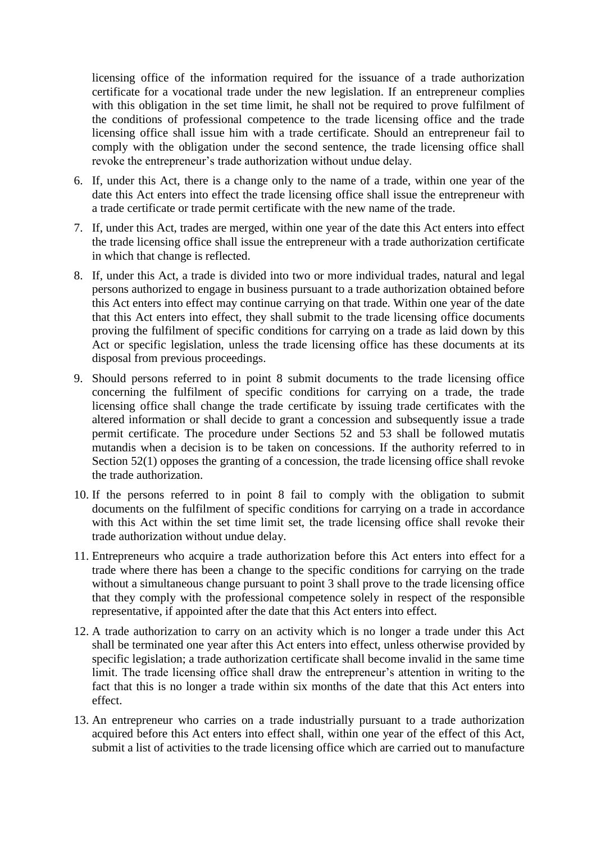licensing office of the information required for the issuance of a trade authorization certificate for a vocational trade under the new legislation. If an entrepreneur complies with this obligation in the set time limit, he shall not be required to prove fulfilment of the conditions of professional competence to the trade licensing office and the trade licensing office shall issue him with a trade certificate. Should an entrepreneur fail to comply with the obligation under the second sentence, the trade licensing office shall revoke the entrepreneur's trade authorization without undue delay.

- 6. If, under this Act, there is a change only to the name of a trade, within one year of the date this Act enters into effect the trade licensing office shall issue the entrepreneur with a trade certificate or trade permit certificate with the new name of the trade.
- 7. If, under this Act, trades are merged, within one year of the date this Act enters into effect the trade licensing office shall issue the entrepreneur with a trade authorization certificate in which that change is reflected.
- 8. If, under this Act, a trade is divided into two or more individual trades, natural and legal persons authorized to engage in business pursuant to a trade authorization obtained before this Act enters into effect may continue carrying on that trade. Within one year of the date that this Act enters into effect, they shall submit to the trade licensing office documents proving the fulfilment of specific conditions for carrying on a trade as laid down by this Act or specific legislation, unless the trade licensing office has these documents at its disposal from previous proceedings.
- 9. Should persons referred to in point 8 submit documents to the trade licensing office concerning the fulfilment of specific conditions for carrying on a trade, the trade licensing office shall change the trade certificate by issuing trade certificates with the altered information or shall decide to grant a concession and subsequently issue a trade permit certificate. The procedure under Sections 52 and 53 shall be followed mutatis mutandis when a decision is to be taken on concessions. If the authority referred to in Section 52(1) opposes the granting of a concession, the trade licensing office shall revoke the trade authorization.
- 10. If the persons referred to in point 8 fail to comply with the obligation to submit documents on the fulfilment of specific conditions for carrying on a trade in accordance with this Act within the set time limit set, the trade licensing office shall revoke their trade authorization without undue delay.
- 11. Entrepreneurs who acquire a trade authorization before this Act enters into effect for a trade where there has been a change to the specific conditions for carrying on the trade without a simultaneous change pursuant to point 3 shall prove to the trade licensing office that they comply with the professional competence solely in respect of the responsible representative, if appointed after the date that this Act enters into effect.
- 12. A trade authorization to carry on an activity which is no longer a trade under this Act shall be terminated one year after this Act enters into effect, unless otherwise provided by specific legislation; a trade authorization certificate shall become invalid in the same time limit. The trade licensing office shall draw the entrepreneur's attention in writing to the fact that this is no longer a trade within six months of the date that this Act enters into effect.
- 13. An entrepreneur who carries on a trade industrially pursuant to a trade authorization acquired before this Act enters into effect shall, within one year of the effect of this Act, submit a list of activities to the trade licensing office which are carried out to manufacture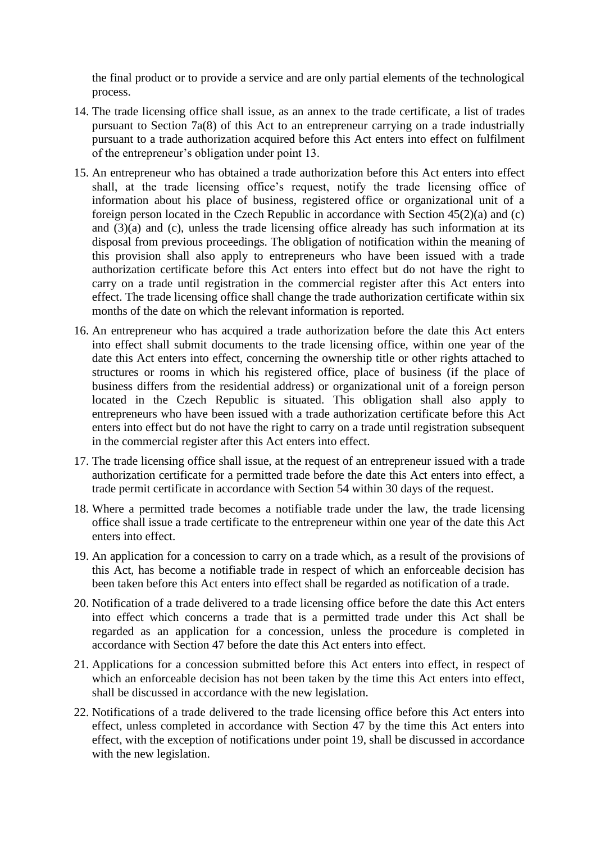the final product or to provide a service and are only partial elements of the technological process.

- 14. The trade licensing office shall issue, as an annex to the trade certificate, a list of trades pursuant to Section 7a(8) of this Act to an entrepreneur carrying on a trade industrially pursuant to a trade authorization acquired before this Act enters into effect on fulfilment of the entrepreneur's obligation under point 13.
- 15. An entrepreneur who has obtained a trade authorization before this Act enters into effect shall, at the trade licensing office's request, notify the trade licensing office of information about his place of business, registered office or organizational unit of a foreign person located in the Czech Republic in accordance with Section 45(2)(a) and (c) and (3)(a) and (c), unless the trade licensing office already has such information at its disposal from previous proceedings. The obligation of notification within the meaning of this provision shall also apply to entrepreneurs who have been issued with a trade authorization certificate before this Act enters into effect but do not have the right to carry on a trade until registration in the commercial register after this Act enters into effect. The trade licensing office shall change the trade authorization certificate within six months of the date on which the relevant information is reported.
- 16. An entrepreneur who has acquired a trade authorization before the date this Act enters into effect shall submit documents to the trade licensing office, within one year of the date this Act enters into effect, concerning the ownership title or other rights attached to structures or rooms in which his registered office, place of business (if the place of business differs from the residential address) or organizational unit of a foreign person located in the Czech Republic is situated. This obligation shall also apply to entrepreneurs who have been issued with a trade authorization certificate before this Act enters into effect but do not have the right to carry on a trade until registration subsequent in the commercial register after this Act enters into effect.
- 17. The trade licensing office shall issue, at the request of an entrepreneur issued with a trade authorization certificate for a permitted trade before the date this Act enters into effect, a trade permit certificate in accordance with Section 54 within 30 days of the request.
- 18. Where a permitted trade becomes a notifiable trade under the law, the trade licensing office shall issue a trade certificate to the entrepreneur within one year of the date this Act enters into effect.
- 19. An application for a concession to carry on a trade which, as a result of the provisions of this Act, has become a notifiable trade in respect of which an enforceable decision has been taken before this Act enters into effect shall be regarded as notification of a trade.
- 20. Notification of a trade delivered to a trade licensing office before the date this Act enters into effect which concerns a trade that is a permitted trade under this Act shall be regarded as an application for a concession, unless the procedure is completed in accordance with Section 47 before the date this Act enters into effect.
- 21. Applications for a concession submitted before this Act enters into effect, in respect of which an enforceable decision has not been taken by the time this Act enters into effect, shall be discussed in accordance with the new legislation.
- 22. Notifications of a trade delivered to the trade licensing office before this Act enters into effect, unless completed in accordance with Section 47 by the time this Act enters into effect, with the exception of notifications under point 19, shall be discussed in accordance with the new legislation.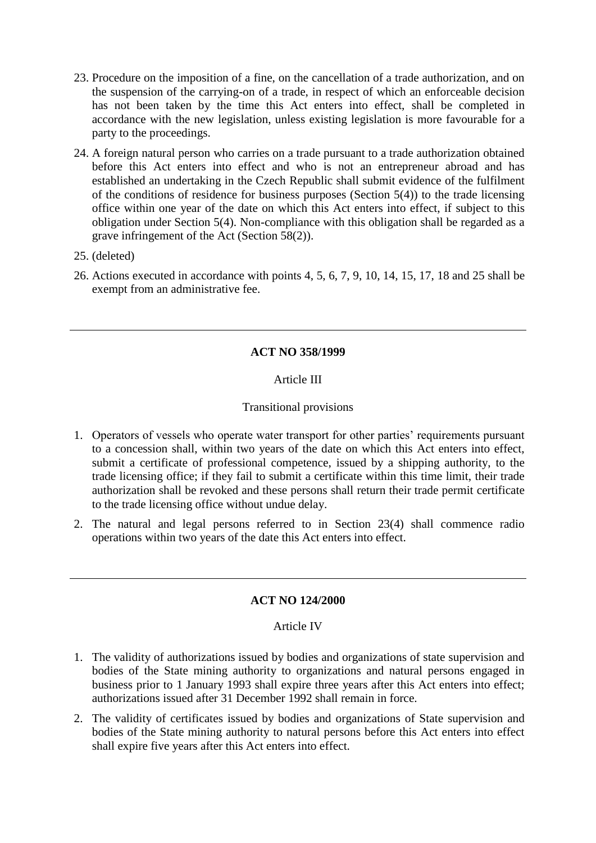- 23. Procedure on the imposition of a fine, on the cancellation of a trade authorization, and on the suspension of the carrying-on of a trade, in respect of which an enforceable decision has not been taken by the time this Act enters into effect, shall be completed in accordance with the new legislation, unless existing legislation is more favourable for a party to the proceedings.
- 24. A foreign natural person who carries on a trade pursuant to a trade authorization obtained before this Act enters into effect and who is not an entrepreneur abroad and has established an undertaking in the Czech Republic shall submit evidence of the fulfilment of the conditions of residence for business purposes (Section  $5(4)$ ) to the trade licensing office within one year of the date on which this Act enters into effect, if subject to this obligation under Section 5(4). Non-compliance with this obligation shall be regarded as a grave infringement of the Act (Section 58(2)).
- 25. (deleted)
- 26. Actions executed in accordance with points 4, 5, 6, 7, 9, 10, 14, 15, 17, 18 and 25 shall be exempt from an administrative fee.

# **ACT NO 358/1999**

## Article III

## Transitional provisions

- 1. Operators of vessels who operate water transport for other parties' requirements pursuant to a concession shall, within two years of the date on which this Act enters into effect, submit a certificate of professional competence, issued by a shipping authority, to the trade licensing office; if they fail to submit a certificate within this time limit, their trade authorization shall be revoked and these persons shall return their trade permit certificate to the trade licensing office without undue delay.
- 2. The natural and legal persons referred to in Section 23(4) shall commence radio operations within two years of the date this Act enters into effect.

## **ACT NO 124/2000**

## Article IV

- 1. The validity of authorizations issued by bodies and organizations of state supervision and bodies of the State mining authority to organizations and natural persons engaged in business prior to 1 January 1993 shall expire three years after this Act enters into effect; authorizations issued after 31 December 1992 shall remain in force.
- 2. The validity of certificates issued by bodies and organizations of State supervision and bodies of the State mining authority to natural persons before this Act enters into effect shall expire five years after this Act enters into effect.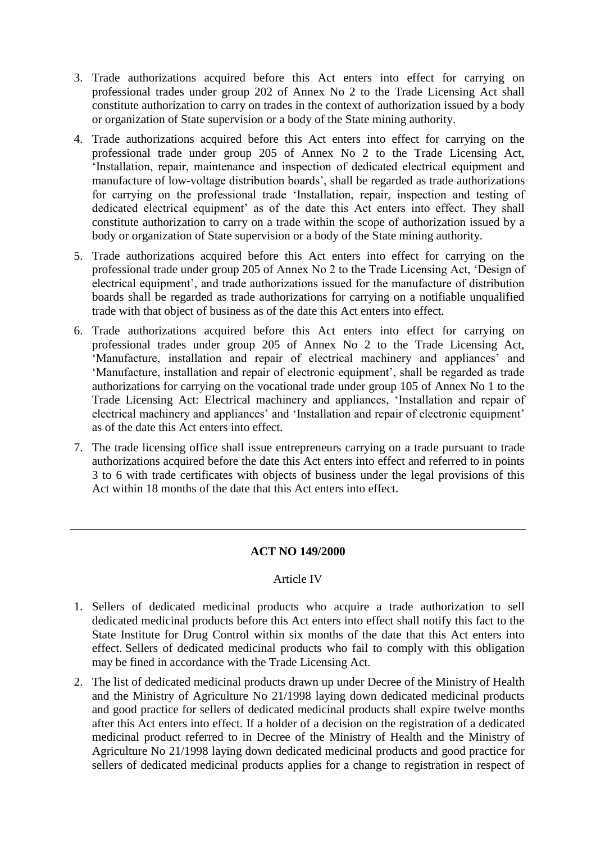- 3. Trade authorizations acquired before this Act enters into effect for carrying on professional trades under group 202 of Annex No 2 to the Trade Licensing Act shall constitute authorization to carry on trades in the context of authorization issued by a body or organization of State supervision or a body of the State mining authority.
- 4. Trade authorizations acquired before this Act enters into effect for carrying on the professional trade under group 205 of Annex No 2 to the Trade Licensing Act, 'Installation, repair, maintenance and inspection of dedicated electrical equipment and manufacture of low-voltage distribution boards', shall be regarded as trade authorizations for carrying on the professional trade 'Installation, repair, inspection and testing of dedicated electrical equipment' as of the date this Act enters into effect. They shall constitute authorization to carry on a trade within the scope of authorization issued by a body or organization of State supervision or a body of the State mining authority.
- 5. Trade authorizations acquired before this Act enters into effect for carrying on the professional trade under group 205 of Annex No 2 to the Trade Licensing Act, 'Design of electrical equipment', and trade authorizations issued for the manufacture of distribution boards shall be regarded as trade authorizations for carrying on a notifiable unqualified trade with that object of business as of the date this Act enters into effect.
- 6. Trade authorizations acquired before this Act enters into effect for carrying on professional trades under group 205 of Annex No 2 to the Trade Licensing Act, 'Manufacture, installation and repair of electrical machinery and appliances' and 'Manufacture, installation and repair of electronic equipment', shall be regarded as trade authorizations for carrying on the vocational trade under group 105 of Annex No 1 to the Trade Licensing Act: Electrical machinery and appliances, 'Installation and repair of electrical machinery and appliances' and 'Installation and repair of electronic equipment' as of the date this Act enters into effect.
- 7. The trade licensing office shall issue entrepreneurs carrying on a trade pursuant to trade authorizations acquired before the date this Act enters into effect and referred to in points 3 to 6 with trade certificates with objects of business under the legal provisions of this Act within 18 months of the date that this Act enters into effect.

## **ACT NO 149/2000**

## Article IV

- 1. Sellers of dedicated medicinal products who acquire a trade authorization to sell dedicated medicinal products before this Act enters into effect shall notify this fact to the State Institute for Drug Control within six months of the date that this Act enters into effect. Sellers of dedicated medicinal products who fail to comply with this obligation may be fined in accordance with the Trade Licensing Act.
- 2. The list of dedicated medicinal products drawn up under Decree of the Ministry of Health and the Ministry of Agriculture No 21/1998 laying down dedicated medicinal products and good practice for sellers of dedicated medicinal products shall expire twelve months after this Act enters into effect. If a holder of a decision on the registration of a dedicated medicinal product referred to in Decree of the Ministry of Health and the Ministry of Agriculture No 21/1998 laying down dedicated medicinal products and good practice for sellers of dedicated medicinal products applies for a change to registration in respect of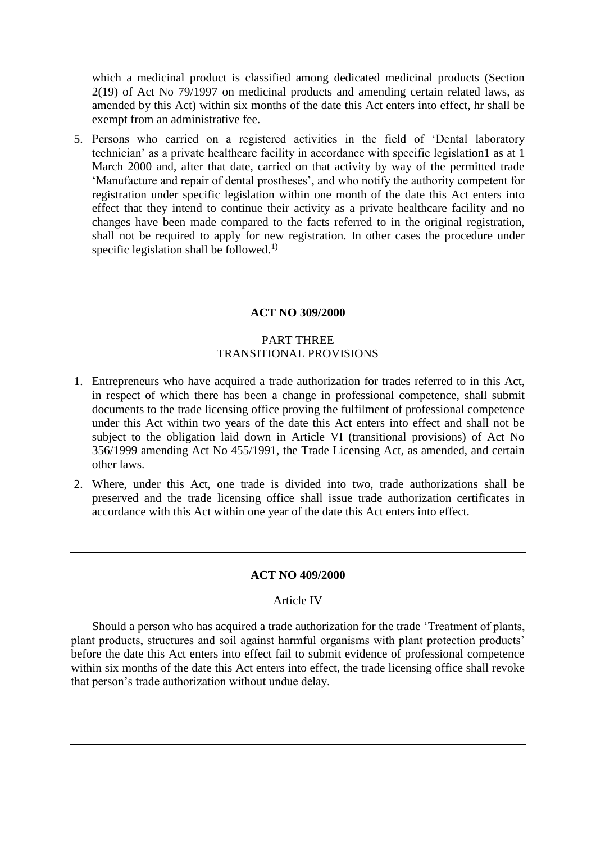which a medicinal product is classified among dedicated medicinal products (Section 2(19) of Act No 79/1997 on medicinal products and amending certain related laws, as amended by this Act) within six months of the date this Act enters into effect, hr shall be exempt from an administrative fee.

5. Persons who carried on a registered activities in the field of 'Dental laboratory technician' as a private healthcare facility in accordance with specific legislation1 as at 1 March 2000 and, after that date, carried on that activity by way of the permitted trade 'Manufacture and repair of dental prostheses', and who notify the authority competent for registration under specific legislation within one month of the date this Act enters into effect that they intend to continue their activity as a private healthcare facility and no changes have been made compared to the facts referred to in the original registration, shall not be required to apply for new registration. In other cases the procedure under specific legislation shall be followed.<sup>1)</sup>

### **ACT NO 309/2000**

## PART THREE TRANSITIONAL PROVISIONS

- 1. Entrepreneurs who have acquired a trade authorization for trades referred to in this Act, in respect of which there has been a change in professional competence, shall submit documents to the trade licensing office proving the fulfilment of professional competence under this Act within two years of the date this Act enters into effect and shall not be subject to the obligation laid down in Article VI (transitional provisions) of Act No 356/1999 amending Act No 455/1991, the Trade Licensing Act, as amended, and certain other laws.
- 2. Where, under this Act, one trade is divided into two, trade authorizations shall be preserved and the trade licensing office shall issue trade authorization certificates in accordance with this Act within one year of the date this Act enters into effect.

#### **ACT NO 409/2000**

#### Article IV

Should a person who has acquired a trade authorization for the trade 'Treatment of plants, plant products, structures and soil against harmful organisms with plant protection products' before the date this Act enters into effect fail to submit evidence of professional competence within six months of the date this Act enters into effect, the trade licensing office shall revoke that person's trade authorization without undue delay.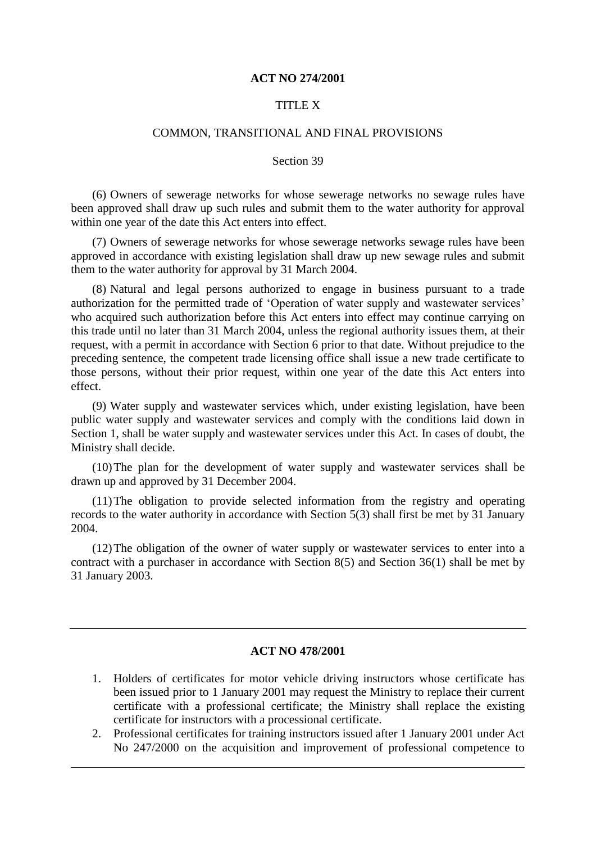#### **ACT NO 274/2001**

## TITLE X

#### COMMON, TRANSITIONAL AND FINAL PROVISIONS

### Section 39

(6) Owners of sewerage networks for whose sewerage networks no sewage rules have been approved shall draw up such rules and submit them to the water authority for approval within one year of the date this Act enters into effect.

(7) Owners of sewerage networks for whose sewerage networks sewage rules have been approved in accordance with existing legislation shall draw up new sewage rules and submit them to the water authority for approval by 31 March 2004.

(8) Natural and legal persons authorized to engage in business pursuant to a trade authorization for the permitted trade of 'Operation of water supply and wastewater services' who acquired such authorization before this Act enters into effect may continue carrying on this trade until no later than 31 March 2004, unless the regional authority issues them, at their request, with a permit in accordance with Section 6 prior to that date. Without prejudice to the preceding sentence, the competent trade licensing office shall issue a new trade certificate to those persons, without their prior request, within one year of the date this Act enters into effect.

(9) Water supply and wastewater services which, under existing legislation, have been public water supply and wastewater services and comply with the conditions laid down in Section 1, shall be water supply and wastewater services under this Act. In cases of doubt, the Ministry shall decide.

(10)The plan for the development of water supply and wastewater services shall be drawn up and approved by 31 December 2004.

(11)The obligation to provide selected information from the registry and operating records to the water authority in accordance with Section 5(3) shall first be met by 31 January 2004.

(12)The obligation of the owner of water supply or wastewater services to enter into a contract with a purchaser in accordance with Section 8(5) and Section 36(1) shall be met by 31 January 2003.

#### **ACT NO 478/2001**

- 1. Holders of certificates for motor vehicle driving instructors whose certificate has been issued prior to 1 January 2001 may request the Ministry to replace their current certificate with a professional certificate; the Ministry shall replace the existing certificate for instructors with a processional certificate.
- 2. Professional certificates for training instructors issued after 1 January 2001 under Act No 247/2000 on the acquisition and improvement of professional competence to

 $\overline{\phantom{a}}$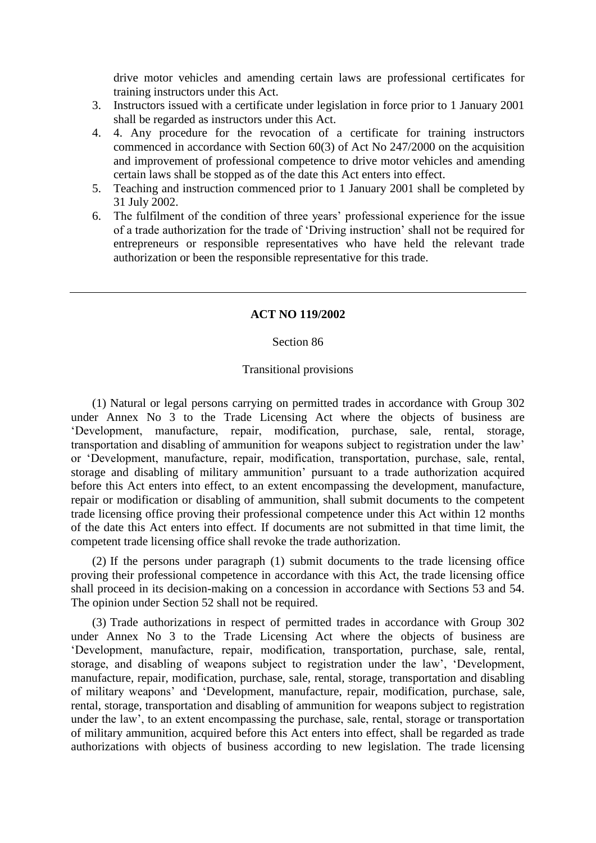drive motor vehicles and amending certain laws are professional certificates for training instructors under this Act.

- 3. Instructors issued with a certificate under legislation in force prior to 1 January 2001 shall be regarded as instructors under this Act.
- 4. 4. Any procedure for the revocation of a certificate for training instructors commenced in accordance with Section 60(3) of Act No 247/2000 on the acquisition and improvement of professional competence to drive motor vehicles and amending certain laws shall be stopped as of the date this Act enters into effect.
- 5. Teaching and instruction commenced prior to 1 January 2001 shall be completed by 31 July 2002.
- 6. The fulfilment of the condition of three years' professional experience for the issue of a trade authorization for the trade of 'Driving instruction' shall not be required for entrepreneurs or responsible representatives who have held the relevant trade authorization or been the responsible representative for this trade.

### **ACT NO 119/2002**

#### Section 86

#### Transitional provisions

(1) Natural or legal persons carrying on permitted trades in accordance with Group 302 under Annex No 3 to the Trade Licensing Act where the objects of business are 'Development, manufacture, repair, modification, purchase, sale, rental, storage, transportation and disabling of ammunition for weapons subject to registration under the law' or 'Development, manufacture, repair, modification, transportation, purchase, sale, rental, storage and disabling of military ammunition' pursuant to a trade authorization acquired before this Act enters into effect, to an extent encompassing the development, manufacture, repair or modification or disabling of ammunition, shall submit documents to the competent trade licensing office proving their professional competence under this Act within 12 months of the date this Act enters into effect. If documents are not submitted in that time limit, the competent trade licensing office shall revoke the trade authorization.

(2) If the persons under paragraph (1) submit documents to the trade licensing office proving their professional competence in accordance with this Act, the trade licensing office shall proceed in its decision-making on a concession in accordance with Sections 53 and 54. The opinion under Section 52 shall not be required.

(3) Trade authorizations in respect of permitted trades in accordance with Group 302 under Annex No 3 to the Trade Licensing Act where the objects of business are 'Development, manufacture, repair, modification, transportation, purchase, sale, rental, storage, and disabling of weapons subject to registration under the law', 'Development, manufacture, repair, modification, purchase, sale, rental, storage, transportation and disabling of military weapons' and 'Development, manufacture, repair, modification, purchase, sale, rental, storage, transportation and disabling of ammunition for weapons subject to registration under the law', to an extent encompassing the purchase, sale, rental, storage or transportation of military ammunition, acquired before this Act enters into effect, shall be regarded as trade authorizations with objects of business according to new legislation. The trade licensing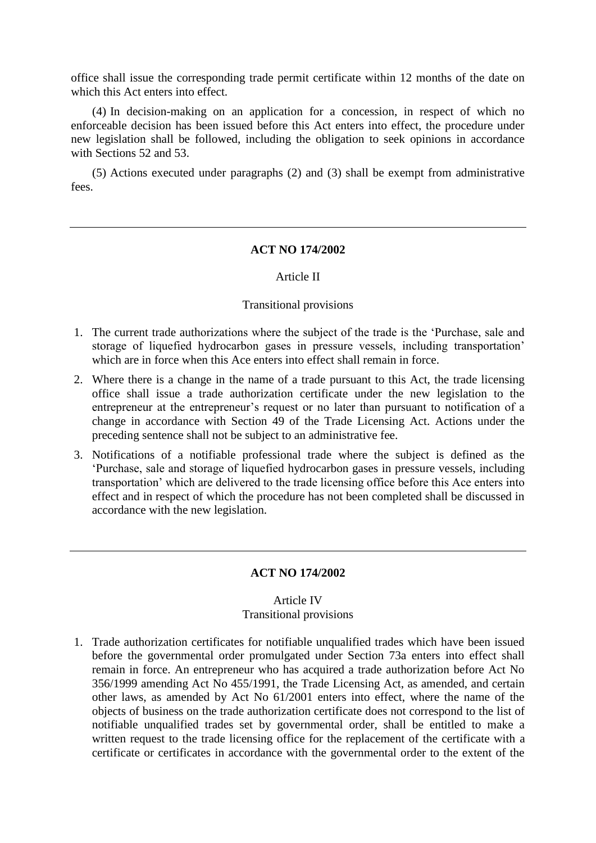office shall issue the corresponding trade permit certificate within 12 months of the date on which this Act enters into effect.

(4) In decision-making on an application for a concession, in respect of which no enforceable decision has been issued before this Act enters into effect, the procedure under new legislation shall be followed, including the obligation to seek opinions in accordance with Sections 52 and 53.

(5) Actions executed under paragraphs (2) and (3) shall be exempt from administrative fees.

#### **ACT NO 174/2002**

#### Article II

#### Transitional provisions

- 1. The current trade authorizations where the subject of the trade is the 'Purchase, sale and storage of liquefied hydrocarbon gases in pressure vessels, including transportation' which are in force when this Ace enters into effect shall remain in force.
- 2. Where there is a change in the name of a trade pursuant to this Act, the trade licensing office shall issue a trade authorization certificate under the new legislation to the entrepreneur at the entrepreneur's request or no later than pursuant to notification of a change in accordance with Section 49 of the Trade Licensing Act. Actions under the preceding sentence shall not be subject to an administrative fee.
- 3. Notifications of a notifiable professional trade where the subject is defined as the 'Purchase, sale and storage of liquefied hydrocarbon gases in pressure vessels, including transportation' which are delivered to the trade licensing office before this Ace enters into effect and in respect of which the procedure has not been completed shall be discussed in accordance with the new legislation.

## **ACT NO 174/2002**

## Article IV Transitional provisions

1. Trade authorization certificates for notifiable unqualified trades which have been issued before the governmental order promulgated under Section 73a enters into effect shall remain in force. An entrepreneur who has acquired a trade authorization before Act No 356/1999 amending Act No 455/1991, the Trade Licensing Act, as amended, and certain other laws, as amended by Act No 61/2001 enters into effect, where the name of the objects of business on the trade authorization certificate does not correspond to the list of notifiable unqualified trades set by governmental order, shall be entitled to make a written request to the trade licensing office for the replacement of the certificate with a certificate or certificates in accordance with the governmental order to the extent of the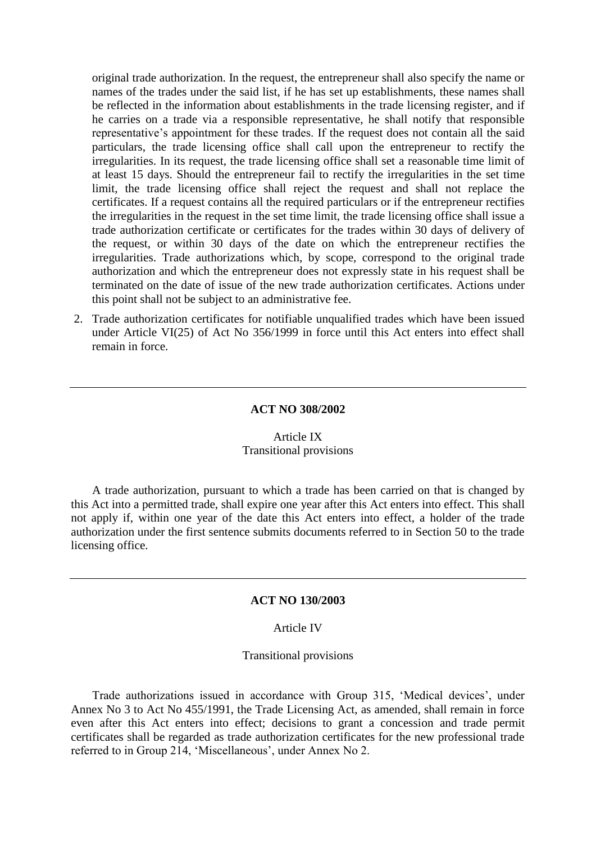original trade authorization. In the request, the entrepreneur shall also specify the name or names of the trades under the said list, if he has set up establishments, these names shall be reflected in the information about establishments in the trade licensing register, and if he carries on a trade via a responsible representative, he shall notify that responsible representative's appointment for these trades. If the request does not contain all the said particulars, the trade licensing office shall call upon the entrepreneur to rectify the irregularities. In its request, the trade licensing office shall set a reasonable time limit of at least 15 days. Should the entrepreneur fail to rectify the irregularities in the set time limit, the trade licensing office shall reject the request and shall not replace the certificates. If a request contains all the required particulars or if the entrepreneur rectifies the irregularities in the request in the set time limit, the trade licensing office shall issue a trade authorization certificate or certificates for the trades within 30 days of delivery of the request, or within 30 days of the date on which the entrepreneur rectifies the irregularities. Trade authorizations which, by scope, correspond to the original trade authorization and which the entrepreneur does not expressly state in his request shall be terminated on the date of issue of the new trade authorization certificates. Actions under this point shall not be subject to an administrative fee.

2. Trade authorization certificates for notifiable unqualified trades which have been issued under Article VI(25) of Act No 356/1999 in force until this Act enters into effect shall remain in force.

#### **ACT NO 308/2002**

### Article IX Transitional provisions

A trade authorization, pursuant to which a trade has been carried on that is changed by this Act into a permitted trade, shall expire one year after this Act enters into effect. This shall not apply if, within one year of the date this Act enters into effect, a holder of the trade authorization under the first sentence submits documents referred to in Section 50 to the trade licensing office.

#### **ACT NO 130/2003**

### Article IV

#### Transitional provisions

Trade authorizations issued in accordance with Group 315, 'Medical devices', under Annex No 3 to Act No 455/1991, the Trade Licensing Act, as amended, shall remain in force even after this Act enters into effect; decisions to grant a concession and trade permit certificates shall be regarded as trade authorization certificates for the new professional trade referred to in Group 214, 'Miscellaneous', under Annex No 2.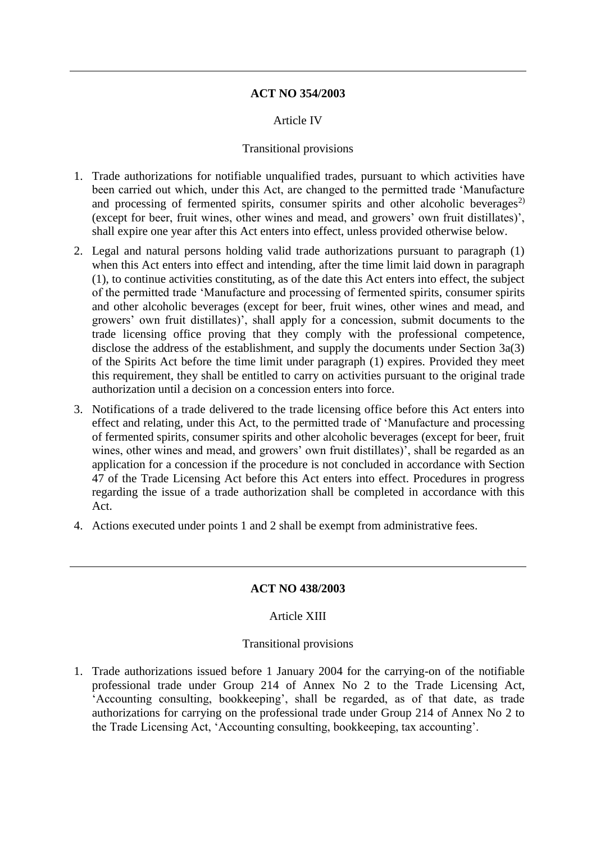## **ACT NO 354/2003**

## Article IV

## Transitional provisions

- 1. Trade authorizations for notifiable unqualified trades, pursuant to which activities have been carried out which, under this Act, are changed to the permitted trade 'Manufacture and processing of fermented spirits, consumer spirits and other alcoholic beverages<sup>2)</sup> (except for beer, fruit wines, other wines and mead, and growers' own fruit distillates)', shall expire one year after this Act enters into effect, unless provided otherwise below.
- 2. Legal and natural persons holding valid trade authorizations pursuant to paragraph (1) when this Act enters into effect and intending, after the time limit laid down in paragraph (1), to continue activities constituting, as of the date this Act enters into effect, the subject of the permitted trade 'Manufacture and processing of fermented spirits, consumer spirits and other alcoholic beverages (except for beer, fruit wines, other wines and mead, and growers' own fruit distillates)', shall apply for a concession, submit documents to the trade licensing office proving that they comply with the professional competence, disclose the address of the establishment, and supply the documents under Section 3a(3) of the Spirits Act before the time limit under paragraph (1) expires. Provided they meet this requirement, they shall be entitled to carry on activities pursuant to the original trade authorization until a decision on a concession enters into force.
- 3. Notifications of a trade delivered to the trade licensing office before this Act enters into effect and relating, under this Act, to the permitted trade of 'Manufacture and processing of fermented spirits, consumer spirits and other alcoholic beverages (except for beer, fruit wines, other wines and mead, and growers' own fruit distillates)', shall be regarded as an application for a concession if the procedure is not concluded in accordance with Section 47 of the Trade Licensing Act before this Act enters into effect. Procedures in progress regarding the issue of a trade authorization shall be completed in accordance with this Act.
- 4. Actions executed under points 1 and 2 shall be exempt from administrative fees.

## **ACT NO 438/2003**

## Article XIII

#### Transitional provisions

1. Trade authorizations issued before 1 January 2004 for the carrying-on of the notifiable professional trade under Group 214 of Annex No 2 to the Trade Licensing Act, 'Accounting consulting, bookkeeping', shall be regarded, as of that date, as trade authorizations for carrying on the professional trade under Group 214 of Annex No 2 to the Trade Licensing Act, 'Accounting consulting, bookkeeping, tax accounting'.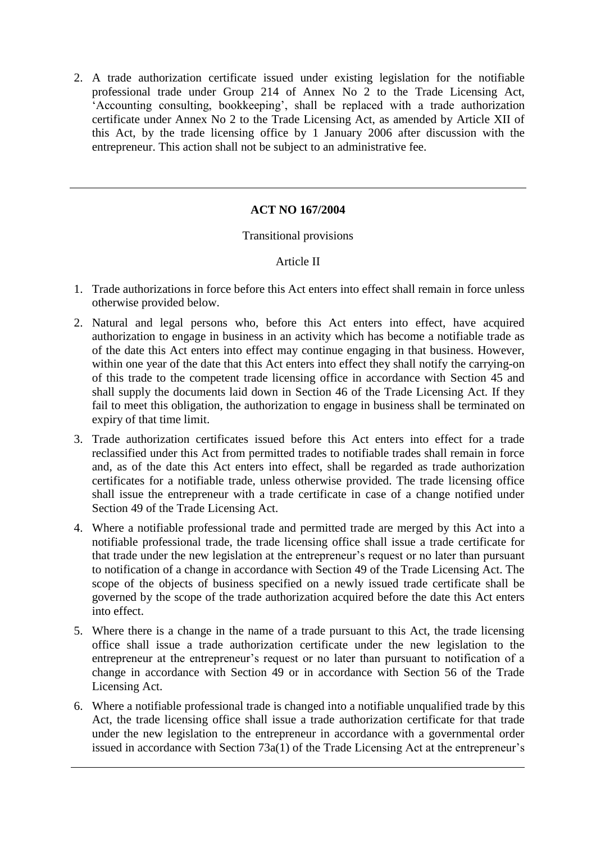2. A trade authorization certificate issued under existing legislation for the notifiable professional trade under Group 214 of Annex No 2 to the Trade Licensing Act, 'Accounting consulting, bookkeeping', shall be replaced with a trade authorization certificate under Annex No 2 to the Trade Licensing Act, as amended by Article XII of this Act, by the trade licensing office by 1 January 2006 after discussion with the entrepreneur. This action shall not be subject to an administrative fee.

# **ACT NO 167/2004**

### Transitional provisions

### Article II

- 1. Trade authorizations in force before this Act enters into effect shall remain in force unless otherwise provided below.
- 2. Natural and legal persons who, before this Act enters into effect, have acquired authorization to engage in business in an activity which has become a notifiable trade as of the date this Act enters into effect may continue engaging in that business. However, within one year of the date that this Act enters into effect they shall notify the carrying-on of this trade to the competent trade licensing office in accordance with Section 45 and shall supply the documents laid down in Section 46 of the Trade Licensing Act. If they fail to meet this obligation, the authorization to engage in business shall be terminated on expiry of that time limit.
- 3. Trade authorization certificates issued before this Act enters into effect for a trade reclassified under this Act from permitted trades to notifiable trades shall remain in force and, as of the date this Act enters into effect, shall be regarded as trade authorization certificates for a notifiable trade, unless otherwise provided. The trade licensing office shall issue the entrepreneur with a trade certificate in case of a change notified under Section 49 of the Trade Licensing Act.
- 4. Where a notifiable professional trade and permitted trade are merged by this Act into a notifiable professional trade, the trade licensing office shall issue a trade certificate for that trade under the new legislation at the entrepreneur's request or no later than pursuant to notification of a change in accordance with Section 49 of the Trade Licensing Act. The scope of the objects of business specified on a newly issued trade certificate shall be governed by the scope of the trade authorization acquired before the date this Act enters into effect.
- 5. Where there is a change in the name of a trade pursuant to this Act, the trade licensing office shall issue a trade authorization certificate under the new legislation to the entrepreneur at the entrepreneur's request or no later than pursuant to notification of a change in accordance with Section 49 or in accordance with Section 56 of the Trade Licensing Act.
- 6. Where a notifiable professional trade is changed into a notifiable unqualified trade by this Act, the trade licensing office shall issue a trade authorization certificate for that trade under the new legislation to the entrepreneur in accordance with a governmental order issued in accordance with Section 73a(1) of the Trade Licensing Act at the entrepreneur's

 $\overline{a}$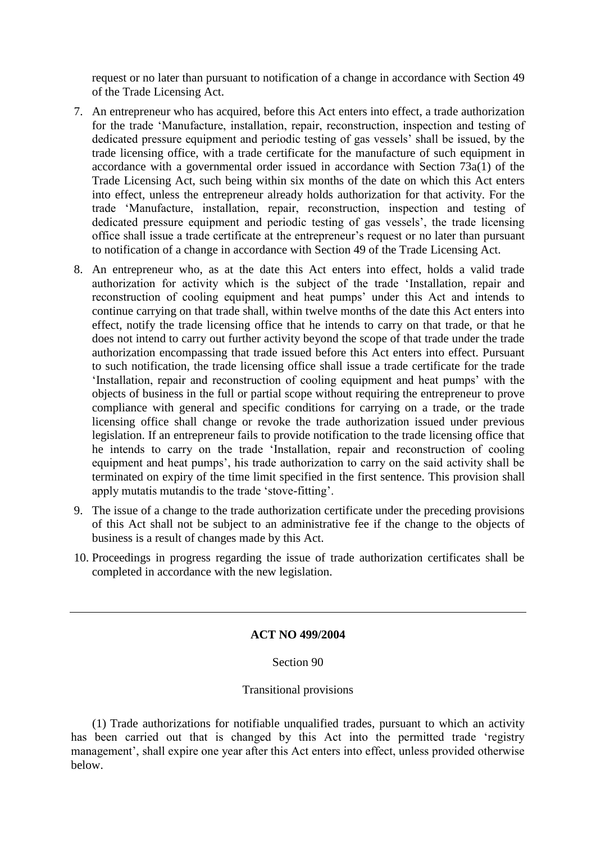request or no later than pursuant to notification of a change in accordance with Section 49 of the Trade Licensing Act.

- 7. An entrepreneur who has acquired, before this Act enters into effect, a trade authorization for the trade 'Manufacture, installation, repair, reconstruction, inspection and testing of dedicated pressure equipment and periodic testing of gas vessels' shall be issued, by the trade licensing office, with a trade certificate for the manufacture of such equipment in accordance with a governmental order issued in accordance with Section 73a(1) of the Trade Licensing Act, such being within six months of the date on which this Act enters into effect, unless the entrepreneur already holds authorization for that activity. For the trade 'Manufacture, installation, repair, reconstruction, inspection and testing of dedicated pressure equipment and periodic testing of gas vessels', the trade licensing office shall issue a trade certificate at the entrepreneur's request or no later than pursuant to notification of a change in accordance with Section 49 of the Trade Licensing Act.
- 8. An entrepreneur who, as at the date this Act enters into effect, holds a valid trade authorization for activity which is the subject of the trade 'Installation, repair and reconstruction of cooling equipment and heat pumps' under this Act and intends to continue carrying on that trade shall, within twelve months of the date this Act enters into effect, notify the trade licensing office that he intends to carry on that trade, or that he does not intend to carry out further activity beyond the scope of that trade under the trade authorization encompassing that trade issued before this Act enters into effect. Pursuant to such notification, the trade licensing office shall issue a trade certificate for the trade 'Installation, repair and reconstruction of cooling equipment and heat pumps' with the objects of business in the full or partial scope without requiring the entrepreneur to prove compliance with general and specific conditions for carrying on a trade, or the trade licensing office shall change or revoke the trade authorization issued under previous legislation. If an entrepreneur fails to provide notification to the trade licensing office that he intends to carry on the trade 'Installation, repair and reconstruction of cooling equipment and heat pumps', his trade authorization to carry on the said activity shall be terminated on expiry of the time limit specified in the first sentence. This provision shall apply mutatis mutandis to the trade 'stove-fitting'.
- 9. The issue of a change to the trade authorization certificate under the preceding provisions of this Act shall not be subject to an administrative fee if the change to the objects of business is a result of changes made by this Act.
- 10. Proceedings in progress regarding the issue of trade authorization certificates shall be completed in accordance with the new legislation.

# **ACT NO 499/2004**

### Section 90

#### Transitional provisions

(1) Trade authorizations for notifiable unqualified trades, pursuant to which an activity has been carried out that is changed by this Act into the permitted trade 'registry management', shall expire one year after this Act enters into effect, unless provided otherwise below.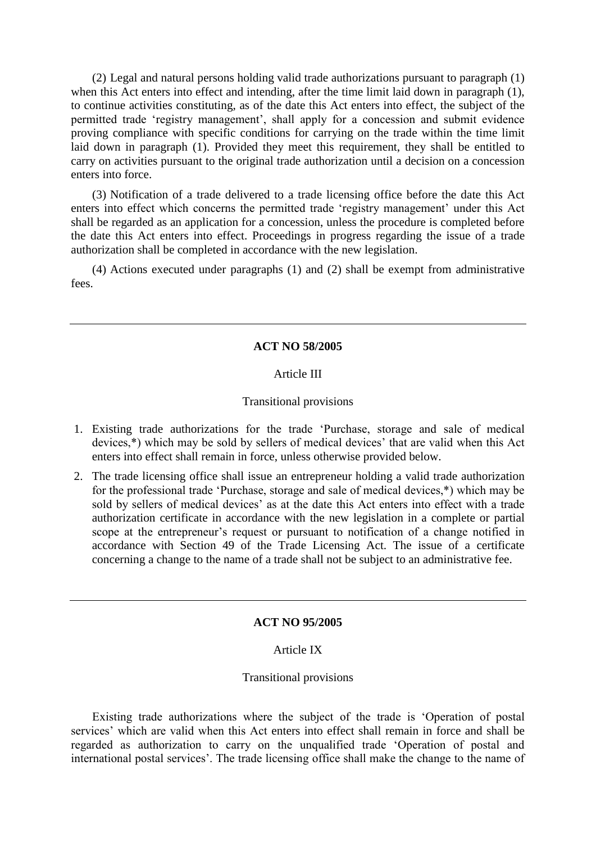(2) Legal and natural persons holding valid trade authorizations pursuant to paragraph (1) when this Act enters into effect and intending, after the time limit laid down in paragraph (1), to continue activities constituting, as of the date this Act enters into effect, the subject of the permitted trade 'registry management', shall apply for a concession and submit evidence proving compliance with specific conditions for carrying on the trade within the time limit laid down in paragraph (1). Provided they meet this requirement, they shall be entitled to carry on activities pursuant to the original trade authorization until a decision on a concession enters into force.

(3) Notification of a trade delivered to a trade licensing office before the date this Act enters into effect which concerns the permitted trade 'registry management' under this Act shall be regarded as an application for a concession, unless the procedure is completed before the date this Act enters into effect. Proceedings in progress regarding the issue of a trade authorization shall be completed in accordance with the new legislation.

(4) Actions executed under paragraphs (1) and (2) shall be exempt from administrative fees.

### **ACT NO 58/2005**

### Article III

#### Transitional provisions

- 1. Existing trade authorizations for the trade 'Purchase, storage and sale of medical devices,\*) which may be sold by sellers of medical devices' that are valid when this Act enters into effect shall remain in force, unless otherwise provided below.
- 2. The trade licensing office shall issue an entrepreneur holding a valid trade authorization for the professional trade 'Purchase, storage and sale of medical devices,\*) which may be sold by sellers of medical devices' as at the date this Act enters into effect with a trade authorization certificate in accordance with the new legislation in a complete or partial scope at the entrepreneur's request or pursuant to notification of a change notified in accordance with Section 49 of the Trade Licensing Act. The issue of a certificate concerning a change to the name of a trade shall not be subject to an administrative fee.

### **ACT NO 95/2005**

#### Article IX

#### Transitional provisions

Existing trade authorizations where the subject of the trade is 'Operation of postal services' which are valid when this Act enters into effect shall remain in force and shall be regarded as authorization to carry on the unqualified trade 'Operation of postal and international postal services'. The trade licensing office shall make the change to the name of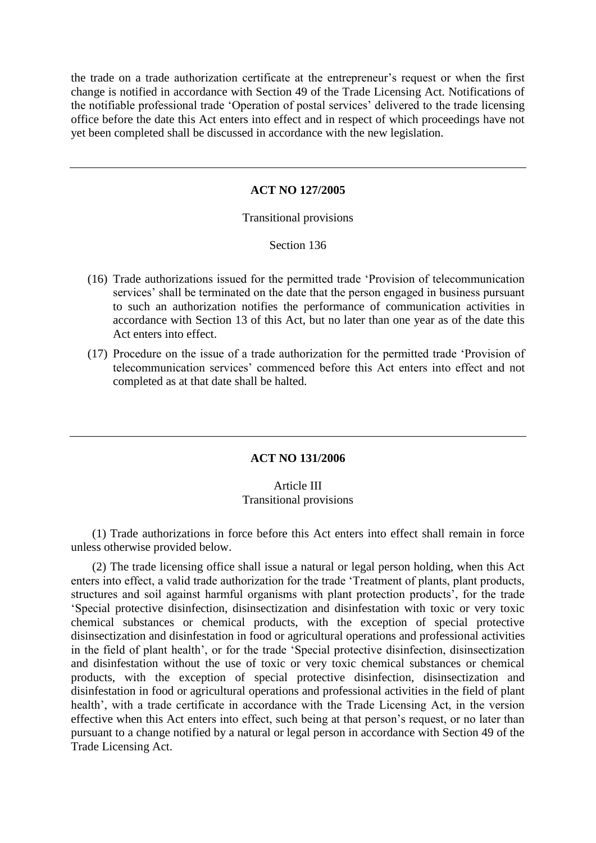the trade on a trade authorization certificate at the entrepreneur's request or when the first change is notified in accordance with Section 49 of the Trade Licensing Act. Notifications of the notifiable professional trade 'Operation of postal services' delivered to the trade licensing office before the date this Act enters into effect and in respect of which proceedings have not yet been completed shall be discussed in accordance with the new legislation.

#### **ACT NO 127/2005**

#### Transitional provisions

#### Section 136

- (16) Trade authorizations issued for the permitted trade 'Provision of telecommunication services' shall be terminated on the date that the person engaged in business pursuant to such an authorization notifies the performance of communication activities in accordance with Section 13 of this Act, but no later than one year as of the date this Act enters into effect.
- (17) Procedure on the issue of a trade authorization for the permitted trade 'Provision of telecommunication services' commenced before this Act enters into effect and not completed as at that date shall be halted.

#### **ACT NO 131/2006**

### Article III Transitional provisions

(1) Trade authorizations in force before this Act enters into effect shall remain in force unless otherwise provided below.

(2) The trade licensing office shall issue a natural or legal person holding, when this Act enters into effect, a valid trade authorization for the trade 'Treatment of plants, plant products, structures and soil against harmful organisms with plant protection products', for the trade 'Special protective disinfection, disinsectization and disinfestation with toxic or very toxic chemical substances or chemical products, with the exception of special protective disinsectization and disinfestation in food or agricultural operations and professional activities in the field of plant health', or for the trade 'Special protective disinfection, disinsectization and disinfestation without the use of toxic or very toxic chemical substances or chemical products, with the exception of special protective disinfection, disinsectization and disinfestation in food or agricultural operations and professional activities in the field of plant health', with a trade certificate in accordance with the Trade Licensing Act, in the version effective when this Act enters into effect, such being at that person's request, or no later than pursuant to a change notified by a natural or legal person in accordance with Section 49 of the Trade Licensing Act.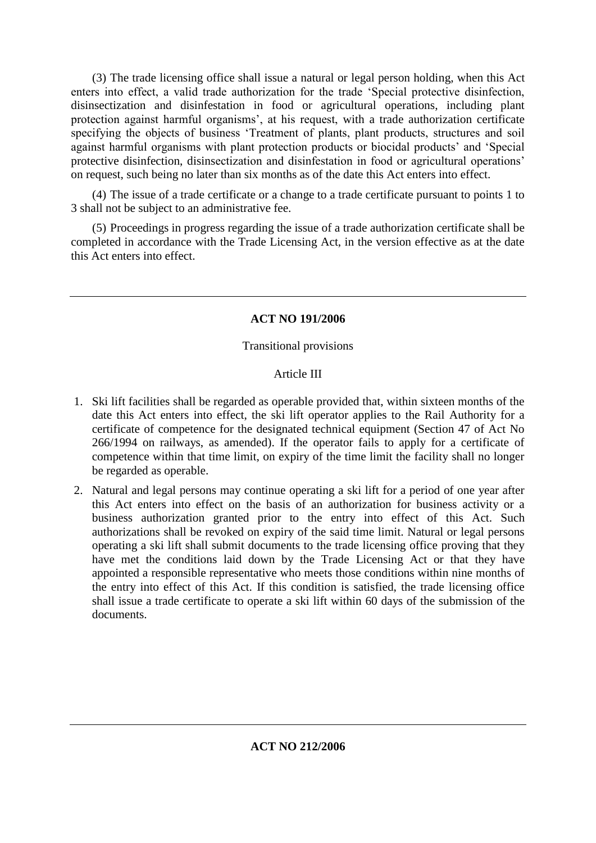(3) The trade licensing office shall issue a natural or legal person holding, when this Act enters into effect, a valid trade authorization for the trade 'Special protective disinfection, disinsectization and disinfestation in food or agricultural operations, including plant protection against harmful organisms', at his request, with a trade authorization certificate specifying the objects of business 'Treatment of plants, plant products, structures and soil against harmful organisms with plant protection products or biocidal products' and 'Special protective disinfection, disinsectization and disinfestation in food or agricultural operations' on request, such being no later than six months as of the date this Act enters into effect.

(4) The issue of a trade certificate or a change to a trade certificate pursuant to points 1 to 3 shall not be subject to an administrative fee.

(5) Proceedings in progress regarding the issue of a trade authorization certificate shall be completed in accordance with the Trade Licensing Act, in the version effective as at the date this Act enters into effect.

# **ACT NO 191/2006**

# Transitional provisions

# Article III

- 1. Ski lift facilities shall be regarded as operable provided that, within sixteen months of the date this Act enters into effect, the ski lift operator applies to the Rail Authority for a certificate of competence for the designated technical equipment (Section 47 of Act No 266/1994 on railways, as amended). If the operator fails to apply for a certificate of competence within that time limit, on expiry of the time limit the facility shall no longer be regarded as operable.
- 2. Natural and legal persons may continue operating a ski lift for a period of one year after this Act enters into effect on the basis of an authorization for business activity or a business authorization granted prior to the entry into effect of this Act. Such authorizations shall be revoked on expiry of the said time limit. Natural or legal persons operating a ski lift shall submit documents to the trade licensing office proving that they have met the conditions laid down by the Trade Licensing Act or that they have appointed a responsible representative who meets those conditions within nine months of the entry into effect of this Act. If this condition is satisfied, the trade licensing office shall issue a trade certificate to operate a ski lift within 60 days of the submission of the documents.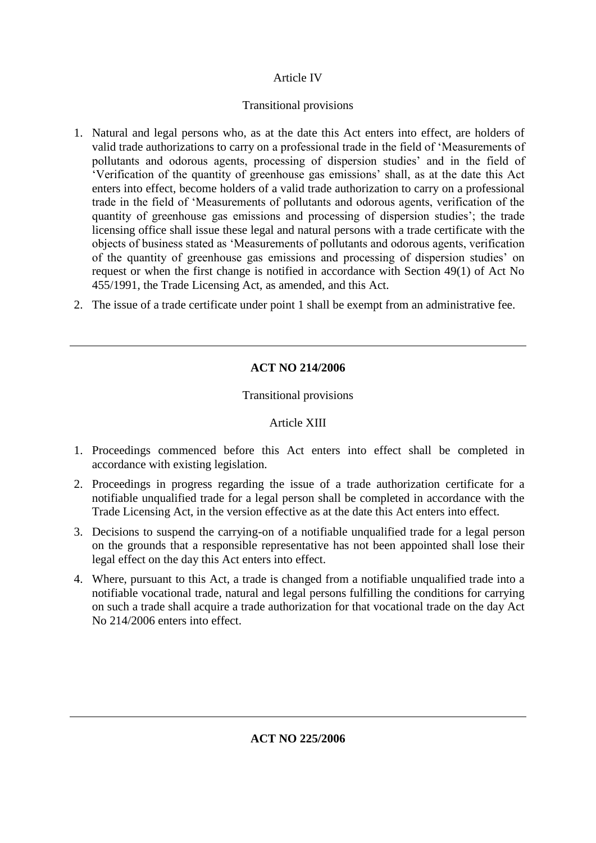# Article IV

# Transitional provisions

- 1. Natural and legal persons who, as at the date this Act enters into effect, are holders of valid trade authorizations to carry on a professional trade in the field of 'Measurements of pollutants and odorous agents, processing of dispersion studies' and in the field of 'Verification of the quantity of greenhouse gas emissions' shall, as at the date this Act enters into effect, become holders of a valid trade authorization to carry on a professional trade in the field of 'Measurements of pollutants and odorous agents, verification of the quantity of greenhouse gas emissions and processing of dispersion studies'; the trade licensing office shall issue these legal and natural persons with a trade certificate with the objects of business stated as 'Measurements of pollutants and odorous agents, verification of the quantity of greenhouse gas emissions and processing of dispersion studies' on request or when the first change is notified in accordance with Section 49(1) of Act No 455/1991, the Trade Licensing Act, as amended, and this Act.
- 2. The issue of a trade certificate under point 1 shall be exempt from an administrative fee.

# **ACT NO 214/2006**

# Transitional provisions

# Article XIII

- 1. Proceedings commenced before this Act enters into effect shall be completed in accordance with existing legislation.
- 2. Proceedings in progress regarding the issue of a trade authorization certificate for a notifiable unqualified trade for a legal person shall be completed in accordance with the Trade Licensing Act, in the version effective as at the date this Act enters into effect.
- 3. Decisions to suspend the carrying-on of a notifiable unqualified trade for a legal person on the grounds that a responsible representative has not been appointed shall lose their legal effect on the day this Act enters into effect.
- 4. Where, pursuant to this Act, a trade is changed from a notifiable unqualified trade into a notifiable vocational trade, natural and legal persons fulfilling the conditions for carrying on such a trade shall acquire a trade authorization for that vocational trade on the day Act No 214/2006 enters into effect.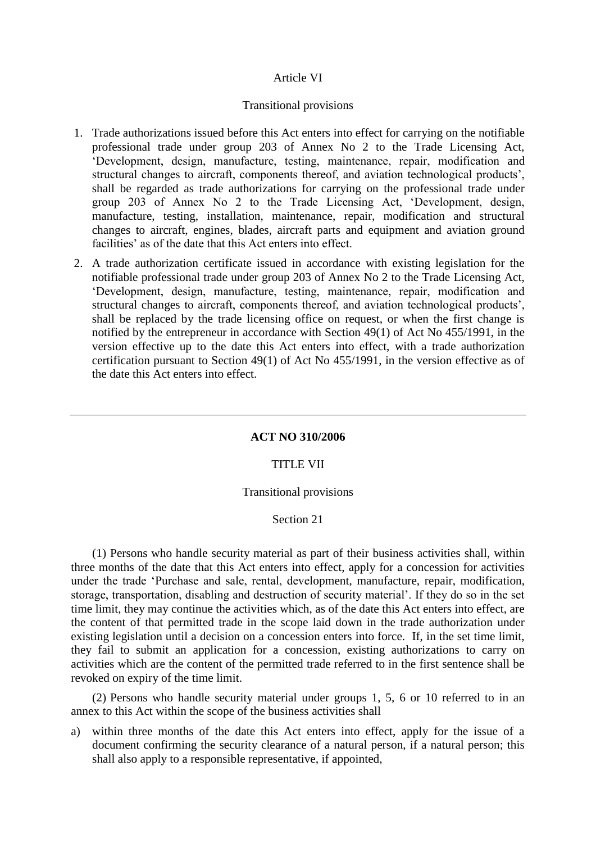### Article VI

#### Transitional provisions

- 1. Trade authorizations issued before this Act enters into effect for carrying on the notifiable professional trade under group 203 of Annex No 2 to the Trade Licensing Act, 'Development, design, manufacture, testing, maintenance, repair, modification and structural changes to aircraft, components thereof, and aviation technological products', shall be regarded as trade authorizations for carrying on the professional trade under group 203 of Annex No 2 to the Trade Licensing Act, 'Development, design, manufacture, testing, installation, maintenance, repair, modification and structural changes to aircraft, engines, blades, aircraft parts and equipment and aviation ground facilities' as of the date that this Act enters into effect.
- 2. A trade authorization certificate issued in accordance with existing legislation for the notifiable professional trade under group 203 of Annex No 2 to the Trade Licensing Act, 'Development, design, manufacture, testing, maintenance, repair, modification and structural changes to aircraft, components thereof, and aviation technological products', shall be replaced by the trade licensing office on request, or when the first change is notified by the entrepreneur in accordance with Section 49(1) of Act No 455/1991, in the version effective up to the date this Act enters into effect, with a trade authorization certification pursuant to Section 49(1) of Act No 455/1991, in the version effective as of the date this Act enters into effect.

# **ACT NO 310/2006**

#### TITLE VII

#### Transitional provisions

#### Section 21

(1) Persons who handle security material as part of their business activities shall, within three months of the date that this Act enters into effect, apply for a concession for activities under the trade 'Purchase and sale, rental, development, manufacture, repair, modification, storage, transportation, disabling and destruction of security material'. If they do so in the set time limit, they may continue the activities which, as of the date this Act enters into effect, are the content of that permitted trade in the scope laid down in the trade authorization under existing legislation until a decision on a concession enters into force. If, in the set time limit, they fail to submit an application for a concession, existing authorizations to carry on activities which are the content of the permitted trade referred to in the first sentence shall be revoked on expiry of the time limit.

(2) Persons who handle security material under groups 1, 5, 6 or 10 referred to in an annex to this Act within the scope of the business activities shall

a) within three months of the date this Act enters into effect, apply for the issue of a document confirming the security clearance of a natural person, if a natural person; this shall also apply to a responsible representative, if appointed,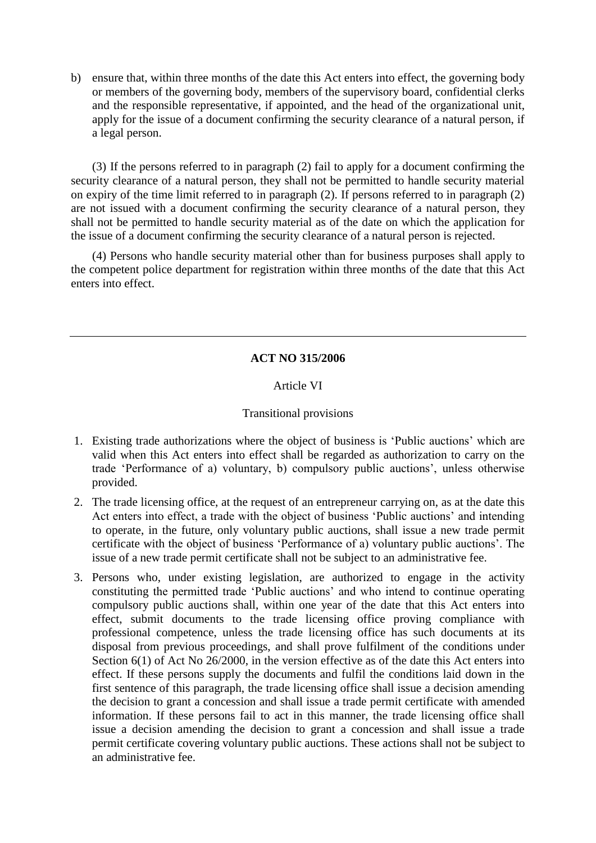b) ensure that, within three months of the date this Act enters into effect, the governing body or members of the governing body, members of the supervisory board, confidential clerks and the responsible representative, if appointed, and the head of the organizational unit, apply for the issue of a document confirming the security clearance of a natural person, if a legal person.

(3) If the persons referred to in paragraph (2) fail to apply for a document confirming the security clearance of a natural person, they shall not be permitted to handle security material on expiry of the time limit referred to in paragraph (2). If persons referred to in paragraph (2) are not issued with a document confirming the security clearance of a natural person, they shall not be permitted to handle security material as of the date on which the application for the issue of a document confirming the security clearance of a natural person is rejected.

(4) Persons who handle security material other than for business purposes shall apply to the competent police department for registration within three months of the date that this Act enters into effect.

# **ACT NO 315/2006**

# Article VI

# Transitional provisions

- 1. Existing trade authorizations where the object of business is 'Public auctions' which are valid when this Act enters into effect shall be regarded as authorization to carry on the trade 'Performance of a) voluntary, b) compulsory public auctions', unless otherwise provided.
- 2. The trade licensing office, at the request of an entrepreneur carrying on, as at the date this Act enters into effect, a trade with the object of business 'Public auctions' and intending to operate, in the future, only voluntary public auctions, shall issue a new trade permit certificate with the object of business 'Performance of a) voluntary public auctions'. The issue of a new trade permit certificate shall not be subject to an administrative fee.
- 3. Persons who, under existing legislation, are authorized to engage in the activity constituting the permitted trade 'Public auctions' and who intend to continue operating compulsory public auctions shall, within one year of the date that this Act enters into effect, submit documents to the trade licensing office proving compliance with professional competence, unless the trade licensing office has such documents at its disposal from previous proceedings, and shall prove fulfilment of the conditions under Section 6(1) of Act No 26/2000, in the version effective as of the date this Act enters into effect. If these persons supply the documents and fulfil the conditions laid down in the first sentence of this paragraph, the trade licensing office shall issue a decision amending the decision to grant a concession and shall issue a trade permit certificate with amended information. If these persons fail to act in this manner, the trade licensing office shall issue a decision amending the decision to grant a concession and shall issue a trade permit certificate covering voluntary public auctions. These actions shall not be subject to an administrative fee.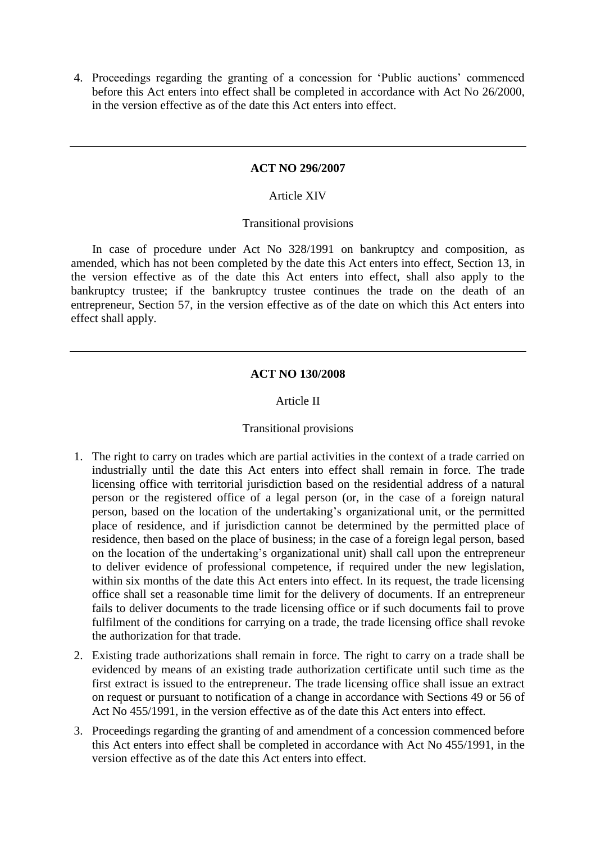4. Proceedings regarding the granting of a concession for 'Public auctions' commenced before this Act enters into effect shall be completed in accordance with Act No 26/2000, in the version effective as of the date this Act enters into effect.

#### **ACT NO 296/2007**

# Article XIV

### Transitional provisions

In case of procedure under Act No 328/1991 on bankruptcy and composition, as amended, which has not been completed by the date this Act enters into effect, Section 13, in the version effective as of the date this Act enters into effect, shall also apply to the bankruptcy trustee; if the bankruptcy trustee continues the trade on the death of an entrepreneur, Section 57, in the version effective as of the date on which this Act enters into effect shall apply.

### **ACT NO 130/2008**

### Article II

#### Transitional provisions

- 1. The right to carry on trades which are partial activities in the context of a trade carried on industrially until the date this Act enters into effect shall remain in force. The trade licensing office with territorial jurisdiction based on the residential address of a natural person or the registered office of a legal person (or, in the case of a foreign natural person, based on the location of the undertaking's organizational unit, or the permitted place of residence, and if jurisdiction cannot be determined by the permitted place of residence, then based on the place of business; in the case of a foreign legal person, based on the location of the undertaking's organizational unit) shall call upon the entrepreneur to deliver evidence of professional competence, if required under the new legislation, within six months of the date this Act enters into effect. In its request, the trade licensing office shall set a reasonable time limit for the delivery of documents. If an entrepreneur fails to deliver documents to the trade licensing office or if such documents fail to prove fulfilment of the conditions for carrying on a trade, the trade licensing office shall revoke the authorization for that trade.
- 2. Existing trade authorizations shall remain in force. The right to carry on a trade shall be evidenced by means of an existing trade authorization certificate until such time as the first extract is issued to the entrepreneur. The trade licensing office shall issue an extract on request or pursuant to notification of a change in accordance with Sections 49 or 56 of Act No 455/1991, in the version effective as of the date this Act enters into effect.
- 3. Proceedings regarding the granting of and amendment of a concession commenced before this Act enters into effect shall be completed in accordance with Act No 455/1991, in the version effective as of the date this Act enters into effect.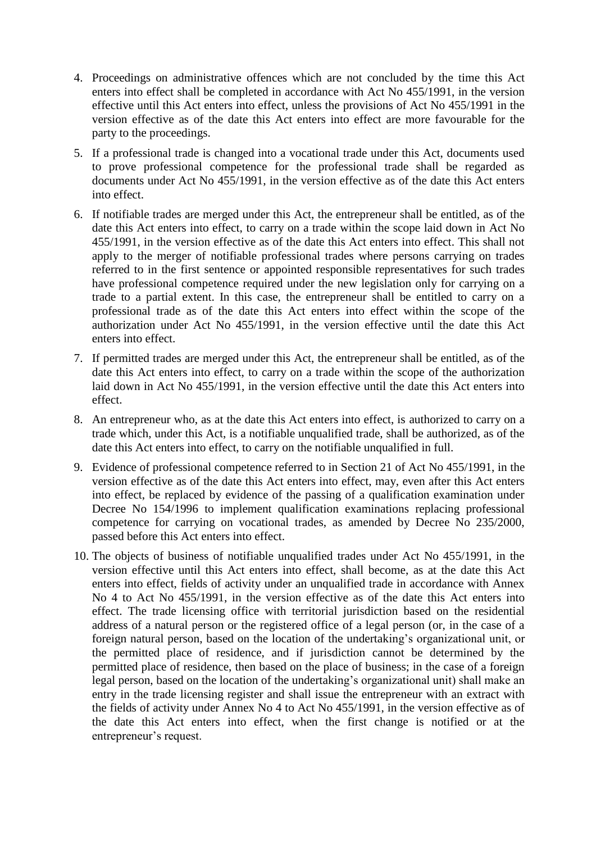- 4. Proceedings on administrative offences which are not concluded by the time this Act enters into effect shall be completed in accordance with Act No 455/1991, in the version effective until this Act enters into effect, unless the provisions of Act No 455/1991 in the version effective as of the date this Act enters into effect are more favourable for the party to the proceedings.
- 5. If a professional trade is changed into a vocational trade under this Act, documents used to prove professional competence for the professional trade shall be regarded as documents under Act No 455/1991, in the version effective as of the date this Act enters into effect.
- 6. If notifiable trades are merged under this Act, the entrepreneur shall be entitled, as of the date this Act enters into effect, to carry on a trade within the scope laid down in Act No 455/1991, in the version effective as of the date this Act enters into effect. This shall not apply to the merger of notifiable professional trades where persons carrying on trades referred to in the first sentence or appointed responsible representatives for such trades have professional competence required under the new legislation only for carrying on a trade to a partial extent. In this case, the entrepreneur shall be entitled to carry on a professional trade as of the date this Act enters into effect within the scope of the authorization under Act No 455/1991, in the version effective until the date this Act enters into effect.
- 7. If permitted trades are merged under this Act, the entrepreneur shall be entitled, as of the date this Act enters into effect, to carry on a trade within the scope of the authorization laid down in Act No 455/1991, in the version effective until the date this Act enters into effect.
- 8. An entrepreneur who, as at the date this Act enters into effect, is authorized to carry on a trade which, under this Act, is a notifiable unqualified trade, shall be authorized, as of the date this Act enters into effect, to carry on the notifiable unqualified in full.
- 9. Evidence of professional competence referred to in Section 21 of Act No 455/1991, in the version effective as of the date this Act enters into effect, may, even after this Act enters into effect, be replaced by evidence of the passing of a qualification examination under Decree No 154/1996 to implement qualification examinations replacing professional competence for carrying on vocational trades, as amended by Decree No 235/2000, passed before this Act enters into effect.
- 10. The objects of business of notifiable unqualified trades under Act No 455/1991, in the version effective until this Act enters into effect, shall become, as at the date this Act enters into effect, fields of activity under an unqualified trade in accordance with Annex No 4 to Act No 455/1991, in the version effective as of the date this Act enters into effect. The trade licensing office with territorial jurisdiction based on the residential address of a natural person or the registered office of a legal person (or, in the case of a foreign natural person, based on the location of the undertaking's organizational unit, or the permitted place of residence, and if jurisdiction cannot be determined by the permitted place of residence, then based on the place of business; in the case of a foreign legal person, based on the location of the undertaking's organizational unit) shall make an entry in the trade licensing register and shall issue the entrepreneur with an extract with the fields of activity under Annex No 4 to Act No 455/1991, in the version effective as of the date this Act enters into effect, when the first change is notified or at the entrepreneur's request.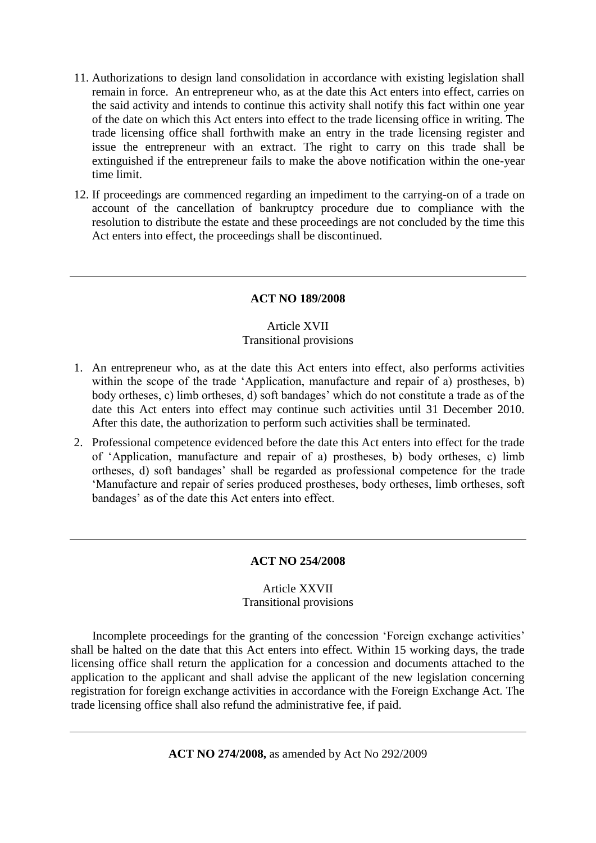- 11. Authorizations to design land consolidation in accordance with existing legislation shall remain in force. An entrepreneur who, as at the date this Act enters into effect, carries on the said activity and intends to continue this activity shall notify this fact within one year of the date on which this Act enters into effect to the trade licensing office in writing. The trade licensing office shall forthwith make an entry in the trade licensing register and issue the entrepreneur with an extract. The right to carry on this trade shall be extinguished if the entrepreneur fails to make the above notification within the one-year time limit.
- 12. If proceedings are commenced regarding an impediment to the carrying-on of a trade on account of the cancellation of bankruptcy procedure due to compliance with the resolution to distribute the estate and these proceedings are not concluded by the time this Act enters into effect, the proceedings shall be discontinued.

# **ACT NO 189/2008**

### Article XVII Transitional provisions

- 1. An entrepreneur who, as at the date this Act enters into effect, also performs activities within the scope of the trade 'Application, manufacture and repair of a) prostheses, b) body ortheses, c) limb ortheses, d) soft bandages' which do not constitute a trade as of the date this Act enters into effect may continue such activities until 31 December 2010. After this date, the authorization to perform such activities shall be terminated.
- 2. Professional competence evidenced before the date this Act enters into effect for the trade of 'Application, manufacture and repair of a) prostheses, b) body ortheses, c) limb ortheses, d) soft bandages' shall be regarded as professional competence for the trade 'Manufacture and repair of series produced prostheses, body ortheses, limb ortheses, soft bandages' as of the date this Act enters into effect.

### **ACT NO 254/2008**

# Article XXVII Transitional provisions

Incomplete proceedings for the granting of the concession 'Foreign exchange activities' shall be halted on the date that this Act enters into effect. Within 15 working days, the trade licensing office shall return the application for a concession and documents attached to the application to the applicant and shall advise the applicant of the new legislation concerning registration for foreign exchange activities in accordance with the Foreign Exchange Act. The trade licensing office shall also refund the administrative fee, if paid.

**ACT NO 274/2008,** as amended by Act No 292/2009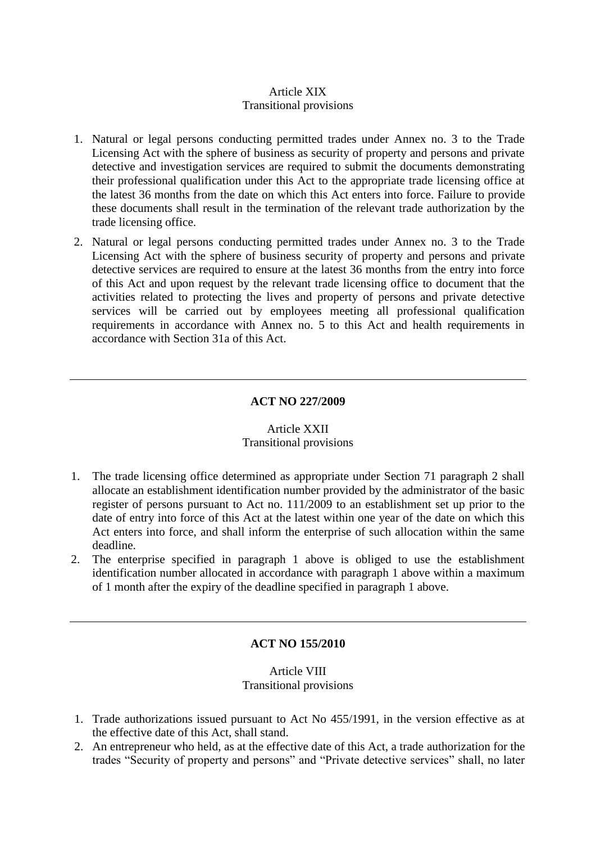# Article XIX Transitional provisions

- 1. Natural or legal persons conducting permitted trades under Annex no. 3 to the Trade Licensing Act with the sphere of business as security of property and persons and private detective and investigation services are required to submit the documents demonstrating their professional qualification under this Act to the appropriate trade licensing office at the latest 36 months from the date on which this Act enters into force. Failure to provide these documents shall result in the termination of the relevant trade authorization by the trade licensing office.
- 2. Natural or legal persons conducting permitted trades under Annex no. 3 to the Trade Licensing Act with the sphere of business security of property and persons and private detective services are required to ensure at the latest 36 months from the entry into force of this Act and upon request by the relevant trade licensing office to document that the activities related to protecting the lives and property of persons and private detective services will be carried out by employees meeting all professional qualification requirements in accordance with Annex no. 5 to this Act and health requirements in accordance with Section 31a of this Act.

# **ACT NO 227/2009**

### Article XXII Transitional provisions

- 1. The trade licensing office determined as appropriate under Section 71 paragraph 2 shall allocate an establishment identification number provided by the administrator of the basic register of persons pursuant to Act no. 111/2009 to an establishment set up prior to the date of entry into force of this Act at the latest within one year of the date on which this Act enters into force, and shall inform the enterprise of such allocation within the same deadline.
- 2. The enterprise specified in paragraph 1 above is obliged to use the establishment identification number allocated in accordance with paragraph 1 above within a maximum of 1 month after the expiry of the deadline specified in paragraph 1 above.

# **ACT NO 155/2010**

# Article VIII Transitional provisions

- 1. Trade authorizations issued pursuant to Act No 455/1991, in the version effective as at the effective date of this Act, shall stand.
- 2. An entrepreneur who held, as at the effective date of this Act, a trade authorization for the trades "Security of property and persons" and "Private detective services" shall, no later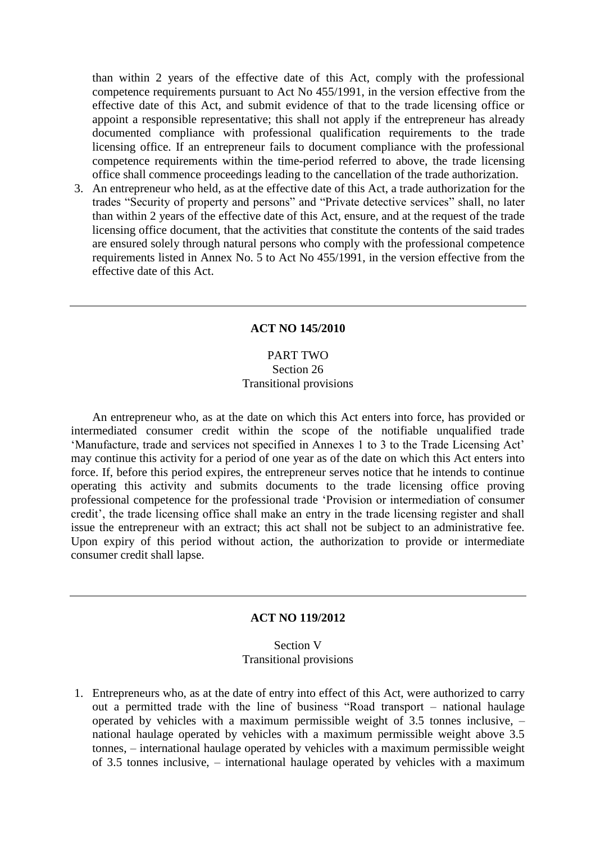than within 2 years of the effective date of this Act, comply with the professional competence requirements pursuant to Act No 455/1991, in the version effective from the effective date of this Act, and submit evidence of that to the trade licensing office or appoint a responsible representative; this shall not apply if the entrepreneur has already documented compliance with professional qualification requirements to the trade licensing office. If an entrepreneur fails to document compliance with the professional competence requirements within the time-period referred to above, the trade licensing office shall commence proceedings leading to the cancellation of the trade authorization.

3. An entrepreneur who held, as at the effective date of this Act, a trade authorization for the trades "Security of property and persons" and "Private detective services" shall, no later than within 2 years of the effective date of this Act, ensure, and at the request of the trade licensing office document, that the activities that constitute the contents of the said trades are ensured solely through natural persons who comply with the professional competence requirements listed in Annex No. 5 to Act No 455/1991, in the version effective from the effective date of this Act.

#### **ACT NO 145/2010**

# PART TWO Section 26 Transitional provisions

An entrepreneur who, as at the date on which this Act enters into force, has provided or intermediated consumer credit within the scope of the notifiable unqualified trade 'Manufacture, trade and services not specified in Annexes 1 to 3 to the Trade Licensing Act' may continue this activity for a period of one year as of the date on which this Act enters into force. If, before this period expires, the entrepreneur serves notice that he intends to continue operating this activity and submits documents to the trade licensing office proving professional competence for the professional trade 'Provision or intermediation of consumer credit', the trade licensing office shall make an entry in the trade licensing register and shall issue the entrepreneur with an extract; this act shall not be subject to an administrative fee. Upon expiry of this period without action, the authorization to provide or intermediate consumer credit shall lapse.

### **ACT NO 119/2012**

### Section V Transitional provisions

1. Entrepreneurs who, as at the date of entry into effect of this Act, were authorized to carry out a permitted trade with the line of business "Road transport – national haulage operated by vehicles with a maximum permissible weight of 3.5 tonnes inclusive, – national haulage operated by vehicles with a maximum permissible weight above 3.5 tonnes, – international haulage operated by vehicles with a maximum permissible weight of 3.5 tonnes inclusive, – international haulage operated by vehicles with a maximum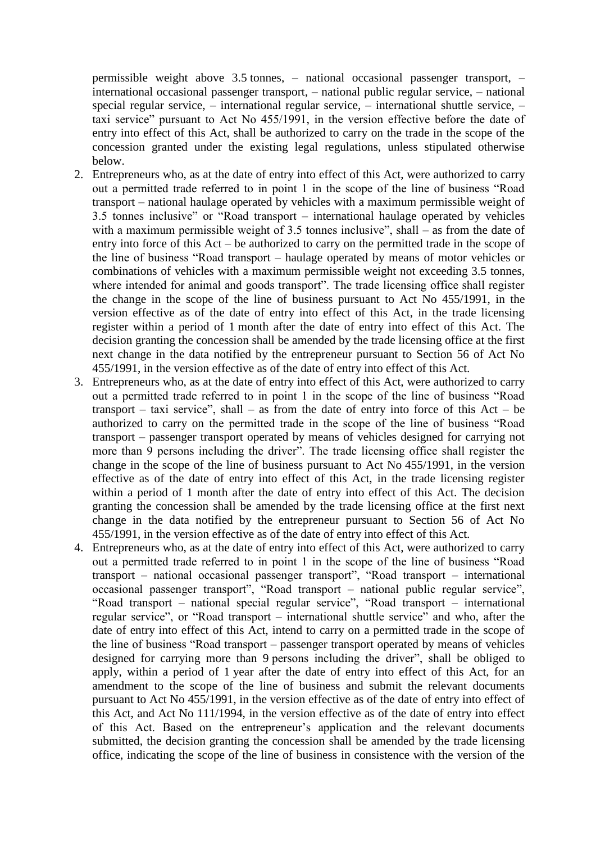permissible weight above 3.5 tonnes, – national occasional passenger transport, – international occasional passenger transport, – national public regular service, – national special regular service, – international regular service, – international shuttle service, – taxi service" pursuant to Act No 455/1991, in the version effective before the date of entry into effect of this Act, shall be authorized to carry on the trade in the scope of the concession granted under the existing legal regulations, unless stipulated otherwise below.

- 2. Entrepreneurs who, as at the date of entry into effect of this Act, were authorized to carry out a permitted trade referred to in point 1 in the scope of the line of business "Road transport – national haulage operated by vehicles with a maximum permissible weight of 3.5 tonnes inclusive" or "Road transport – international haulage operated by vehicles with a maximum permissible weight of 3.5 tonnes inclusive", shall – as from the date of entry into force of this Act – be authorized to carry on the permitted trade in the scope of the line of business "Road transport – haulage operated by means of motor vehicles or combinations of vehicles with a maximum permissible weight not exceeding 3.5 tonnes, where intended for animal and goods transport". The trade licensing office shall register the change in the scope of the line of business pursuant to Act No 455/1991, in the version effective as of the date of entry into effect of this Act, in the trade licensing register within a period of 1 month after the date of entry into effect of this Act. The decision granting the concession shall be amended by the trade licensing office at the first next change in the data notified by the entrepreneur pursuant to Section 56 of Act No 455/1991, in the version effective as of the date of entry into effect of this Act.
- 3. Entrepreneurs who, as at the date of entry into effect of this Act, were authorized to carry out a permitted trade referred to in point 1 in the scope of the line of business "Road transport – taxi service", shall – as from the date of entry into force of this  $Act - be$ authorized to carry on the permitted trade in the scope of the line of business "Road transport – passenger transport operated by means of vehicles designed for carrying not more than 9 persons including the driver". The trade licensing office shall register the change in the scope of the line of business pursuant to Act No 455/1991, in the version effective as of the date of entry into effect of this Act, in the trade licensing register within a period of 1 month after the date of entry into effect of this Act. The decision granting the concession shall be amended by the trade licensing office at the first next change in the data notified by the entrepreneur pursuant to Section 56 of Act No 455/1991, in the version effective as of the date of entry into effect of this Act.
- 4. Entrepreneurs who, as at the date of entry into effect of this Act, were authorized to carry out a permitted trade referred to in point 1 in the scope of the line of business "Road transport – national occasional passenger transport", "Road transport – international occasional passenger transport", "Road transport – national public regular service", "Road transport – national special regular service", "Road transport – international regular service", or "Road transport – international shuttle service" and who, after the date of entry into effect of this Act, intend to carry on a permitted trade in the scope of the line of business "Road transport – passenger transport operated by means of vehicles designed for carrying more than 9 persons including the driver", shall be obliged to apply, within a period of 1 year after the date of entry into effect of this Act, for an amendment to the scope of the line of business and submit the relevant documents pursuant to Act No 455/1991, in the version effective as of the date of entry into effect of this Act, and Act No 111/1994, in the version effective as of the date of entry into effect of this Act. Based on the entrepreneur's application and the relevant documents submitted, the decision granting the concession shall be amended by the trade licensing office, indicating the scope of the line of business in consistence with the version of the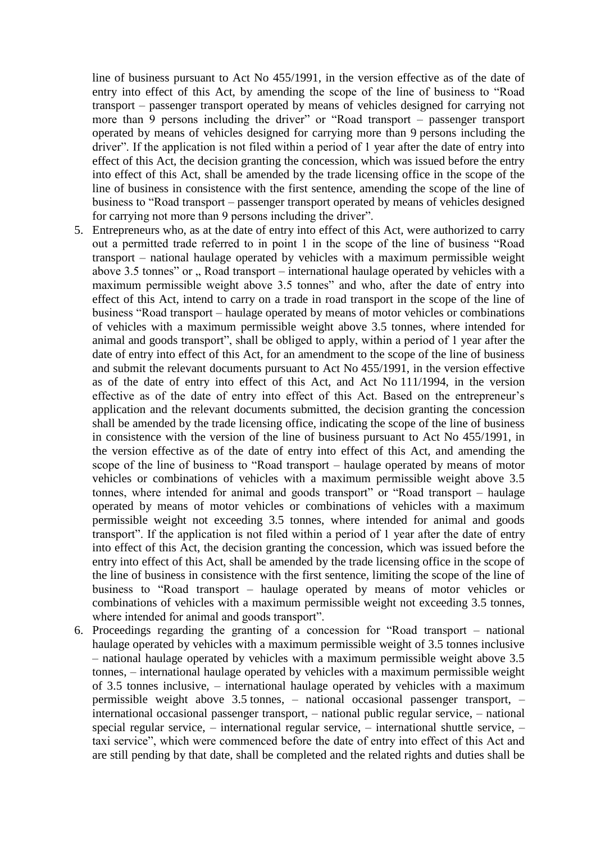line of business pursuant to Act No 455/1991, in the version effective as of the date of entry into effect of this Act, by amending the scope of the line of business to "Road transport – passenger transport operated by means of vehicles designed for carrying not more than 9 persons including the driver" or "Road transport – passenger transport operated by means of vehicles designed for carrying more than 9 persons including the driver". If the application is not filed within a period of 1 year after the date of entry into effect of this Act, the decision granting the concession, which was issued before the entry into effect of this Act, shall be amended by the trade licensing office in the scope of the line of business in consistence with the first sentence, amending the scope of the line of business to "Road transport – passenger transport operated by means of vehicles designed for carrying not more than 9 persons including the driver".

- 5. Entrepreneurs who, as at the date of entry into effect of this Act, were authorized to carry out a permitted trade referred to in point 1 in the scope of the line of business "Road transport – national haulage operated by vehicles with a maximum permissible weight above 3.5 tonnes" or  $\sqrt{ }$ , Road transport – international haulage operated by vehicles with a maximum permissible weight above 3.5 tonnes" and who, after the date of entry into effect of this Act, intend to carry on a trade in road transport in the scope of the line of business "Road transport – haulage operated by means of motor vehicles or combinations of vehicles with a maximum permissible weight above 3.5 tonnes, where intended for animal and goods transport", shall be obliged to apply, within a period of 1 year after the date of entry into effect of this Act, for an amendment to the scope of the line of business and submit the relevant documents pursuant to Act No 455/1991, in the version effective as of the date of entry into effect of this Act, and Act No 111/1994, in the version effective as of the date of entry into effect of this Act. Based on the entrepreneur's application and the relevant documents submitted, the decision granting the concession shall be amended by the trade licensing office, indicating the scope of the line of business in consistence with the version of the line of business pursuant to Act No 455/1991, in the version effective as of the date of entry into effect of this Act, and amending the scope of the line of business to "Road transport – haulage operated by means of motor vehicles or combinations of vehicles with a maximum permissible weight above 3.5 tonnes, where intended for animal and goods transport" or "Road transport – haulage operated by means of motor vehicles or combinations of vehicles with a maximum permissible weight not exceeding 3.5 tonnes, where intended for animal and goods transport". If the application is not filed within a period of 1 year after the date of entry into effect of this Act, the decision granting the concession, which was issued before the entry into effect of this Act, shall be amended by the trade licensing office in the scope of the line of business in consistence with the first sentence, limiting the scope of the line of business to "Road transport – haulage operated by means of motor vehicles or combinations of vehicles with a maximum permissible weight not exceeding 3.5 tonnes, where intended for animal and goods transport".
- 6. Proceedings regarding the granting of a concession for "Road transport national haulage operated by vehicles with a maximum permissible weight of 3.5 tonnes inclusive – national haulage operated by vehicles with a maximum permissible weight above 3.5 tonnes, – international haulage operated by vehicles with a maximum permissible weight of 3.5 tonnes inclusive, – international haulage operated by vehicles with a maximum permissible weight above 3.5 tonnes, – national occasional passenger transport, – international occasional passenger transport, – national public regular service, – national special regular service, – international regular service, – international shuttle service, – taxi service", which were commenced before the date of entry into effect of this Act and are still pending by that date, shall be completed and the related rights and duties shall be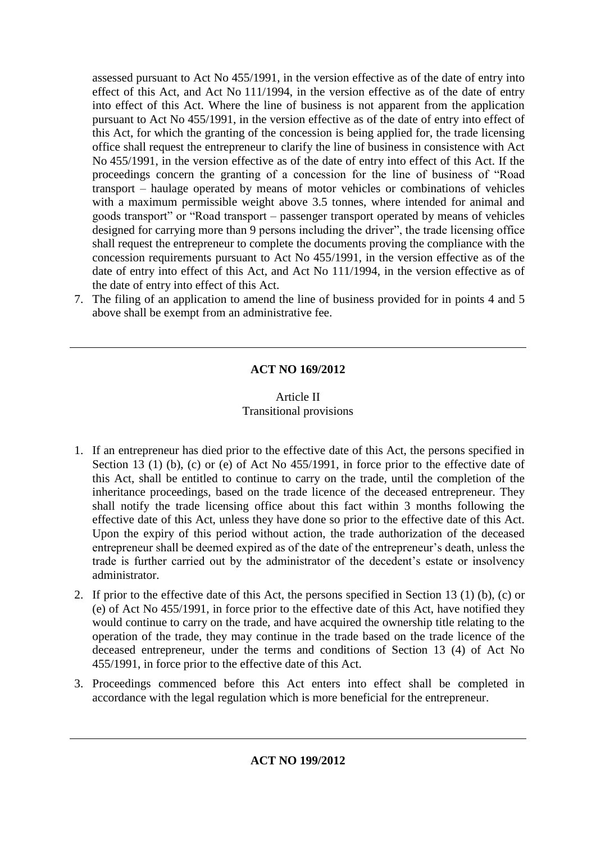assessed pursuant to Act No 455/1991, in the version effective as of the date of entry into effect of this Act, and Act No 111/1994, in the version effective as of the date of entry into effect of this Act. Where the line of business is not apparent from the application pursuant to Act No 455/1991, in the version effective as of the date of entry into effect of this Act, for which the granting of the concession is being applied for, the trade licensing office shall request the entrepreneur to clarify the line of business in consistence with Act No 455/1991, in the version effective as of the date of entry into effect of this Act. If the proceedings concern the granting of a concession for the line of business of "Road transport – haulage operated by means of motor vehicles or combinations of vehicles with a maximum permissible weight above 3.5 tonnes, where intended for animal and goods transport" or "Road transport – passenger transport operated by means of vehicles designed for carrying more than 9 persons including the driver", the trade licensing office shall request the entrepreneur to complete the documents proving the compliance with the concession requirements pursuant to Act No 455/1991, in the version effective as of the date of entry into effect of this Act, and Act No 111/1994, in the version effective as of the date of entry into effect of this Act.

7. The filing of an application to amend the line of business provided for in points 4 and 5 above shall be exempt from an administrative fee.

# **ACT NO 169/2012**

# Article II Transitional provisions

- 1. If an entrepreneur has died prior to the effective date of this Act, the persons specified in Section 13 (1) (b), (c) or (e) of Act No 455/1991, in force prior to the effective date of this Act, shall be entitled to continue to carry on the trade, until the completion of the inheritance proceedings, based on the trade licence of the deceased entrepreneur. They shall notify the trade licensing office about this fact within 3 months following the effective date of this Act, unless they have done so prior to the effective date of this Act. Upon the expiry of this period without action, the trade authorization of the deceased entrepreneur shall be deemed expired as of the date of the entrepreneur's death, unless the trade is further carried out by the administrator of the decedent's estate or insolvency administrator.
- 2. If prior to the effective date of this Act, the persons specified in Section 13 (1) (b), (c) or (e) of Act No 455/1991, in force prior to the effective date of this Act, have notified they would continue to carry on the trade, and have acquired the ownership title relating to the operation of the trade, they may continue in the trade based on the trade licence of the deceased entrepreneur, under the terms and conditions of Section 13 (4) of Act No 455/1991, in force prior to the effective date of this Act.
- 3. Proceedings commenced before this Act enters into effect shall be completed in accordance with the legal regulation which is more beneficial for the entrepreneur.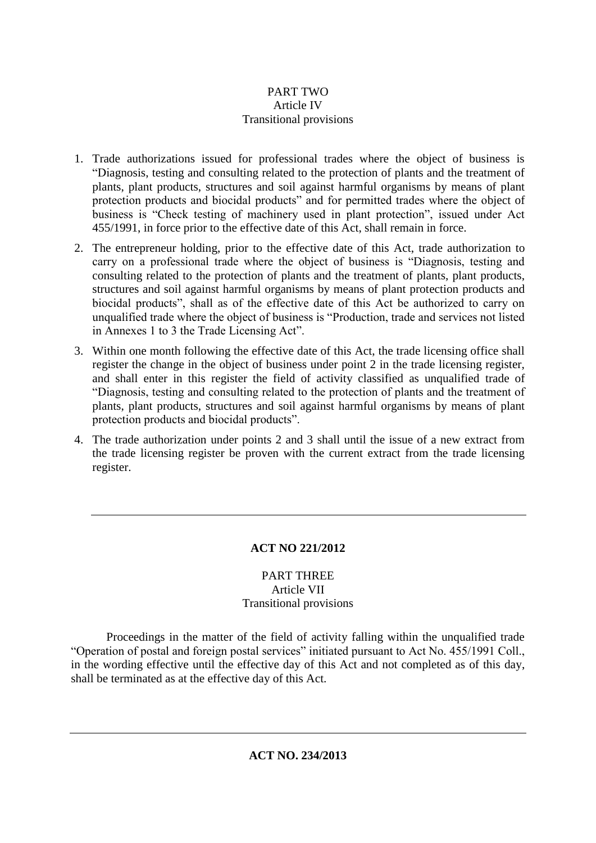# PART TWO Article IV Transitional provisions

- 1. Trade authorizations issued for professional trades where the object of business is "Diagnosis, testing and consulting related to the protection of plants and the treatment of plants, plant products, structures and soil against harmful organisms by means of plant protection products and biocidal products" and for permitted trades where the object of business is "Check testing of machinery used in plant protection", issued under Act 455/1991, in force prior to the effective date of this Act, shall remain in force.
- 2. The entrepreneur holding, prior to the effective date of this Act, trade authorization to carry on a professional trade where the object of business is "Diagnosis, testing and consulting related to the protection of plants and the treatment of plants, plant products, structures and soil against harmful organisms by means of plant protection products and biocidal products", shall as of the effective date of this Act be authorized to carry on unqualified trade where the object of business is "Production, trade and services not listed in Annexes 1 to 3 the Trade Licensing Act".
- 3. Within one month following the effective date of this Act, the trade licensing office shall register the change in the object of business under point 2 in the trade licensing register, and shall enter in this register the field of activity classified as unqualified trade of "Diagnosis, testing and consulting related to the protection of plants and the treatment of plants, plant products, structures and soil against harmful organisms by means of plant protection products and biocidal products".
- 4. The trade authorization under points 2 and 3 shall until the issue of a new extract from the trade licensing register be proven with the current extract from the trade licensing register.

# **ACT NO 221/2012**

# PART THREE Article VII Transitional provisions

Proceedings in the matter of the field of activity falling within the unqualified trade "Operation of postal and foreign postal services" initiated pursuant to Act No. 455/1991 Coll., in the wording effective until the effective day of this Act and not completed as of this day, shall be terminated as at the effective day of this Act.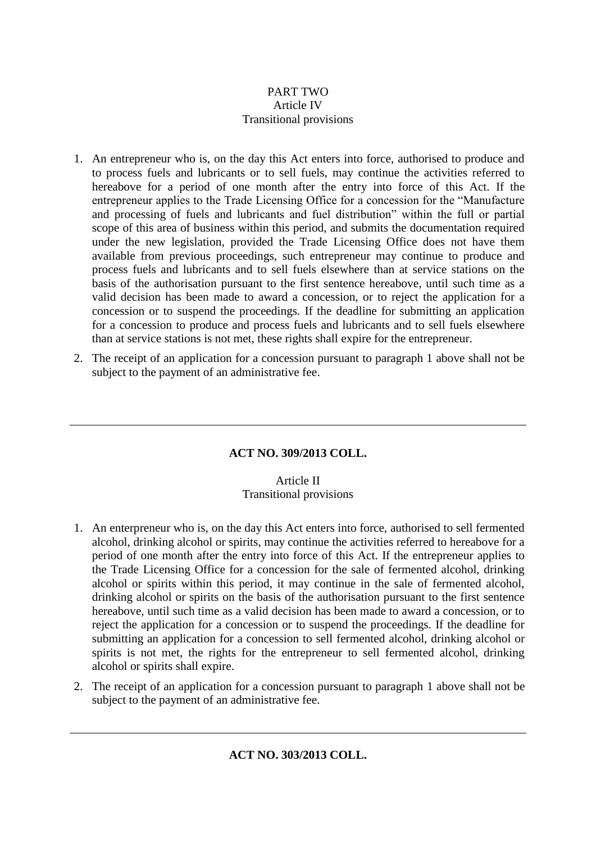# PART TWO Article IV Transitional provisions

- 1. An entrepreneur who is, on the day this Act enters into force, authorised to produce and to process fuels and lubricants or to sell fuels, may continue the activities referred to hereabove for a period of one month after the entry into force of this Act. If the entrepreneur applies to the Trade Licensing Office for a concession for the "Manufacture and processing of fuels and lubricants and fuel distribution" within the full or partial scope of this area of business within this period, and submits the documentation required under the new legislation, provided the Trade Licensing Office does not have them available from previous proceedings, such entrepreneur may continue to produce and process fuels and lubricants and to sell fuels elsewhere than at service stations on the basis of the authorisation pursuant to the first sentence hereabove, until such time as a valid decision has been made to award a concession, or to reject the application for a concession or to suspend the proceedings. If the deadline for submitting an application for a concession to produce and process fuels and lubricants and to sell fuels elsewhere than at service stations is not met, these rights shall expire for the entrepreneur.
- 2. The receipt of an application for a concession pursuant to paragraph 1 above shall not be subject to the payment of an administrative fee.

# **ACT NO. 309/2013 COLL.**

# Article II Transitional provisions

- 1. An enterpreneur who is, on the day this Act enters into force, authorised to sell fermented alcohol, drinking alcohol or spirits, may continue the activities referred to hereabove for a period of one month after the entry into force of this Act. If the entrepreneur applies to the Trade Licensing Office for a concession for the sale of fermented alcohol, drinking alcohol or spirits within this period, it may continue in the sale of fermented alcohol, drinking alcohol or spirits on the basis of the authorisation pursuant to the first sentence hereabove, until such time as a valid decision has been made to award a concession, or to reject the application for a concession or to suspend the proceedings. If the deadline for submitting an application for a concession to sell fermented alcohol, drinking alcohol or spirits is not met, the rights for the entrepreneur to sell fermented alcohol, drinking alcohol or spirits shall expire.
- 2. The receipt of an application for a concession pursuant to paragraph 1 above shall not be subject to the payment of an administrative fee.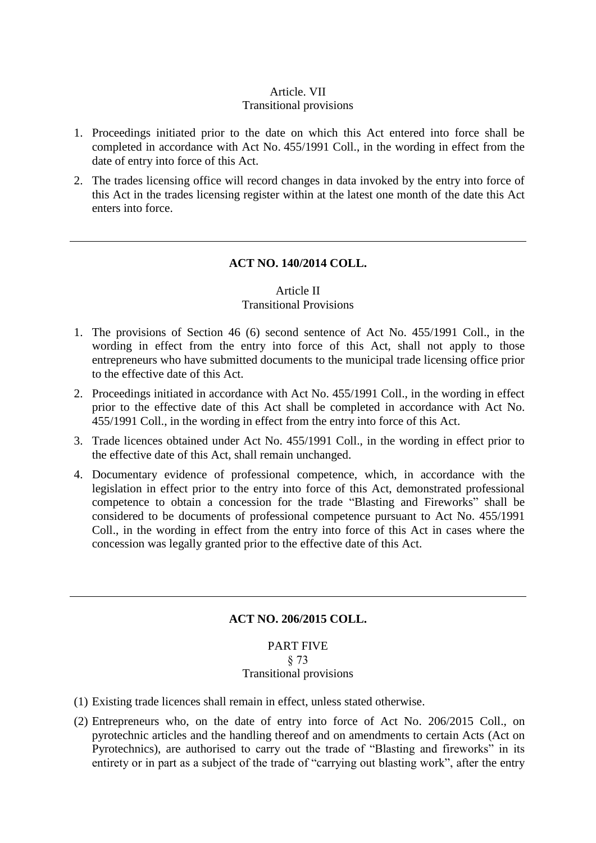## Article. VII Transitional provisions

- 1. Proceedings initiated prior to the date on which this Act entered into force shall be completed in accordance with Act No. 455/1991 Coll., in the wording in effect from the date of entry into force of this Act.
- 2. The trades licensing office will record changes in data invoked by the entry into force of this Act in the trades licensing register within at the latest one month of the date this Act enters into force.

### **ACT NO. 140/2014 COLL.**

### Article II Transitional Provisions

- 1. The provisions of Section 46 (6) second sentence of Act No. 455/1991 Coll., in the wording in effect from the entry into force of this Act, shall not apply to those entrepreneurs who have submitted documents to the municipal trade licensing office prior to the effective date of this Act.
- 2. Proceedings initiated in accordance with Act No. 455/1991 Coll., in the wording in effect prior to the effective date of this Act shall be completed in accordance with Act No. 455/1991 Coll., in the wording in effect from the entry into force of this Act.
- 3. Trade licences obtained under Act No. 455/1991 Coll., in the wording in effect prior to the effective date of this Act, shall remain unchanged.
- 4. Documentary evidence of professional competence, which, in accordance with the legislation in effect prior to the entry into force of this Act, demonstrated professional competence to obtain a concession for the trade "Blasting and Fireworks" shall be considered to be documents of professional competence pursuant to Act No. 455/1991 Coll., in the wording in effect from the entry into force of this Act in cases where the concession was legally granted prior to the effective date of this Act.

# **ACT NO. 206/2015 COLL.**

### PART FIVE § 73 Transitional provisions

- (1) Existing trade licences shall remain in effect, unless stated otherwise.
- (2) Entrepreneurs who, on the date of entry into force of Act No. 206/2015 Coll., on pyrotechnic articles and the handling thereof and on amendments to certain Acts (Act on Pyrotechnics), are authorised to carry out the trade of "Blasting and fireworks" in its entirety or in part as a subject of the trade of "carrying out blasting work", after the entry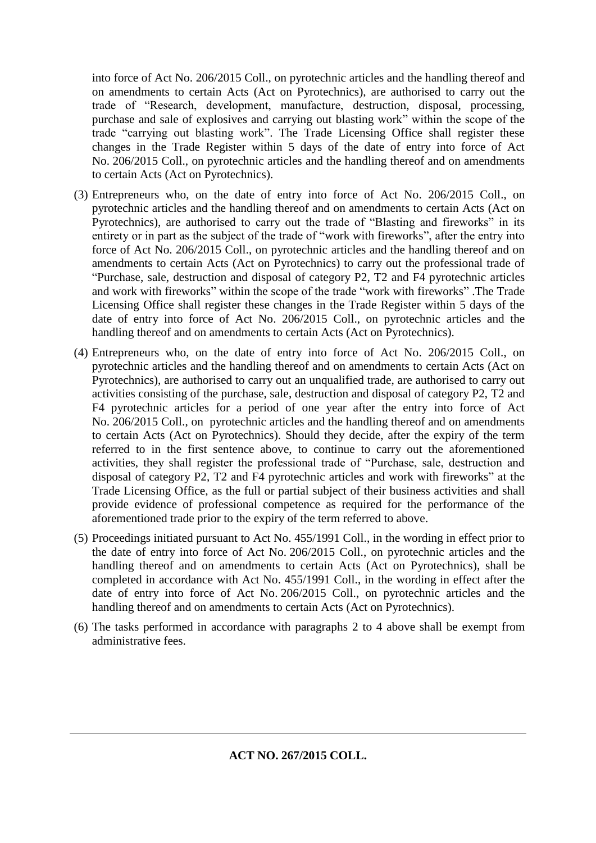into force of Act No. 206/2015 Coll., on pyrotechnic articles and the handling thereof and on amendments to certain Acts (Act on Pyrotechnics), are authorised to carry out the trade of "Research, development, manufacture, destruction, disposal, processing, purchase and sale of explosives and carrying out blasting work" within the scope of the trade "carrying out blasting work". The Trade Licensing Office shall register these changes in the Trade Register within 5 days of the date of entry into force of Act No. 206/2015 Coll., on pyrotechnic articles and the handling thereof and on amendments to certain Acts (Act on Pyrotechnics).

- (3) Entrepreneurs who, on the date of entry into force of Act No. 206/2015 Coll., on pyrotechnic articles and the handling thereof and on amendments to certain Acts (Act on Pyrotechnics), are authorised to carry out the trade of "Blasting and fireworks" in its entirety or in part as the subject of the trade of "work with fireworks", after the entry into force of Act No. 206/2015 Coll., on pyrotechnic articles and the handling thereof and on amendments to certain Acts (Act on Pyrotechnics) to carry out the professional trade of "Purchase, sale, destruction and disposal of category P2, T2 and F4 pyrotechnic articles and work with fireworks" within the scope of the trade "work with fireworks" .The Trade Licensing Office shall register these changes in the Trade Register within 5 days of the date of entry into force of Act No. 206/2015 Coll., on pyrotechnic articles and the handling thereof and on amendments to certain Acts (Act on Pyrotechnics).
- (4) Entrepreneurs who, on the date of entry into force of Act No. 206/2015 Coll., on pyrotechnic articles and the handling thereof and on amendments to certain Acts (Act on Pyrotechnics), are authorised to carry out an unqualified trade, are authorised to carry out activities consisting of the purchase, sale, destruction and disposal of category P2, T2 and F4 pyrotechnic articles for a period of one year after the entry into force of Act No. 206/2015 Coll., on pyrotechnic articles and the handling thereof and on amendments to certain Acts (Act on Pyrotechnics). Should they decide, after the expiry of the term referred to in the first sentence above, to continue to carry out the aforementioned activities, they shall register the professional trade of "Purchase, sale, destruction and disposal of category P2, T2 and F4 pyrotechnic articles and work with fireworks" at the Trade Licensing Office, as the full or partial subject of their business activities and shall provide evidence of professional competence as required for the performance of the aforementioned trade prior to the expiry of the term referred to above.
- (5) Proceedings initiated pursuant to Act No. 455/1991 Coll., in the wording in effect prior to the date of entry into force of Act No. 206/2015 Coll., on pyrotechnic articles and the handling thereof and on amendments to certain Acts (Act on Pyrotechnics), shall be completed in accordance with Act No. 455/1991 Coll., in the wording in effect after the date of entry into force of Act No. 206/2015 Coll., on pyrotechnic articles and the handling thereof and on amendments to certain Acts (Act on Pyrotechnics).
- (6) The tasks performed in accordance with paragraphs 2 to 4 above shall be exempt from administrative fees.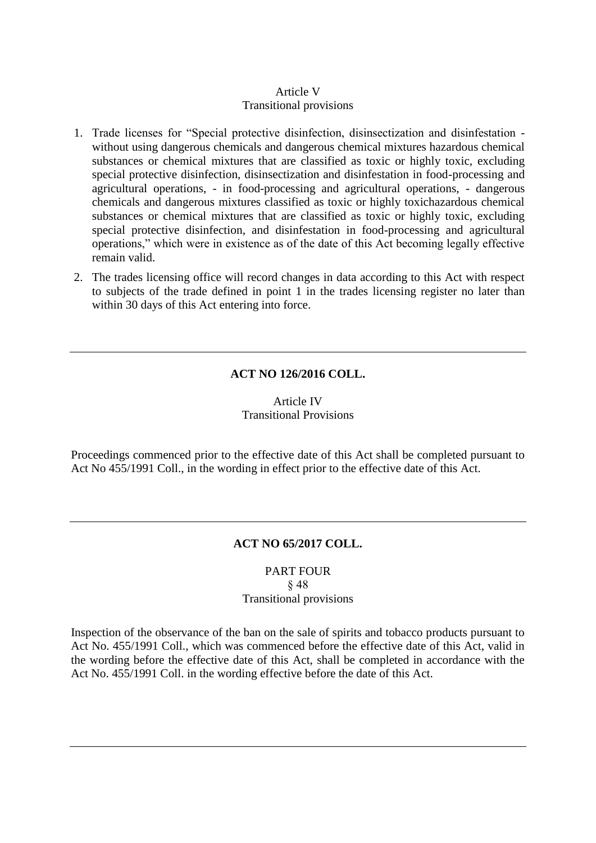# Article V Transitional provisions

- 1. Trade licenses for "Special protective disinfection, disinsectization and disinfestation without using dangerous chemicals and dangerous chemical mixtures hazardous chemical substances or chemical mixtures that are classified as toxic or highly toxic, excluding special protective disinfection, disinsectization and disinfestation in food-processing and agricultural operations, - in food-processing and agricultural operations, - dangerous chemicals and dangerous mixtures classified as toxic or highly toxichazardous chemical substances or chemical mixtures that are classified as toxic or highly toxic, excluding special protective disinfection, and disinfestation in food-processing and agricultural operations," which were in existence as of the date of this Act becoming legally effective remain valid.
- 2. The trades licensing office will record changes in data according to this Act with respect to subjects of the trade defined in point 1 in the trades licensing register no later than within 30 days of this Act entering into force.

# **ACT NO 126/2016 COLL.**

# Article IV Transitional Provisions

Proceedings commenced prior to the effective date of this Act shall be completed pursuant to Act No 455/1991 Coll., in the wording in effect prior to the effective date of this Act.

# **ACT NO 65/2017 COLL.**

# PART FOUR § 48 Transitional provisions

Inspection of the observance of the ban on the sale of spirits and tobacco products pursuant to Act No. 455/1991 Coll., which was commenced before the effective date of this Act, valid in the wording before the effective date of this Act, shall be completed in accordance with the Act No. 455/1991 Coll. in the wording effective before the date of this Act.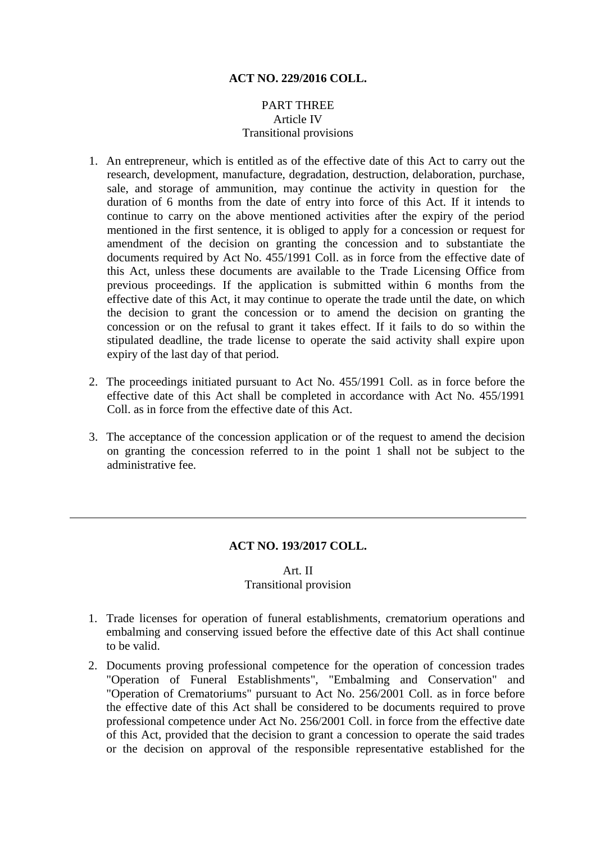# **ACT NO. 229/2016 COLL.**

# PART THREE Article IV Transitional provisions

- 1. An entrepreneur, which is entitled as of the effective date of this Act to carry out the research, development, manufacture, degradation, destruction, delaboration, purchase, sale, and storage of ammunition, may continue the activity in question for the duration of 6 months from the date of entry into force of this Act. If it intends to continue to carry on the above mentioned activities after the expiry of the period mentioned in the first sentence, it is obliged to apply for a concession or request for amendment of the decision on granting the concession and to substantiate the documents required by Act No. 455/1991 Coll. as in force from the effective date of this Act, unless these documents are available to the Trade Licensing Office from previous proceedings. If the application is submitted within 6 months from the effective date of this Act, it may continue to operate the trade until the date, on which the decision to grant the concession or to amend the decision on granting the concession or on the refusal to grant it takes effect. If it fails to do so within the stipulated deadline, the trade license to operate the said activity shall expire upon expiry of the last day of that period.
- 2. The proceedings initiated pursuant to Act No. 455/1991 Coll. as in force before the effective date of this Act shall be completed in accordance with Act No. 455/1991 Coll. as in force from the effective date of this Act.
- 3. The acceptance of the concession application or of the request to amend the decision on granting the concession referred to in the point 1 shall not be subject to the administrative fee.

## **ACT NO. 193/2017 COLL.**

# Art. II Transitional provision

- 1. Trade licenses for operation of funeral establishments, crematorium operations and embalming and conserving issued before the effective date of this Act shall continue to be valid.
- 2. Documents proving professional competence for the operation of concession trades "Operation of Funeral Establishments", "Embalming and Conservation" and "Operation of Crematoriums" pursuant to Act No. 256/2001 Coll. as in force before the effective date of this Act shall be considered to be documents required to prove professional competence under Act No. 256/2001 Coll. in force from the effective date of this Act, provided that the decision to grant a concession to operate the said trades or the decision on approval of the responsible representative established for the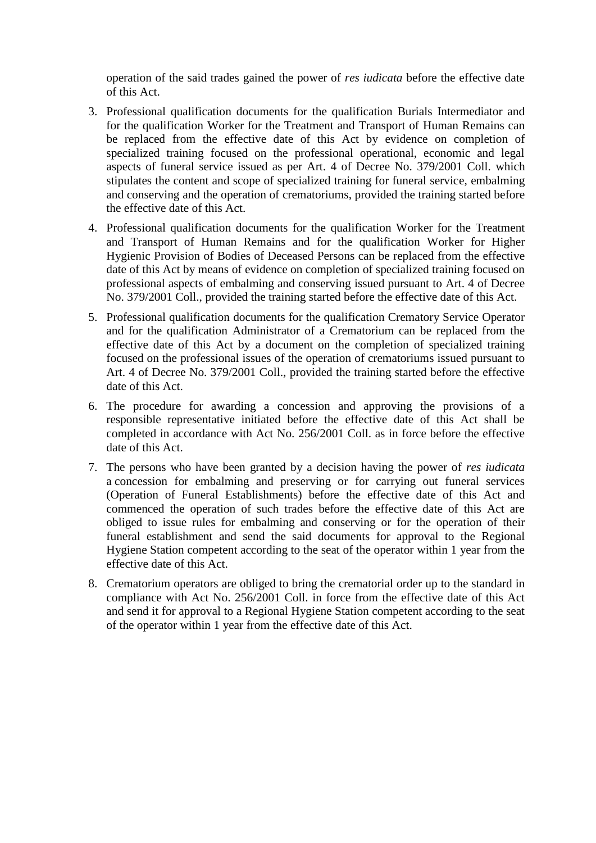operation of the said trades gained the power of *res iudicata* before the effective date of this Act.

- 3. Professional qualification documents for the qualification Burials Intermediator and for the qualification Worker for the Treatment and Transport of Human Remains can be replaced from the effective date of this Act by evidence on completion of specialized training focused on the professional operational, economic and legal aspects of funeral service issued as per Art. 4 of Decree No. 379/2001 Coll. which stipulates the content and scope of specialized training for funeral service, embalming and conserving and the operation of crematoriums, provided the training started before the effective date of this Act.
- 4. Professional qualification documents for the qualification Worker for the Treatment and Transport of Human Remains and for the qualification Worker for Higher Hygienic Provision of Bodies of Deceased Persons can be replaced from the effective date of this Act by means of evidence on completion of specialized training focused on professional aspects of embalming and conserving issued pursuant to Art. 4 of Decree No. 379/2001 Coll., provided the training started before the effective date of this Act.
- 5. Professional qualification documents for the qualification Crematory Service Operator and for the qualification Administrator of a Crematorium can be replaced from the effective date of this Act by a document on the completion of specialized training focused on the professional issues of the operation of crematoriums issued pursuant to Art. 4 of Decree No. 379/2001 Coll., provided the training started before the effective date of this Act.
- 6. The procedure for awarding a concession and approving the provisions of a responsible representative initiated before the effective date of this Act shall be completed in accordance with Act No. 256/2001 Coll. as in force before the effective date of this Act.
- 7. The persons who have been granted by a decision having the power of *res iudicata*  a concession for embalming and preserving or for carrying out funeral services (Operation of Funeral Establishments) before the effective date of this Act and commenced the operation of such trades before the effective date of this Act are obliged to issue rules for embalming and conserving or for the operation of their funeral establishment and send the said documents for approval to the Regional Hygiene Station competent according to the seat of the operator within 1 year from the effective date of this Act.
- 8. Crematorium operators are obliged to bring the crematorial order up to the standard in compliance with Act No. 256/2001 Coll. in force from the effective date of this Act and send it for approval to a Regional Hygiene Station competent according to the seat of the operator within 1 year from the effective date of this Act.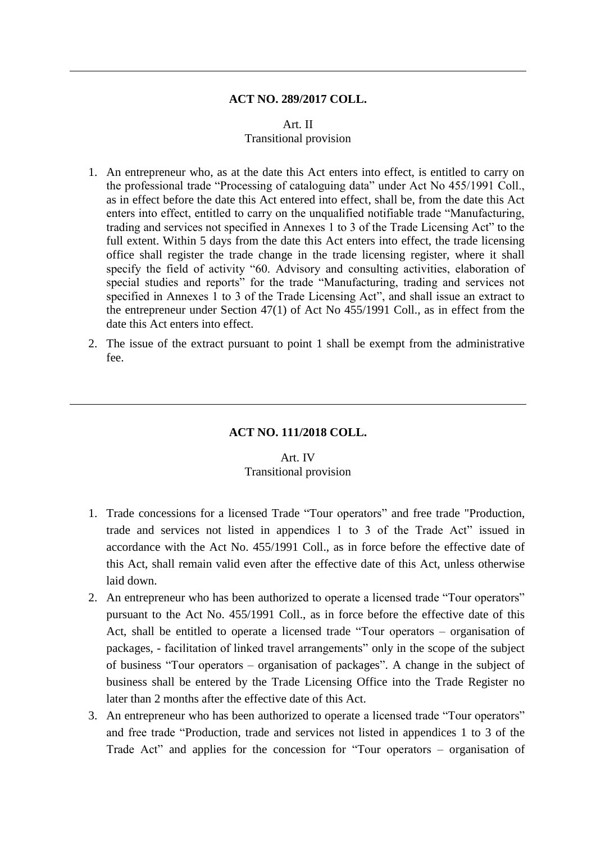#### **ACT NO. 289/2017 COLL.**

### Art. II Transitional provision

- 1. An entrepreneur who, as at the date this Act enters into effect, is entitled to carry on the professional trade "Processing of cataloguing data" under Act No 455/1991 Coll., as in effect before the date this Act entered into effect, shall be, from the date this Act enters into effect, entitled to carry on the unqualified notifiable trade "Manufacturing, trading and services not specified in Annexes 1 to 3 of the Trade Licensing Act" to the full extent. Within 5 days from the date this Act enters into effect, the trade licensing office shall register the trade change in the trade licensing register, where it shall specify the field of activity "60. Advisory and consulting activities, elaboration of special studies and reports" for the trade "Manufacturing, trading and services not specified in Annexes 1 to 3 of the Trade Licensing Act", and shall issue an extract to the entrepreneur under Section 47(1) of Act No 455/1991 Coll., as in effect from the date this Act enters into effect.
- 2. The issue of the extract pursuant to point 1 shall be exempt from the administrative fee.

### **ACT NO. 111/2018 COLL.**

### Art. IV Transitional provision

- 1. Trade concessions for a licensed Trade "Tour operators" and free trade "Production, trade and services not listed in appendices 1 to 3 of the Trade Act" issued in accordance with the Act No. 455/1991 Coll., as in force before the effective date of this Act, shall remain valid even after the effective date of this Act, unless otherwise laid down.
- 2. An entrepreneur who has been authorized to operate a licensed trade "Tour operators" pursuant to the Act No. 455/1991 Coll., as in force before the effective date of this Act, shall be entitled to operate a licensed trade "Tour operators – organisation of packages, - facilitation of linked travel arrangements" only in the scope of the subject of business "Tour operators – organisation of packages". A change in the subject of business shall be entered by the Trade Licensing Office into the Trade Register no later than 2 months after the effective date of this Act.
- 3. An entrepreneur who has been authorized to operate a licensed trade "Tour operators" and free trade "Production, trade and services not listed in appendices 1 to 3 of the Trade Act" and applies for the concession for "Tour operators – organisation of